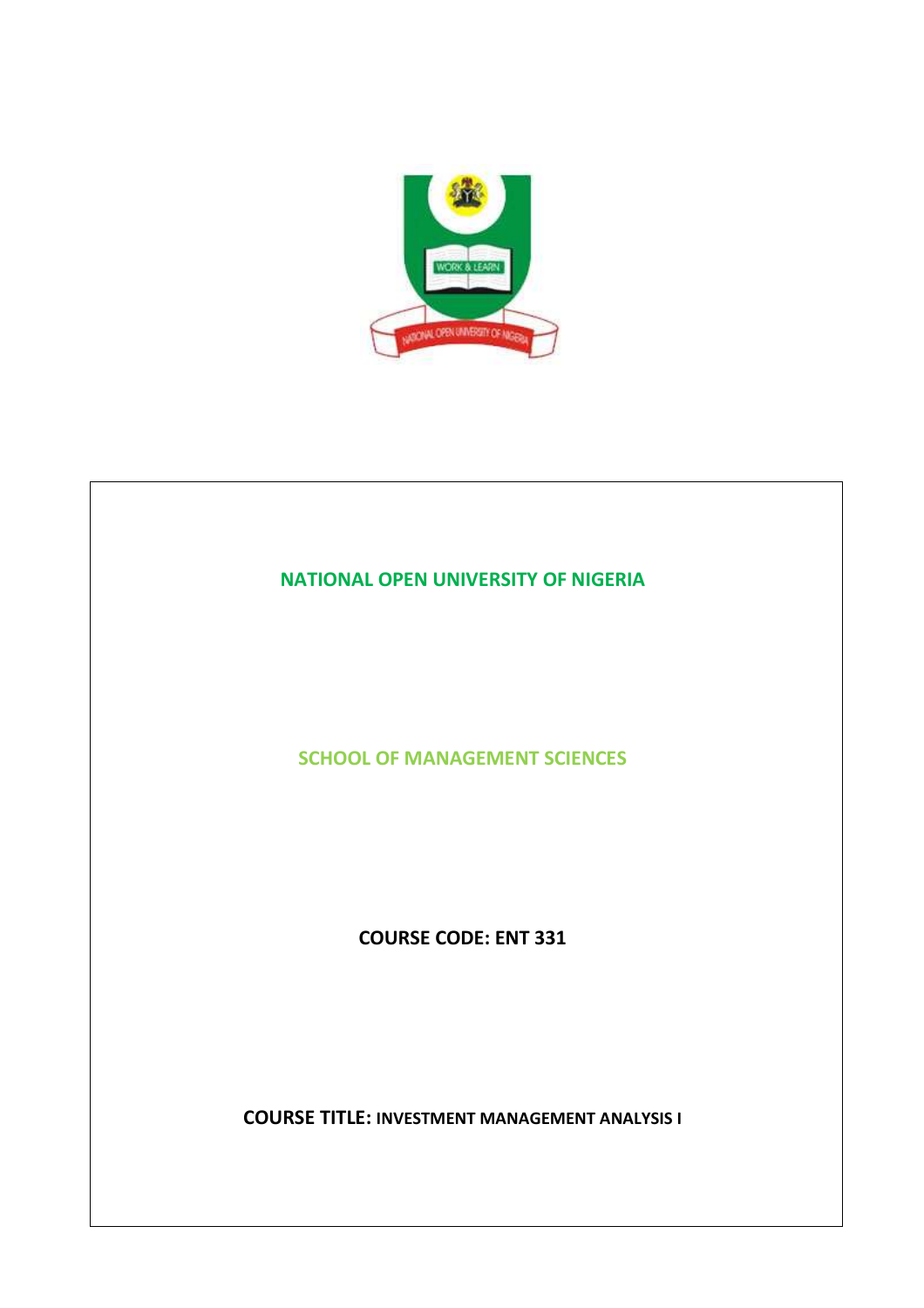

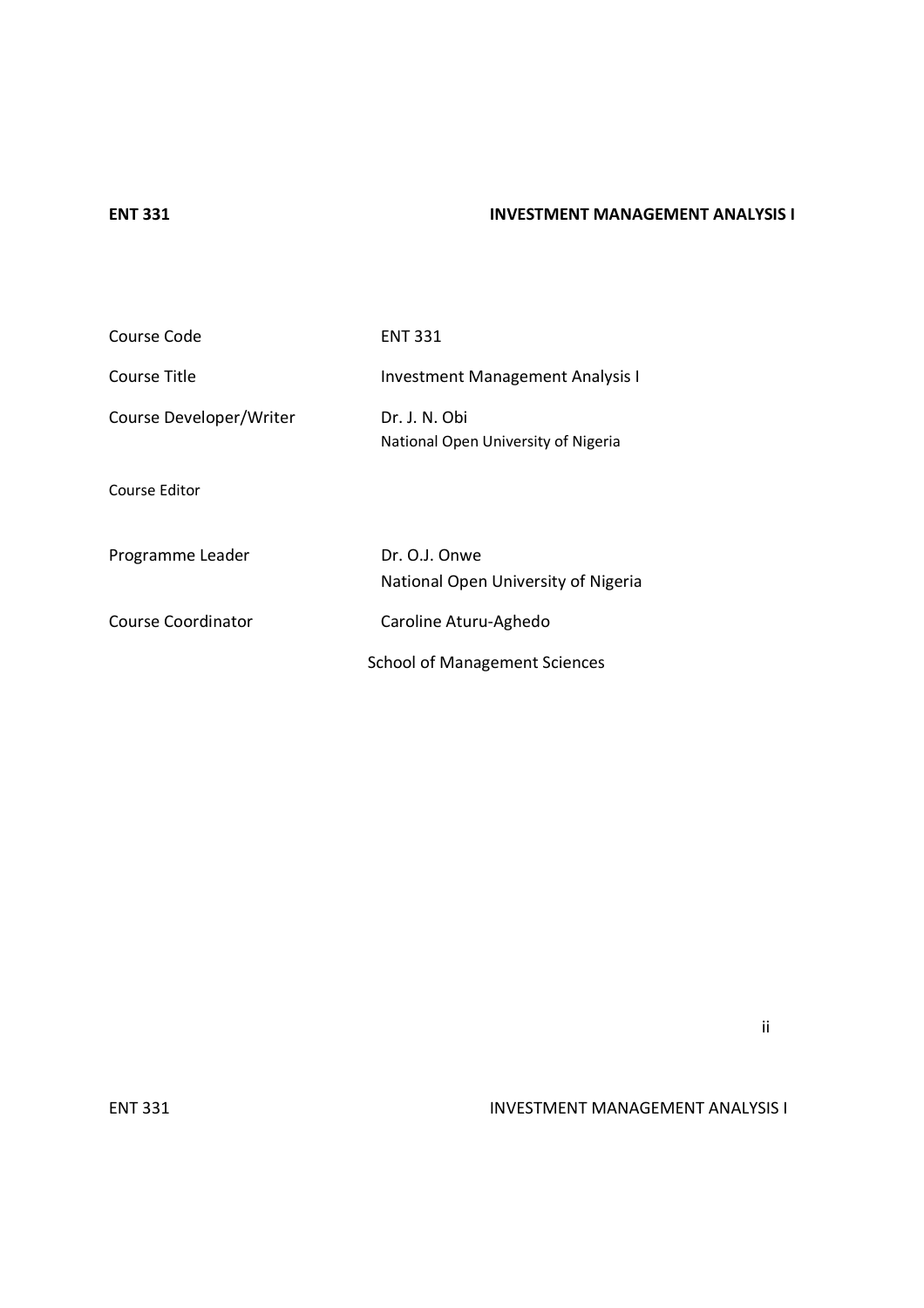#### **ENT 331 INVESTMENT MANAGEMENT ANALYSIS I**

| Course Code             | <b>ENT 331</b>                                       |
|-------------------------|------------------------------------------------------|
| Course Title            | <b>Investment Management Analysis I</b>              |
| Course Developer/Writer | Dr. J. N. Obi<br>National Open University of Nigeria |
| Course Editor           |                                                      |
| Programme Leader        | Dr. O.J. Onwe<br>National Open University of Nigeria |
| Course Coordinator      | Caroline Aturu-Aghedo                                |
|                         | <b>School of Management Sciences</b>                 |

# ENT 331 INVESTMENT MANAGEMENT ANALYSIS I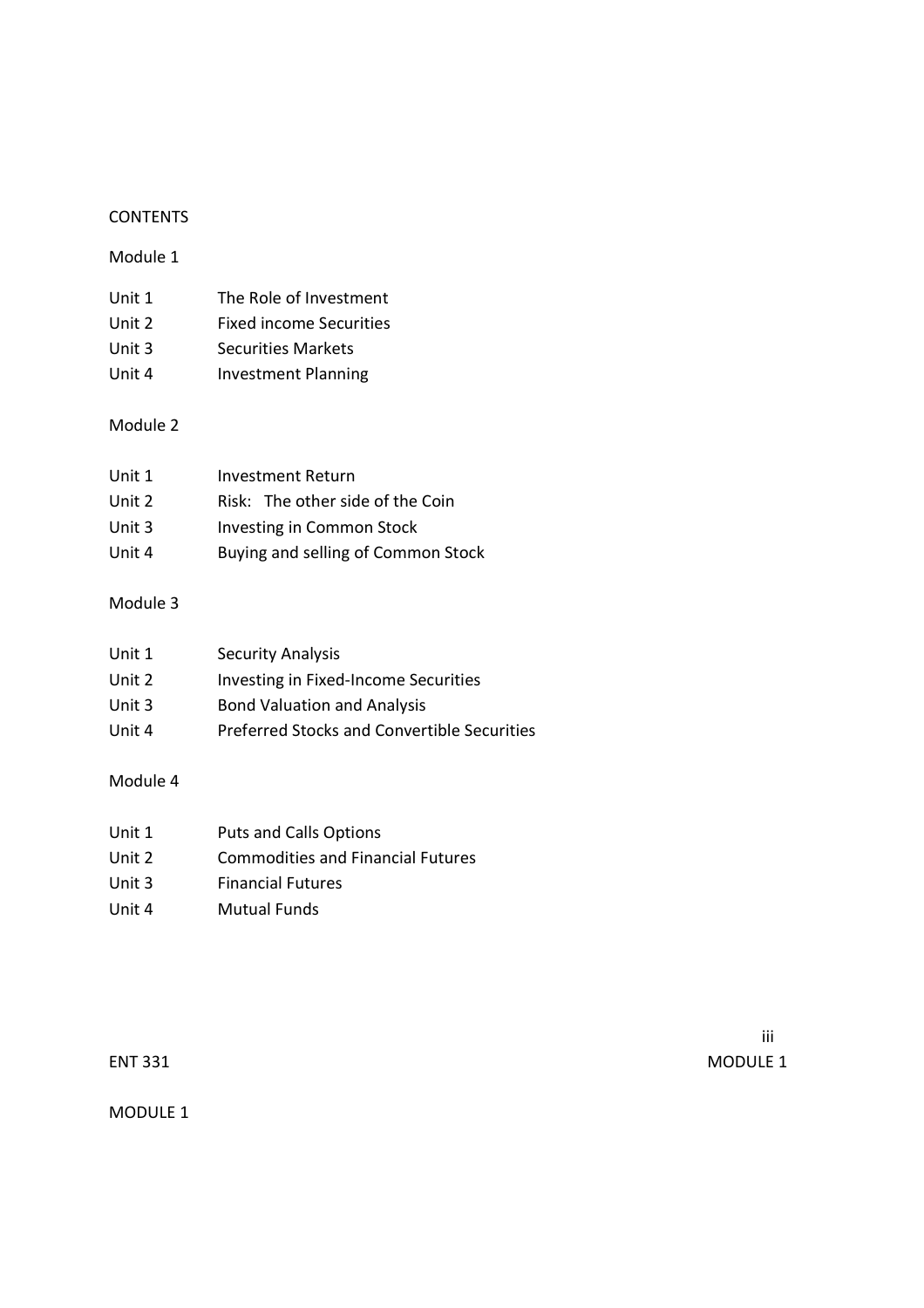#### **CONTENTS**

# Module 1

| Unit 1 | The Role of Investment         |
|--------|--------------------------------|
| Unit 2 | <b>Fixed income Securities</b> |
| Unit 3 | <b>Securities Markets</b>      |
| Unit 4 | <b>Investment Planning</b>     |

# Module 2

| Unit 1 | Investment Return                  |
|--------|------------------------------------|
| Unit 2 | Risk: The other side of the Coin   |
| Unit 3 | Investing in Common Stock          |
| Unit 4 | Buying and selling of Common Stock |

# Module 3

| Unit 1 | <b>Security Analysis</b>                           |
|--------|----------------------------------------------------|
| Unit 2 | Investing in Fixed-Income Securities               |
| Unit 3 | <b>Bond Valuation and Analysis</b>                 |
| Unit 4 | <b>Preferred Stocks and Convertible Securities</b> |

#### Module 4

| Unit 1 | <b>Puts and Calls Options</b>            |
|--------|------------------------------------------|
| Unit 2 | <b>Commodities and Financial Futures</b> |
| Unit 3 | <b>Financial Futures</b>                 |
| Unit 4 | <b>Mutual Funds</b>                      |

iii in de la provincia de la provincia de la provincia de la provincia de la provincia de la provincia del pro ENT 331 MODULE 1

# MODULE 1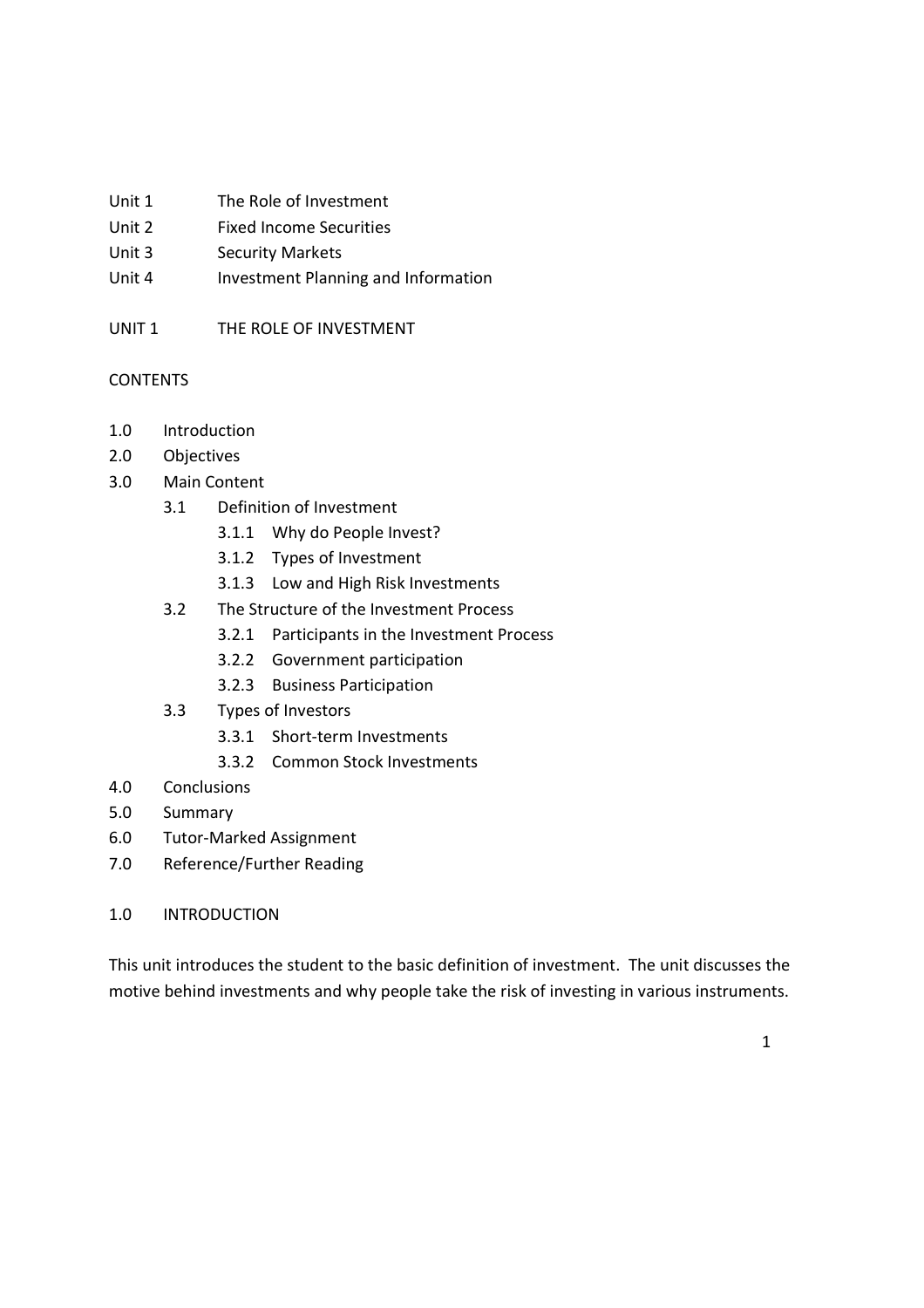- Unit 1 The Role of Investment
- Unit 2 Fixed Income Securities
- Unit 3 Security Markets
- Unit 4 Investment Planning and Information
- UNIT 1 THE ROLE OF INVESTMENT

# **CONTENTS**

- 1.0 Introduction
- 2.0 Objectives
- 3.0 Main Content
	- 3.1 Definition of Investment
		- 3.1.1 Why do People Invest?
		- 3.1.2 Types of Investment
		- 3.1.3 Low and High Risk Investments
	- 3.2 The Structure of the Investment Process
		- 3.2.1 Participants in the Investment Process
		- 3.2.2 Government participation
		- 3.2.3 Business Participation
	- 3.3 Types of Investors
		- 3.3.1 Short-term Investments
		- 3.3.2 Common Stock Investments
- 4.0 Conclusions
- 5.0 Summary
- 6.0 Tutor-Marked Assignment
- 7.0 Reference/Further Reading
- 1.0 INTRODUCTION

This unit introduces the student to the basic definition of investment. The unit discusses the motive behind investments and why people take the risk of investing in various instruments.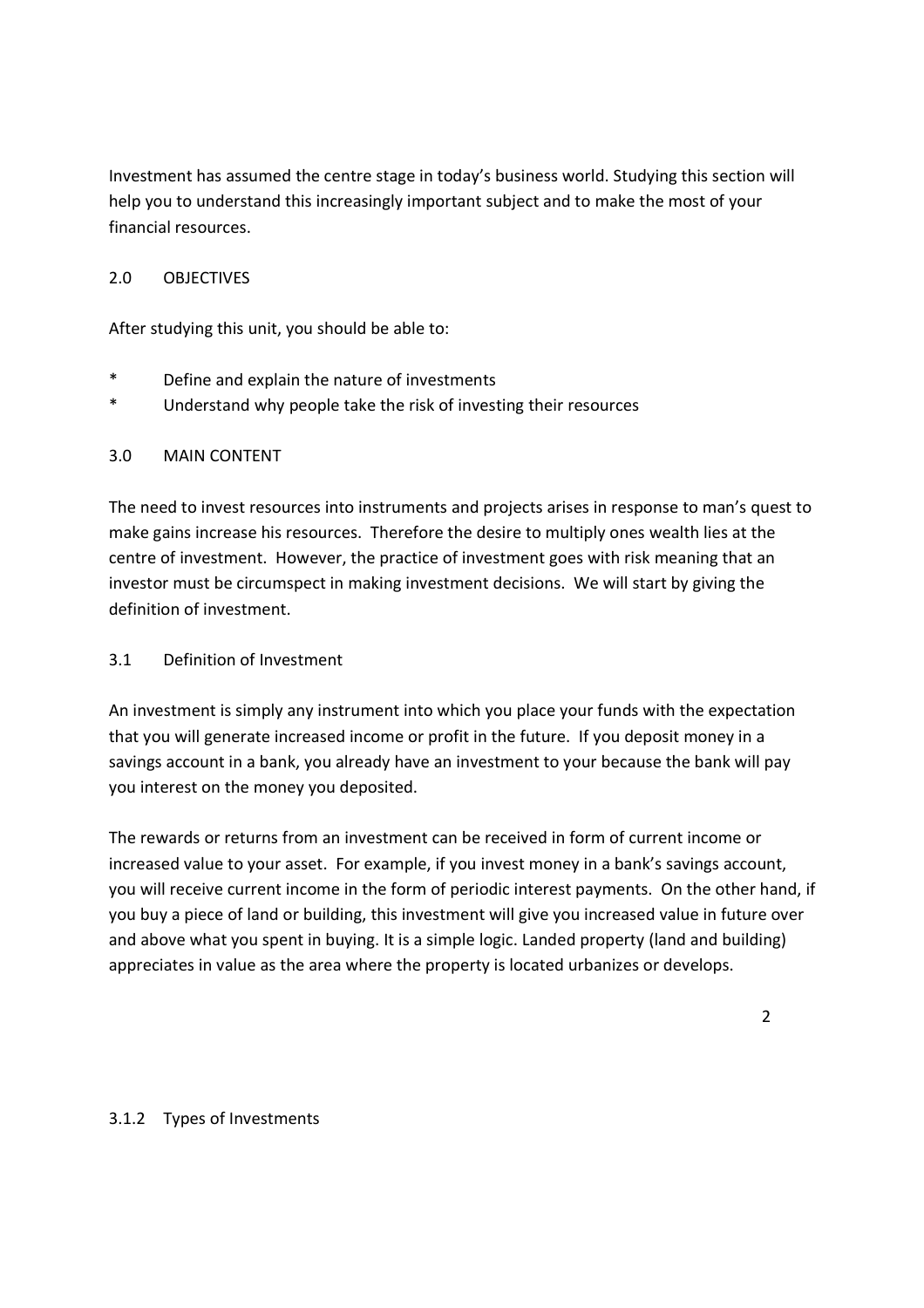Investment has assumed the centre stage in today's business world. Studying this section will help you to understand this increasingly important subject and to make the most of your financial resources.

# 2.0 OBJECTIVES

After studying this unit, you should be able to:

- \* Define and explain the nature of investments
- \* Understand why people take the risk of investing their resources

#### 3.0 MAIN CONTENT

The need to invest resources into instruments and projects arises in response to man's quest to make gains increase his resources. Therefore the desire to multiply ones wealth lies at the centre of investment. However, the practice of investment goes with risk meaning that an investor must be circumspect in making investment decisions. We will start by giving the definition of investment.

#### 3.1 Definition of Investment

An investment is simply any instrument into which you place your funds with the expectation that you will generate increased income or profit in the future. If you deposit money in a savings account in a bank, you already have an investment to your because the bank will pay you interest on the money you deposited.

The rewards or returns from an investment can be received in form of current income or increased value to your asset. For example, if you invest money in a bank's savings account, you will receive current income in the form of periodic interest payments. On the other hand, if you buy a piece of land or building, this investment will give you increased value in future over and above what you spent in buying. It is a simple logic. Landed property (land and building) appreciates in value as the area where the property is located urbanizes or develops.

#### 3.1.2 Types of Investments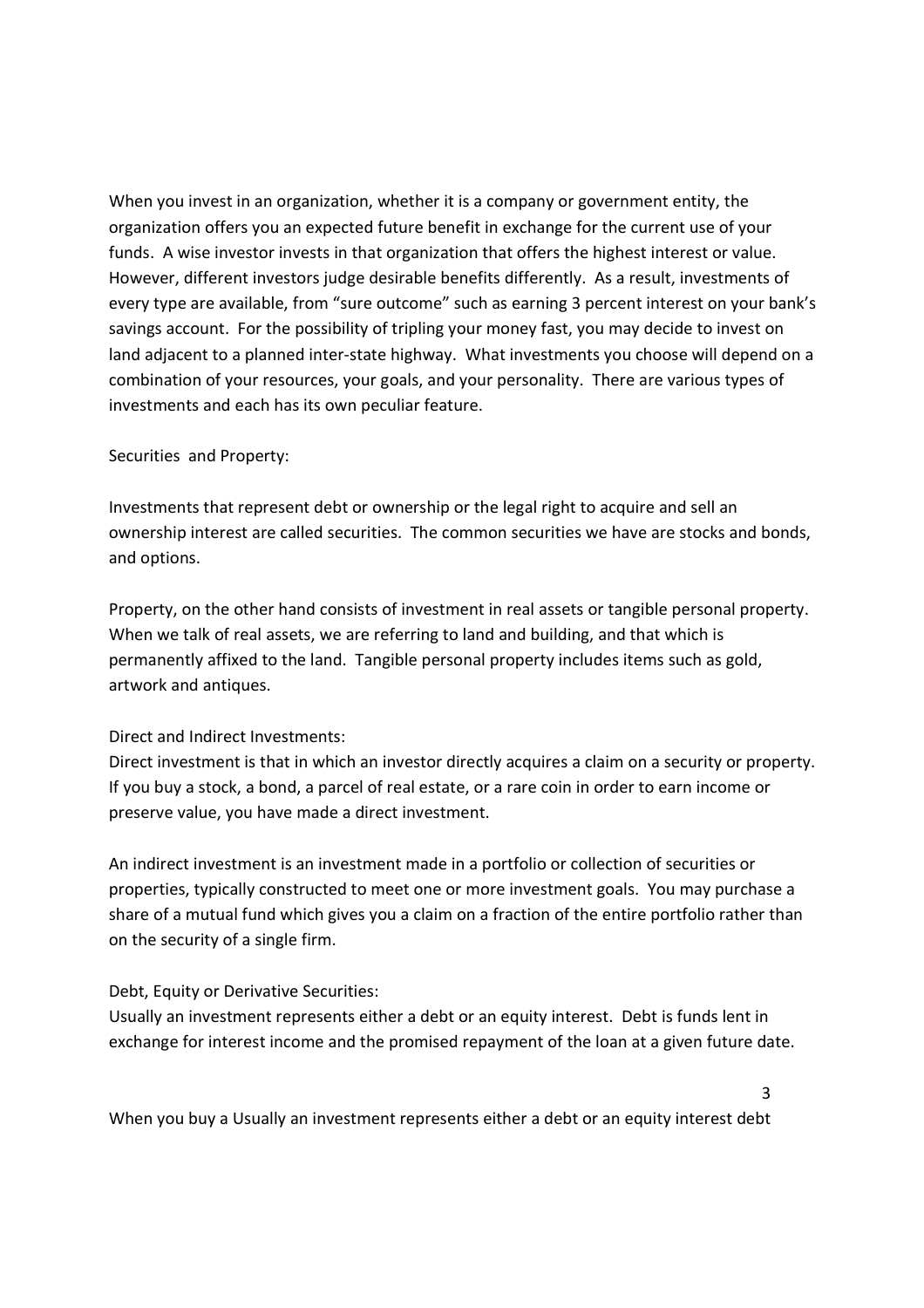When you invest in an organization, whether it is a company or government entity, the organization offers you an expected future benefit in exchange for the current use of your funds. A wise investor invests in that organization that offers the highest interest or value. However, different investors judge desirable benefits differently. As a result, investments of every type are available, from "sure outcome" such as earning 3 percent interest on your bank's savings account. For the possibility of tripling your money fast, you may decide to invest on land adjacent to a planned inter-state highway. What investments you choose will depend on a combination of your resources, your goals, and your personality. There are various types of investments and each has its own peculiar feature.

#### Securities and Property:

Investments that represent debt or ownership or the legal right to acquire and sell an ownership interest are called securities. The common securities we have are stocks and bonds, and options.

Property, on the other hand consists of investment in real assets or tangible personal property. When we talk of real assets, we are referring to land and building, and that which is permanently affixed to the land. Tangible personal property includes items such as gold, artwork and antiques.

#### Direct and Indirect Investments:

Direct investment is that in which an investor directly acquires a claim on a security or property. If you buy a stock, a bond, a parcel of real estate, or a rare coin in order to earn income or preserve value, you have made a direct investment.

An indirect investment is an investment made in a portfolio or collection of securities or properties, typically constructed to meet one or more investment goals. You may purchase a share of a mutual fund which gives you a claim on a fraction of the entire portfolio rather than on the security of a single firm.

Debt, Equity or Derivative Securities:

Usually an investment represents either a debt or an equity interest. Debt is funds lent in exchange for interest income and the promised repayment of the loan at a given future date.

When you buy a Usually an investment represents either a debt or an equity interest debt

3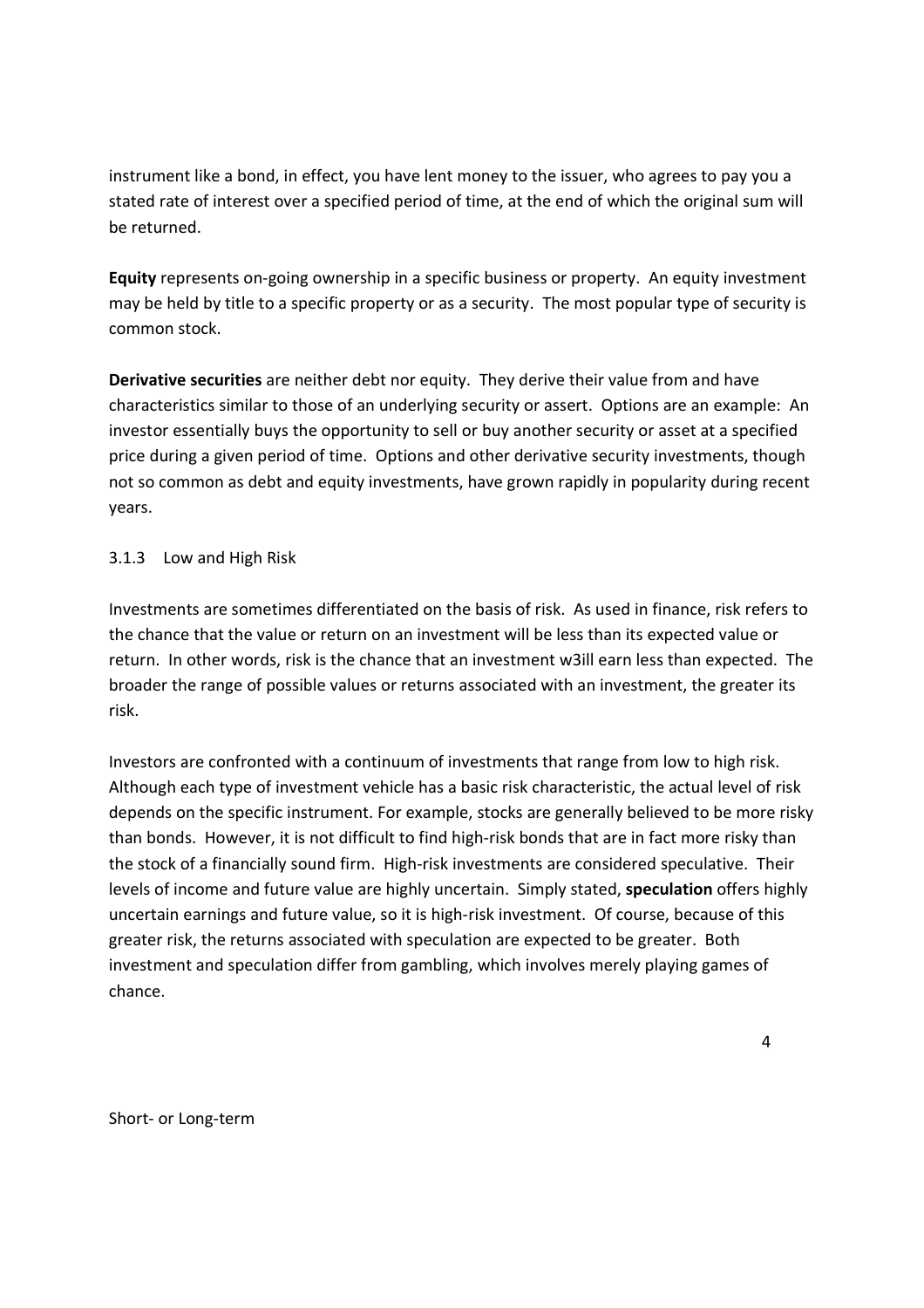instrument like a bond, in effect, you have lent money to the issuer, who agrees to pay you a stated rate of interest over a specified period of time, at the end of which the original sum will be returned.

**Equity** represents on-going ownership in a specific business or property. An equity investment may be held by title to a specific property or as a security. The most popular type of security is common stock.

**Derivative securities** are neither debt nor equity. They derive their value from and have characteristics similar to those of an underlying security or assert. Options are an example: An investor essentially buys the opportunity to sell or buy another security or asset at a specified price during a given period of time. Options and other derivative security investments, though not so common as debt and equity investments, have grown rapidly in popularity during recent years.

#### 3.1.3 Low and High Risk

Investments are sometimes differentiated on the basis of risk. As used in finance, risk refers to the chance that the value or return on an investment will be less than its expected value or return. In other words, risk is the chance that an investment w3ill earn less than expected. The broader the range of possible values or returns associated with an investment, the greater its risk.

Investors are confronted with a continuum of investments that range from low to high risk. Although each type of investment vehicle has a basic risk characteristic, the actual level of risk depends on the specific instrument. For example, stocks are generally believed to be more risky than bonds. However, it is not difficult to find high-risk bonds that are in fact more risky than the stock of a financially sound firm. High-risk investments are considered speculative. Their levels of income and future value are highly uncertain. Simply stated, **speculation** offers highly uncertain earnings and future value, so it is high-risk investment. Of course, because of this greater risk, the returns associated with speculation are expected to be greater. Both investment and speculation differ from gambling, which involves merely playing games of chance.

Short- or Long-term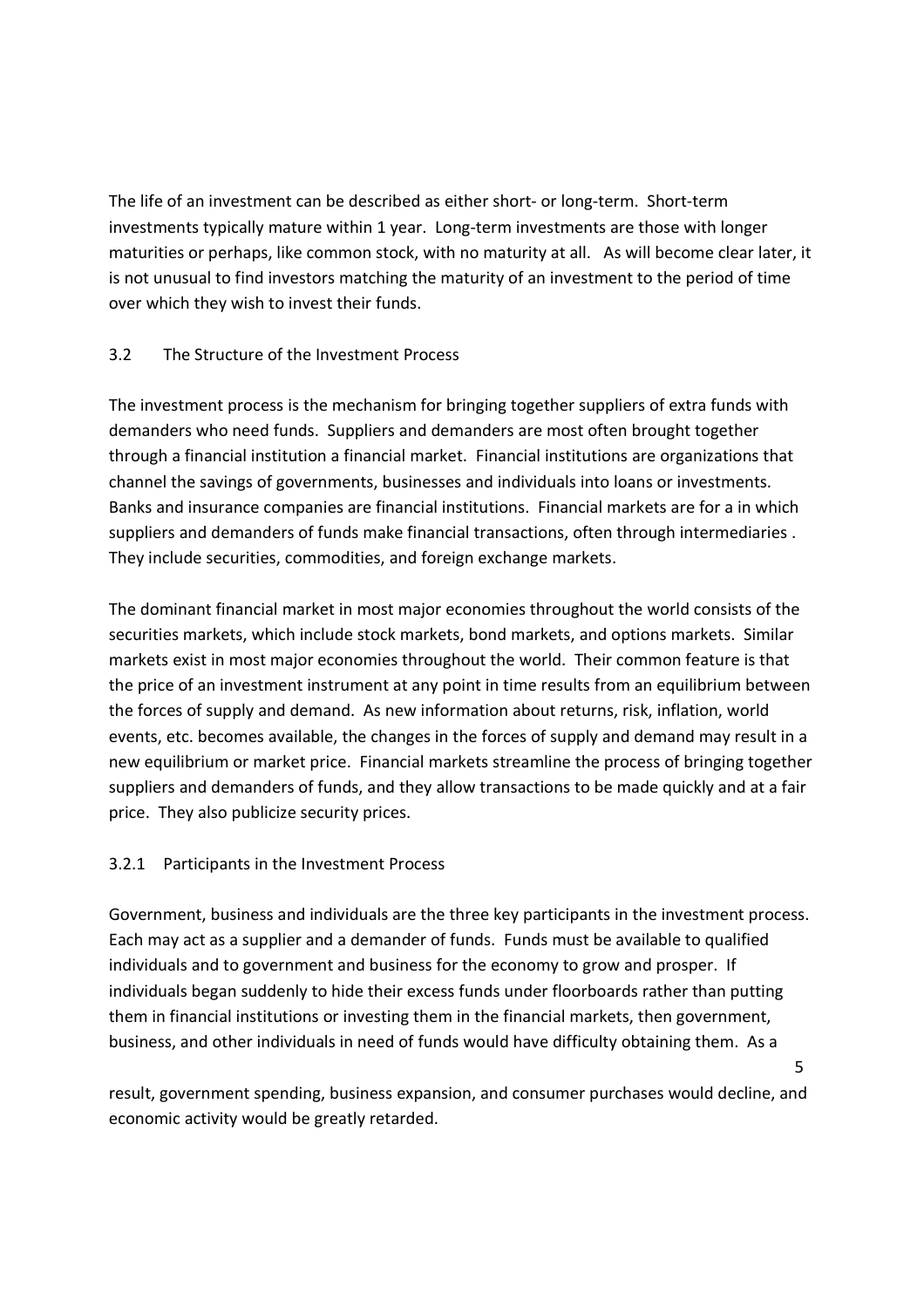The life of an investment can be described as either short- or long-term. Short-term investments typically mature within 1 year. Long-term investments are those with longer maturities or perhaps, like common stock, with no maturity at all. As will become clear later, it is not unusual to find investors matching the maturity of an investment to the period of time over which they wish to invest their funds.

#### 3.2 The Structure of the Investment Process

The investment process is the mechanism for bringing together suppliers of extra funds with demanders who need funds. Suppliers and demanders are most often brought together through a financial institution a financial market. Financial institutions are organizations that channel the savings of governments, businesses and individuals into loans or investments. Banks and insurance companies are financial institutions. Financial markets are for a in which suppliers and demanders of funds make financial transactions, often through intermediaries . They include securities, commodities, and foreign exchange markets.

The dominant financial market in most major economies throughout the world consists of the securities markets, which include stock markets, bond markets, and options markets. Similar markets exist in most major economies throughout the world. Their common feature is that the price of an investment instrument at any point in time results from an equilibrium between the forces of supply and demand. As new information about returns, risk, inflation, world events, etc. becomes available, the changes in the forces of supply and demand may result in a new equilibrium or market price. Financial markets streamline the process of bringing together suppliers and demanders of funds, and they allow transactions to be made quickly and at a fair price. They also publicize security prices.

# 3.2.1 Participants in the Investment Process

Government, business and individuals are the three key participants in the investment process. Each may act as a supplier and a demander of funds. Funds must be available to qualified individuals and to government and business for the economy to grow and prosper. If individuals began suddenly to hide their excess funds under floorboards rather than putting them in financial institutions or investing them in the financial markets, then government, business, and other individuals in need of funds would have difficulty obtaining them. As a

result, government spending, business expansion, and consumer purchases would decline, and economic activity would be greatly retarded.

5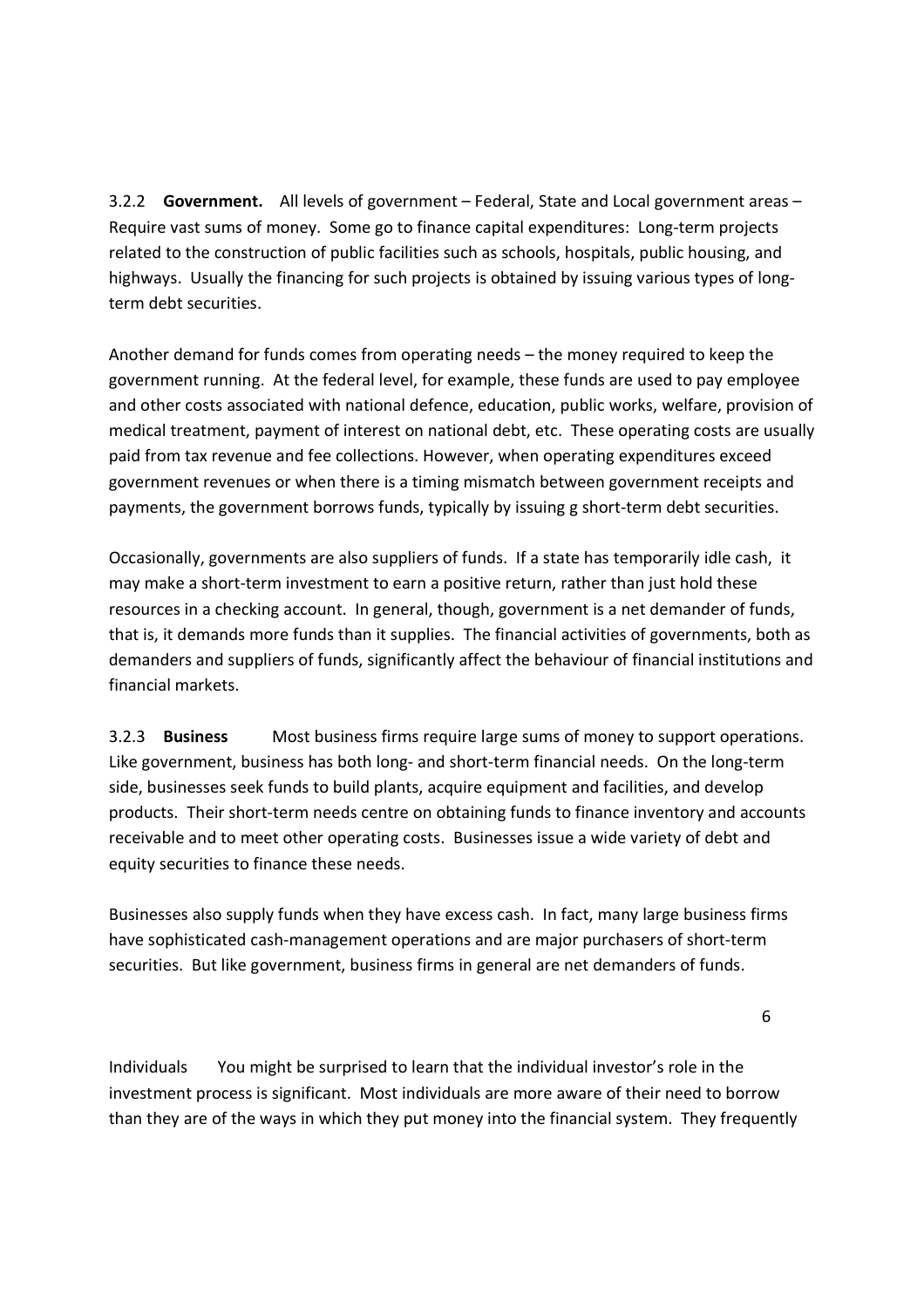3.2.2 **Government.** All levels of government – Federal, State and Local government areas – Require vast sums of money. Some go to finance capital expenditures: Long-term projects related to the construction of public facilities such as schools, hospitals, public housing, and highways. Usually the financing for such projects is obtained by issuing various types of longterm debt securities.

Another demand for funds comes from operating needs – the money required to keep the government running. At the federal level, for example, these funds are used to pay employee and other costs associated with national defence, education, public works, welfare, provision of medical treatment, payment of interest on national debt, etc. These operating costs are usually paid from tax revenue and fee collections. However, when operating expenditures exceed government revenues or when there is a timing mismatch between government receipts and payments, the government borrows funds, typically by issuing g short-term debt securities.

Occasionally, governments are also suppliers of funds. If a state has temporarily idle cash, it may make a short-term investment to earn a positive return, rather than just hold these resources in a checking account. In general, though, government is a net demander of funds, that is, it demands more funds than it supplies. The financial activities of governments, both as demanders and suppliers of funds, significantly affect the behaviour of financial institutions and financial markets.

3.2.3 **Business** Most business firms require large sums of money to support operations. Like government, business has both long- and short-term financial needs. On the long-term side, businesses seek funds to build plants, acquire equipment and facilities, and develop products. Their short-term needs centre on obtaining funds to finance inventory and accounts receivable and to meet other operating costs. Businesses issue a wide variety of debt and equity securities to finance these needs.

Businesses also supply funds when they have excess cash. In fact, many large business firms have sophisticated cash-management operations and are major purchasers of short-term securities. But like government, business firms in general are net demanders of funds.

 $\overline{6}$ 

Individuals You might be surprised to learn that the individual investor's role in the investment process is significant. Most individuals are more aware of their need to borrow than they are of the ways in which they put money into the financial system. They frequently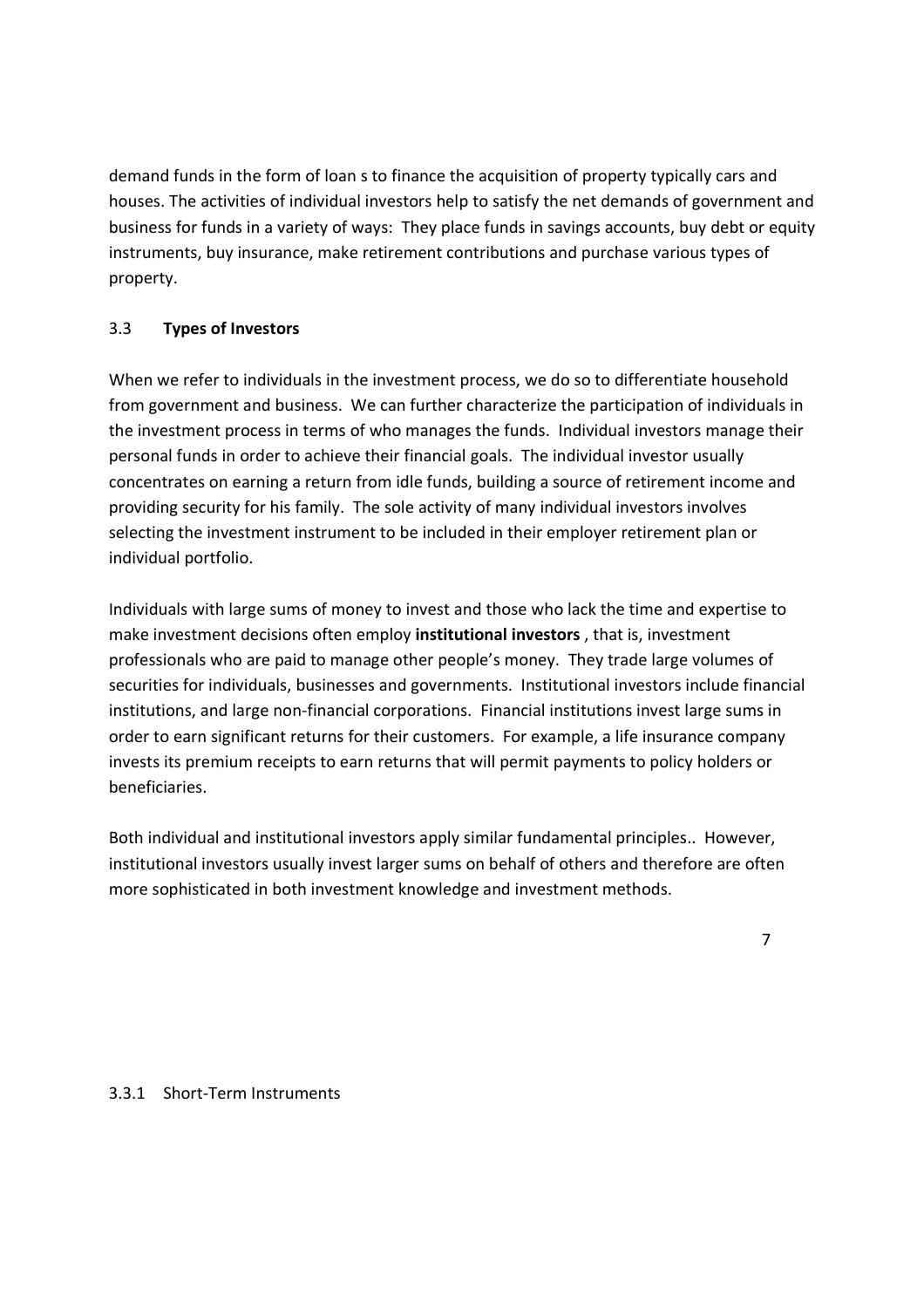demand funds in the form of loan s to finance the acquisition of property typically cars and houses. The activities of individual investors help to satisfy the net demands of government and business for funds in a variety of ways: They place funds in savings accounts, buy debt or equity instruments, buy insurance, make retirement contributions and purchase various types of property.

# 3.3 **Types of Investors**

When we refer to individuals in the investment process, we do so to differentiate household from government and business. We can further characterize the participation of individuals in the investment process in terms of who manages the funds. Individual investors manage their personal funds in order to achieve their financial goals. The individual investor usually concentrates on earning a return from idle funds, building a source of retirement income and providing security for his family. The sole activity of many individual investors involves selecting the investment instrument to be included in their employer retirement plan or individual portfolio.

Individuals with large sums of money to invest and those who lack the time and expertise to make investment decisions often employ **institutional investors** , that is, investment professionals who are paid to manage other people's money. They trade large volumes of securities for individuals, businesses and governments. Institutional investors include financial institutions, and large non-financial corporations. Financial institutions invest large sums in order to earn significant returns for their customers. For example, a life insurance company invests its premium receipts to earn returns that will permit payments to policy holders or beneficiaries.

Both individual and institutional investors apply similar fundamental principles.. However, institutional investors usually invest larger sums on behalf of others and therefore are often more sophisticated in both investment knowledge and investment methods.

3.3.1 Short-Term Instruments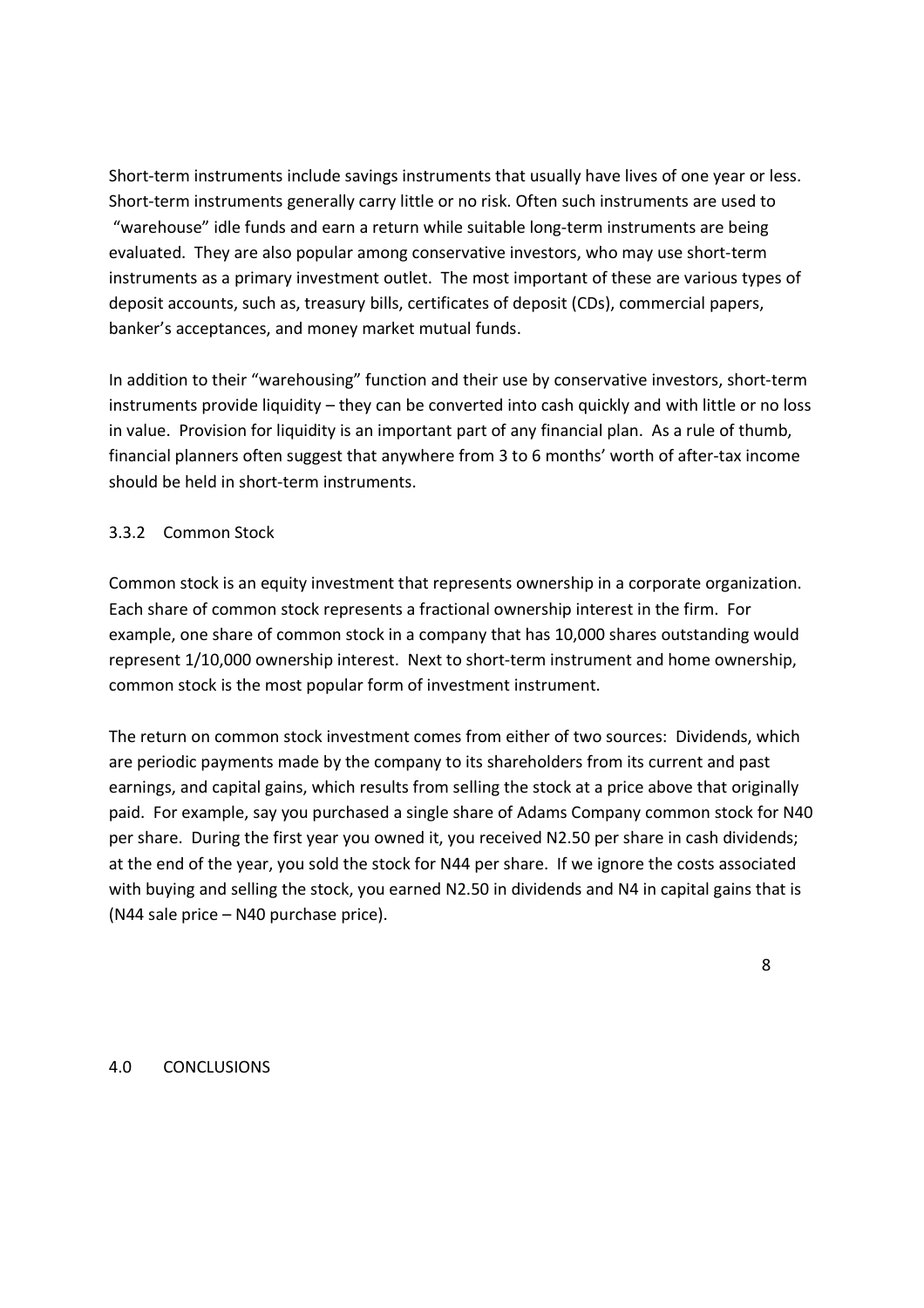Short-term instruments include savings instruments that usually have lives of one year or less. Short-term instruments generally carry little or no risk. Often such instruments are used to "warehouse" idle funds and earn a return while suitable long-term instruments are being evaluated. They are also popular among conservative investors, who may use short-term instruments as a primary investment outlet. The most important of these are various types of deposit accounts, such as, treasury bills, certificates of deposit (CDs), commercial papers, banker's acceptances, and money market mutual funds.

In addition to their "warehousing" function and their use by conservative investors, short-term instruments provide liquidity – they can be converted into cash quickly and with little or no loss in value. Provision for liquidity is an important part of any financial plan. As a rule of thumb, financial planners often suggest that anywhere from 3 to 6 months' worth of after-tax income should be held in short-term instruments.

#### 3.3.2 Common Stock

Common stock is an equity investment that represents ownership in a corporate organization. Each share of common stock represents a fractional ownership interest in the firm. For example, one share of common stock in a company that has 10,000 shares outstanding would represent 1/10,000 ownership interest. Next to short-term instrument and home ownership, common stock is the most popular form of investment instrument.

The return on common stock investment comes from either of two sources: Dividends, which are periodic payments made by the company to its shareholders from its current and past earnings, and capital gains, which results from selling the stock at a price above that originally paid. For example, say you purchased a single share of Adams Company common stock for N40 per share. During the first year you owned it, you received N2.50 per share in cash dividends; at the end of the year, you sold the stock for N44 per share. If we ignore the costs associated with buying and selling the stock, you earned N2.50 in dividends and N4 in capital gains that is (N44 sale price – N40 purchase price).

#### 4.0 CONCLUSIONS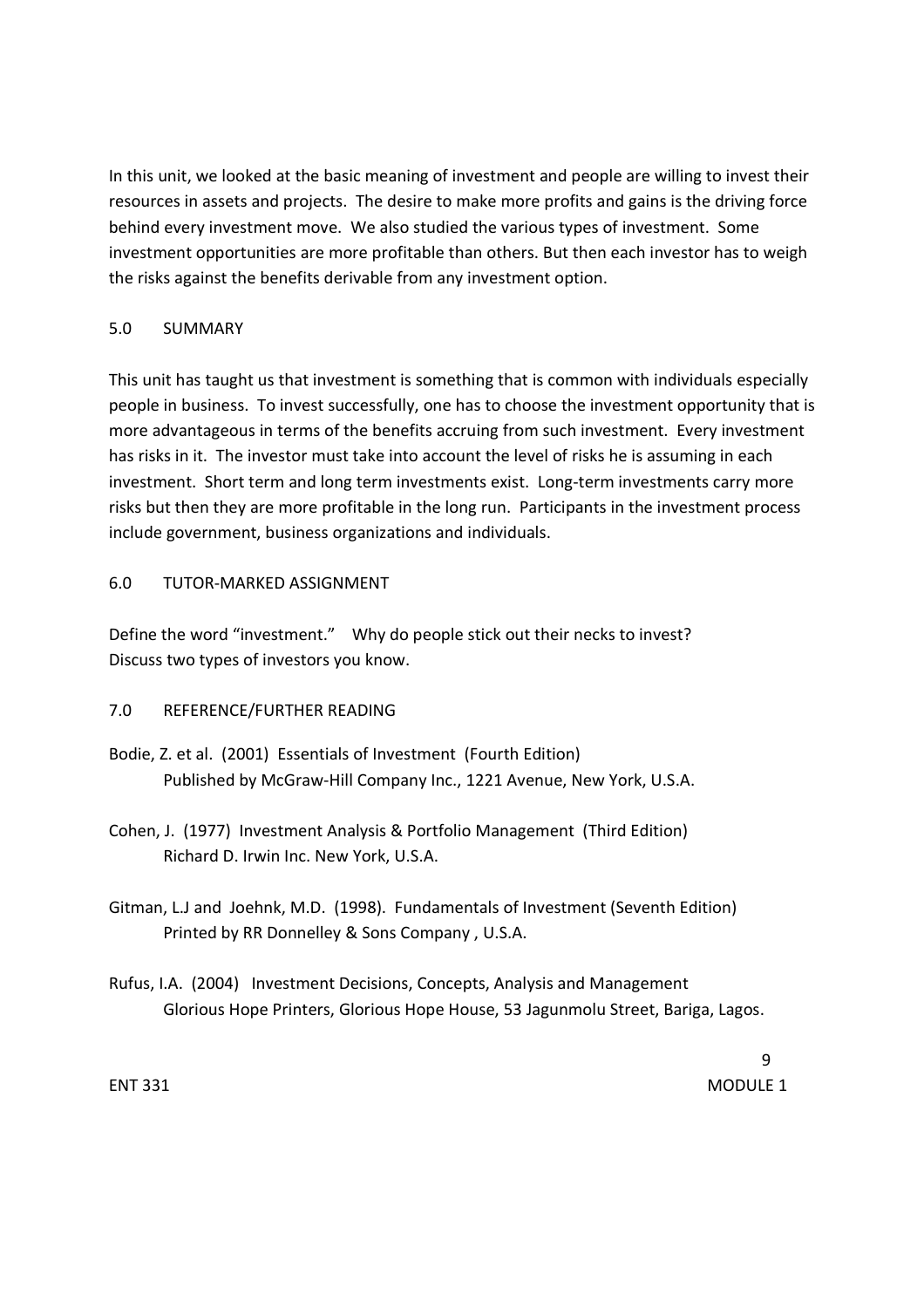In this unit, we looked at the basic meaning of investment and people are willing to invest their resources in assets and projects. The desire to make more profits and gains is the driving force behind every investment move. We also studied the various types of investment. Some investment opportunities are more profitable than others. But then each investor has to weigh the risks against the benefits derivable from any investment option.

# 5.0 SUMMARY

This unit has taught us that investment is something that is common with individuals especially people in business. To invest successfully, one has to choose the investment opportunity that is more advantageous in terms of the benefits accruing from such investment. Every investment has risks in it. The investor must take into account the level of risks he is assuming in each investment. Short term and long term investments exist. Long-term investments carry more risks but then they are more profitable in the long run. Participants in the investment process include government, business organizations and individuals.

#### 6.0 TUTOR-MARKED ASSIGNMENT

Define the word "investment." Why do people stick out their necks to invest? Discuss two types of investors you know.

# 7.0 REFERENCE/FURTHER READING

- Bodie, Z. et al. (2001) Essentials of Investment (Fourth Edition) Published by McGraw-Hill Company Inc., 1221 Avenue, New York, U.S.A.
- Cohen, J. (1977) Investment Analysis & Portfolio Management (Third Edition) Richard D. Irwin Inc. New York, U.S.A.
- Gitman, L.J and Joehnk, M.D. (1998). Fundamentals of Investment (Seventh Edition) Printed by RR Donnelley & Sons Company , U.S.A.
- Rufus, I.A. (2004) Investment Decisions, Concepts, Analysis and Management Glorious Hope Printers, Glorious Hope House, 53 Jagunmolu Street, Bariga, Lagos.

 9 ENT 331 MODULE 1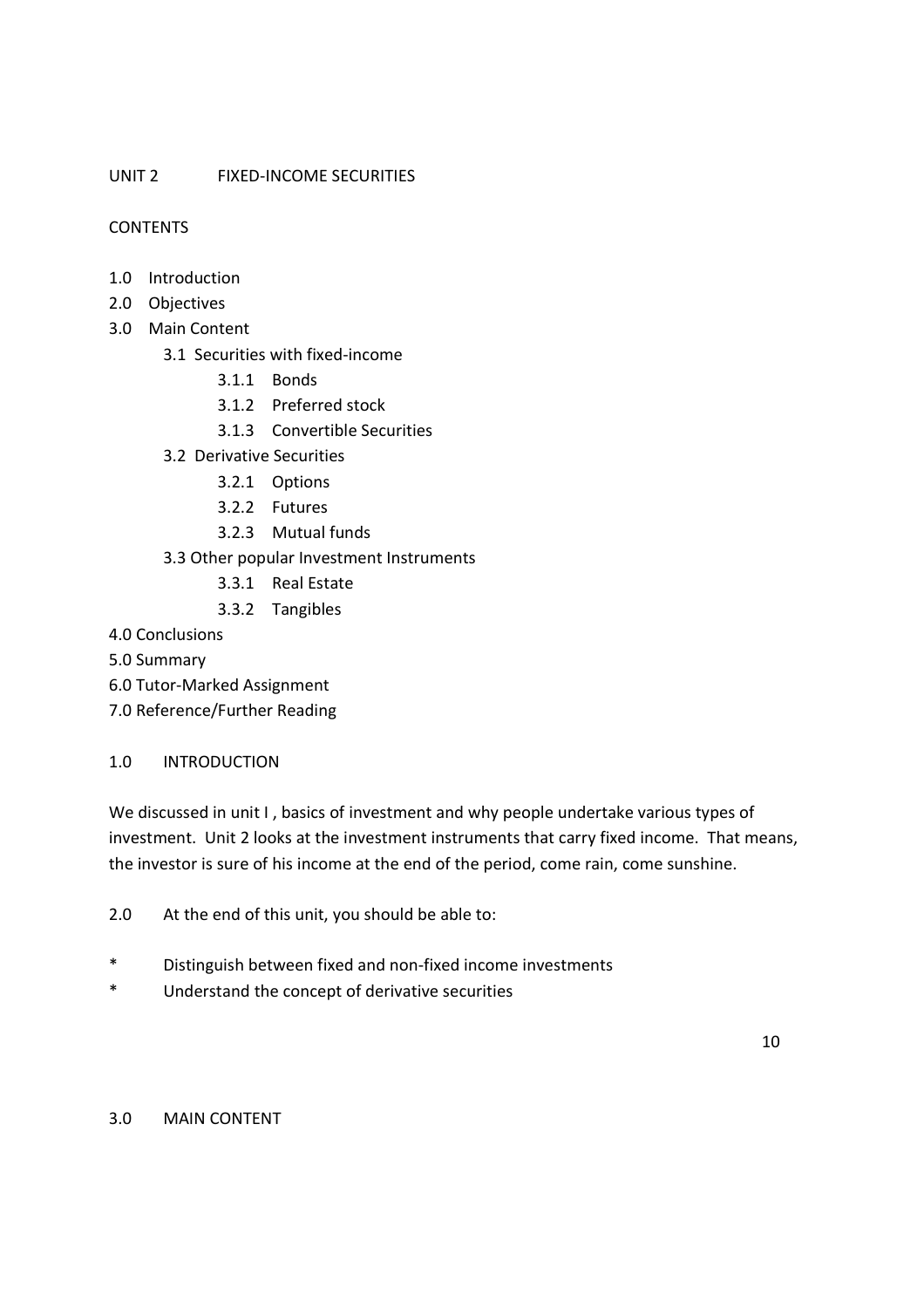#### UNIT 2 FIXED-INCOME SECURITIES

#### CONTENTS

- 1.0 Introduction
- 2.0 Objectives
- 3.0 Main Content
	- 3.1 Securities with fixed-income
		- 3.1.1 Bonds
		- 3.1.2 Preferred stock
		- 3.1.3 Convertible Securities
	- 3.2 Derivative Securities
		- 3.2.1 Options
		- 3.2.2 Futures
		- 3.2.3 Mutual funds
	- 3.3 Other popular Investment Instruments
		- 3.3.1 Real Estate
		- 3.3.2 Tangibles
- 4.0 Conclusions
- 5.0 Summary
- 6.0 Tutor-Marked Assignment
- 7.0 Reference/Further Reading

#### 1.0 INTRODUCTION

We discussed in unit I, basics of investment and why people undertake various types of investment. Unit 2 looks at the investment instruments that carry fixed income. That means, the investor is sure of his income at the end of the period, come rain, come sunshine.

- 2.0 At the end of this unit, you should be able to:
- \* Distinguish between fixed and non-fixed income investments
- \* Understand the concept of derivative securities

#### 3.0 MAIN CONTENT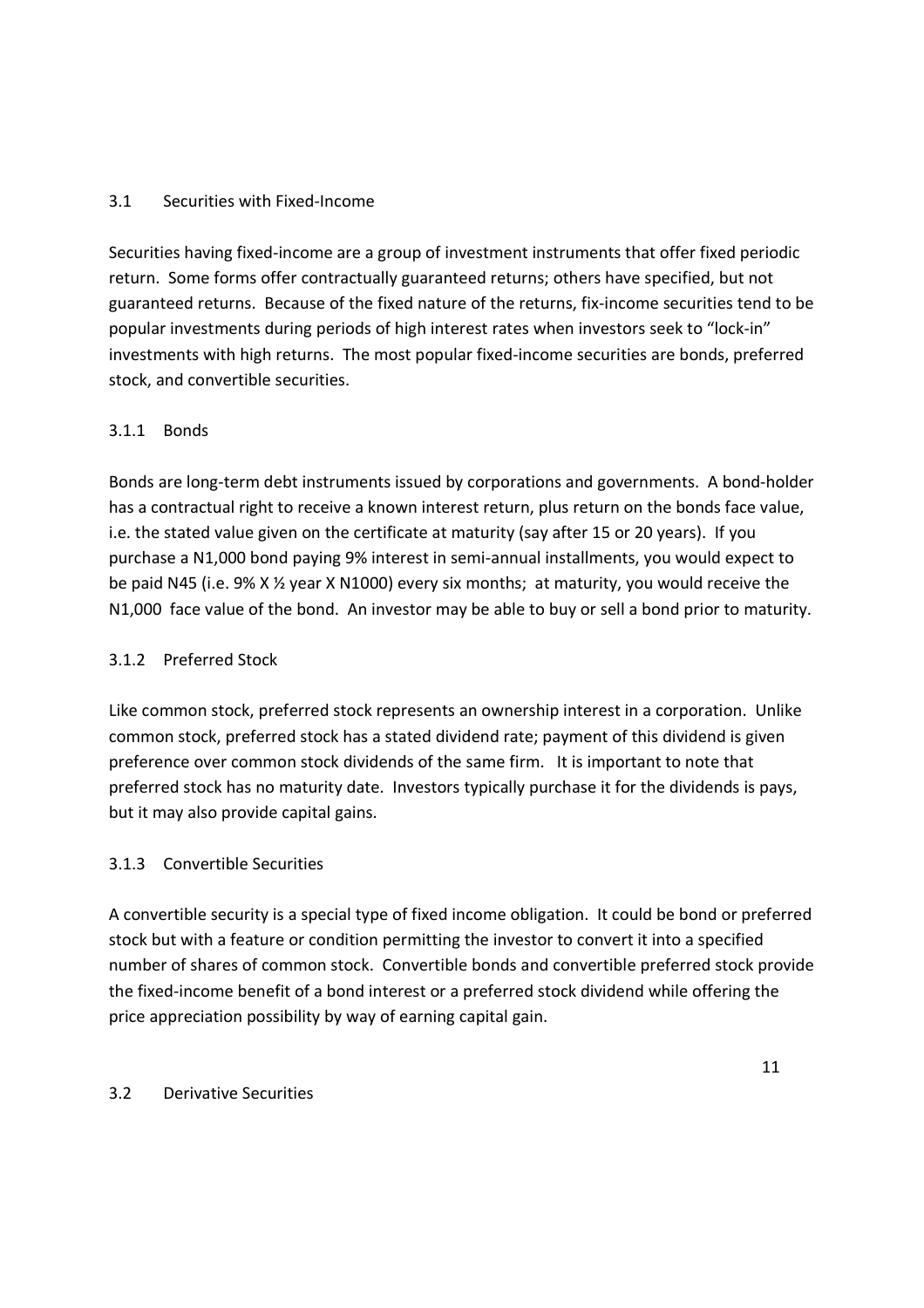### 3.1 Securities with Fixed-Income

Securities having fixed-income are a group of investment instruments that offer fixed periodic return. Some forms offer contractually guaranteed returns; others have specified, but not guaranteed returns. Because of the fixed nature of the returns, fix-income securities tend to be popular investments during periods of high interest rates when investors seek to "lock-in" investments with high returns. The most popular fixed-income securities are bonds, preferred stock, and convertible securities.

#### 3.1.1 Bonds

Bonds are long-term debt instruments issued by corporations and governments. A bond-holder has a contractual right to receive a known interest return, plus return on the bonds face value, i.e. the stated value given on the certificate at maturity (say after 15 or 20 years). If you purchase a N1,000 bond paying 9% interest in semi-annual installments, you would expect to be paid N45 (i.e. 9% X ½ year X N1000) every six months; at maturity, you would receive the N1,000 face value of the bond. An investor may be able to buy or sell a bond prior to maturity.

#### 3.1.2 Preferred Stock

Like common stock, preferred stock represents an ownership interest in a corporation. Unlike common stock, preferred stock has a stated dividend rate; payment of this dividend is given preference over common stock dividends of the same firm. It is important to note that preferred stock has no maturity date. Investors typically purchase it for the dividends is pays, but it may also provide capital gains.

#### 3.1.3 Convertible Securities

A convertible security is a special type of fixed income obligation. It could be bond or preferred stock but with a feature or condition permitting the investor to convert it into a specified number of shares of common stock. Convertible bonds and convertible preferred stock provide the fixed-income benefit of a bond interest or a preferred stock dividend while offering the price appreciation possibility by way of earning capital gain.

#### 3.2 Derivative Securities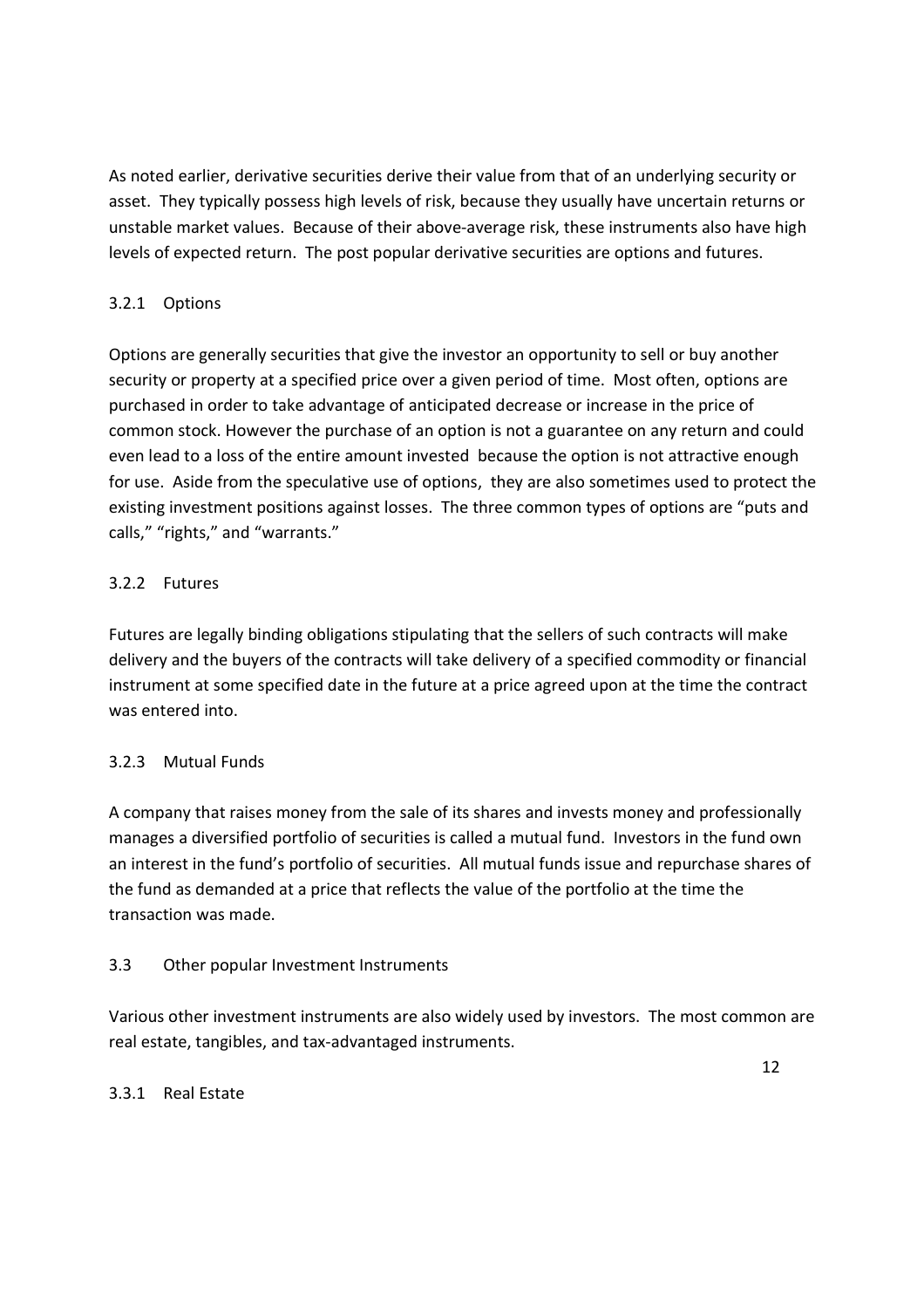As noted earlier, derivative securities derive their value from that of an underlying security or asset. They typically possess high levels of risk, because they usually have uncertain returns or unstable market values. Because of their above-average risk, these instruments also have high levels of expected return. The post popular derivative securities are options and futures.

# 3.2.1 Options

Options are generally securities that give the investor an opportunity to sell or buy another security or property at a specified price over a given period of time. Most often, options are purchased in order to take advantage of anticipated decrease or increase in the price of common stock. However the purchase of an option is not a guarantee on any return and could even lead to a loss of the entire amount invested because the option is not attractive enough for use. Aside from the speculative use of options, they are also sometimes used to protect the existing investment positions against losses. The three common types of options are "puts and calls," "rights," and "warrants."

# 3.2.2 Futures

Futures are legally binding obligations stipulating that the sellers of such contracts will make delivery and the buyers of the contracts will take delivery of a specified commodity or financial instrument at some specified date in the future at a price agreed upon at the time the contract was entered into.

# 3.2.3 Mutual Funds

A company that raises money from the sale of its shares and invests money and professionally manages a diversified portfolio of securities is called a mutual fund. Investors in the fund own an interest in the fund's portfolio of securities. All mutual funds issue and repurchase shares of the fund as demanded at a price that reflects the value of the portfolio at the time the transaction was made.

# 3.3 Other popular Investment Instruments

Various other investment instruments are also widely used by investors. The most common are real estate, tangibles, and tax-advantaged instruments.

# 3.3.1 Real Estate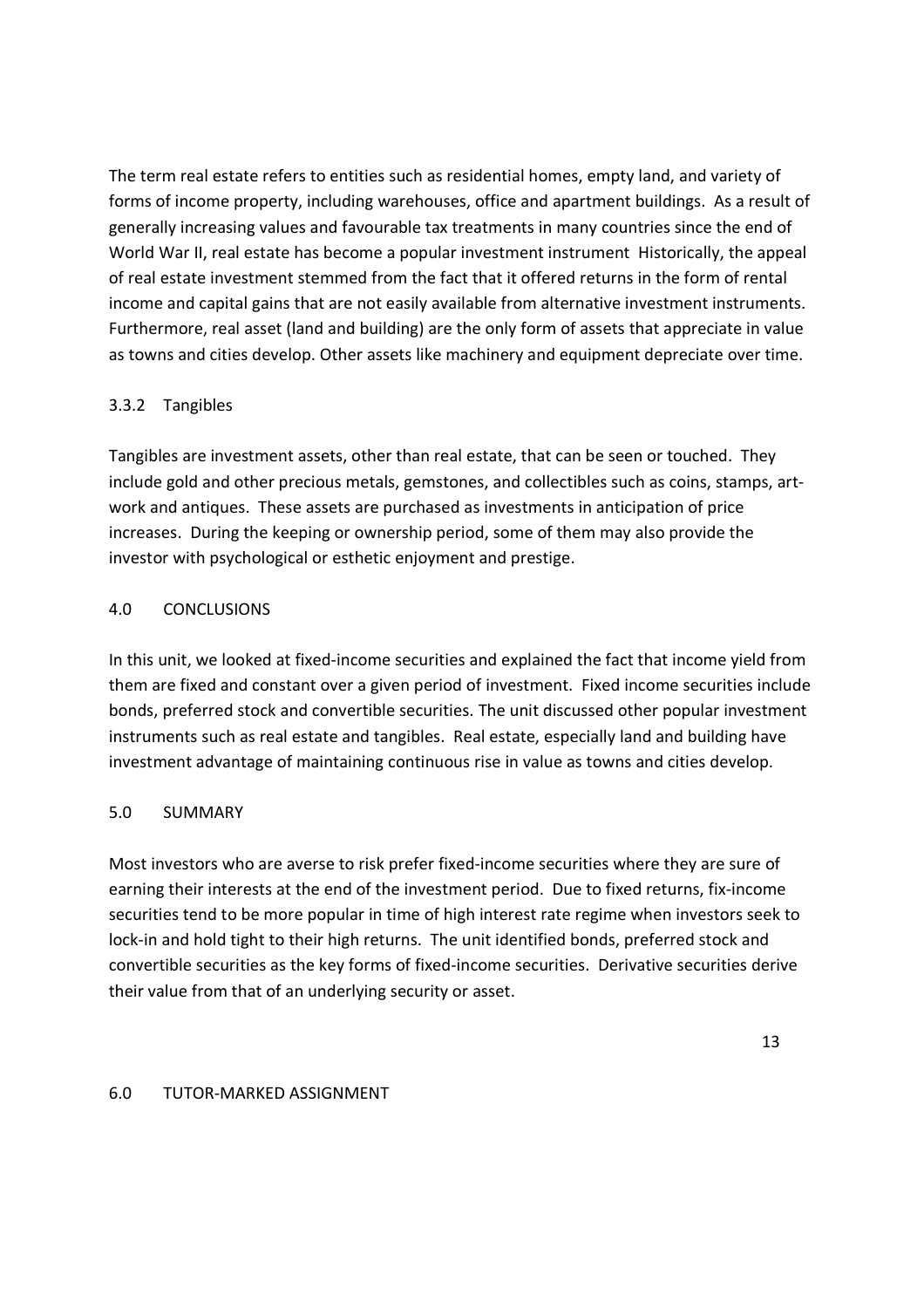The term real estate refers to entities such as residential homes, empty land, and variety of forms of income property, including warehouses, office and apartment buildings. As a result of generally increasing values and favourable tax treatments in many countries since the end of World War II, real estate has become a popular investment instrument Historically, the appeal of real estate investment stemmed from the fact that it offered returns in the form of rental income and capital gains that are not easily available from alternative investment instruments. Furthermore, real asset (land and building) are the only form of assets that appreciate in value as towns and cities develop. Other assets like machinery and equipment depreciate over time.

#### 3.3.2 Tangibles

Tangibles are investment assets, other than real estate, that can be seen or touched. They include gold and other precious metals, gemstones, and collectibles such as coins, stamps, artwork and antiques. These assets are purchased as investments in anticipation of price increases. During the keeping or ownership period, some of them may also provide the investor with psychological or esthetic enjoyment and prestige.

# 4.0 CONCLUSIONS

In this unit, we looked at fixed-income securities and explained the fact that income yield from them are fixed and constant over a given period of investment. Fixed income securities include bonds, preferred stock and convertible securities. The unit discussed other popular investment instruments such as real estate and tangibles. Real estate, especially land and building have investment advantage of maintaining continuous rise in value as towns and cities develop.

#### 5.0 SUMMARY

Most investors who are averse to risk prefer fixed-income securities where they are sure of earning their interests at the end of the investment period. Due to fixed returns, fix-income securities tend to be more popular in time of high interest rate regime when investors seek to lock-in and hold tight to their high returns. The unit identified bonds, preferred stock and convertible securities as the key forms of fixed-income securities. Derivative securities derive their value from that of an underlying security or asset.

#### 6.0 TUTOR-MARKED ASSIGNMENT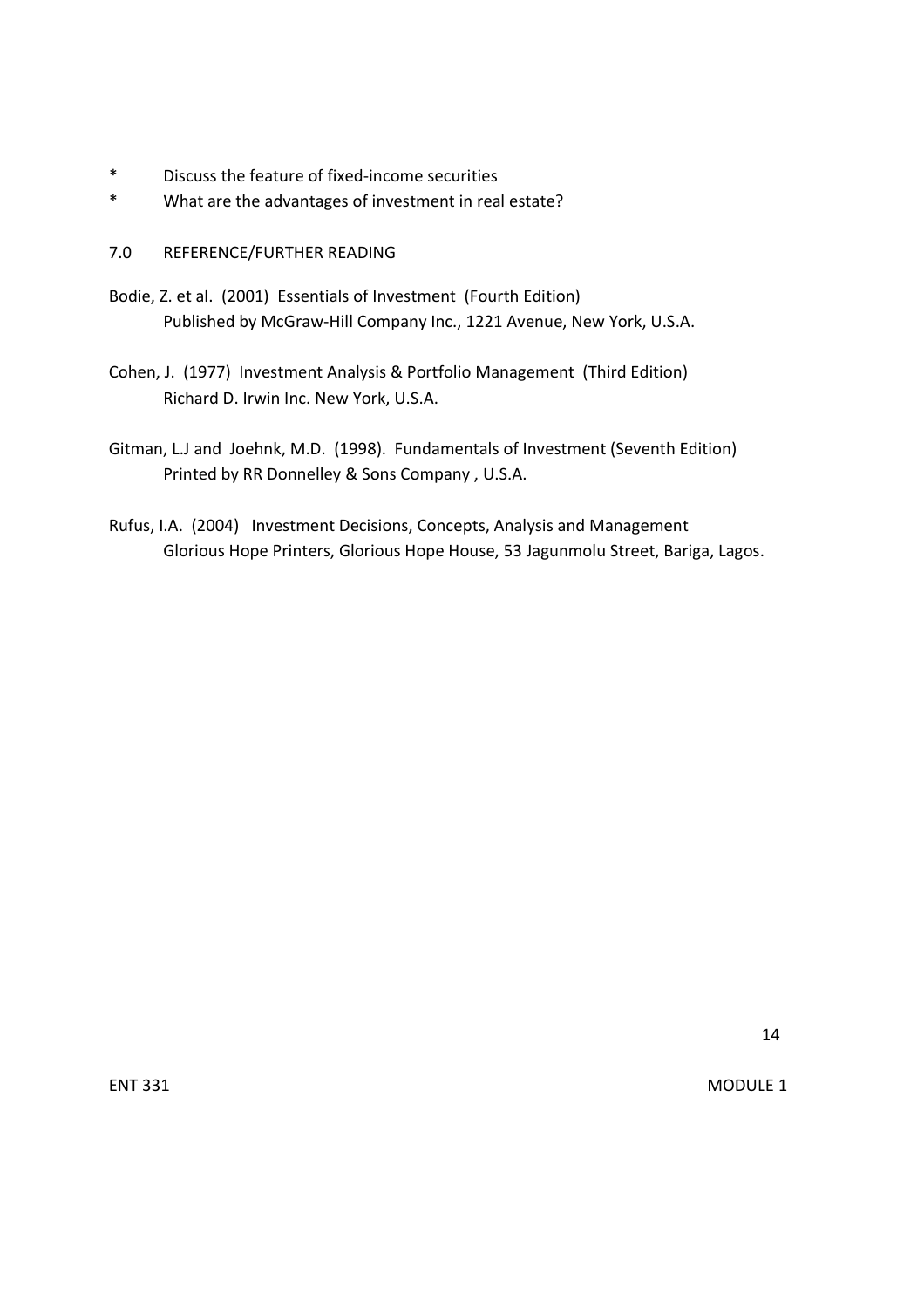- \* Discuss the feature of fixed-income securities
- \* What are the advantages of investment in real estate?

#### 7.0 REFERENCE/FURTHER READING

- Bodie, Z. et al. (2001) Essentials of Investment (Fourth Edition) Published by McGraw-Hill Company Inc., 1221 Avenue, New York, U.S.A.
- Cohen, J. (1977) Investment Analysis & Portfolio Management (Third Edition) Richard D. Irwin Inc. New York, U.S.A.
- Gitman, L.J and Joehnk, M.D. (1998). Fundamentals of Investment (Seventh Edition) Printed by RR Donnelley & Sons Company , U.S.A.
- Rufus, I.A. (2004) Investment Decisions, Concepts, Analysis and Management Glorious Hope Printers, Glorious Hope House, 53 Jagunmolu Street, Bariga, Lagos.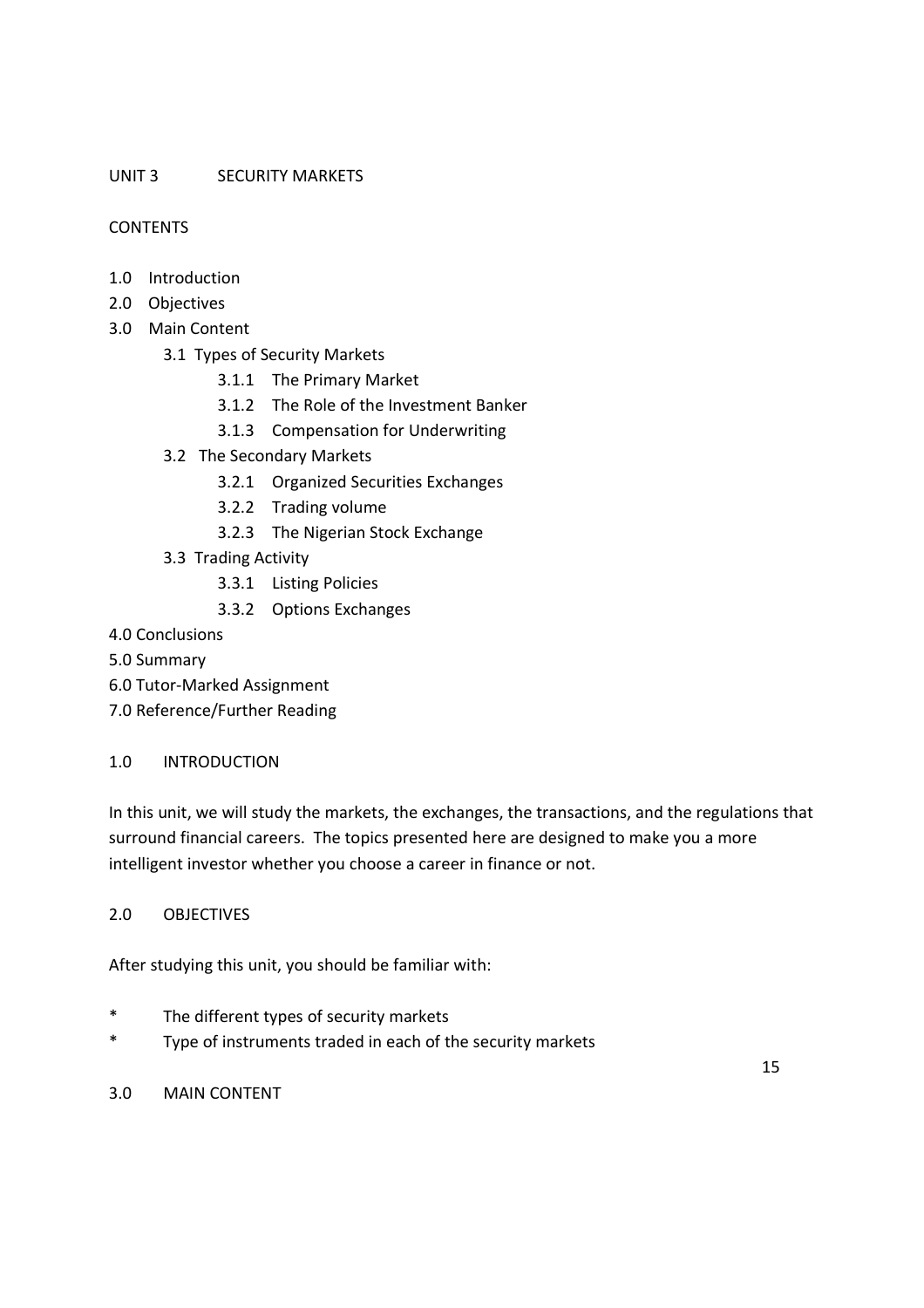#### UNIT 3 SECURITY MARKETS

#### CONTENTS

- 1.0 Introduction
- 2.0 Objectives
- 3.0 Main Content
	- 3.1 Types of Security Markets
		- 3.1.1 The Primary Market
		- 3.1.2 The Role of the Investment Banker
		- 3.1.3 Compensation for Underwriting
	- 3.2 The Secondary Markets
		- 3.2.1 Organized Securities Exchanges
		- 3.2.2 Trading volume
		- 3.2.3 The Nigerian Stock Exchange
	- 3.3 Trading Activity
		- 3.3.1 Listing Policies
		- 3.3.2 Options Exchanges
- 4.0 Conclusions
- 5.0 Summary
- 6.0 Tutor-Marked Assignment
- 7.0 Reference/Further Reading

#### 1.0 INTRODUCTION

In this unit, we will study the markets, the exchanges, the transactions, and the regulations that surround financial careers. The topics presented here are designed to make you a more intelligent investor whether you choose a career in finance or not.

#### 2.0 OBJECTIVES

After studying this unit, you should be familiar with:

- \* The different types of security markets
- \* Type of instruments traded in each of the security markets
- 3.0 MAIN CONTENT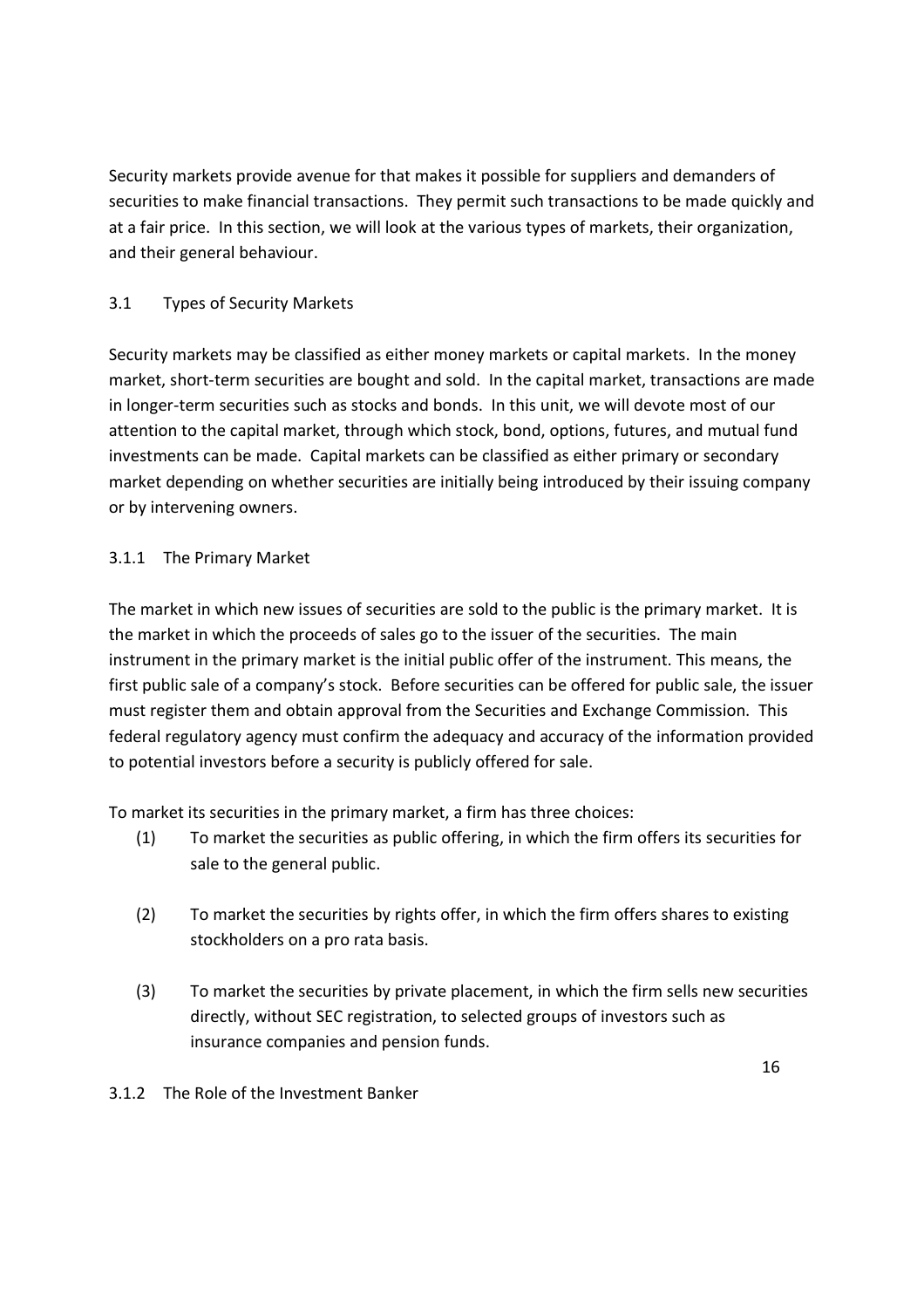Security markets provide avenue for that makes it possible for suppliers and demanders of securities to make financial transactions. They permit such transactions to be made quickly and at a fair price. In this section, we will look at the various types of markets, their organization, and their general behaviour.

# 3.1 Types of Security Markets

Security markets may be classified as either money markets or capital markets. In the money market, short-term securities are bought and sold. In the capital market, transactions are made in longer-term securities such as stocks and bonds. In this unit, we will devote most of our attention to the capital market, through which stock, bond, options, futures, and mutual fund investments can be made. Capital markets can be classified as either primary or secondary market depending on whether securities are initially being introduced by their issuing company or by intervening owners.

# 3.1.1 The Primary Market

The market in which new issues of securities are sold to the public is the primary market. It is the market in which the proceeds of sales go to the issuer of the securities. The main instrument in the primary market is the initial public offer of the instrument. This means, the first public sale of a company's stock. Before securities can be offered for public sale, the issuer must register them and obtain approval from the Securities and Exchange Commission. This federal regulatory agency must confirm the adequacy and accuracy of the information provided to potential investors before a security is publicly offered for sale.

To market its securities in the primary market, a firm has three choices:

- (1) To market the securities as public offering, in which the firm offers its securities for sale to the general public.
- (2) To market the securities by rights offer, in which the firm offers shares to existing stockholders on a pro rata basis.
- (3) To market the securities by private placement, in which the firm sells new securities directly, without SEC registration, to selected groups of investors such as insurance companies and pension funds.
- 3.1.2 The Role of the Investment Banker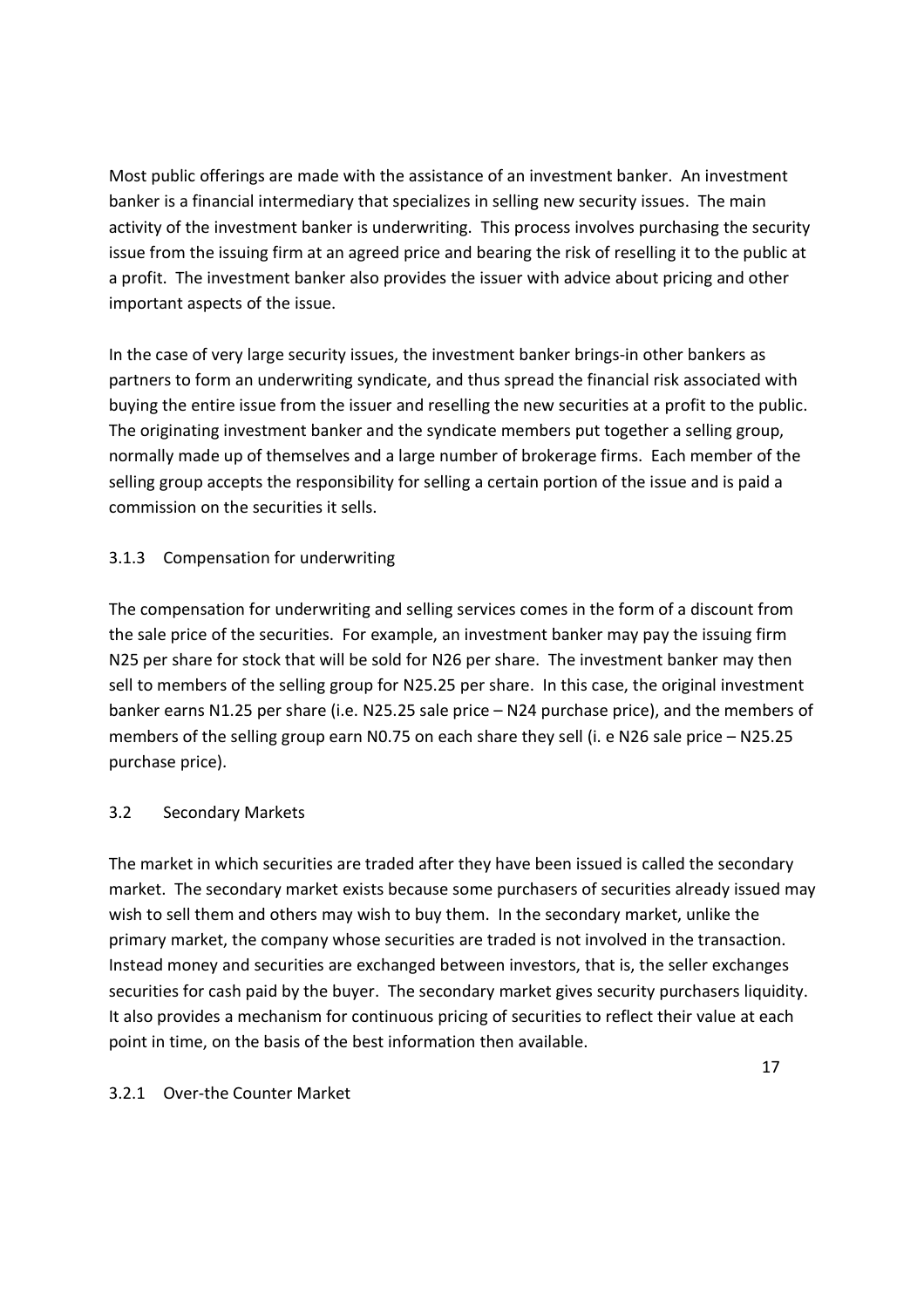Most public offerings are made with the assistance of an investment banker. An investment banker is a financial intermediary that specializes in selling new security issues. The main activity of the investment banker is underwriting. This process involves purchasing the security issue from the issuing firm at an agreed price and bearing the risk of reselling it to the public at a profit. The investment banker also provides the issuer with advice about pricing and other important aspects of the issue.

In the case of very large security issues, the investment banker brings-in other bankers as partners to form an underwriting syndicate, and thus spread the financial risk associated with buying the entire issue from the issuer and reselling the new securities at a profit to the public. The originating investment banker and the syndicate members put together a selling group, normally made up of themselves and a large number of brokerage firms. Each member of the selling group accepts the responsibility for selling a certain portion of the issue and is paid a commission on the securities it sells.

# 3.1.3 Compensation for underwriting

The compensation for underwriting and selling services comes in the form of a discount from the sale price of the securities. For example, an investment banker may pay the issuing firm N25 per share for stock that will be sold for N26 per share. The investment banker may then sell to members of the selling group for N25.25 per share. In this case, the original investment banker earns N1.25 per share (i.e. N25.25 sale price – N24 purchase price), and the members of members of the selling group earn N0.75 on each share they sell (i. e N26 sale price – N25.25 purchase price).

# 3.2 Secondary Markets

The market in which securities are traded after they have been issued is called the secondary market. The secondary market exists because some purchasers of securities already issued may wish to sell them and others may wish to buy them. In the secondary market, unlike the primary market, the company whose securities are traded is not involved in the transaction. Instead money and securities are exchanged between investors, that is, the seller exchanges securities for cash paid by the buyer. The secondary market gives security purchasers liquidity. It also provides a mechanism for continuous pricing of securities to reflect their value at each point in time, on the basis of the best information then available.

#### 3.2.1 Over-the Counter Market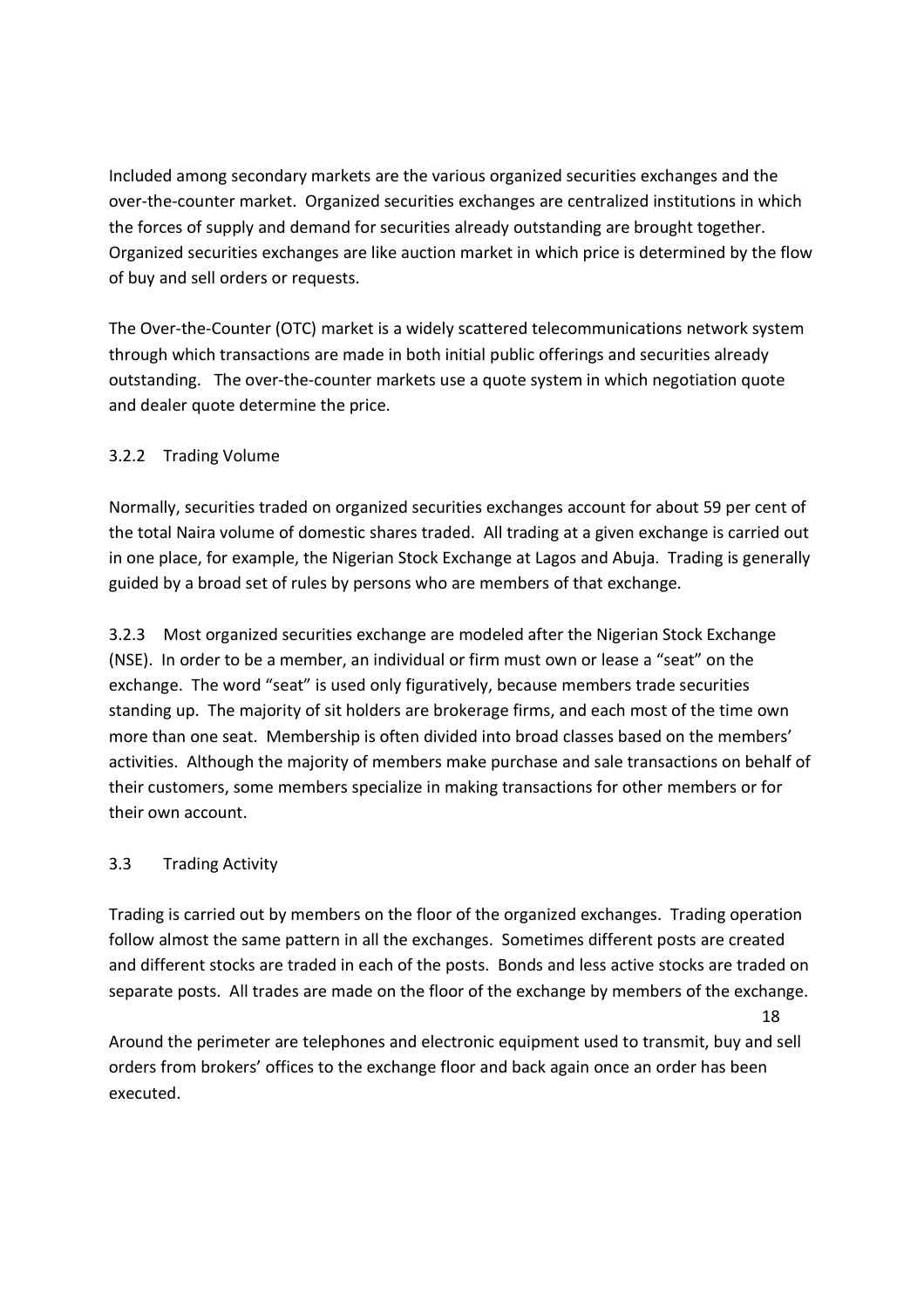Included among secondary markets are the various organized securities exchanges and the over-the-counter market. Organized securities exchanges are centralized institutions in which the forces of supply and demand for securities already outstanding are brought together. Organized securities exchanges are like auction market in which price is determined by the flow of buy and sell orders or requests.

The Over-the-Counter (OTC) market is a widely scattered telecommunications network system through which transactions are made in both initial public offerings and securities already outstanding. The over-the-counter markets use a quote system in which negotiation quote and dealer quote determine the price.

# 3.2.2 Trading Volume

Normally, securities traded on organized securities exchanges account for about 59 per cent of the total Naira volume of domestic shares traded. All trading at a given exchange is carried out in one place, for example, the Nigerian Stock Exchange at Lagos and Abuja. Trading is generally guided by a broad set of rules by persons who are members of that exchange.

3.2.3 Most organized securities exchange are modeled after the Nigerian Stock Exchange (NSE). In order to be a member, an individual or firm must own or lease a "seat" on the exchange. The word "seat" is used only figuratively, because members trade securities standing up. The majority of sit holders are brokerage firms, and each most of the time own more than one seat. Membership is often divided into broad classes based on the members' activities. Although the majority of members make purchase and sale transactions on behalf of their customers, some members specialize in making transactions for other members or for their own account.

# 3.3 Trading Activity

Trading is carried out by members on the floor of the organized exchanges. Trading operation follow almost the same pattern in all the exchanges. Sometimes different posts are created and different stocks are traded in each of the posts. Bonds and less active stocks are traded on separate posts. All trades are made on the floor of the exchange by members of the exchange.

Around the perimeter are telephones and electronic equipment used to transmit, buy and sell orders from brokers' offices to the exchange floor and back again once an order has been executed.

18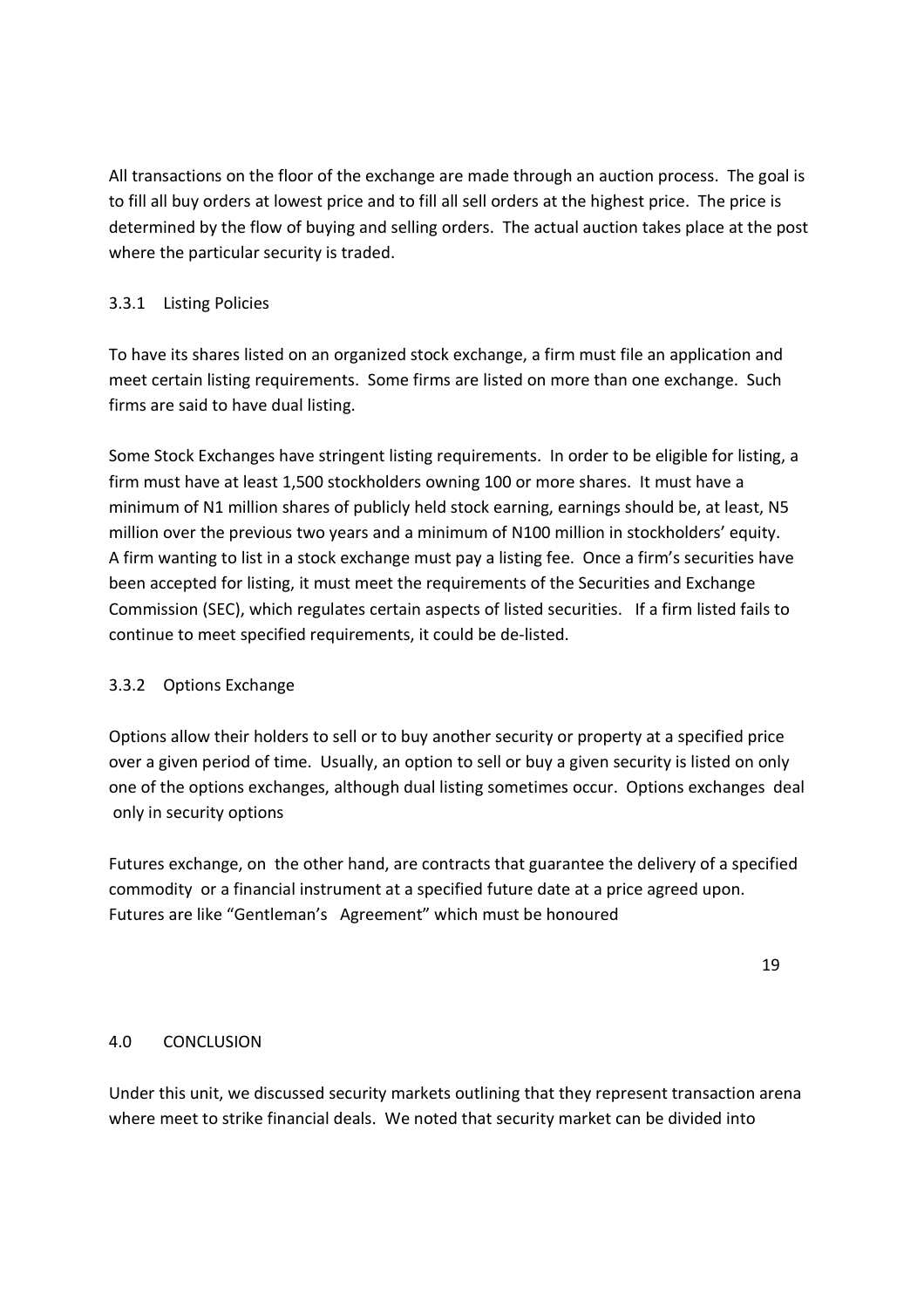All transactions on the floor of the exchange are made through an auction process. The goal is to fill all buy orders at lowest price and to fill all sell orders at the highest price. The price is determined by the flow of buying and selling orders. The actual auction takes place at the post where the particular security is traded.

# 3.3.1 Listing Policies

To have its shares listed on an organized stock exchange, a firm must file an application and meet certain listing requirements. Some firms are listed on more than one exchange. Such firms are said to have dual listing.

Some Stock Exchanges have stringent listing requirements. In order to be eligible for listing, a firm must have at least 1,500 stockholders owning 100 or more shares. It must have a minimum of N1 million shares of publicly held stock earning, earnings should be, at least, N5 million over the previous two years and a minimum of N100 million in stockholders' equity. A firm wanting to list in a stock exchange must pay a listing fee. Once a firm's securities have been accepted for listing, it must meet the requirements of the Securities and Exchange Commission (SEC), which regulates certain aspects of listed securities. If a firm listed fails to continue to meet specified requirements, it could be de-listed.

# 3.3.2 Options Exchange

Options allow their holders to sell or to buy another security or property at a specified price over a given period of time. Usually, an option to sell or buy a given security is listed on only one of the options exchanges, although dual listing sometimes occur. Options exchanges deal only in security options

Futures exchange, on the other hand, are contracts that guarantee the delivery of a specified commodity or a financial instrument at a specified future date at a price agreed upon. Futures are like "Gentleman's Agreement" which must be honoured

# 4.0 CONCLUSION

Under this unit, we discussed security markets outlining that they represent transaction arena where meet to strike financial deals. We noted that security market can be divided into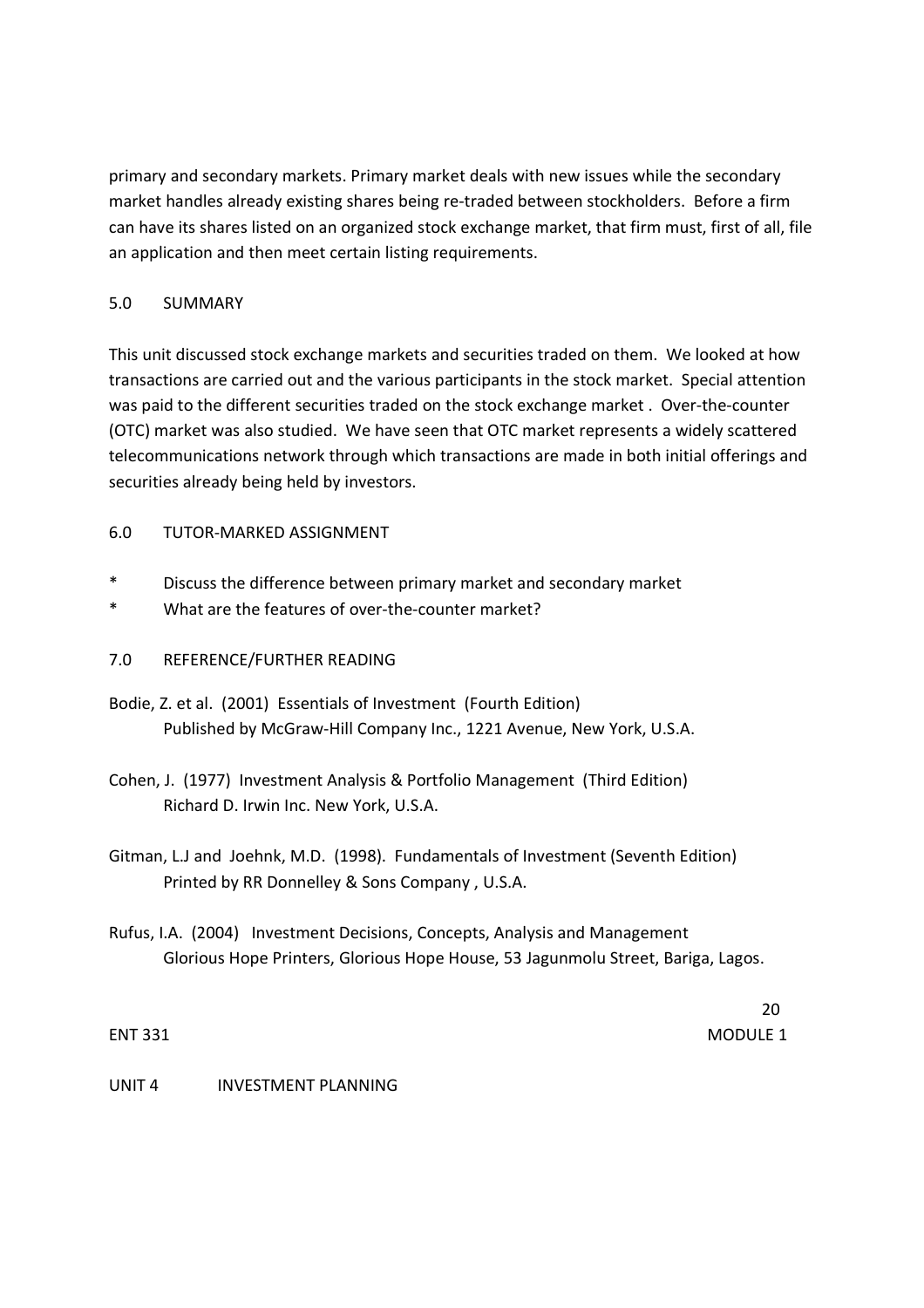primary and secondary markets. Primary market deals with new issues while the secondary market handles already existing shares being re-traded between stockholders. Before a firm can have its shares listed on an organized stock exchange market, that firm must, first of all, file an application and then meet certain listing requirements.

### 5.0 SUMMARY

This unit discussed stock exchange markets and securities traded on them. We looked at how transactions are carried out and the various participants in the stock market. Special attention was paid to the different securities traded on the stock exchange market . Over-the-counter (OTC) market was also studied. We have seen that OTC market represents a widely scattered telecommunications network through which transactions are made in both initial offerings and securities already being held by investors.

# 6.0 TUTOR-MARKED ASSIGNMENT

- Discuss the difference between primary market and secondary market
- \* What are the features of over-the-counter market?

# 7.0 REFERENCE/FURTHER READING

- Bodie, Z. et al. (2001) Essentials of Investment (Fourth Edition) Published by McGraw-Hill Company Inc., 1221 Avenue, New York, U.S.A.
- Cohen, J. (1977) Investment Analysis & Portfolio Management (Third Edition) Richard D. Irwin Inc. New York, U.S.A.
- Gitman, L.J and Joehnk, M.D. (1998). Fundamentals of Investment (Seventh Edition) Printed by RR Donnelley & Sons Company , U.S.A.
- Rufus, I.A. (2004) Investment Decisions, Concepts, Analysis and Management Glorious Hope Printers, Glorious Hope House, 53 Jagunmolu Street, Bariga, Lagos.

 20 ENT 331 MODULE 1

UNIT 4 INVESTMENT PLANNING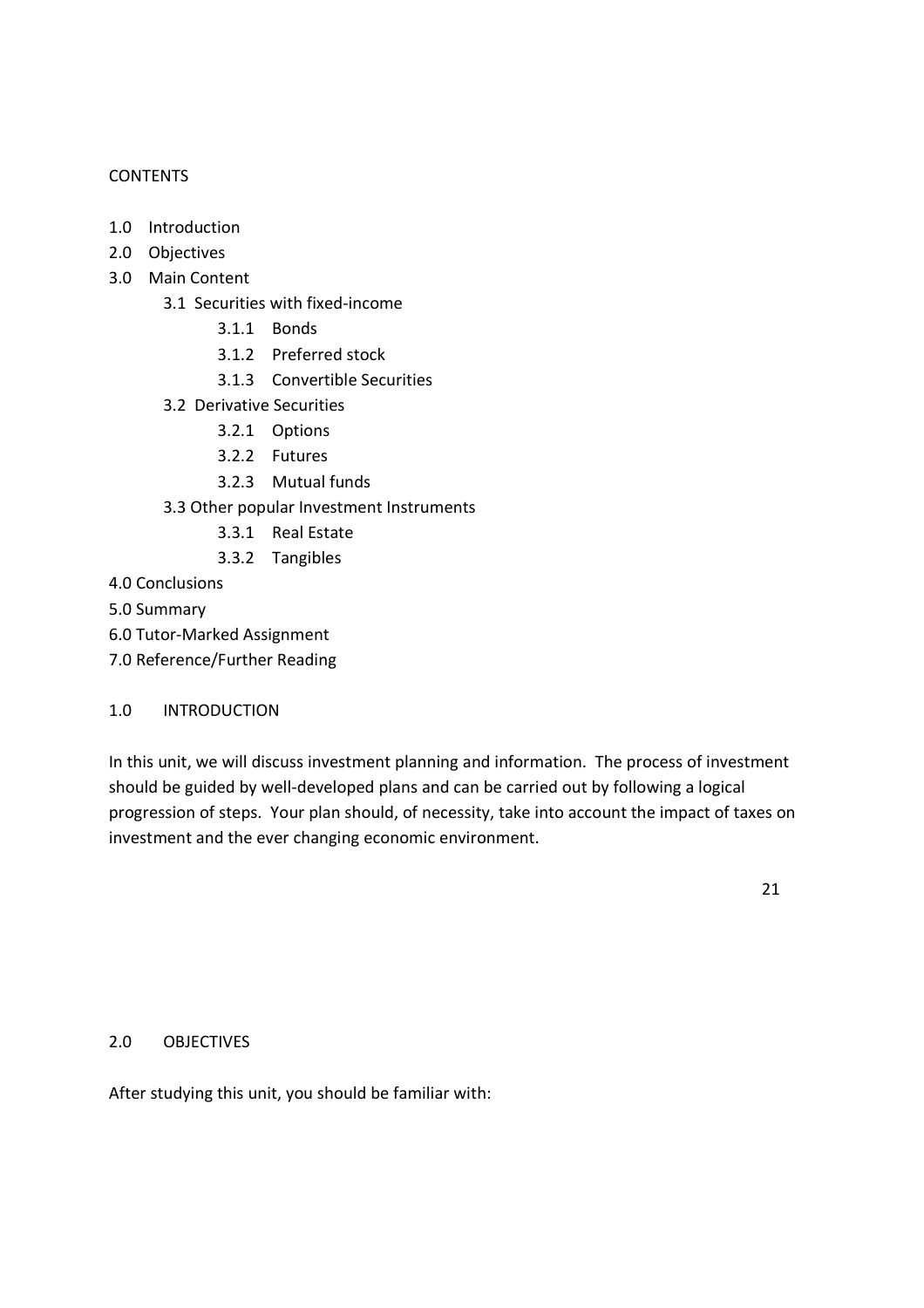#### **CONTENTS**

- 1.0 Introduction
- 2.0 Objectives
- 3.0 Main Content
	- 3.1 Securities with fixed-income
		- 3.1.1 Bonds
		- 3.1.2 Preferred stock
		- 3.1.3 Convertible Securities
	- 3.2 Derivative Securities
		- 3.2.1 Options
		- 3.2.2 Futures
		- 3.2.3 Mutual funds
	- 3.3 Other popular Investment Instruments
		- 3.3.1 Real Estate
		- 3.3.2 Tangibles
- 4.0 Conclusions
- 5.0 Summary
- 6.0 Tutor-Marked Assignment
- 7.0 Reference/Further Reading

#### 1.0 INTRODUCTION

In this unit, we will discuss investment planning and information. The process of investment should be guided by well-developed plans and can be carried out by following a logical progression of steps. Your plan should, of necessity, take into account the impact of taxes on investment and the ever changing economic environment.

#### 2.0 OBJECTIVES

After studying this unit, you should be familiar with: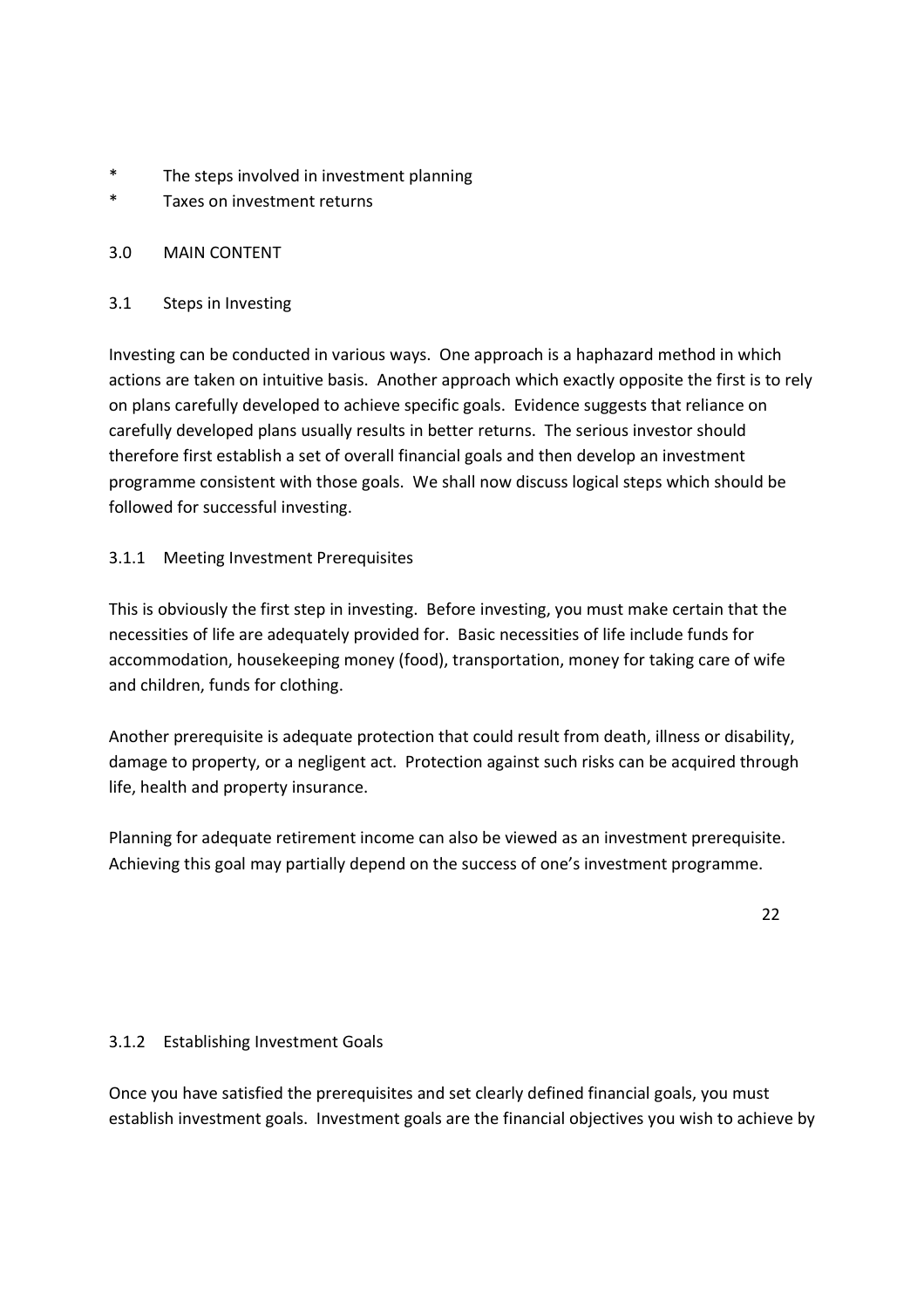- \* The steps involved in investment planning
- \* Taxes on investment returns

### 3.0 MAIN CONTENT

#### 3.1 Steps in Investing

Investing can be conducted in various ways. One approach is a haphazard method in which actions are taken on intuitive basis. Another approach which exactly opposite the first is to rely on plans carefully developed to achieve specific goals. Evidence suggests that reliance on carefully developed plans usually results in better returns. The serious investor should therefore first establish a set of overall financial goals and then develop an investment programme consistent with those goals. We shall now discuss logical steps which should be followed for successful investing.

# 3.1.1 Meeting Investment Prerequisites

This is obviously the first step in investing. Before investing, you must make certain that the necessities of life are adequately provided for. Basic necessities of life include funds for accommodation, housekeeping money (food), transportation, money for taking care of wife and children, funds for clothing.

Another prerequisite is adequate protection that could result from death, illness or disability, damage to property, or a negligent act. Protection against such risks can be acquired through life, health and property insurance.

Planning for adequate retirement income can also be viewed as an investment prerequisite. Achieving this goal may partially depend on the success of one's investment programme.

# 3.1.2 Establishing Investment Goals

Once you have satisfied the prerequisites and set clearly defined financial goals, you must establish investment goals. Investment goals are the financial objectives you wish to achieve by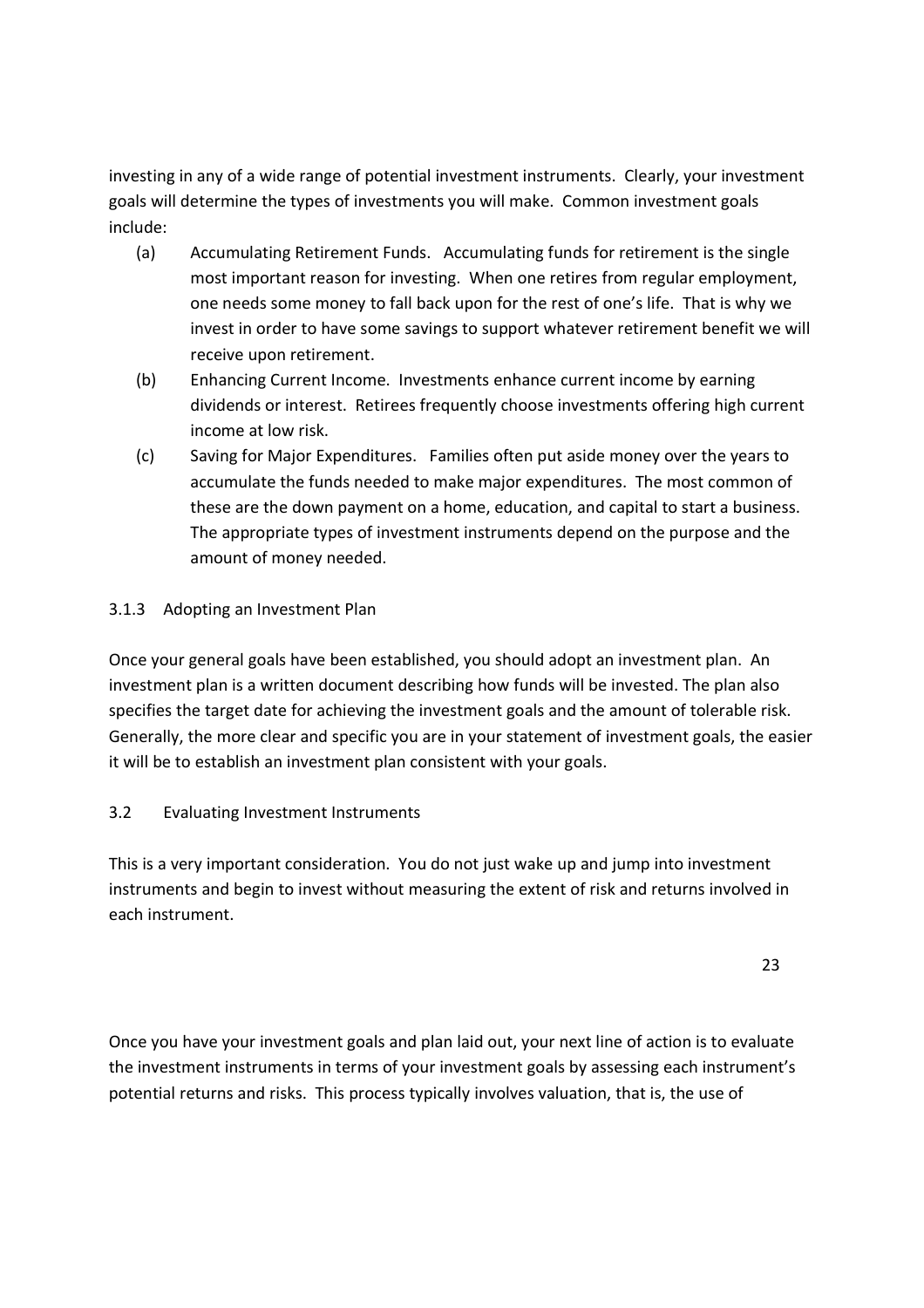investing in any of a wide range of potential investment instruments. Clearly, your investment goals will determine the types of investments you will make. Common investment goals include:

- (a) Accumulating Retirement Funds. Accumulating funds for retirement is the single most important reason for investing. When one retires from regular employment, one needs some money to fall back upon for the rest of one's life. That is why we invest in order to have some savings to support whatever retirement benefit we will receive upon retirement.
- (b) Enhancing Current Income. Investments enhance current income by earning dividends or interest. Retirees frequently choose investments offering high current income at low risk.
- (c) Saving for Major Expenditures. Families often put aside money over the years to accumulate the funds needed to make major expenditures. The most common of these are the down payment on a home, education, and capital to start a business. The appropriate types of investment instruments depend on the purpose and the amount of money needed.

# 3.1.3 Adopting an Investment Plan

Once your general goals have been established, you should adopt an investment plan. An investment plan is a written document describing how funds will be invested. The plan also specifies the target date for achieving the investment goals and the amount of tolerable risk. Generally, the more clear and specific you are in your statement of investment goals, the easier it will be to establish an investment plan consistent with your goals.

# 3.2 Evaluating Investment Instruments

This is a very important consideration. You do not just wake up and jump into investment instruments and begin to invest without measuring the extent of risk and returns involved in each instrument.

Once you have your investment goals and plan laid out, your next line of action is to evaluate the investment instruments in terms of your investment goals by assessing each instrument's potential returns and risks. This process typically involves valuation, that is, the use of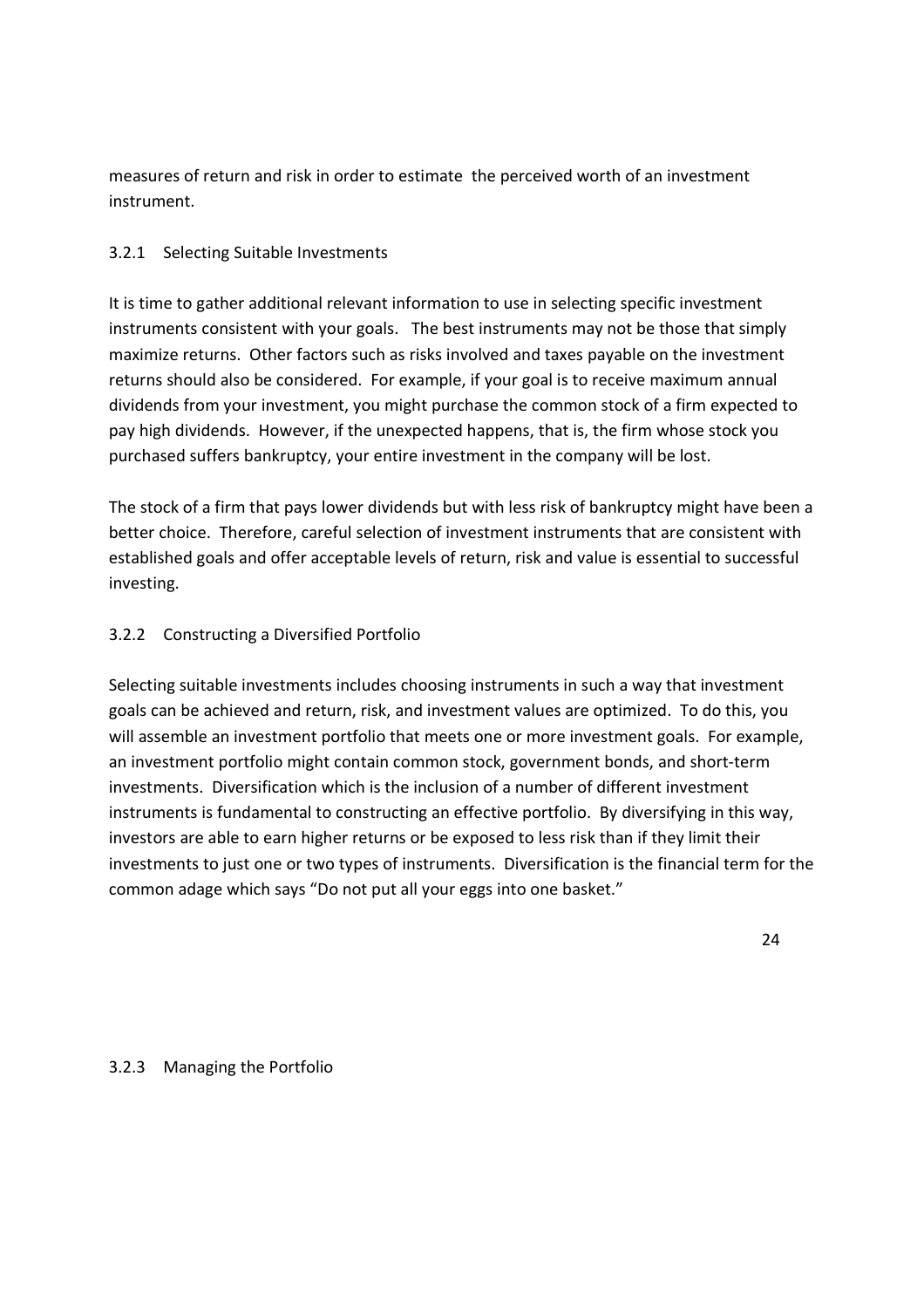measures of return and risk in order to estimate the perceived worth of an investment instrument.

# 3.2.1 Selecting Suitable Investments

It is time to gather additional relevant information to use in selecting specific investment instruments consistent with your goals. The best instruments may not be those that simply maximize returns. Other factors such as risks involved and taxes payable on the investment returns should also be considered. For example, if your goal is to receive maximum annual dividends from your investment, you might purchase the common stock of a firm expected to pay high dividends. However, if the unexpected happens, that is, the firm whose stock you purchased suffers bankruptcy, your entire investment in the company will be lost.

The stock of a firm that pays lower dividends but with less risk of bankruptcy might have been a better choice. Therefore, careful selection of investment instruments that are consistent with established goals and offer acceptable levels of return, risk and value is essential to successful investing.

# 3.2.2 Constructing a Diversified Portfolio

Selecting suitable investments includes choosing instruments in such a way that investment goals can be achieved and return, risk, and investment values are optimized. To do this, you will assemble an investment portfolio that meets one or more investment goals. For example, an investment portfolio might contain common stock, government bonds, and short-term investments. Diversification which is the inclusion of a number of different investment instruments is fundamental to constructing an effective portfolio. By diversifying in this way, investors are able to earn higher returns or be exposed to less risk than if they limit their investments to just one or two types of instruments. Diversification is the financial term for the common adage which says "Do not put all your eggs into one basket."

#### 3.2.3 Managing the Portfolio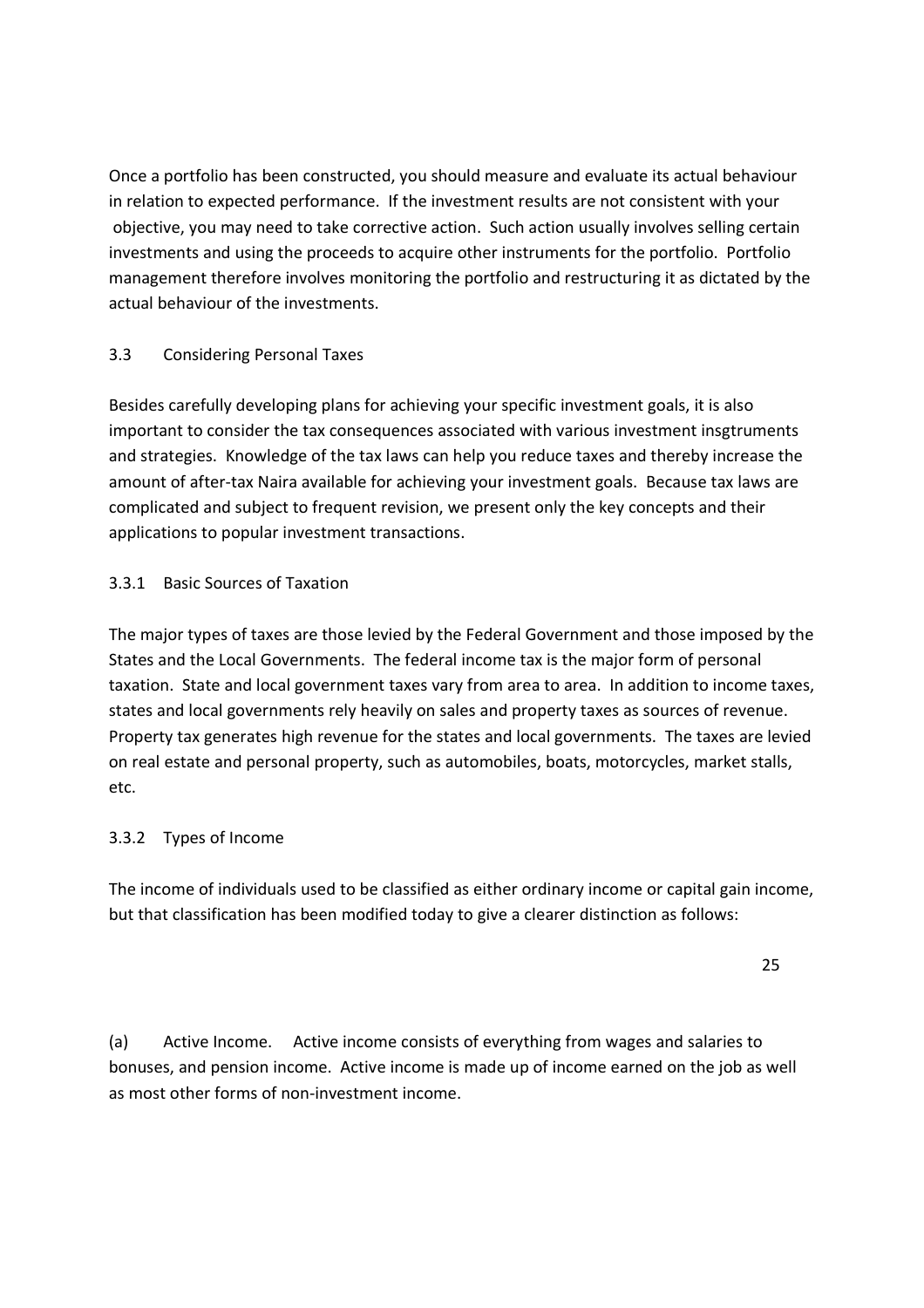Once a portfolio has been constructed, you should measure and evaluate its actual behaviour in relation to expected performance. If the investment results are not consistent with your objective, you may need to take corrective action. Such action usually involves selling certain investments and using the proceeds to acquire other instruments for the portfolio. Portfolio management therefore involves monitoring the portfolio and restructuring it as dictated by the actual behaviour of the investments.

#### 3.3 Considering Personal Taxes

Besides carefully developing plans for achieving your specific investment goals, it is also important to consider the tax consequences associated with various investment insgtruments and strategies. Knowledge of the tax laws can help you reduce taxes and thereby increase the amount of after-tax Naira available for achieving your investment goals. Because tax laws are complicated and subject to frequent revision, we present only the key concepts and their applications to popular investment transactions.

#### 3.3.1 Basic Sources of Taxation

The major types of taxes are those levied by the Federal Government and those imposed by the States and the Local Governments. The federal income tax is the major form of personal taxation. State and local government taxes vary from area to area. In addition to income taxes, states and local governments rely heavily on sales and property taxes as sources of revenue. Property tax generates high revenue for the states and local governments. The taxes are levied on real estate and personal property, such as automobiles, boats, motorcycles, market stalls, etc.

# 3.3.2 Types of Income

The income of individuals used to be classified as either ordinary income or capital gain income, but that classification has been modified today to give a clearer distinction as follows:

(a) Active Income. Active income consists of everything from wages and salaries to bonuses, and pension income. Active income is made up of income earned on the job as well as most other forms of non-investment income.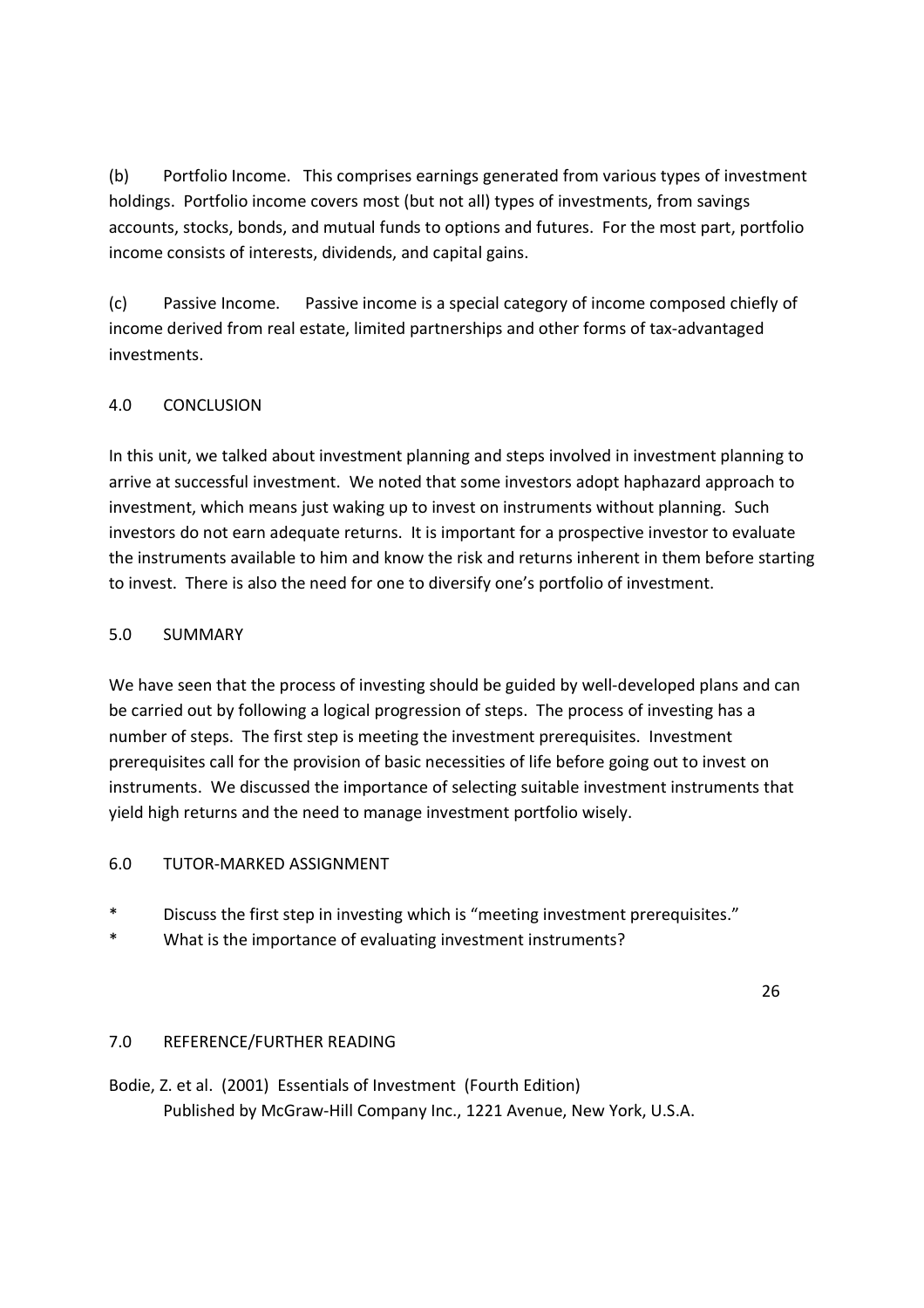(b) Portfolio Income. This comprises earnings generated from various types of investment holdings. Portfolio income covers most (but not all) types of investments, from savings accounts, stocks, bonds, and mutual funds to options and futures. For the most part, portfolio income consists of interests, dividends, and capital gains.

(c) Passive Income. Passive income is a special category of income composed chiefly of income derived from real estate, limited partnerships and other forms of tax-advantaged investments.

# 4.0 CONCLUSION

In this unit, we talked about investment planning and steps involved in investment planning to arrive at successful investment. We noted that some investors adopt haphazard approach to investment, which means just waking up to invest on instruments without planning. Such investors do not earn adequate returns. It is important for a prospective investor to evaluate the instruments available to him and know the risk and returns inherent in them before starting to invest. There is also the need for one to diversify one's portfolio of investment.

# 5.0 SUMMARY

We have seen that the process of investing should be guided by well-developed plans and can be carried out by following a logical progression of steps. The process of investing has a number of steps. The first step is meeting the investment prerequisites. Investment prerequisites call for the provision of basic necessities of life before going out to invest on instruments. We discussed the importance of selecting suitable investment instruments that yield high returns and the need to manage investment portfolio wisely.

#### 6.0 TUTOR-MARKED ASSIGNMENT

- Discuss the first step in investing which is "meeting investment prerequisites."
- \* What is the importance of evaluating investment instruments?

# 7.0 REFERENCE/FURTHER READING

Bodie, Z. et al. (2001) Essentials of Investment (Fourth Edition) Published by McGraw-Hill Company Inc., 1221 Avenue, New York, U.S.A.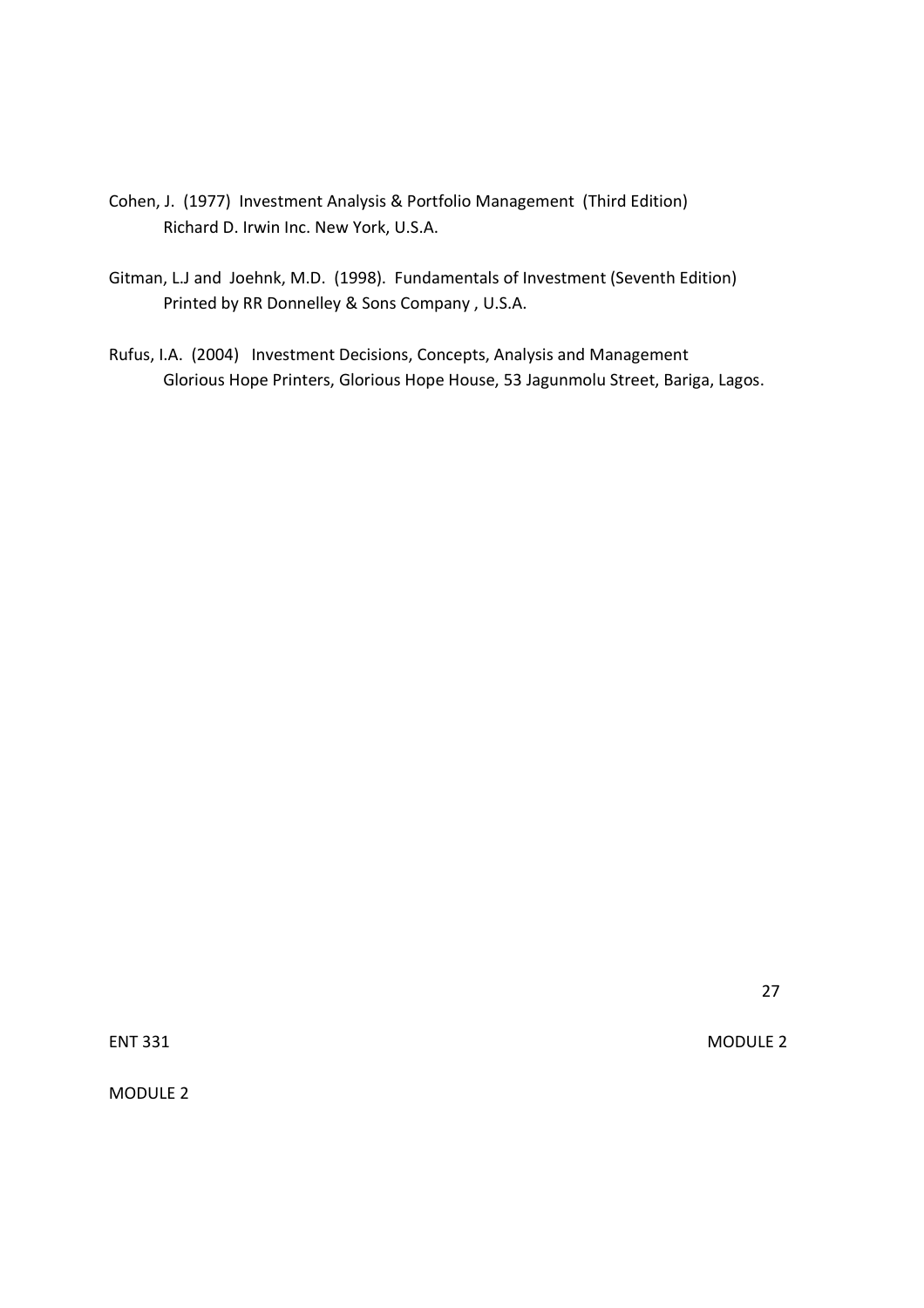- Cohen, J. (1977) Investment Analysis & Portfolio Management (Third Edition) Richard D. Irwin Inc. New York, U.S.A.
- Gitman, L.J and Joehnk, M.D. (1998). Fundamentals of Investment (Seventh Edition) Printed by RR Donnelley & Sons Company , U.S.A.
- Rufus, I.A. (2004) Investment Decisions, Concepts, Analysis and Management Glorious Hope Printers, Glorious Hope House, 53 Jagunmolu Street, Bariga, Lagos.

<u>27 and 27</u>

ENT 331 MODULE 2

MODULE 2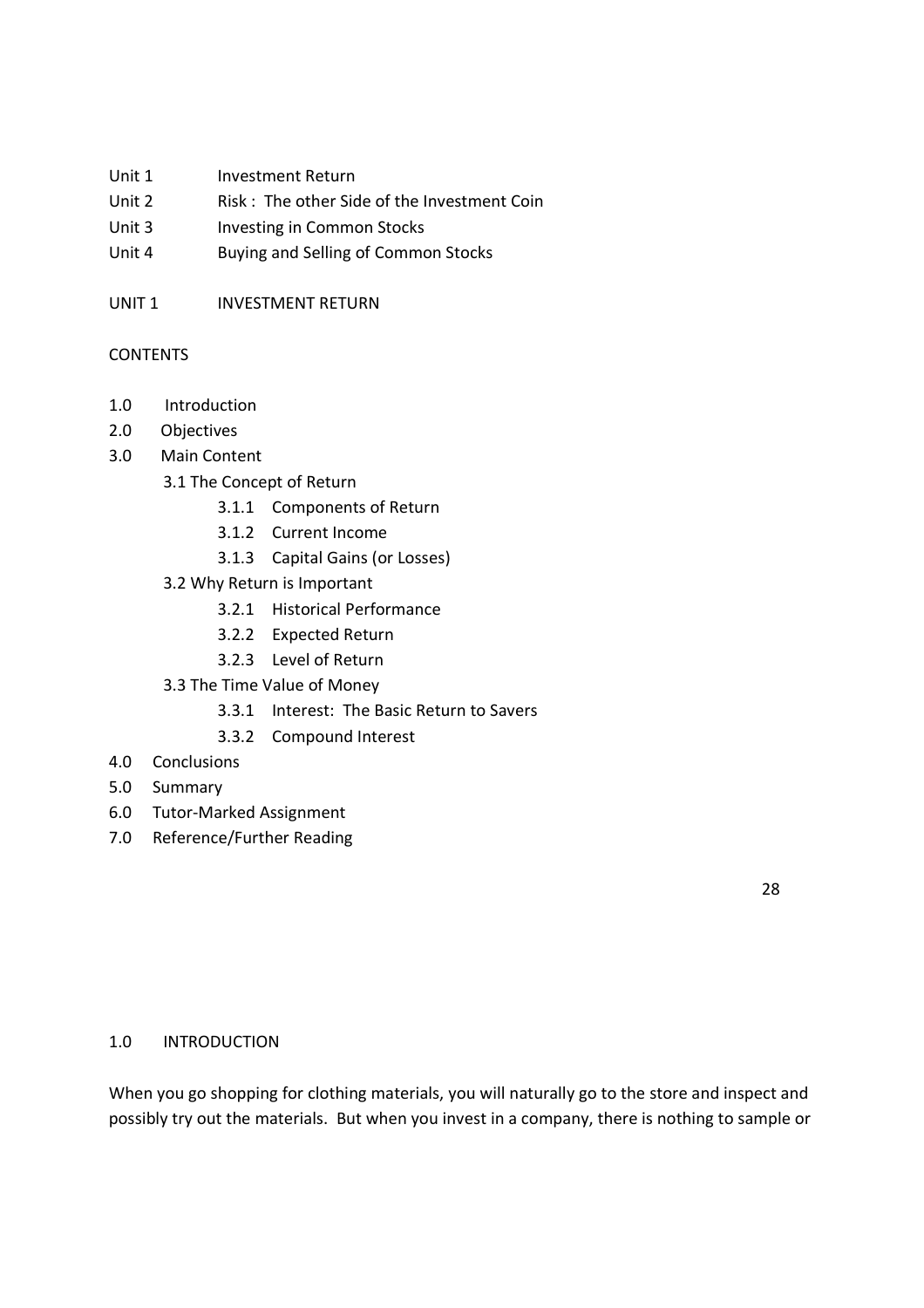- Unit 1 Investment Return
- Unit 2 Risk : The other Side of the Investment Coin
- Unit 3 Investing in Common Stocks
- Unit 4 Buying and Selling of Common Stocks

# UNIT 1 INVESTMENT RETURN

# CONTENTS

- 1.0 Introduction
- 2.0 Objectives
- 3.0 Main Content
	- 3.1 The Concept of Return
		- 3.1.1 Components of Return
		- 3.1.2 Current Income
		- 3.1.3 Capital Gains (or Losses)
	- 3.2 Why Return is Important
		- 3.2.1 Historical Performance
		- 3.2.2 Expected Return
		- 3.2.3 Level of Return
	- 3.3 The Time Value of Money
		- 3.3.1 Interest: The Basic Return to Savers
		- 3.3.2 Compound Interest
- 4.0 Conclusions
- 5.0 Summary
- 6.0 Tutor-Marked Assignment
- 7.0 Reference/Further Reading

# 1.0 INTRODUCTION

When you go shopping for clothing materials, you will naturally go to the store and inspect and possibly try out the materials. But when you invest in a company, there is nothing to sample or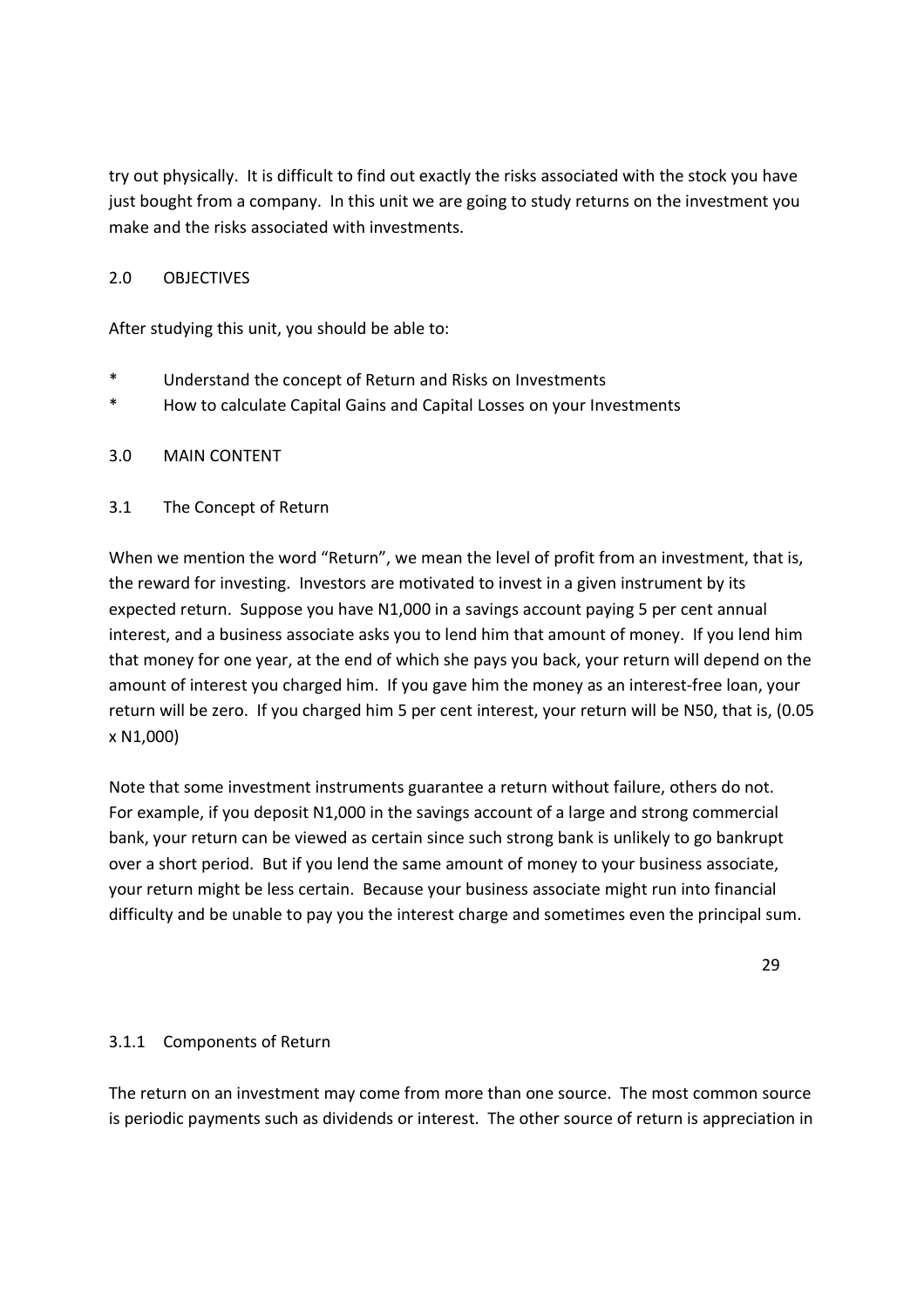try out physically. It is difficult to find out exactly the risks associated with the stock you have just bought from a company. In this unit we are going to study returns on the investment you make and the risks associated with investments.

#### 2.0 OBJECTIVES

After studying this unit, you should be able to:

- \* Understand the concept of Return and Risks on Investments
- \* How to calculate Capital Gains and Capital Losses on your Investments

#### 3.0 MAIN CONTENT

#### 3.1 The Concept of Return

When we mention the word "Return", we mean the level of profit from an investment, that is, the reward for investing. Investors are motivated to invest in a given instrument by its expected return. Suppose you have N1,000 in a savings account paying 5 per cent annual interest, and a business associate asks you to lend him that amount of money. If you lend him that money for one year, at the end of which she pays you back, your return will depend on the amount of interest you charged him. If you gave him the money as an interest-free loan, your return will be zero. If you charged him 5 per cent interest, your return will be N50, that is, (0.05 x N1,000)

Note that some investment instruments guarantee a return without failure, others do not. For example, if you deposit N1,000 in the savings account of a large and strong commercial bank, your return can be viewed as certain since such strong bank is unlikely to go bankrupt over a short period. But if you lend the same amount of money to your business associate, your return might be less certain. Because your business associate might run into financial difficulty and be unable to pay you the interest charge and sometimes even the principal sum.

<u>29 and 2011 and 2012</u>

#### 3.1.1 Components of Return

The return on an investment may come from more than one source. The most common source is periodic payments such as dividends or interest. The other source of return is appreciation in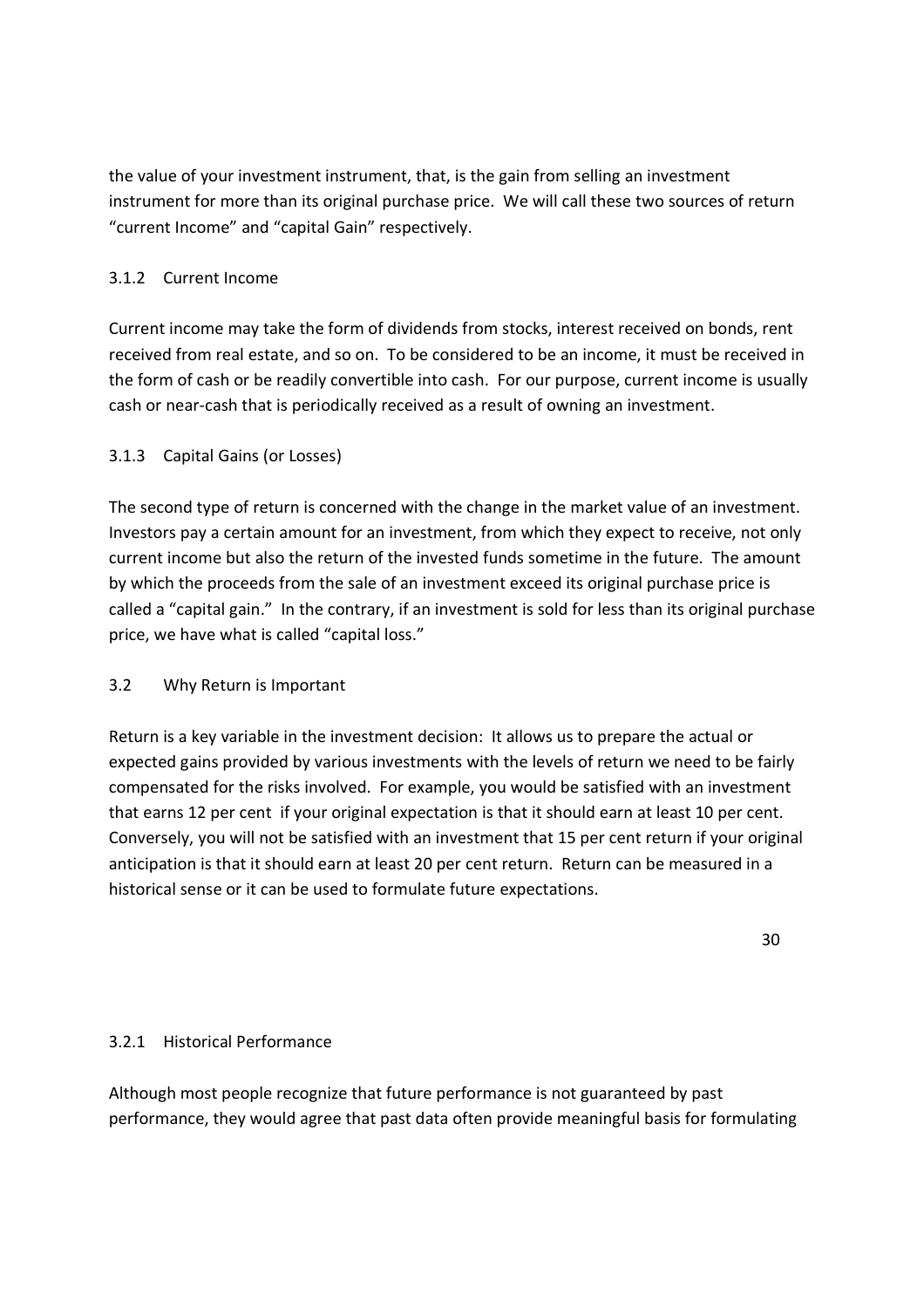the value of your investment instrument, that, is the gain from selling an investment instrument for more than its original purchase price. We will call these two sources of return "current Income" and "capital Gain" respectively.

# 3.1.2 Current Income

Current income may take the form of dividends from stocks, interest received on bonds, rent received from real estate, and so on. To be considered to be an income, it must be received in the form of cash or be readily convertible into cash. For our purpose, current income is usually cash or near-cash that is periodically received as a result of owning an investment.

# 3.1.3 Capital Gains (or Losses)

The second type of return is concerned with the change in the market value of an investment. Investors pay a certain amount for an investment, from which they expect to receive, not only current income but also the return of the invested funds sometime in the future. The amount by which the proceeds from the sale of an investment exceed its original purchase price is called a "capital gain." In the contrary, if an investment is sold for less than its original purchase price, we have what is called "capital loss."

# 3.2 Why Return is Important

Return is a key variable in the investment decision: It allows us to prepare the actual or expected gains provided by various investments with the levels of return we need to be fairly compensated for the risks involved. For example, you would be satisfied with an investment that earns 12 per cent if your original expectation is that it should earn at least 10 per cent. Conversely, you will not be satisfied with an investment that 15 per cent return if your original anticipation is that it should earn at least 20 per cent return. Return can be measured in a historical sense or it can be used to formulate future expectations.

# 3.2.1 Historical Performance

Although most people recognize that future performance is not guaranteed by past performance, they would agree that past data often provide meaningful basis for formulating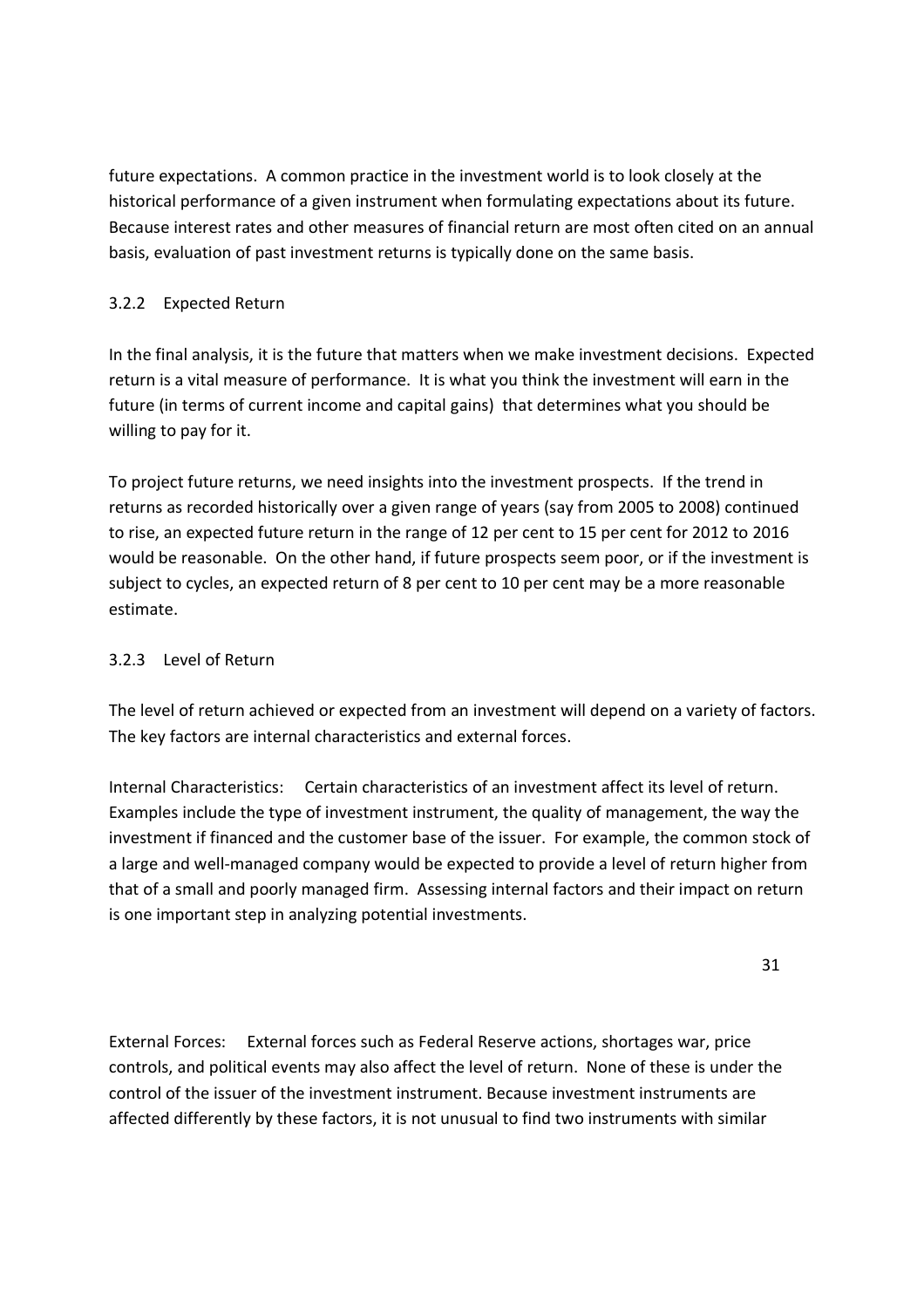future expectations. A common practice in the investment world is to look closely at the historical performance of a given instrument when formulating expectations about its future. Because interest rates and other measures of financial return are most often cited on an annual basis, evaluation of past investment returns is typically done on the same basis.

# 3.2.2 Expected Return

In the final analysis, it is the future that matters when we make investment decisions. Expected return is a vital measure of performance. It is what you think the investment will earn in the future (in terms of current income and capital gains) that determines what you should be willing to pay for it.

To project future returns, we need insights into the investment prospects. If the trend in returns as recorded historically over a given range of years (say from 2005 to 2008) continued to rise, an expected future return in the range of 12 per cent to 15 per cent for 2012 to 2016 would be reasonable. On the other hand, if future prospects seem poor, or if the investment is subject to cycles, an expected return of 8 per cent to 10 per cent may be a more reasonable estimate.

# 3.2.3 Level of Return

The level of return achieved or expected from an investment will depend on a variety of factors. The key factors are internal characteristics and external forces.

Internal Characteristics: Certain characteristics of an investment affect its level of return. Examples include the type of investment instrument, the quality of management, the way the investment if financed and the customer base of the issuer. For example, the common stock of a large and well-managed company would be expected to provide a level of return higher from that of a small and poorly managed firm. Assessing internal factors and their impact on return is one important step in analyzing potential investments.

External Forces: External forces such as Federal Reserve actions, shortages war, price controls, and political events may also affect the level of return. None of these is under the control of the issuer of the investment instrument. Because investment instruments are affected differently by these factors, it is not unusual to find two instruments with similar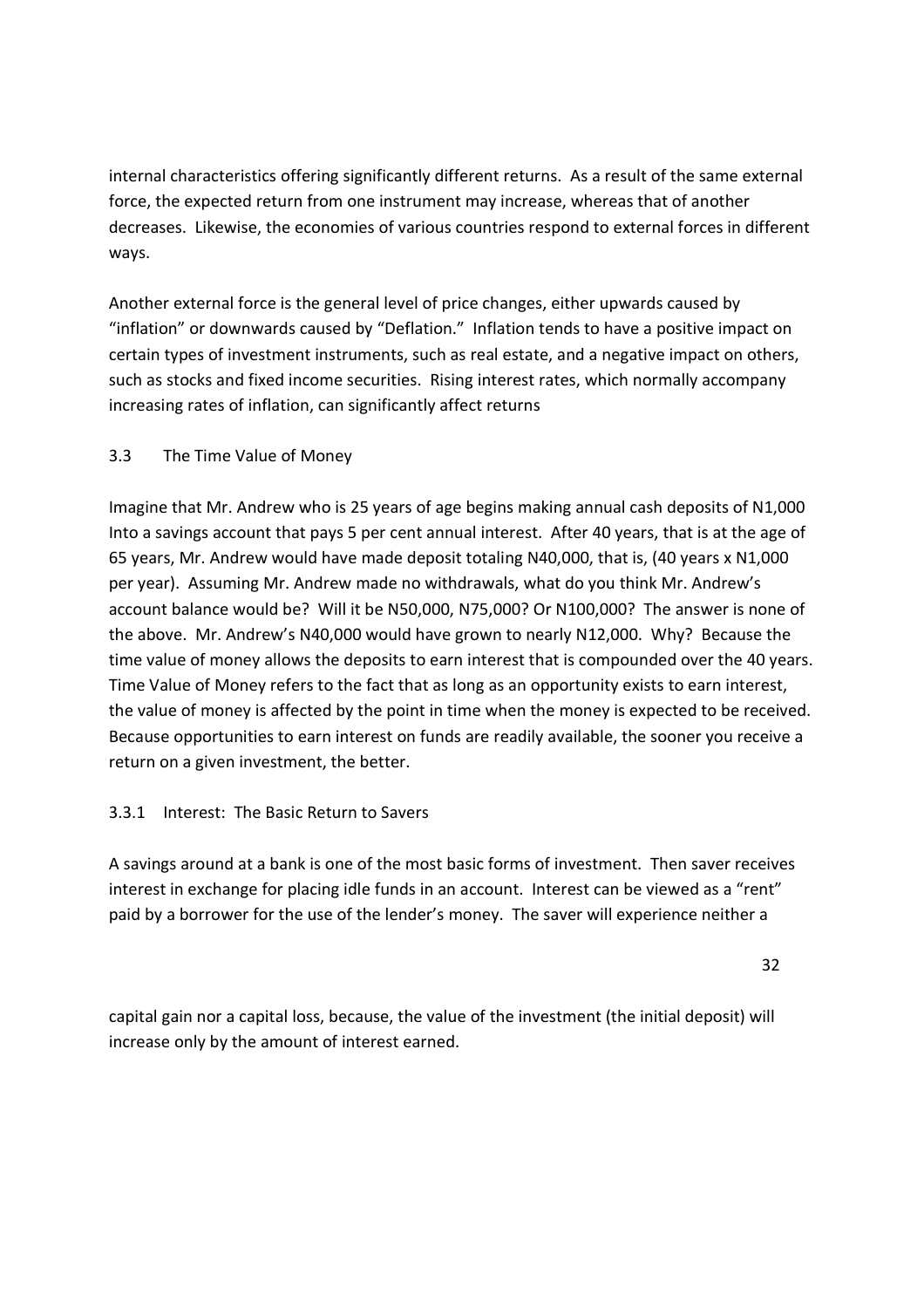internal characteristics offering significantly different returns. As a result of the same external force, the expected return from one instrument may increase, whereas that of another decreases. Likewise, the economies of various countries respond to external forces in different ways.

Another external force is the general level of price changes, either upwards caused by "inflation" or downwards caused by "Deflation." Inflation tends to have a positive impact on certain types of investment instruments, such as real estate, and a negative impact on others, such as stocks and fixed income securities. Rising interest rates, which normally accompany increasing rates of inflation, can significantly affect returns

# 3.3 The Time Value of Money

Imagine that Mr. Andrew who is 25 years of age begins making annual cash deposits of N1,000 Into a savings account that pays 5 per cent annual interest. After 40 years, that is at the age of 65 years, Mr. Andrew would have made deposit totaling N40,000, that is, (40 years x N1,000 per year). Assuming Mr. Andrew made no withdrawals, what do you think Mr. Andrew's account balance would be? Will it be N50,000, N75,000? Or N100,000? The answer is none of the above. Mr. Andrew's N40,000 would have grown to nearly N12,000. Why? Because the time value of money allows the deposits to earn interest that is compounded over the 40 years. Time Value of Money refers to the fact that as long as an opportunity exists to earn interest, the value of money is affected by the point in time when the money is expected to be received. Because opportunities to earn interest on funds are readily available, the sooner you receive a return on a given investment, the better.

## 3.3.1 Interest: The Basic Return to Savers

A savings around at a bank is one of the most basic forms of investment. Then saver receives interest in exchange for placing idle funds in an account. Interest can be viewed as a "rent" paid by a borrower for the use of the lender's money. The saver will experience neither a

32

capital gain nor a capital loss, because, the value of the investment (the initial deposit) will increase only by the amount of interest earned.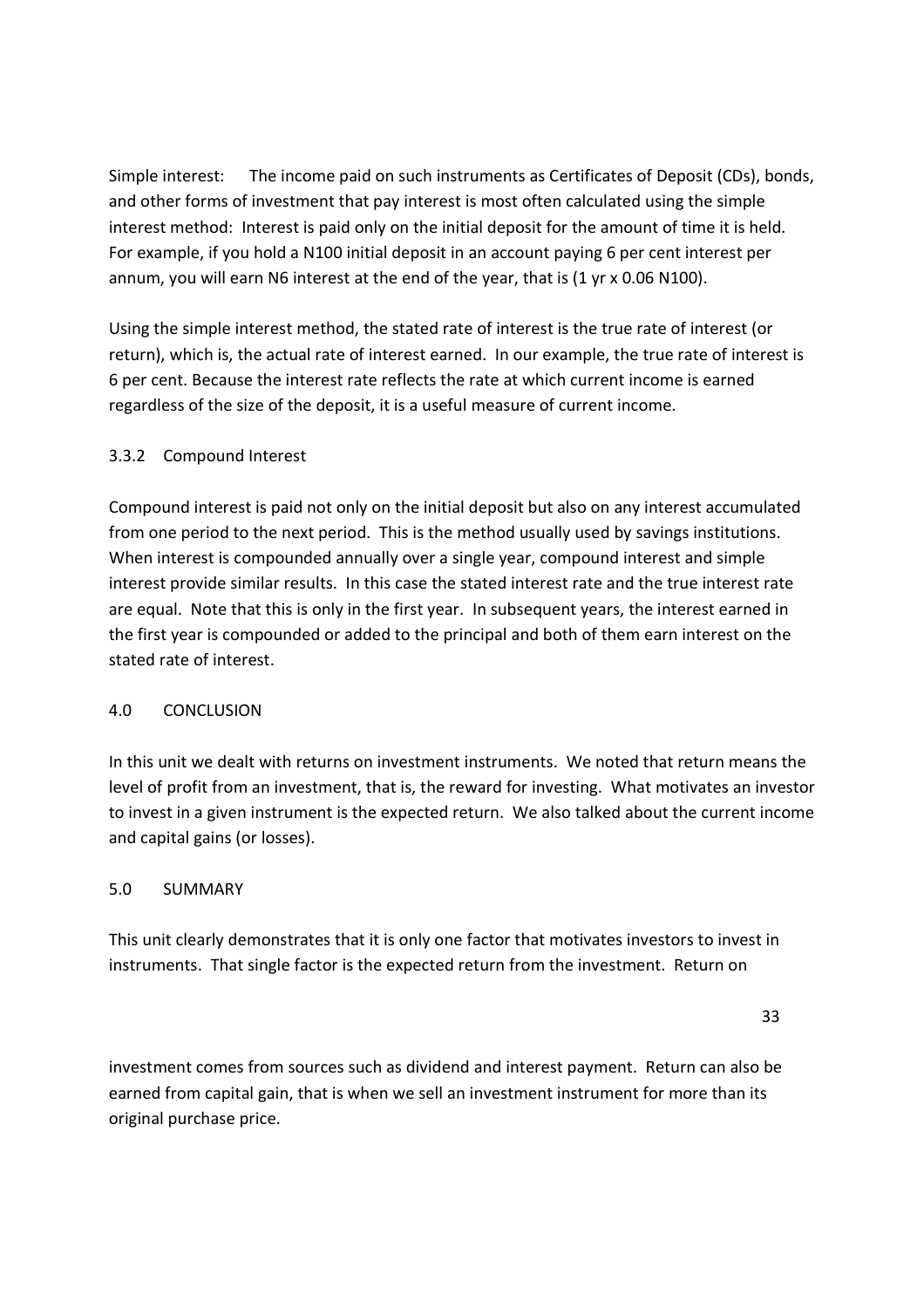Simple interest: The income paid on such instruments as Certificates of Deposit (CDs), bonds, and other forms of investment that pay interest is most often calculated using the simple interest method: Interest is paid only on the initial deposit for the amount of time it is held. For example, if you hold a N100 initial deposit in an account paying 6 per cent interest per annum, you will earn N6 interest at the end of the year, that is (1 yr x 0.06 N100).

Using the simple interest method, the stated rate of interest is the true rate of interest (or return), which is, the actual rate of interest earned. In our example, the true rate of interest is 6 per cent. Because the interest rate reflects the rate at which current income is earned regardless of the size of the deposit, it is a useful measure of current income.

# 3.3.2 Compound Interest

Compound interest is paid not only on the initial deposit but also on any interest accumulated from one period to the next period. This is the method usually used by savings institutions. When interest is compounded annually over a single year, compound interest and simple interest provide similar results. In this case the stated interest rate and the true interest rate are equal. Note that this is only in the first year. In subsequent years, the interest earned in the first year is compounded or added to the principal and both of them earn interest on the stated rate of interest.

## 4.0 CONCLUSION

In this unit we dealt with returns on investment instruments. We noted that return means the level of profit from an investment, that is, the reward for investing. What motivates an investor to invest in a given instrument is the expected return. We also talked about the current income and capital gains (or losses).

## 5.0 SUMMARY

This unit clearly demonstrates that it is only one factor that motivates investors to invest in instruments. That single factor is the expected return from the investment. Return on

33

investment comes from sources such as dividend and interest payment. Return can also be earned from capital gain, that is when we sell an investment instrument for more than its original purchase price.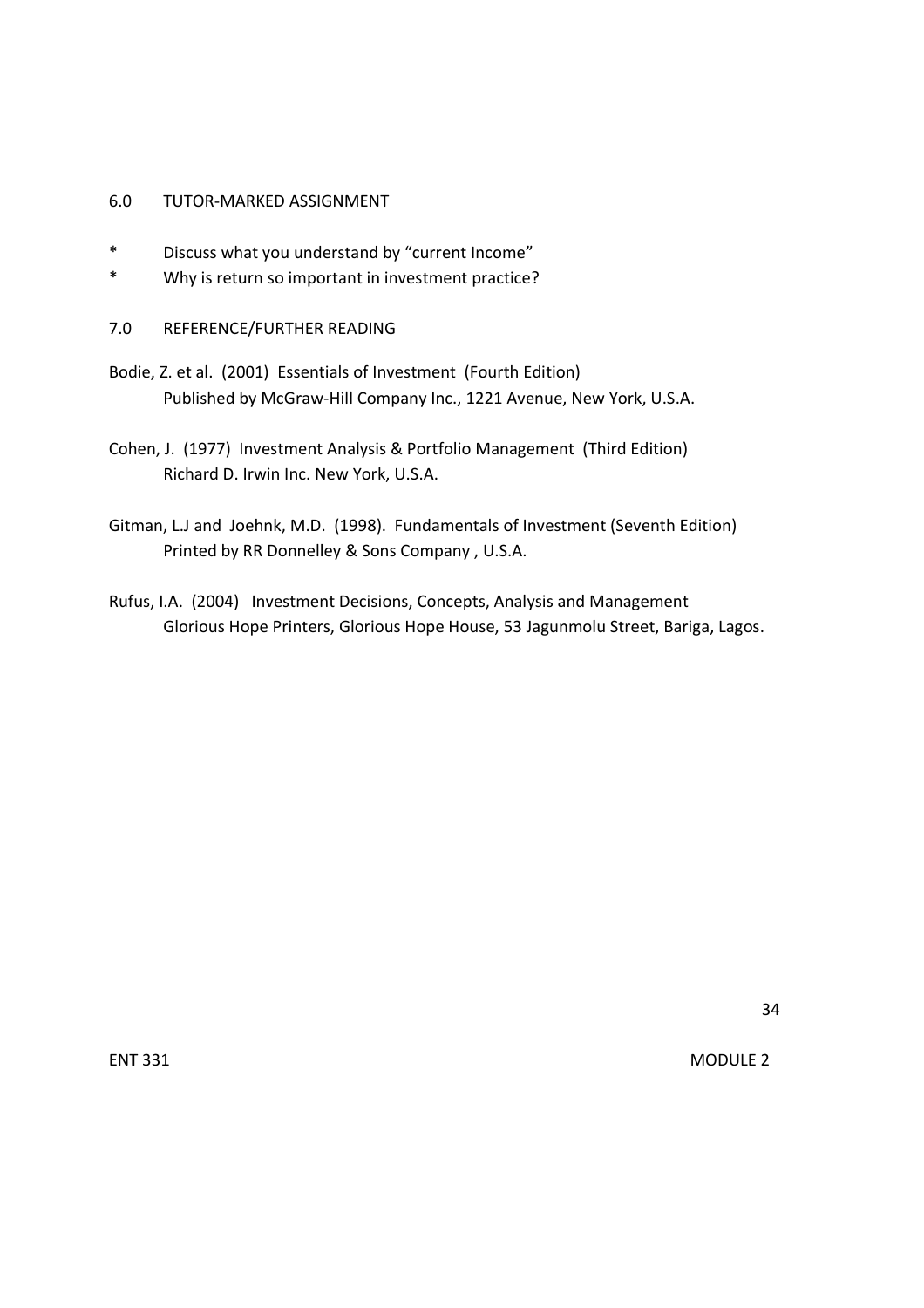## 6.0 TUTOR-MARKED ASSIGNMENT

- \* Discuss what you understand by "current Income"
- \* Why is return so important in investment practice?
- 7.0 REFERENCE/FURTHER READING
- Bodie, Z. et al. (2001) Essentials of Investment (Fourth Edition) Published by McGraw-Hill Company Inc., 1221 Avenue, New York, U.S.A.
- Cohen, J. (1977) Investment Analysis & Portfolio Management (Third Edition) Richard D. Irwin Inc. New York, U.S.A.
- Gitman, L.J and Joehnk, M.D. (1998). Fundamentals of Investment (Seventh Edition) Printed by RR Donnelley & Sons Company , U.S.A.
- Rufus, I.A. (2004) Investment Decisions, Concepts, Analysis and Management Glorious Hope Printers, Glorious Hope House, 53 Jagunmolu Street, Bariga, Lagos.

ENT 331 MODULE 2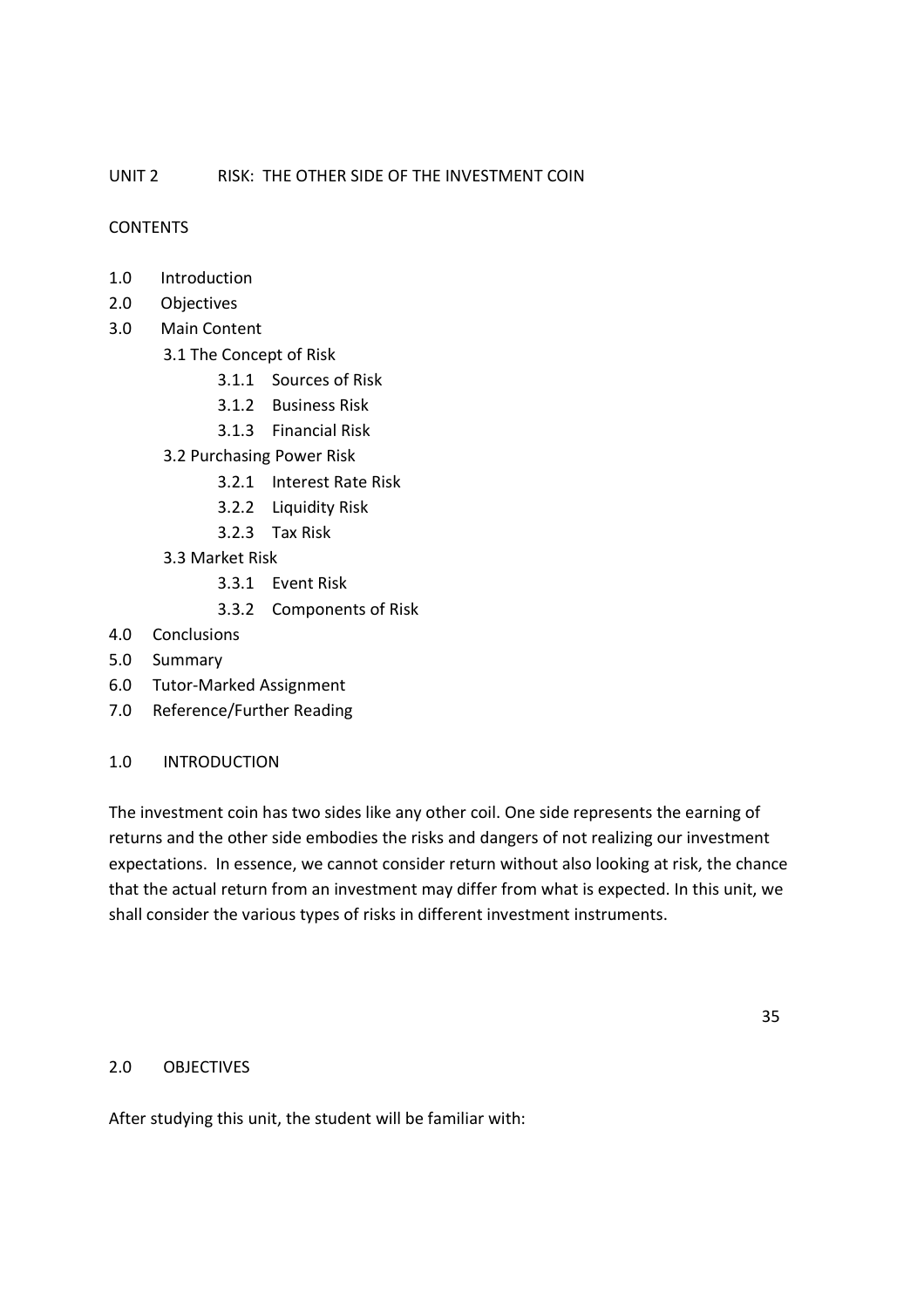UNIT 2 RISK: THE OTHER SIDE OF THE INVESTMENT COIN

**CONTENTS** 

- 1.0 Introduction
- 2.0 Objectives
- 3.0 Main Content
	- 3.1 The Concept of Risk
		- 3.1.1 Sources of Risk
		- 3.1.2 Business Risk
		- 3.1.3 Financial Risk
	- 3.2 Purchasing Power Risk
		- 3.2.1 Interest Rate Risk
		- 3.2.2 Liquidity Risk
		- 3.2.3 Tax Risk
	- 3.3 Market Risk
		- 3.3.1 Event Risk
		- 3.3.2 Components of Risk
- 4.0 Conclusions
- 5.0 Summary
- 6.0 Tutor-Marked Assignment
- 7.0 Reference/Further Reading

# 1.0 INTRODUCTION

The investment coin has two sides like any other coil. One side represents the earning of returns and the other side embodies the risks and dangers of not realizing our investment expectations. In essence, we cannot consider return without also looking at risk, the chance that the actual return from an investment may differ from what is expected. In this unit, we shall consider the various types of risks in different investment instruments.

#### 2.0 OBJECTIVES

After studying this unit, the student will be familiar with: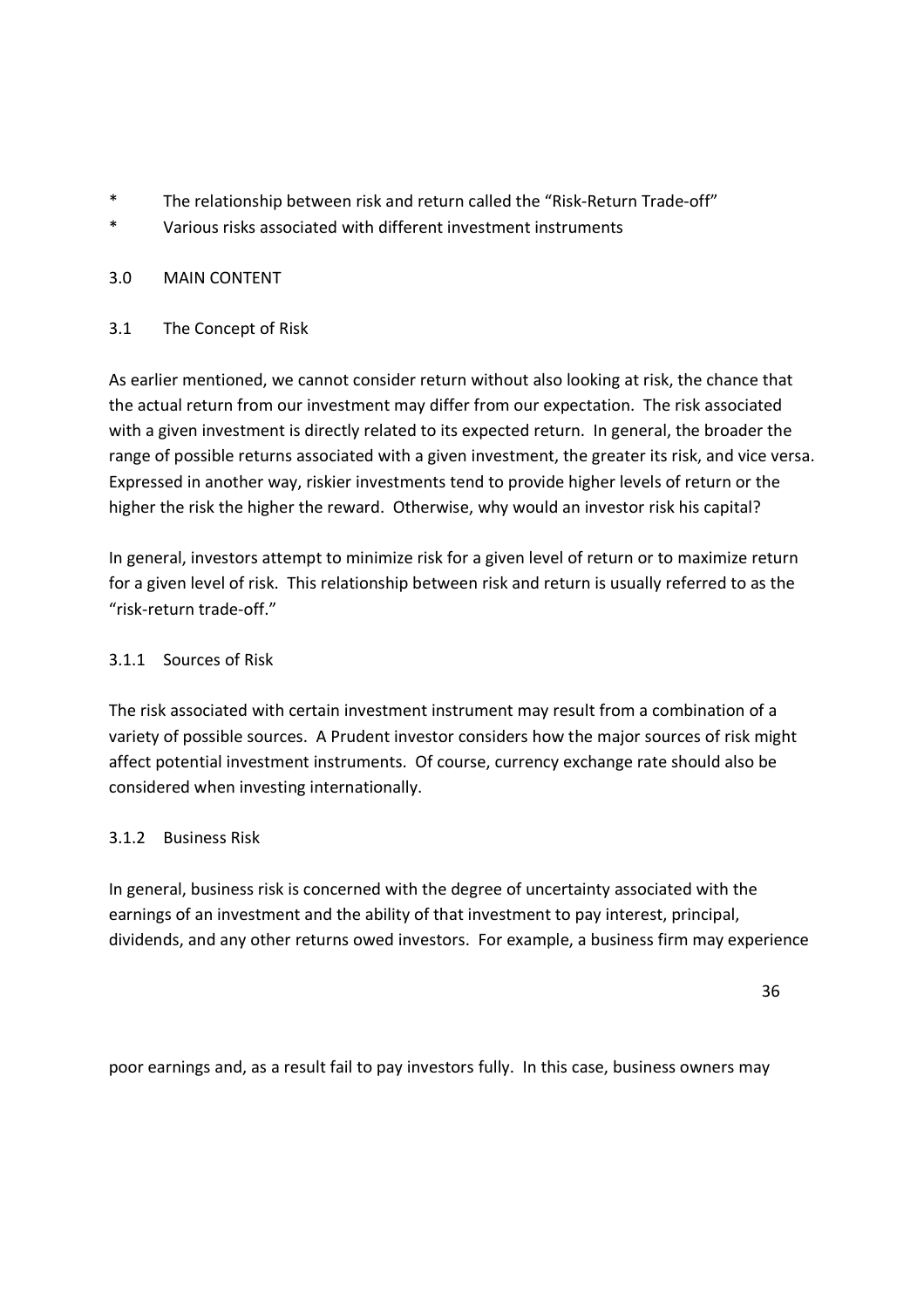- The relationship between risk and return called the "Risk-Return Trade-off"
- \* Various risks associated with different investment instruments

# 3.0 MAIN CONTENT

# 3.1 The Concept of Risk

As earlier mentioned, we cannot consider return without also looking at risk, the chance that the actual return from our investment may differ from our expectation. The risk associated with a given investment is directly related to its expected return. In general, the broader the range of possible returns associated with a given investment, the greater its risk, and vice versa. Expressed in another way, riskier investments tend to provide higher levels of return or the higher the risk the higher the reward. Otherwise, why would an investor risk his capital?

In general, investors attempt to minimize risk for a given level of return or to maximize return for a given level of risk. This relationship between risk and return is usually referred to as the "risk-return trade-off."

# 3.1.1 Sources of Risk

The risk associated with certain investment instrument may result from a combination of a variety of possible sources. A Prudent investor considers how the major sources of risk might affect potential investment instruments. Of course, currency exchange rate should also be considered when investing internationally.

## 3.1.2 Business Risk

In general, business risk is concerned with the degree of uncertainty associated with the earnings of an investment and the ability of that investment to pay interest, principal, dividends, and any other returns owed investors. For example, a business firm may experience

poor earnings and, as a result fail to pay investors fully. In this case, business owners may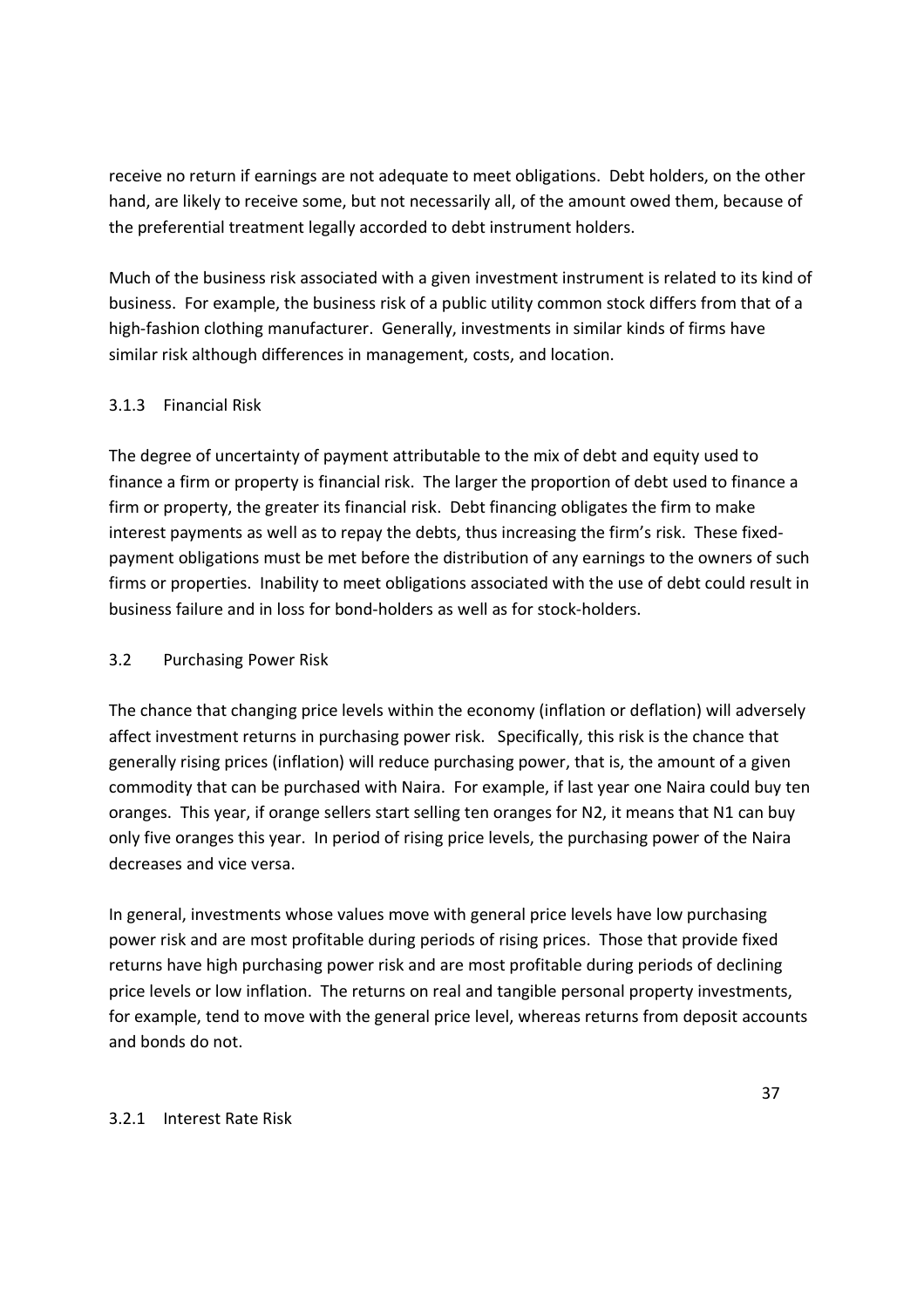receive no return if earnings are not adequate to meet obligations. Debt holders, on the other hand, are likely to receive some, but not necessarily all, of the amount owed them, because of the preferential treatment legally accorded to debt instrument holders.

Much of the business risk associated with a given investment instrument is related to its kind of business. For example, the business risk of a public utility common stock differs from that of a high-fashion clothing manufacturer. Generally, investments in similar kinds of firms have similar risk although differences in management, costs, and location.

# 3.1.3 Financial Risk

The degree of uncertainty of payment attributable to the mix of debt and equity used to finance a firm or property is financial risk. The larger the proportion of debt used to finance a firm or property, the greater its financial risk. Debt financing obligates the firm to make interest payments as well as to repay the debts, thus increasing the firm's risk. These fixedpayment obligations must be met before the distribution of any earnings to the owners of such firms or properties. Inability to meet obligations associated with the use of debt could result in business failure and in loss for bond-holders as well as for stock-holders.

## 3.2 Purchasing Power Risk

The chance that changing price levels within the economy (inflation or deflation) will adversely affect investment returns in purchasing power risk. Specifically, this risk is the chance that generally rising prices (inflation) will reduce purchasing power, that is, the amount of a given commodity that can be purchased with Naira. For example, if last year one Naira could buy ten oranges. This year, if orange sellers start selling ten oranges for N2, it means that N1 can buy only five oranges this year. In period of rising price levels, the purchasing power of the Naira decreases and vice versa.

In general, investments whose values move with general price levels have low purchasing power risk and are most profitable during periods of rising prices. Those that provide fixed returns have high purchasing power risk and are most profitable during periods of declining price levels or low inflation. The returns on real and tangible personal property investments, for example, tend to move with the general price level, whereas returns from deposit accounts and bonds do not.

## 3.2.1 Interest Rate Risk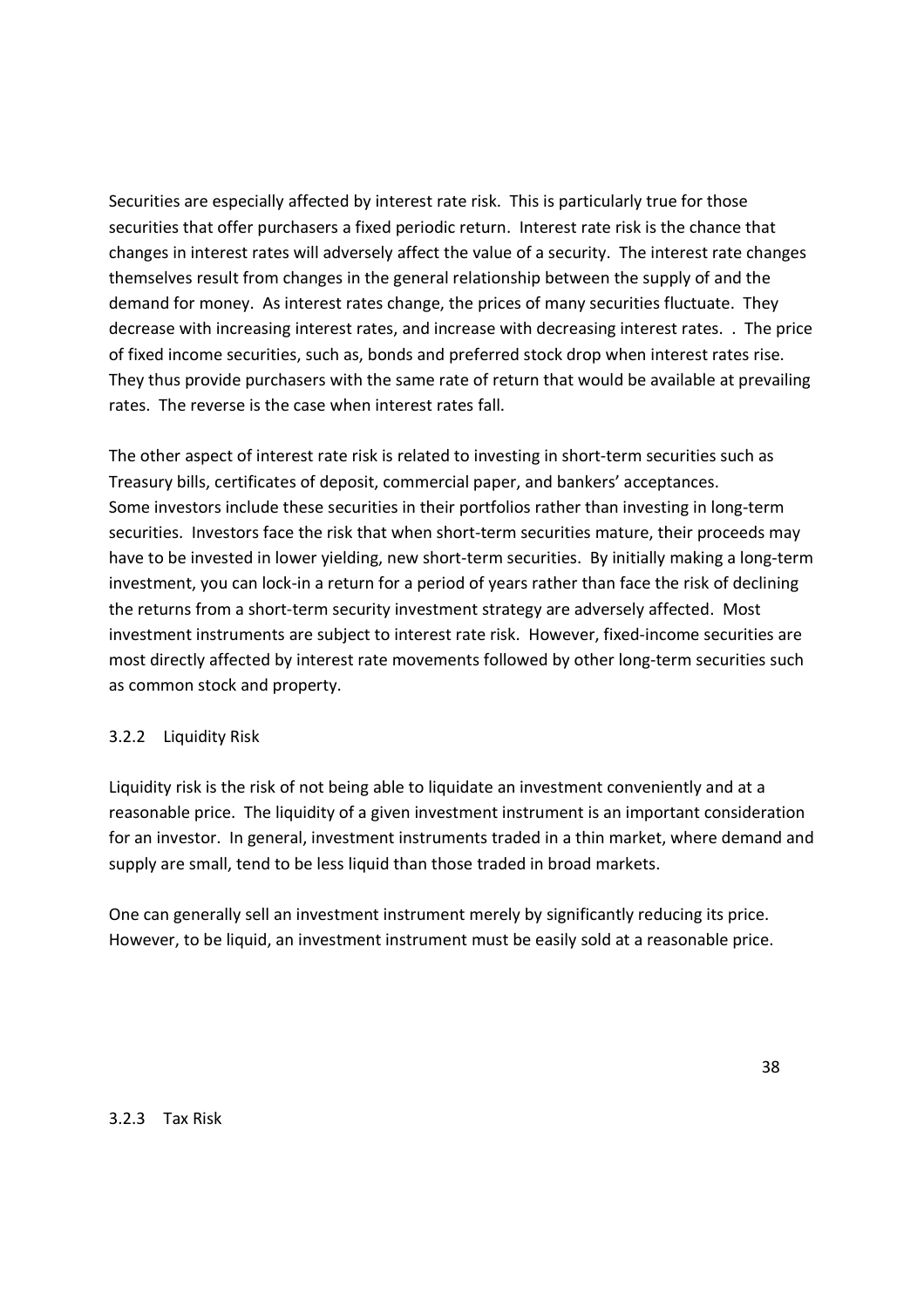Securities are especially affected by interest rate risk. This is particularly true for those securities that offer purchasers a fixed periodic return. Interest rate risk is the chance that changes in interest rates will adversely affect the value of a security. The interest rate changes themselves result from changes in the general relationship between the supply of and the demand for money. As interest rates change, the prices of many securities fluctuate. They decrease with increasing interest rates, and increase with decreasing interest rates. . The price of fixed income securities, such as, bonds and preferred stock drop when interest rates rise. They thus provide purchasers with the same rate of return that would be available at prevailing rates. The reverse is the case when interest rates fall.

The other aspect of interest rate risk is related to investing in short-term securities such as Treasury bills, certificates of deposit, commercial paper, and bankers' acceptances. Some investors include these securities in their portfolios rather than investing in long-term securities. Investors face the risk that when short-term securities mature, their proceeds may have to be invested in lower yielding, new short-term securities. By initially making a long-term investment, you can lock-in a return for a period of years rather than face the risk of declining the returns from a short-term security investment strategy are adversely affected. Most investment instruments are subject to interest rate risk. However, fixed-income securities are most directly affected by interest rate movements followed by other long-term securities such as common stock and property.

## 3.2.2 Liquidity Risk

Liquidity risk is the risk of not being able to liquidate an investment conveniently and at a reasonable price. The liquidity of a given investment instrument is an important consideration for an investor. In general, investment instruments traded in a thin market, where demand and supply are small, tend to be less liquid than those traded in broad markets.

One can generally sell an investment instrument merely by significantly reducing its price. However, to be liquid, an investment instrument must be easily sold at a reasonable price.

#### 3.2.3 Tax Risk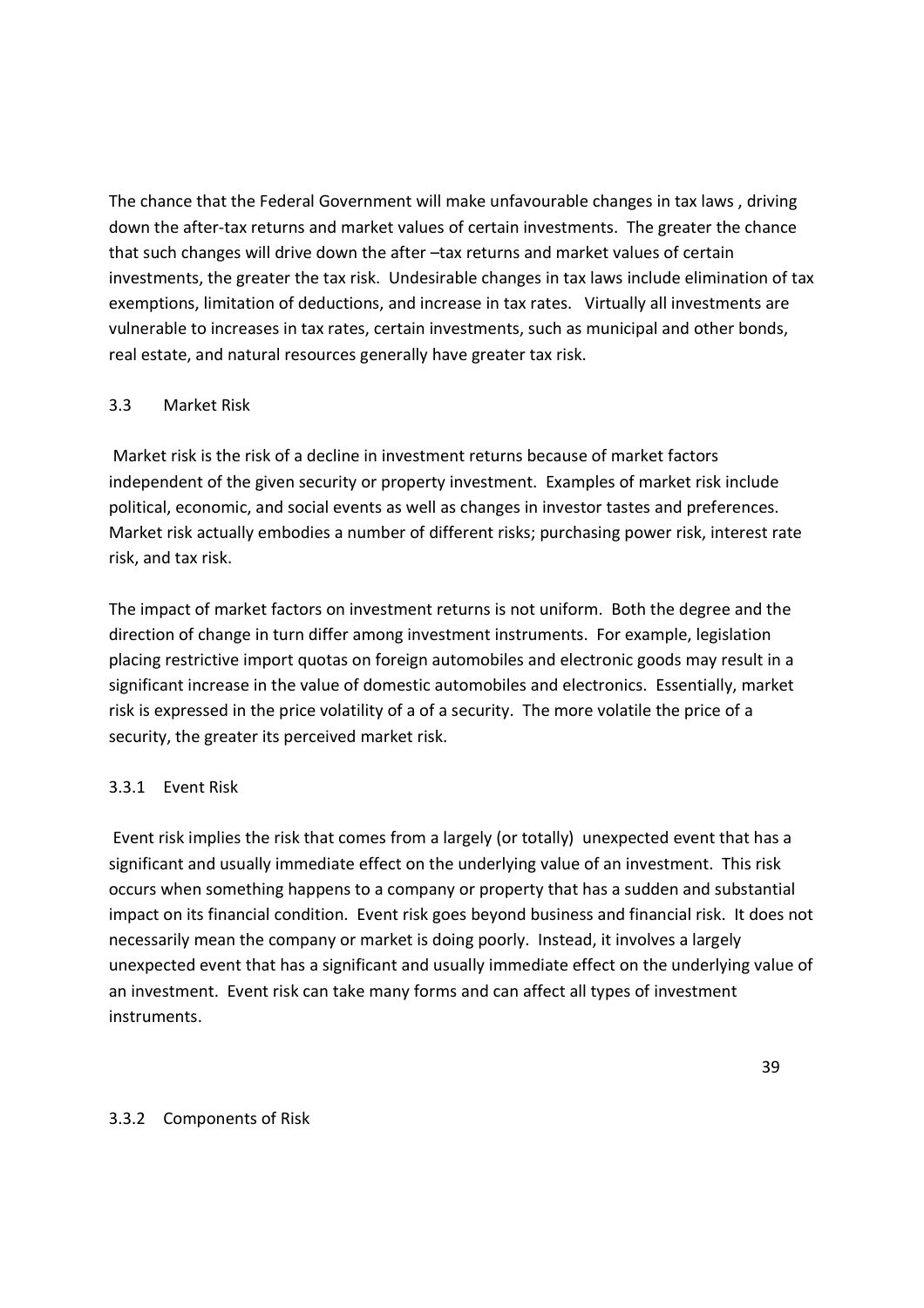The chance that the Federal Government will make unfavourable changes in tax laws , driving down the after-tax returns and market values of certain investments. The greater the chance that such changes will drive down the after –tax returns and market values of certain investments, the greater the tax risk. Undesirable changes in tax laws include elimination of tax exemptions, limitation of deductions, and increase in tax rates. Virtually all investments are vulnerable to increases in tax rates, certain investments, such as municipal and other bonds, real estate, and natural resources generally have greater tax risk.

# 3.3 Market Risk

 Market risk is the risk of a decline in investment returns because of market factors independent of the given security or property investment. Examples of market risk include political, economic, and social events as well as changes in investor tastes and preferences. Market risk actually embodies a number of different risks; purchasing power risk, interest rate risk, and tax risk.

The impact of market factors on investment returns is not uniform. Both the degree and the direction of change in turn differ among investment instruments. For example, legislation placing restrictive import quotas on foreign automobiles and electronic goods may result in a significant increase in the value of domestic automobiles and electronics. Essentially, market risk is expressed in the price volatility of a of a security. The more volatile the price of a security, the greater its perceived market risk.

# 3.3.1 Event Risk

 Event risk implies the risk that comes from a largely (or totally) unexpected event that has a significant and usually immediate effect on the underlying value of an investment. This risk occurs when something happens to a company or property that has a sudden and substantial impact on its financial condition. Event risk goes beyond business and financial risk. It does not necessarily mean the company or market is doing poorly. Instead, it involves a largely unexpected event that has a significant and usually immediate effect on the underlying value of an investment. Event risk can take many forms and can affect all types of investment instruments.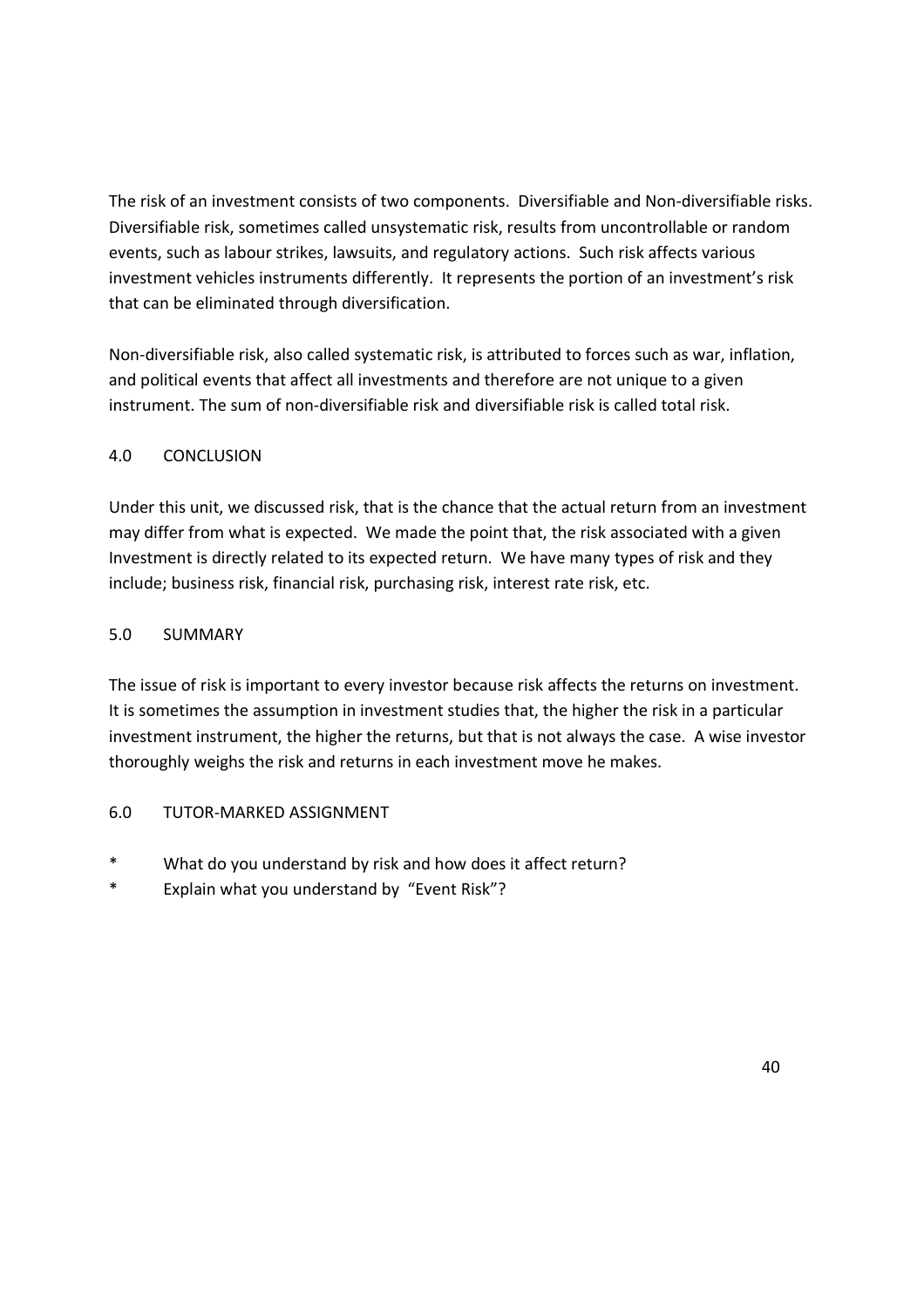The risk of an investment consists of two components. Diversifiable and Non-diversifiable risks. Diversifiable risk, sometimes called unsystematic risk, results from uncontrollable or random events, such as labour strikes, lawsuits, and regulatory actions. Such risk affects various investment vehicles instruments differently. It represents the portion of an investment's risk that can be eliminated through diversification.

Non-diversifiable risk, also called systematic risk, is attributed to forces such as war, inflation, and political events that affect all investments and therefore are not unique to a given instrument. The sum of non-diversifiable risk and diversifiable risk is called total risk.

# 4.0 CONCLUSION

Under this unit, we discussed risk, that is the chance that the actual return from an investment may differ from what is expected. We made the point that, the risk associated with a given Investment is directly related to its expected return. We have many types of risk and they include; business risk, financial risk, purchasing risk, interest rate risk, etc.

# 5.0 SUMMARY

The issue of risk is important to every investor because risk affects the returns on investment. It is sometimes the assumption in investment studies that, the higher the risk in a particular investment instrument, the higher the returns, but that is not always the case. A wise investor thoroughly weighs the risk and returns in each investment move he makes.

## 6.0 TUTOR-MARKED ASSIGNMENT

- What do you understand by risk and how does it affect return?
- \* Explain what you understand by "Event Risk"?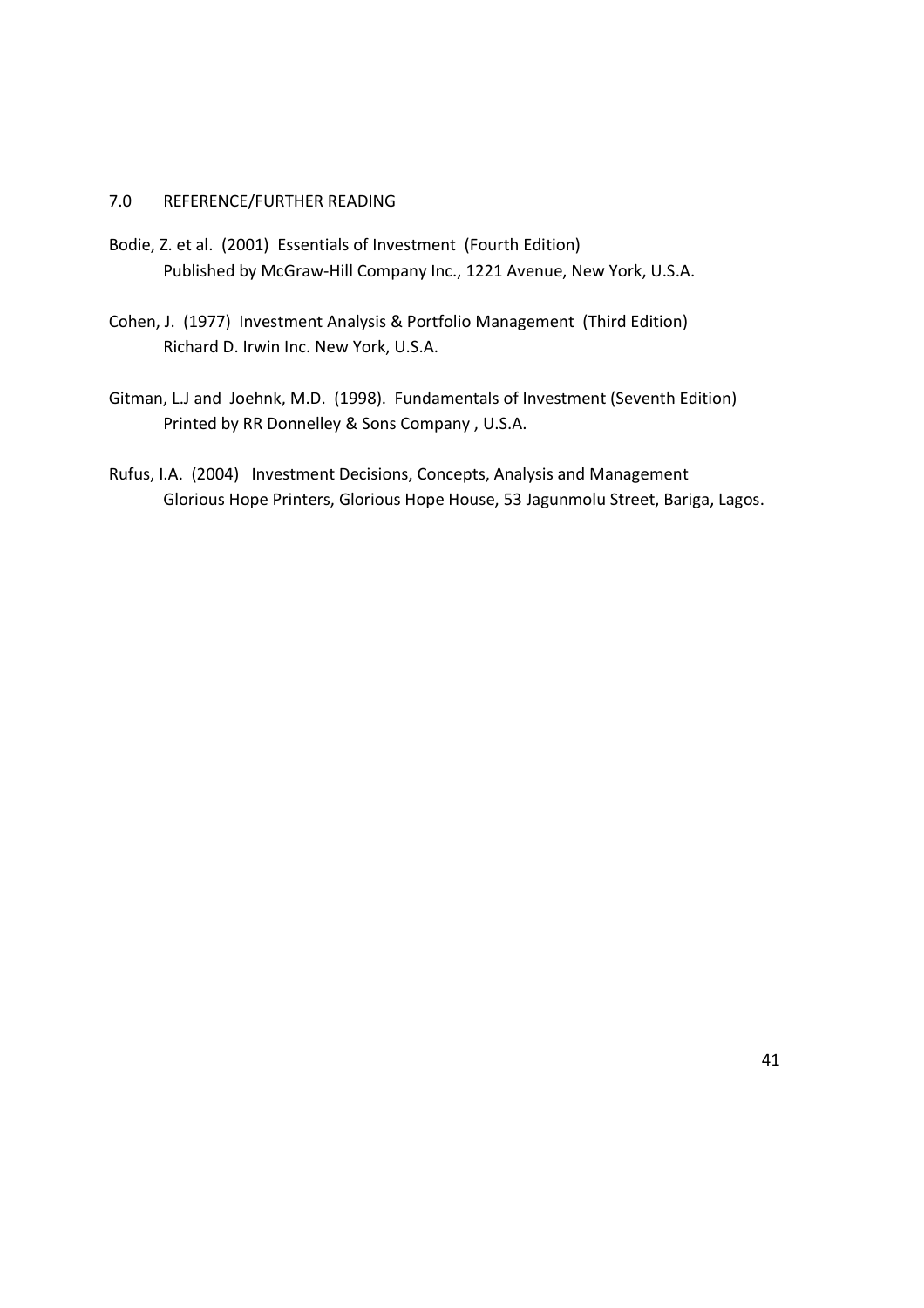#### 7.0 REFERENCE/FURTHER READING

- Bodie, Z. et al. (2001) Essentials of Investment (Fourth Edition) Published by McGraw-Hill Company Inc., 1221 Avenue, New York, U.S.A.
- Cohen, J. (1977) Investment Analysis & Portfolio Management (Third Edition) Richard D. Irwin Inc. New York, U.S.A.
- Gitman, L.J and Joehnk, M.D. (1998). Fundamentals of Investment (Seventh Edition) Printed by RR Donnelley & Sons Company , U.S.A.
- Rufus, I.A. (2004) Investment Decisions, Concepts, Analysis and Management Glorious Hope Printers, Glorious Hope House, 53 Jagunmolu Street, Bariga, Lagos.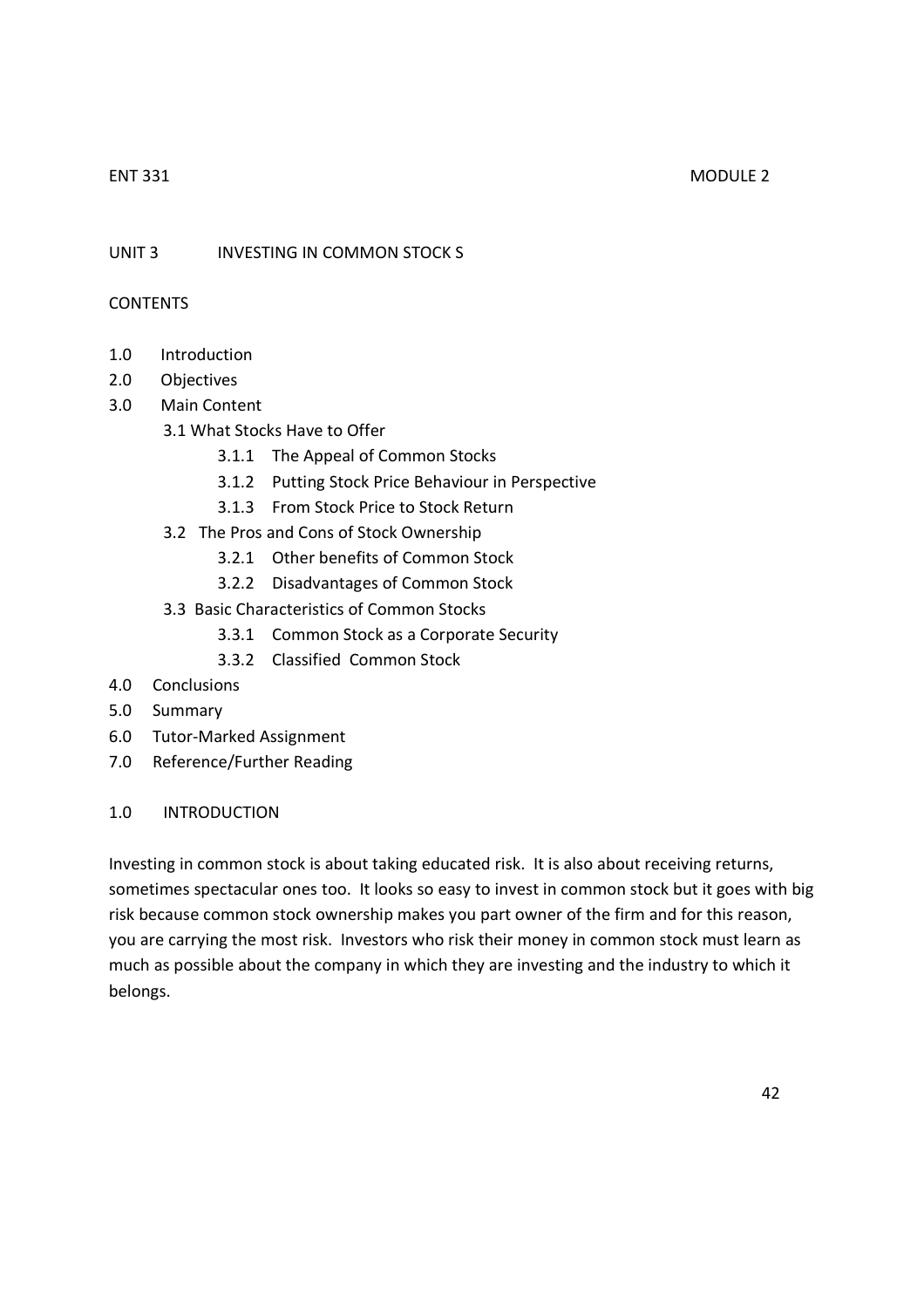#### ENT 331 MODULE 2

## UNIT 3 INVESTING IN COMMON STOCK S

#### **CONTENTS**

- 1.0 Introduction
- 2.0 Objectives
- 3.0 Main Content
	- 3.1 What Stocks Have to Offer
		- 3.1.1 The Appeal of Common Stocks
		- 3.1.2 Putting Stock Price Behaviour in Perspective
		- 3.1.3 From Stock Price to Stock Return
		- 3.2 The Pros and Cons of Stock Ownership
			- 3.2.1 Other benefits of Common Stock
			- 3.2.2 Disadvantages of Common Stock
		- 3.3 Basic Characteristics of Common Stocks
			- 3.3.1 Common Stock as a Corporate Security
			- 3.3.2 Classified Common Stock
- 4.0 Conclusions
- 5.0 Summary
- 6.0 Tutor-Marked Assignment
- 7.0 Reference/Further Reading

## 1.0 INTRODUCTION

Investing in common stock is about taking educated risk. It is also about receiving returns, sometimes spectacular ones too. It looks so easy to invest in common stock but it goes with big risk because common stock ownership makes you part owner of the firm and for this reason, you are carrying the most risk. Investors who risk their money in common stock must learn as much as possible about the company in which they are investing and the industry to which it belongs.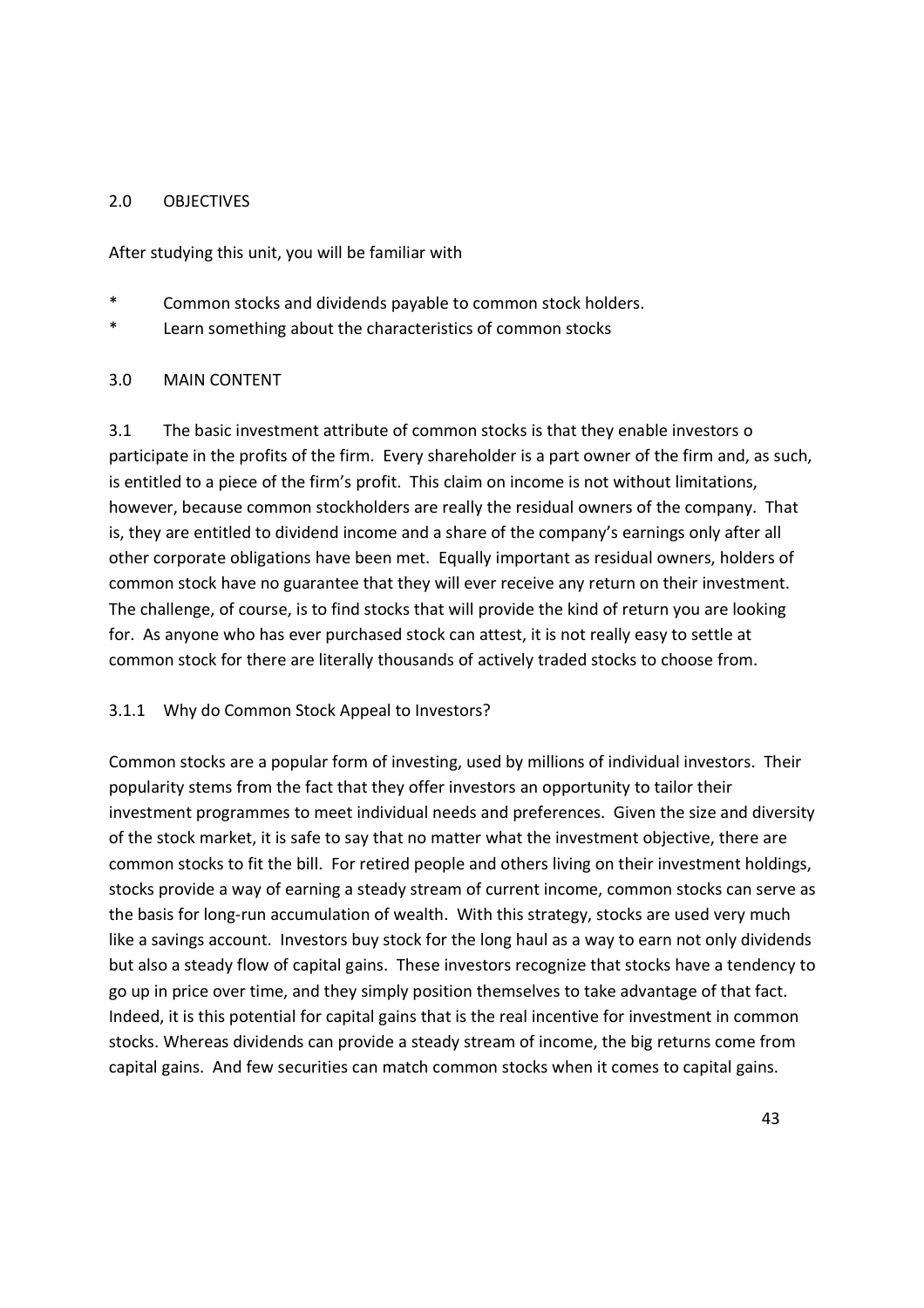# 2.0 OBJECTIVES

After studying this unit, you will be familiar with

- Common stocks and dividends payable to common stock holders.
- \* Learn something about the characteristics of common stocks

# 3.0 MAIN CONTENT

3.1 The basic investment attribute of common stocks is that they enable investors o participate in the profits of the firm. Every shareholder is a part owner of the firm and, as such, is entitled to a piece of the firm's profit. This claim on income is not without limitations, however, because common stockholders are really the residual owners of the company. That is, they are entitled to dividend income and a share of the company's earnings only after all other corporate obligations have been met. Equally important as residual owners, holders of common stock have no guarantee that they will ever receive any return on their investment. The challenge, of course, is to find stocks that will provide the kind of return you are looking for. As anyone who has ever purchased stock can attest, it is not really easy to settle at common stock for there are literally thousands of actively traded stocks to choose from.

# 3.1.1 Why do Common Stock Appeal to Investors?

Common stocks are a popular form of investing, used by millions of individual investors. Their popularity stems from the fact that they offer investors an opportunity to tailor their investment programmes to meet individual needs and preferences. Given the size and diversity of the stock market, it is safe to say that no matter what the investment objective, there are common stocks to fit the bill. For retired people and others living on their investment holdings, stocks provide a way of earning a steady stream of current income, common stocks can serve as the basis for long-run accumulation of wealth. With this strategy, stocks are used very much like a savings account. Investors buy stock for the long haul as a way to earn not only dividends but also a steady flow of capital gains. These investors recognize that stocks have a tendency to go up in price over time, and they simply position themselves to take advantage of that fact. Indeed, it is this potential for capital gains that is the real incentive for investment in common stocks. Whereas dividends can provide a steady stream of income, the big returns come from capital gains. And few securities can match common stocks when it comes to capital gains.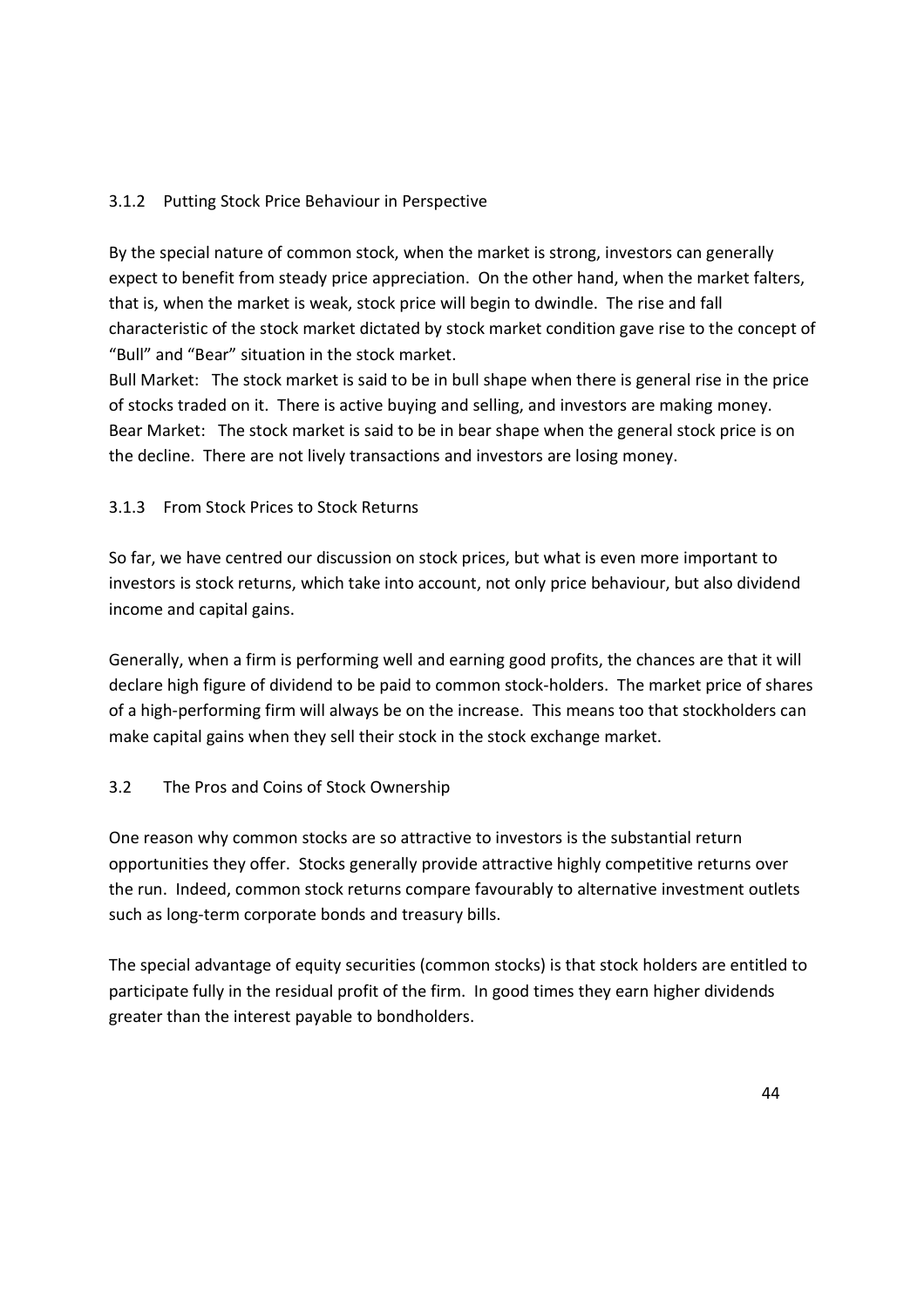# 3.1.2 Putting Stock Price Behaviour in Perspective

By the special nature of common stock, when the market is strong, investors can generally expect to benefit from steady price appreciation. On the other hand, when the market falters, that is, when the market is weak, stock price will begin to dwindle. The rise and fall characteristic of the stock market dictated by stock market condition gave rise to the concept of "Bull" and "Bear" situation in the stock market.

Bull Market: The stock market is said to be in bull shape when there is general rise in the price of stocks traded on it. There is active buying and selling, and investors are making money. Bear Market: The stock market is said to be in bear shape when the general stock price is on the decline. There are not lively transactions and investors are losing money.

# 3.1.3 From Stock Prices to Stock Returns

So far, we have centred our discussion on stock prices, but what is even more important to investors is stock returns, which take into account, not only price behaviour, but also dividend income and capital gains.

Generally, when a firm is performing well and earning good profits, the chances are that it will declare high figure of dividend to be paid to common stock-holders. The market price of shares of a high-performing firm will always be on the increase. This means too that stockholders can make capital gains when they sell their stock in the stock exchange market.

# 3.2 The Pros and Coins of Stock Ownership

One reason why common stocks are so attractive to investors is the substantial return opportunities they offer. Stocks generally provide attractive highly competitive returns over the run. Indeed, common stock returns compare favourably to alternative investment outlets such as long-term corporate bonds and treasury bills.

The special advantage of equity securities (common stocks) is that stock holders are entitled to participate fully in the residual profit of the firm. In good times they earn higher dividends greater than the interest payable to bondholders.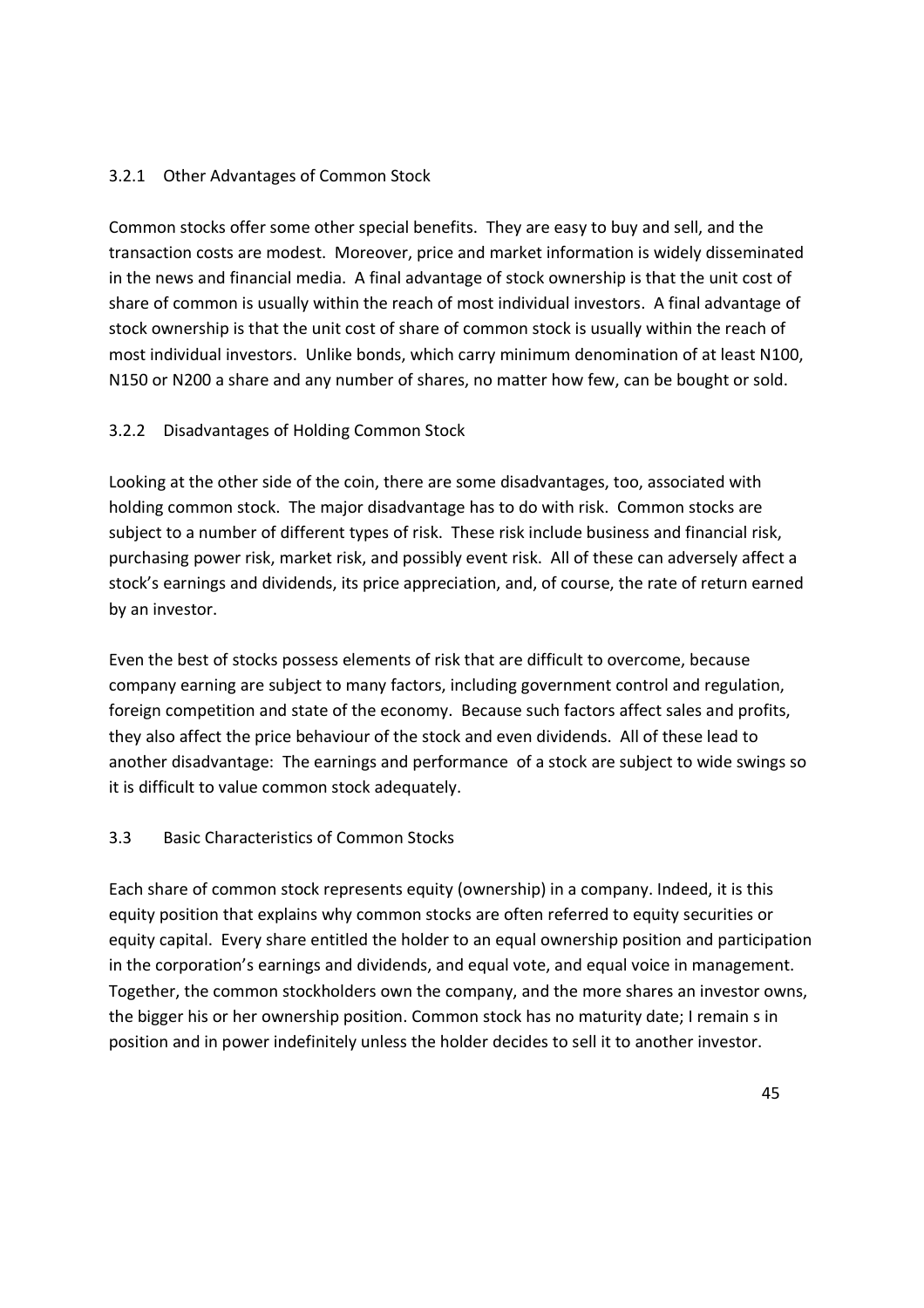# 3.2.1 Other Advantages of Common Stock

Common stocks offer some other special benefits. They are easy to buy and sell, and the transaction costs are modest. Moreover, price and market information is widely disseminated in the news and financial media. A final advantage of stock ownership is that the unit cost of share of common is usually within the reach of most individual investors. A final advantage of stock ownership is that the unit cost of share of common stock is usually within the reach of most individual investors. Unlike bonds, which carry minimum denomination of at least N100, N150 or N200 a share and any number of shares, no matter how few, can be bought or sold.

# 3.2.2 Disadvantages of Holding Common Stock

Looking at the other side of the coin, there are some disadvantages, too, associated with holding common stock. The major disadvantage has to do with risk. Common stocks are subject to a number of different types of risk. These risk include business and financial risk, purchasing power risk, market risk, and possibly event risk. All of these can adversely affect a stock's earnings and dividends, its price appreciation, and, of course, the rate of return earned by an investor.

Even the best of stocks possess elements of risk that are difficult to overcome, because company earning are subject to many factors, including government control and regulation, foreign competition and state of the economy. Because such factors affect sales and profits, they also affect the price behaviour of the stock and even dividends. All of these lead to another disadvantage: The earnings and performance of a stock are subject to wide swings so it is difficult to value common stock adequately.

## 3.3 Basic Characteristics of Common Stocks

Each share of common stock represents equity (ownership) in a company. Indeed, it is this equity position that explains why common stocks are often referred to equity securities or equity capital. Every share entitled the holder to an equal ownership position and participation in the corporation's earnings and dividends, and equal vote, and equal voice in management. Together, the common stockholders own the company, and the more shares an investor owns, the bigger his or her ownership position. Common stock has no maturity date; I remain s in position and in power indefinitely unless the holder decides to sell it to another investor.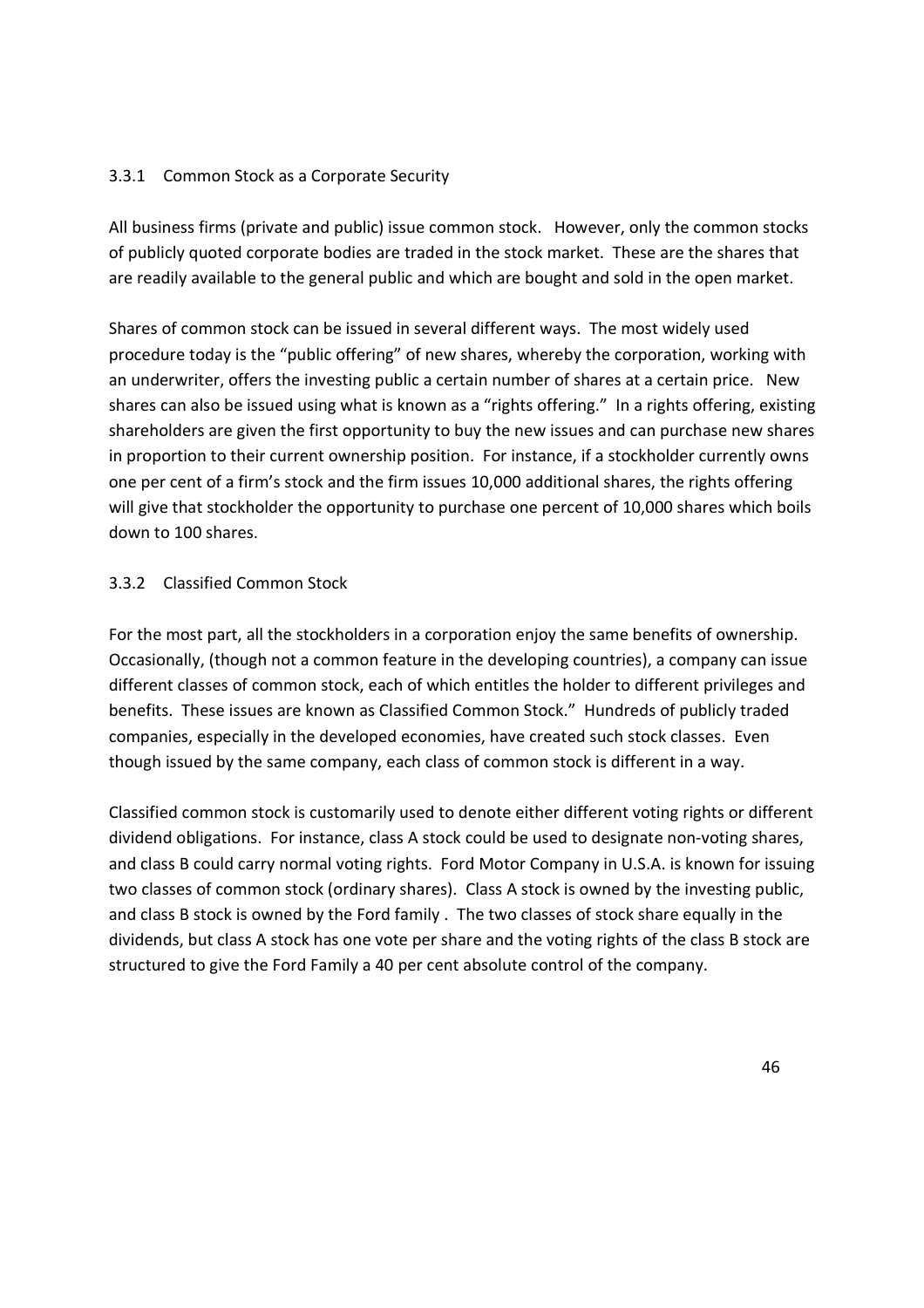# 3.3.1 Common Stock as a Corporate Security

All business firms (private and public) issue common stock. However, only the common stocks of publicly quoted corporate bodies are traded in the stock market. These are the shares that are readily available to the general public and which are bought and sold in the open market.

Shares of common stock can be issued in several different ways. The most widely used procedure today is the "public offering" of new shares, whereby the corporation, working with an underwriter, offers the investing public a certain number of shares at a certain price. New shares can also be issued using what is known as a "rights offering." In a rights offering, existing shareholders are given the first opportunity to buy the new issues and can purchase new shares in proportion to their current ownership position. For instance, if a stockholder currently owns one per cent of a firm's stock and the firm issues 10,000 additional shares, the rights offering will give that stockholder the opportunity to purchase one percent of 10,000 shares which boils down to 100 shares.

# 3.3.2 Classified Common Stock

For the most part, all the stockholders in a corporation enjoy the same benefits of ownership. Occasionally, (though not a common feature in the developing countries), a company can issue different classes of common stock, each of which entitles the holder to different privileges and benefits. These issues are known as Classified Common Stock." Hundreds of publicly traded companies, especially in the developed economies, have created such stock classes. Even though issued by the same company, each class of common stock is different in a way.

Classified common stock is customarily used to denote either different voting rights or different dividend obligations. For instance, class A stock could be used to designate non-voting shares, and class B could carry normal voting rights. Ford Motor Company in U.S.A. is known for issuing two classes of common stock (ordinary shares). Class A stock is owned by the investing public, and class B stock is owned by the Ford family . The two classes of stock share equally in the dividends, but class A stock has one vote per share and the voting rights of the class B stock are structured to give the Ford Family a 40 per cent absolute control of the company.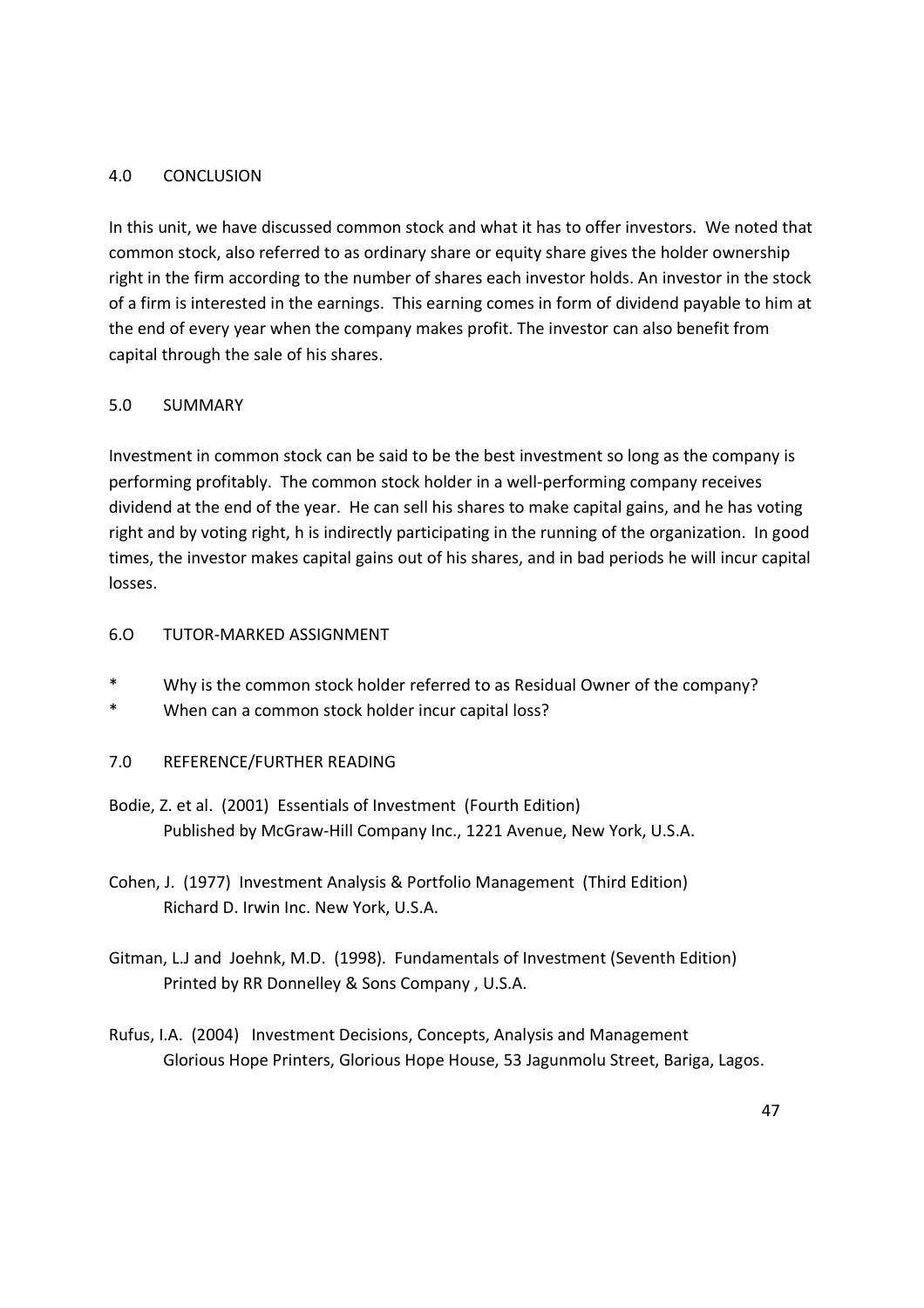# 4.0 CONCLUSION

In this unit, we have discussed common stock and what it has to offer investors. We noted that common stock, also referred to as ordinary share or equity share gives the holder ownership right in the firm according to the number of shares each investor holds. An investor in the stock of a firm is interested in the earnings. This earning comes in form of dividend payable to him at the end of every year when the company makes profit. The investor can also benefit from capital through the sale of his shares.

# 5.0 SUMMARY

Investment in common stock can be said to be the best investment so long as the company is performing profitably. The common stock holder in a well-performing company receives dividend at the end of the year. He can sell his shares to make capital gains, and he has voting right and by voting right, h is indirectly participating in the running of the organization. In good times, the investor makes capital gains out of his shares, and in bad periods he will incur capital losses.

# 6.O TUTOR-MARKED ASSIGNMENT

- \* Why is the common stock holder referred to as Residual Owner of the company?
- \* When can a common stock holder incur capital loss?
- 7.0 REFERENCE/FURTHER READING
- Bodie, Z. et al. (2001) Essentials of Investment (Fourth Edition) Published by McGraw-Hill Company Inc., 1221 Avenue, New York, U.S.A.
- Cohen, J. (1977) Investment Analysis & Portfolio Management (Third Edition) Richard D. Irwin Inc. New York, U.S.A.
- Gitman, L.J and Joehnk, M.D. (1998). Fundamentals of Investment (Seventh Edition) Printed by RR Donnelley & Sons Company , U.S.A.
- Rufus, I.A. (2004) Investment Decisions, Concepts, Analysis and Management Glorious Hope Printers, Glorious Hope House, 53 Jagunmolu Street, Bariga, Lagos.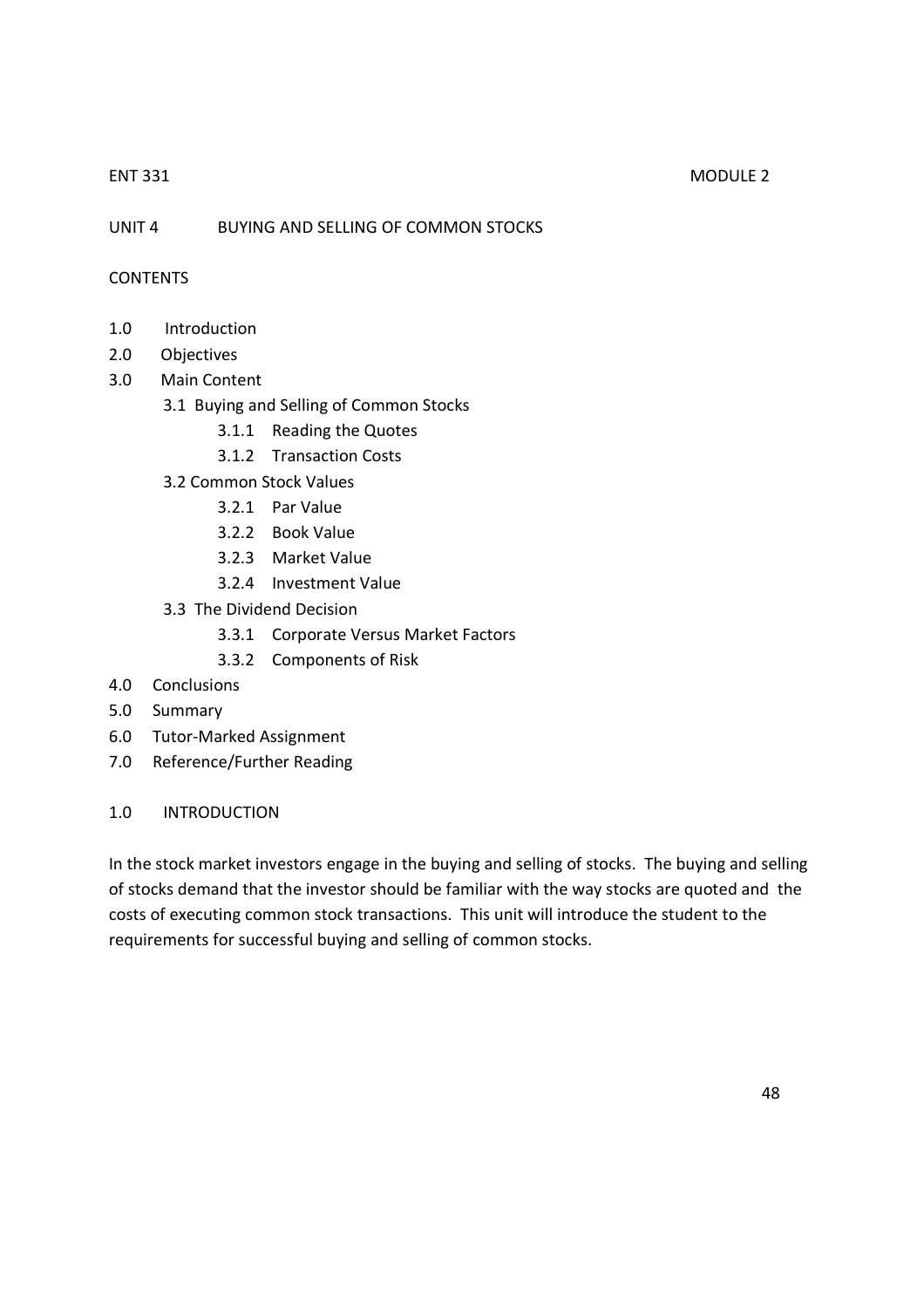UNIT 4 BUYING AND SELLING OF COMMON STOCKS

#### CONTENTS

- 1.0 Introduction
- 2.0 Objectives
- 3.0 Main Content
	- 3.1 Buying and Selling of Common Stocks
		- 3.1.1 Reading the Quotes
		- 3.1.2 Transaction Costs
	- 3.2 Common Stock Values
		- 3.2.1 Par Value
		- 3.2.2 Book Value
		- 3.2.3 Market Value
		- 3.2.4 Investment Value
	- 3.3 The Dividend Decision
		- 3.3.1 Corporate Versus Market Factors
		- 3.3.2 Components of Risk
- 4.0 Conclusions
- 5.0 Summary
- 6.0 Tutor-Marked Assignment
- 7.0 Reference/Further Reading

#### 1.0 INTRODUCTION

In the stock market investors engage in the buying and selling of stocks. The buying and selling of stocks demand that the investor should be familiar with the way stocks are quoted and the costs of executing common stock transactions. This unit will introduce the student to the requirements for successful buying and selling of common stocks.

ENT 331 MODULE 2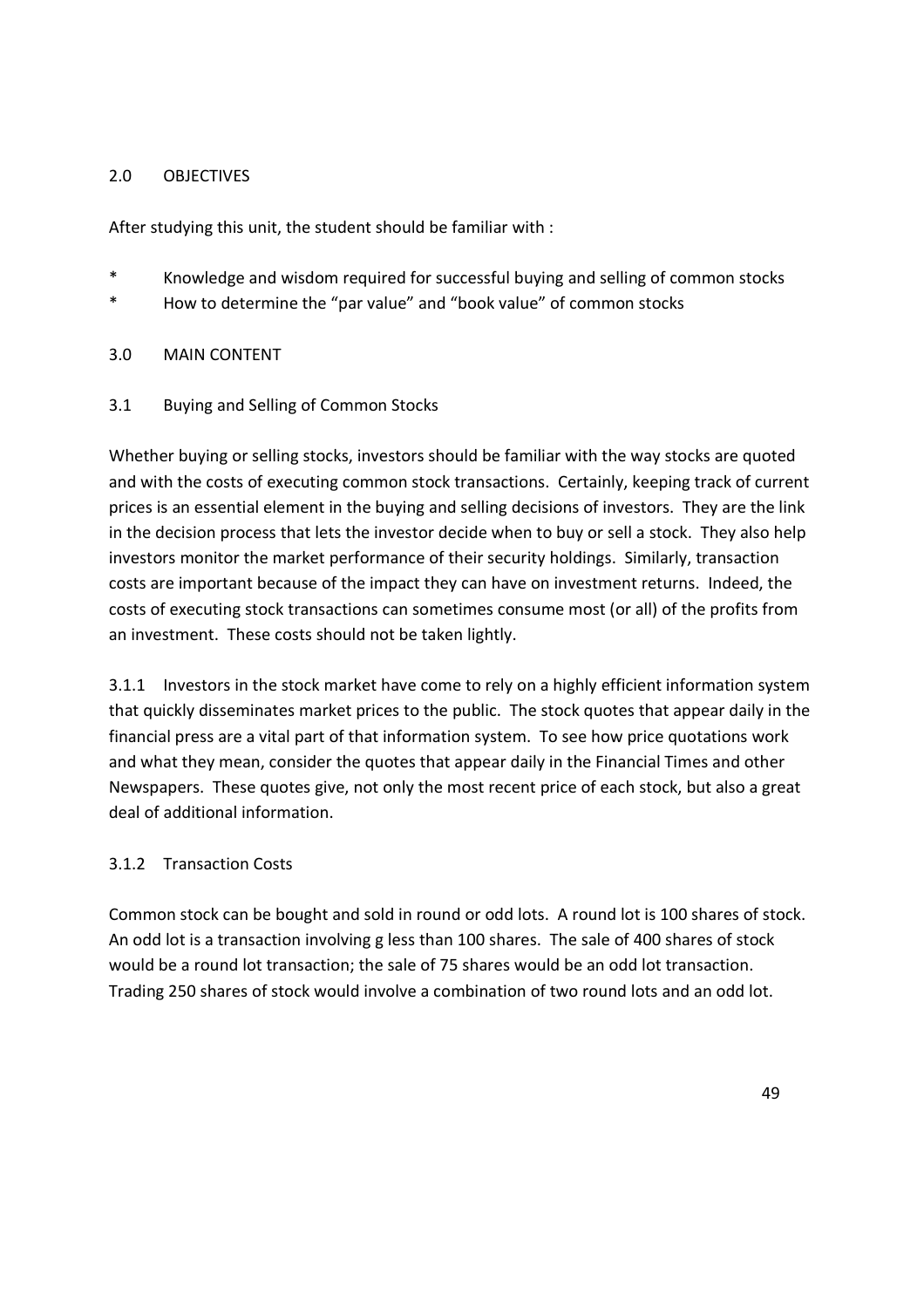## 2.0 OBJECTIVES

After studying this unit, the student should be familiar with :

- \* Knowledge and wisdom required for successful buying and selling of common stocks
- \* How to determine the "par value" and "book value" of common stocks

# 3.0 MAIN CONTENT

# 3.1 Buying and Selling of Common Stocks

Whether buying or selling stocks, investors should be familiar with the way stocks are quoted and with the costs of executing common stock transactions. Certainly, keeping track of current prices is an essential element in the buying and selling decisions of investors. They are the link in the decision process that lets the investor decide when to buy or sell a stock. They also help investors monitor the market performance of their security holdings. Similarly, transaction costs are important because of the impact they can have on investment returns. Indeed, the costs of executing stock transactions can sometimes consume most (or all) of the profits from an investment. These costs should not be taken lightly.

3.1.1 Investors in the stock market have come to rely on a highly efficient information system that quickly disseminates market prices to the public. The stock quotes that appear daily in the financial press are a vital part of that information system. To see how price quotations work and what they mean, consider the quotes that appear daily in the Financial Times and other Newspapers. These quotes give, not only the most recent price of each stock, but also a great deal of additional information.

# 3.1.2 Transaction Costs

Common stock can be bought and sold in round or odd lots. A round lot is 100 shares of stock. An odd lot is a transaction involving g less than 100 shares. The sale of 400 shares of stock would be a round lot transaction; the sale of 75 shares would be an odd lot transaction. Trading 250 shares of stock would involve a combination of two round lots and an odd lot.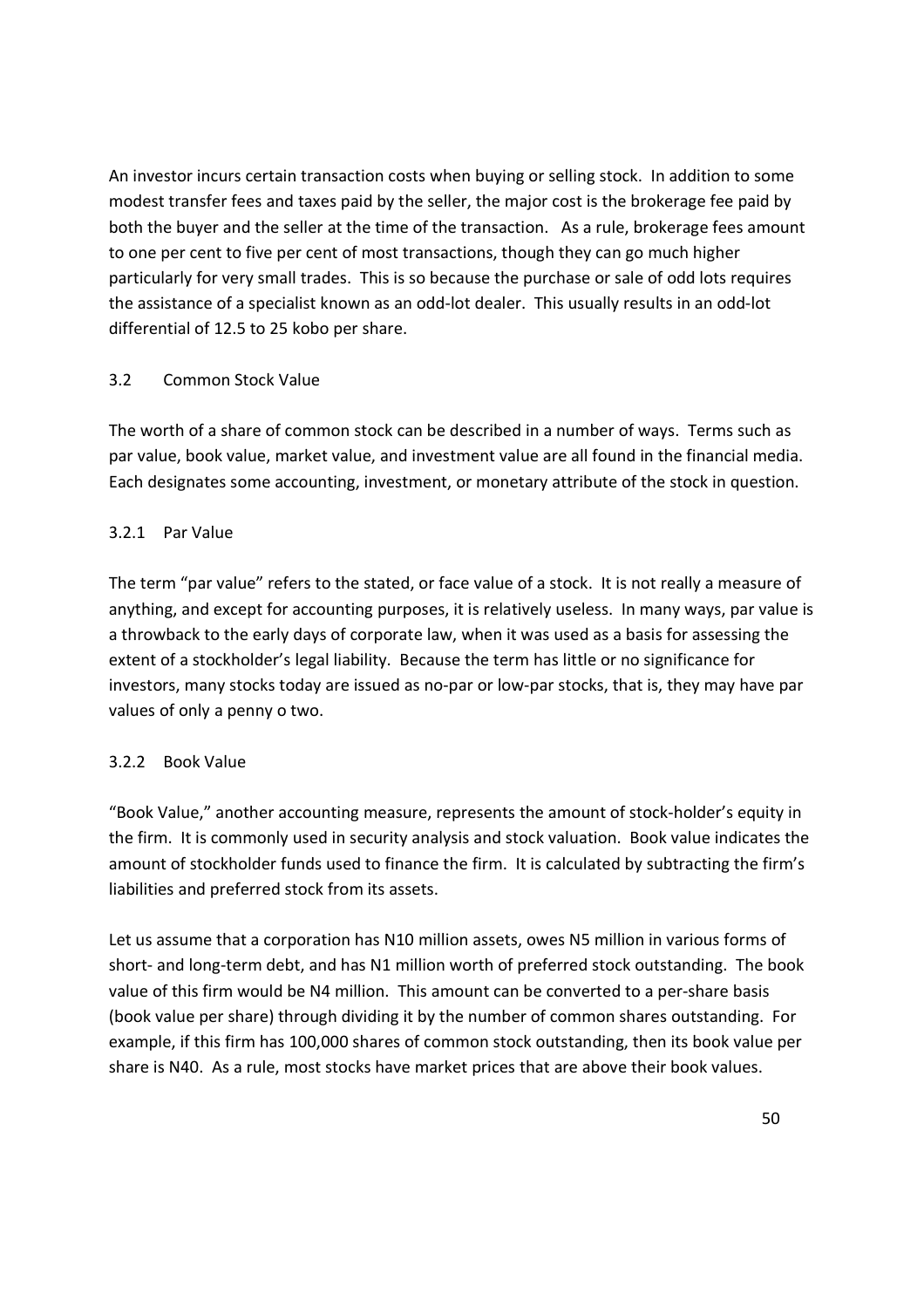An investor incurs certain transaction costs when buying or selling stock. In addition to some modest transfer fees and taxes paid by the seller, the major cost is the brokerage fee paid by both the buyer and the seller at the time of the transaction. As a rule, brokerage fees amount to one per cent to five per cent of most transactions, though they can go much higher particularly for very small trades. This is so because the purchase or sale of odd lots requires the assistance of a specialist known as an odd-lot dealer. This usually results in an odd-lot differential of 12.5 to 25 kobo per share.

# 3.2 Common Stock Value

The worth of a share of common stock can be described in a number of ways. Terms such as par value, book value, market value, and investment value are all found in the financial media. Each designates some accounting, investment, or monetary attribute of the stock in question.

# 3.2.1 Par Value

The term "par value" refers to the stated, or face value of a stock. It is not really a measure of anything, and except for accounting purposes, it is relatively useless. In many ways, par value is a throwback to the early days of corporate law, when it was used as a basis for assessing the extent of a stockholder's legal liability. Because the term has little or no significance for investors, many stocks today are issued as no-par or low-par stocks, that is, they may have par values of only a penny o two.

## 3.2.2 Book Value

"Book Value," another accounting measure, represents the amount of stock-holder's equity in the firm. It is commonly used in security analysis and stock valuation. Book value indicates the amount of stockholder funds used to finance the firm. It is calculated by subtracting the firm's liabilities and preferred stock from its assets.

Let us assume that a corporation has N10 million assets, owes N5 million in various forms of short- and long-term debt, and has N1 million worth of preferred stock outstanding. The book value of this firm would be N4 million. This amount can be converted to a per-share basis (book value per share) through dividing it by the number of common shares outstanding. For example, if this firm has 100,000 shares of common stock outstanding, then its book value per share is N40. As a rule, most stocks have market prices that are above their book values.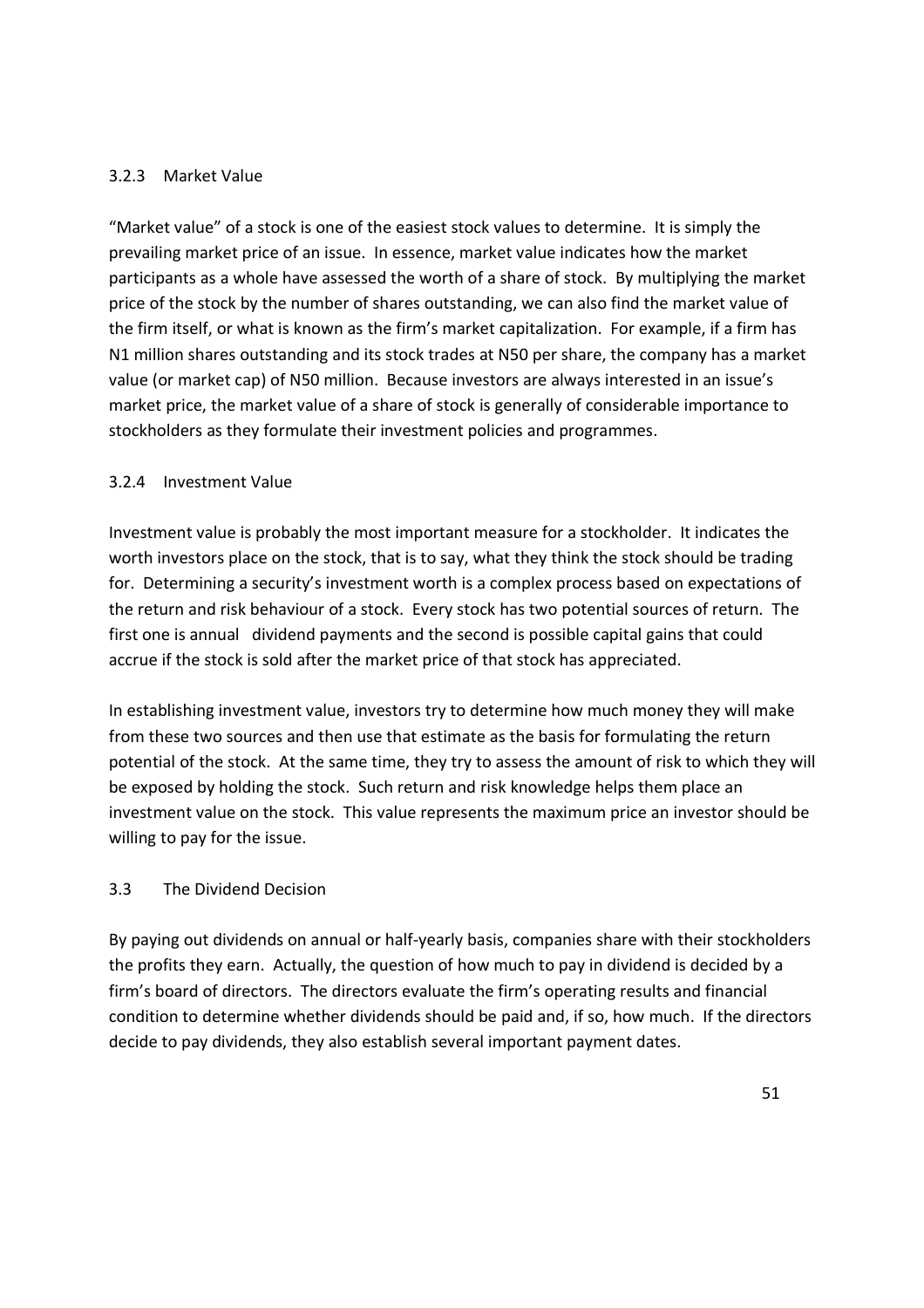# 3.2.3 Market Value

"Market value" of a stock is one of the easiest stock values to determine. It is simply the prevailing market price of an issue. In essence, market value indicates how the market participants as a whole have assessed the worth of a share of stock. By multiplying the market price of the stock by the number of shares outstanding, we can also find the market value of the firm itself, or what is known as the firm's market capitalization. For example, if a firm has N1 million shares outstanding and its stock trades at N50 per share, the company has a market value (or market cap) of N50 million. Because investors are always interested in an issue's market price, the market value of a share of stock is generally of considerable importance to stockholders as they formulate their investment policies and programmes.

## 3.2.4 Investment Value

Investment value is probably the most important measure for a stockholder. It indicates the worth investors place on the stock, that is to say, what they think the stock should be trading for. Determining a security's investment worth is a complex process based on expectations of the return and risk behaviour of a stock. Every stock has two potential sources of return. The first one is annual dividend payments and the second is possible capital gains that could accrue if the stock is sold after the market price of that stock has appreciated.

In establishing investment value, investors try to determine how much money they will make from these two sources and then use that estimate as the basis for formulating the return potential of the stock. At the same time, they try to assess the amount of risk to which they will be exposed by holding the stock. Such return and risk knowledge helps them place an investment value on the stock. This value represents the maximum price an investor should be willing to pay for the issue.

## 3.3 The Dividend Decision

By paying out dividends on annual or half-yearly basis, companies share with their stockholders the profits they earn. Actually, the question of how much to pay in dividend is decided by a firm's board of directors. The directors evaluate the firm's operating results and financial condition to determine whether dividends should be paid and, if so, how much. If the directors decide to pay dividends, they also establish several important payment dates.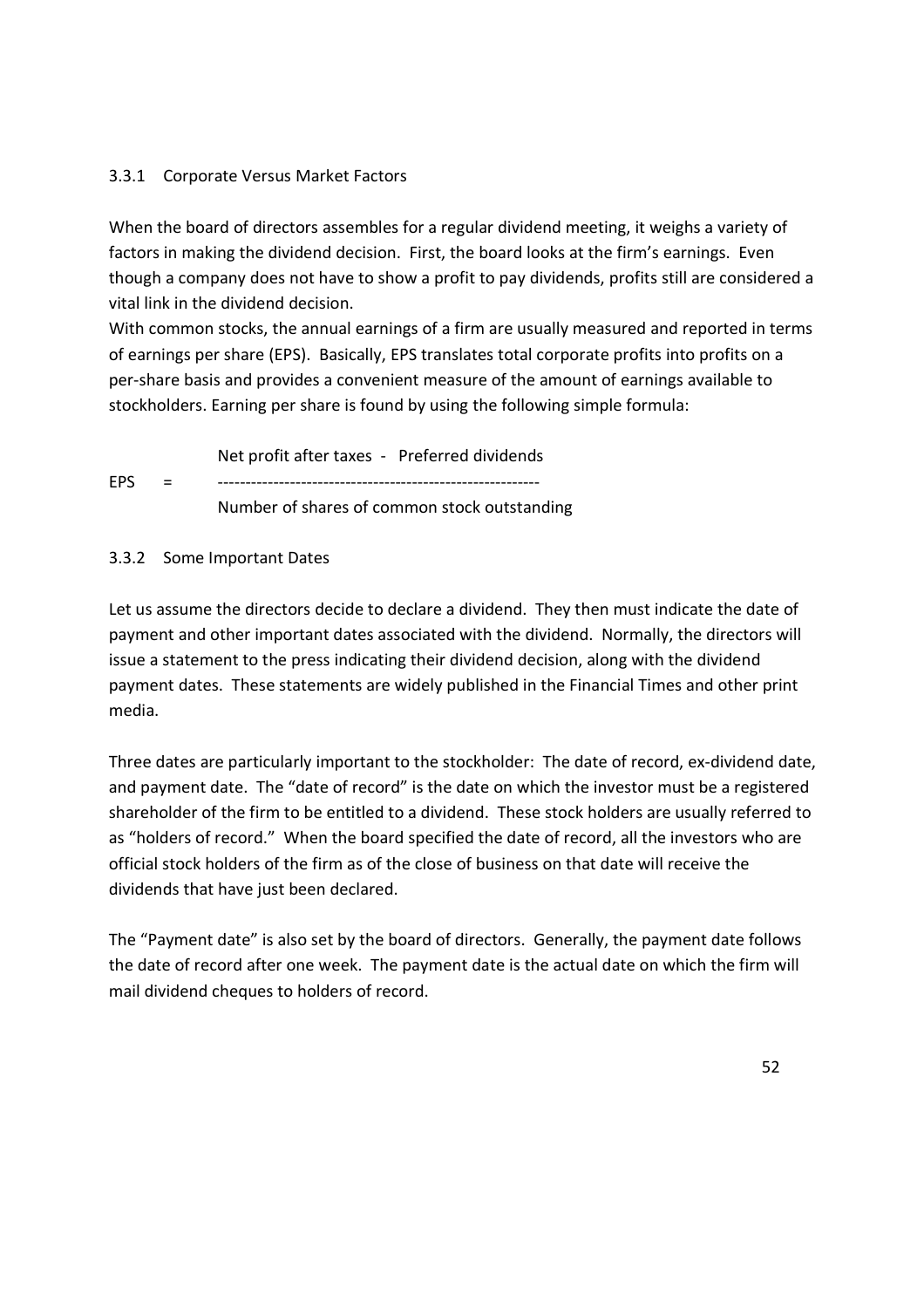# 3.3.1 Corporate Versus Market Factors

When the board of directors assembles for a regular dividend meeting, it weighs a variety of factors in making the dividend decision. First, the board looks at the firm's earnings. Even though a company does not have to show a profit to pay dividends, profits still are considered a vital link in the dividend decision.

With common stocks, the annual earnings of a firm are usually measured and reported in terms of earnings per share (EPS). Basically, EPS translates total corporate profits into profits on a per-share basis and provides a convenient measure of the amount of earnings available to stockholders. Earning per share is found by using the following simple formula:

 Net profit after taxes - Preferred dividends EPS = ---------------------------------------------------------- Number of shares of common stock outstanding

# 3.3.2 Some Important Dates

Let us assume the directors decide to declare a dividend. They then must indicate the date of payment and other important dates associated with the dividend. Normally, the directors will issue a statement to the press indicating their dividend decision, along with the dividend payment dates. These statements are widely published in the Financial Times and other print media.

Three dates are particularly important to the stockholder: The date of record, ex-dividend date, and payment date. The "date of record" is the date on which the investor must be a registered shareholder of the firm to be entitled to a dividend. These stock holders are usually referred to as "holders of record." When the board specified the date of record, all the investors who are official stock holders of the firm as of the close of business on that date will receive the dividends that have just been declared.

The "Payment date" is also set by the board of directors. Generally, the payment date follows the date of record after one week. The payment date is the actual date on which the firm will mail dividend cheques to holders of record.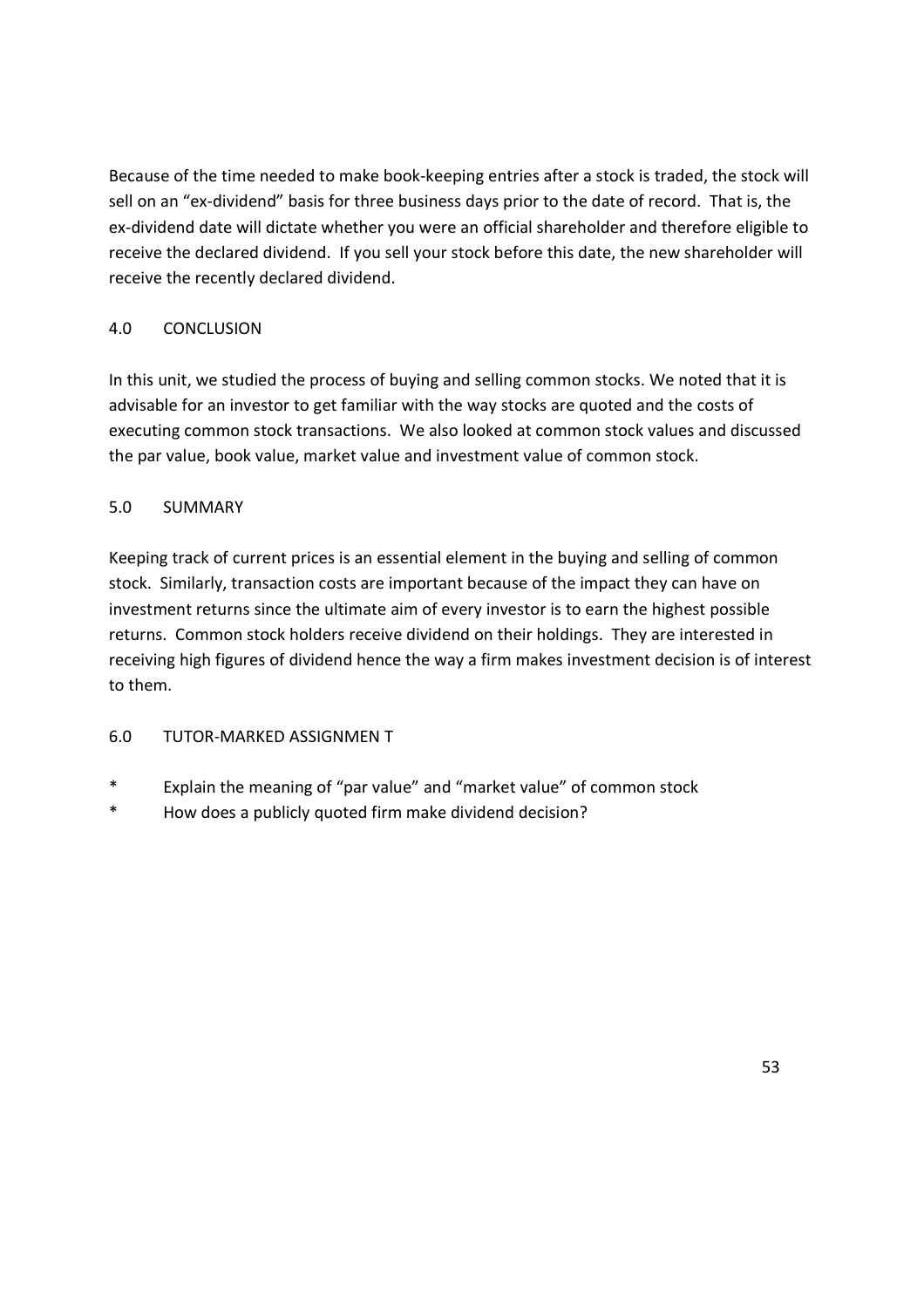Because of the time needed to make book-keeping entries after a stock is traded, the stock will sell on an "ex-dividend" basis for three business days prior to the date of record. That is, the ex-dividend date will dictate whether you were an official shareholder and therefore eligible to receive the declared dividend. If you sell your stock before this date, the new shareholder will receive the recently declared dividend.

# 4.0 CONCLUSION

In this unit, we studied the process of buying and selling common stocks. We noted that it is advisable for an investor to get familiar with the way stocks are quoted and the costs of executing common stock transactions. We also looked at common stock values and discussed the par value, book value, market value and investment value of common stock.

# 5.0 SUMMARY

Keeping track of current prices is an essential element in the buying and selling of common stock. Similarly, transaction costs are important because of the impact they can have on investment returns since the ultimate aim of every investor is to earn the highest possible returns. Common stock holders receive dividend on their holdings. They are interested in receiving high figures of dividend hence the way a firm makes investment decision is of interest to them.

# 6.0 TUTOR-MARKED ASSIGNMEN T

- \* Explain the meaning of "par value" and "market value" of common stock
- \* How does a publicly quoted firm make dividend decision?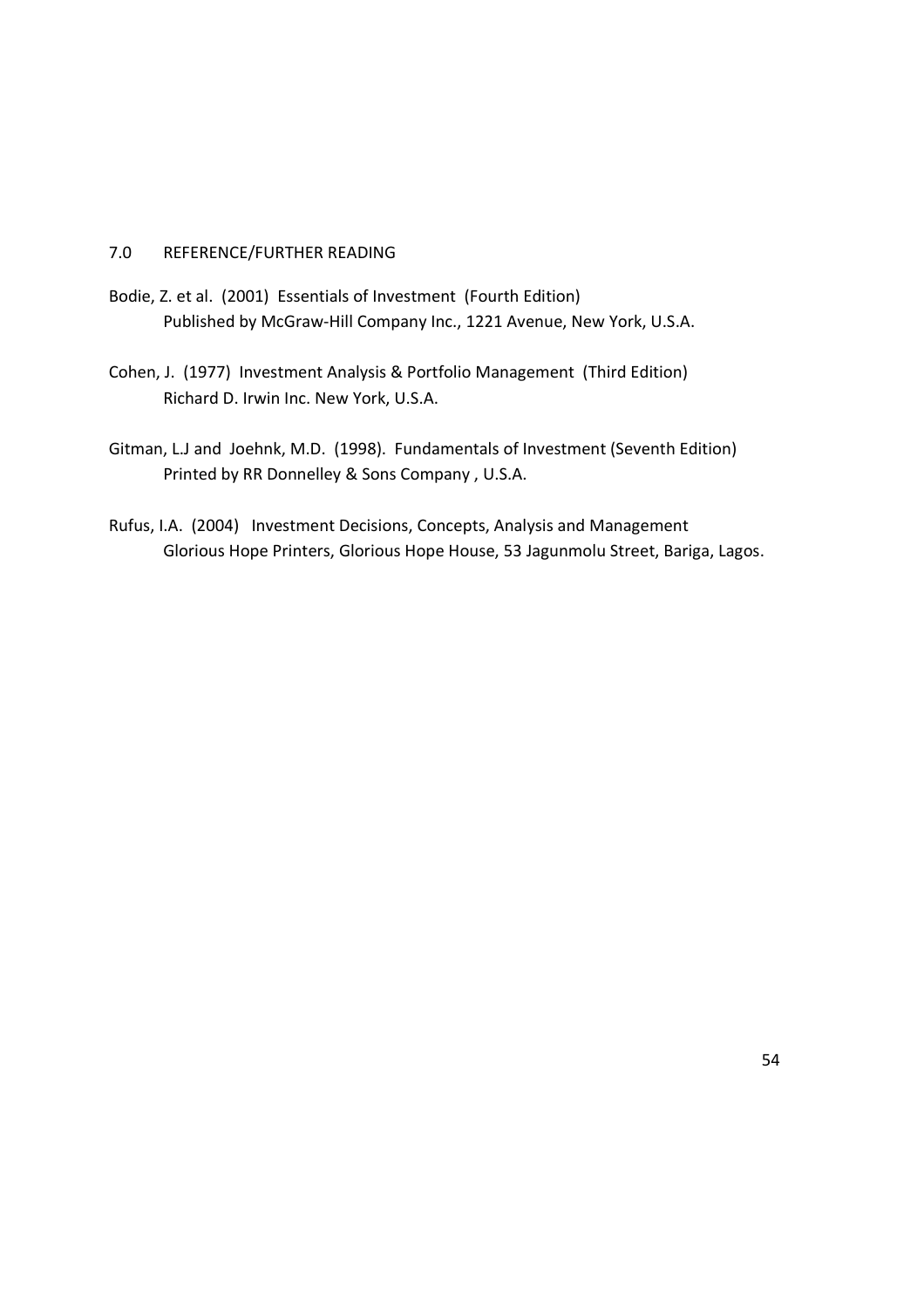# 7.0 REFERENCE/FURTHER READING

- Bodie, Z. et al. (2001) Essentials of Investment (Fourth Edition) Published by McGraw-Hill Company Inc., 1221 Avenue, New York, U.S.A.
- Cohen, J. (1977) Investment Analysis & Portfolio Management (Third Edition) Richard D. Irwin Inc. New York, U.S.A.
- Gitman, L.J and Joehnk, M.D. (1998). Fundamentals of Investment (Seventh Edition) Printed by RR Donnelley & Sons Company , U.S.A.
- Rufus, I.A. (2004) Investment Decisions, Concepts, Analysis and Management Glorious Hope Printers, Glorious Hope House, 53 Jagunmolu Street, Bariga, Lagos.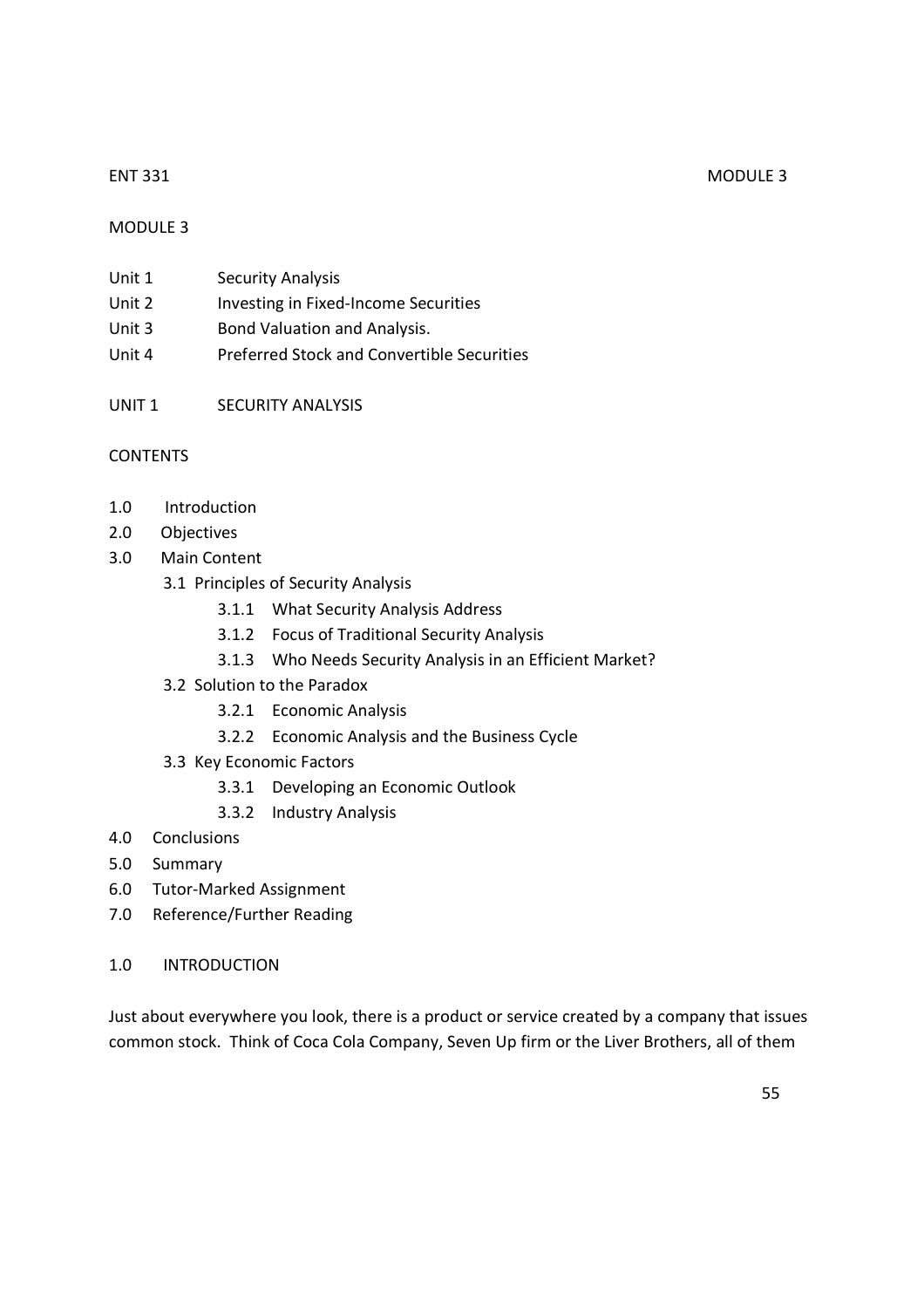#### ENT 331 MODULE 3

# MODULE 3

| Unit 1 | <b>Security Analysis</b>                   |
|--------|--------------------------------------------|
| Unit 2 | Investing in Fixed-Income Securities       |
| Unit 3 | <b>Bond Valuation and Analysis.</b>        |
| Unit 4 | Preferred Stock and Convertible Securities |

UNIT 1 SECURITY ANALYSIS

# **CONTENTS**

- 1.0 Introduction
- 2.0 Objectives
- 3.0 Main Content
	- 3.1 Principles of Security Analysis
		- 3.1.1 What Security Analysis Address
		- 3.1.2 Focus of Traditional Security Analysis
		- 3.1.3 Who Needs Security Analysis in an Efficient Market?
	- 3.2 Solution to the Paradox
		- 3.2.1 Economic Analysis
		- 3.2.2 Economic Analysis and the Business Cycle
	- 3.3 Key Economic Factors
		- 3.3.1 Developing an Economic Outlook
		- 3.3.2 Industry Analysis
- 4.0 Conclusions
- 5.0 Summary
- 6.0 Tutor-Marked Assignment
- 7.0 Reference/Further Reading
- 1.0 INTRODUCTION

Just about everywhere you look, there is a product or service created by a company that issues common stock. Think of Coca Cola Company, Seven Up firm or the Liver Brothers, all of them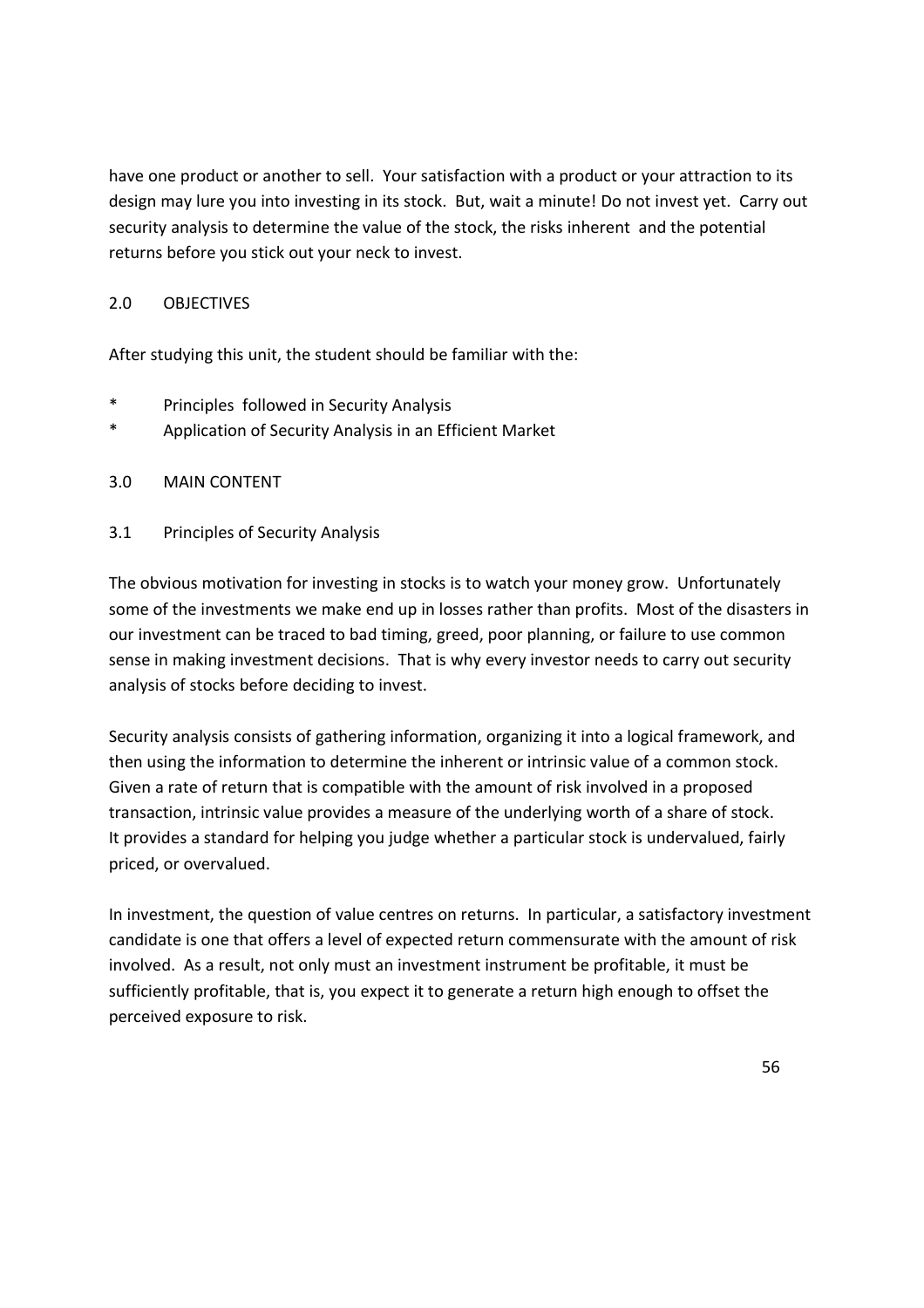have one product or another to sell. Your satisfaction with a product or your attraction to its design may lure you into investing in its stock. But, wait a minute! Do not invest yet. Carry out security analysis to determine the value of the stock, the risks inherent and the potential returns before you stick out your neck to invest.

# 2.0 OBJECTIVES

After studying this unit, the student should be familiar with the:

- \* Principles followed in Security Analysis
- \* Application of Security Analysis in an Efficient Market

## 3.0 MAIN CONTENT

3.1 Principles of Security Analysis

The obvious motivation for investing in stocks is to watch your money grow. Unfortunately some of the investments we make end up in losses rather than profits. Most of the disasters in our investment can be traced to bad timing, greed, poor planning, or failure to use common sense in making investment decisions. That is why every investor needs to carry out security analysis of stocks before deciding to invest.

Security analysis consists of gathering information, organizing it into a logical framework, and then using the information to determine the inherent or intrinsic value of a common stock. Given a rate of return that is compatible with the amount of risk involved in a proposed transaction, intrinsic value provides a measure of the underlying worth of a share of stock. It provides a standard for helping you judge whether a particular stock is undervalued, fairly priced, or overvalued.

In investment, the question of value centres on returns. In particular, a satisfactory investment candidate is one that offers a level of expected return commensurate with the amount of risk involved. As a result, not only must an investment instrument be profitable, it must be sufficiently profitable, that is, you expect it to generate a return high enough to offset the perceived exposure to risk.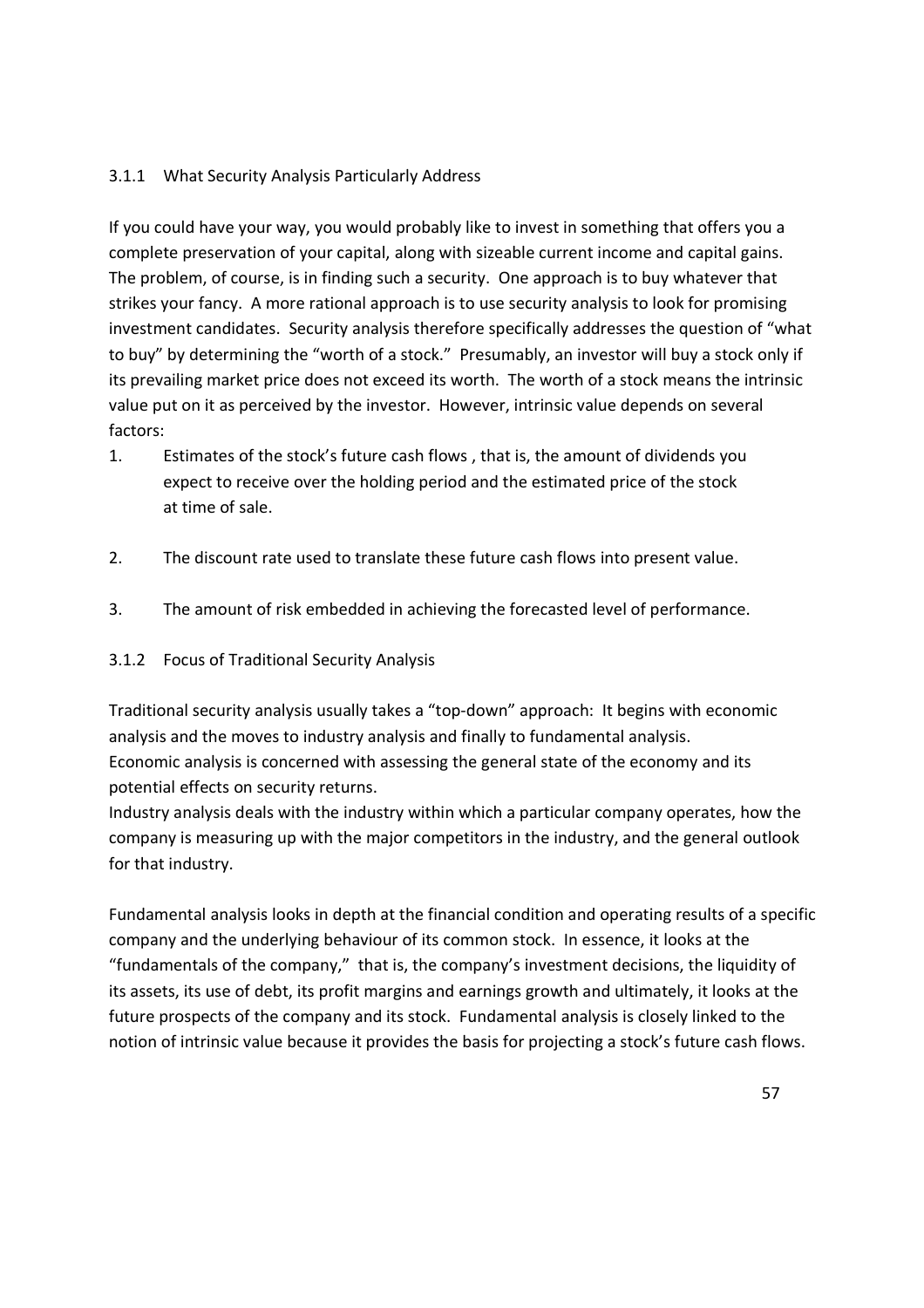# 3.1.1 What Security Analysis Particularly Address

If you could have your way, you would probably like to invest in something that offers you a complete preservation of your capital, along with sizeable current income and capital gains. The problem, of course, is in finding such a security. One approach is to buy whatever that strikes your fancy. A more rational approach is to use security analysis to look for promising investment candidates. Security analysis therefore specifically addresses the question of "what to buy" by determining the "worth of a stock." Presumably, an investor will buy a stock only if its prevailing market price does not exceed its worth. The worth of a stock means the intrinsic value put on it as perceived by the investor. However, intrinsic value depends on several factors:

- 1. Estimates of the stock's future cash flows , that is, the amount of dividends you expect to receive over the holding period and the estimated price of the stock at time of sale.
- 2. The discount rate used to translate these future cash flows into present value.
- 3. The amount of risk embedded in achieving the forecasted level of performance.

# 3.1.2 Focus of Traditional Security Analysis

Traditional security analysis usually takes a "top-down" approach: It begins with economic analysis and the moves to industry analysis and finally to fundamental analysis. Economic analysis is concerned with assessing the general state of the economy and its potential effects on security returns.

Industry analysis deals with the industry within which a particular company operates, how the company is measuring up with the major competitors in the industry, and the general outlook for that industry.

Fundamental analysis looks in depth at the financial condition and operating results of a specific company and the underlying behaviour of its common stock. In essence, it looks at the "fundamentals of the company," that is, the company's investment decisions, the liquidity of its assets, its use of debt, its profit margins and earnings growth and ultimately, it looks at the future prospects of the company and its stock. Fundamental analysis is closely linked to the notion of intrinsic value because it provides the basis for projecting a stock's future cash flows.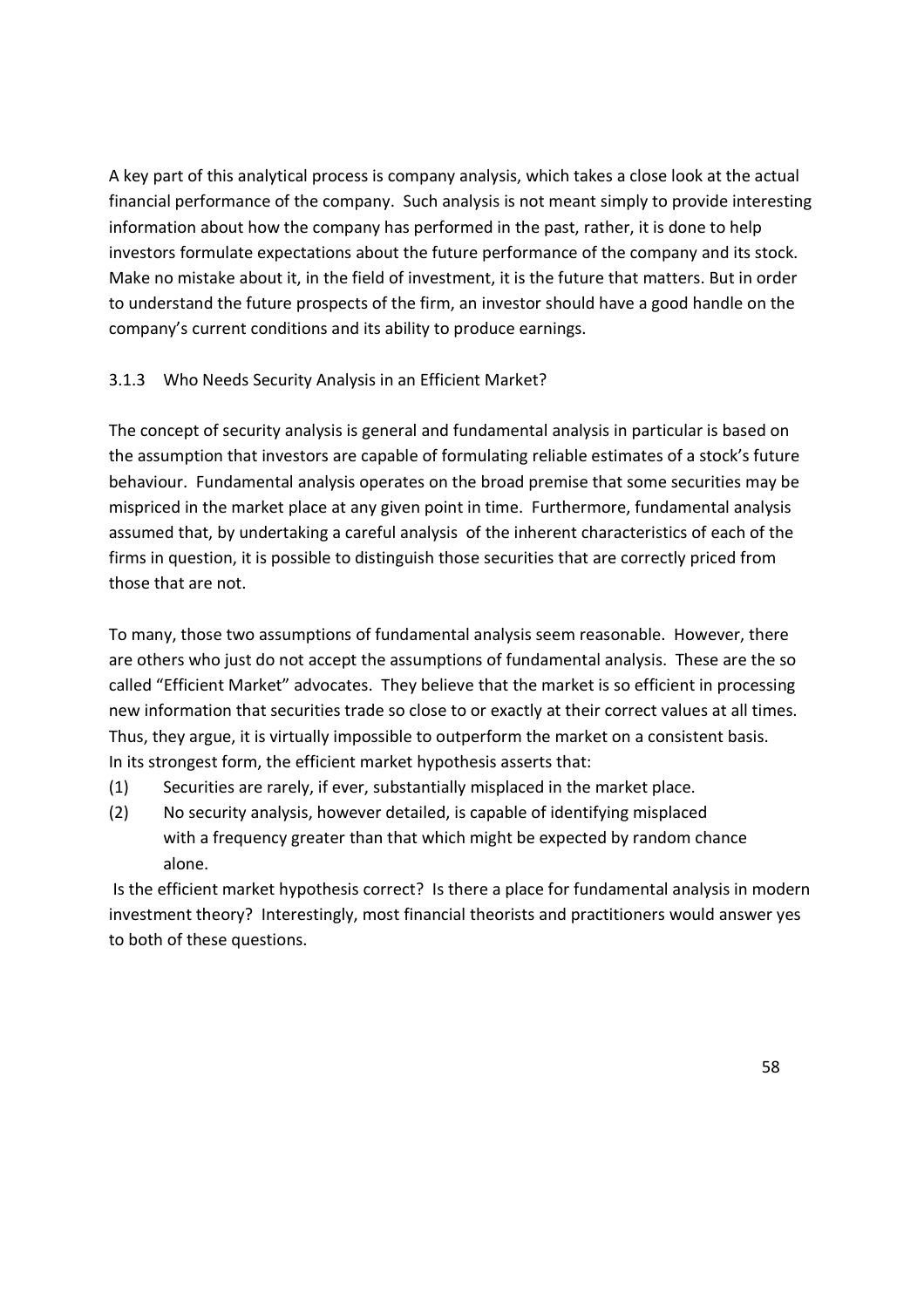A key part of this analytical process is company analysis, which takes a close look at the actual financial performance of the company. Such analysis is not meant simply to provide interesting information about how the company has performed in the past, rather, it is done to help investors formulate expectations about the future performance of the company and its stock. Make no mistake about it, in the field of investment, it is the future that matters. But in order to understand the future prospects of the firm, an investor should have a good handle on the company's current conditions and its ability to produce earnings.

# 3.1.3 Who Needs Security Analysis in an Efficient Market?

The concept of security analysis is general and fundamental analysis in particular is based on the assumption that investors are capable of formulating reliable estimates of a stock's future behaviour. Fundamental analysis operates on the broad premise that some securities may be mispriced in the market place at any given point in time. Furthermore, fundamental analysis assumed that, by undertaking a careful analysis of the inherent characteristics of each of the firms in question, it is possible to distinguish those securities that are correctly priced from those that are not.

To many, those two assumptions of fundamental analysis seem reasonable. However, there are others who just do not accept the assumptions of fundamental analysis. These are the so called "Efficient Market" advocates. They believe that the market is so efficient in processing new information that securities trade so close to or exactly at their correct values at all times. Thus, they argue, it is virtually impossible to outperform the market on a consistent basis. In its strongest form, the efficient market hypothesis asserts that:

- (1) Securities are rarely, if ever, substantially misplaced in the market place.
- (2) No security analysis, however detailed, is capable of identifying misplaced with a frequency greater than that which might be expected by random chance alone.

 Is the efficient market hypothesis correct? Is there a place for fundamental analysis in modern investment theory? Interestingly, most financial theorists and practitioners would answer yes to both of these questions.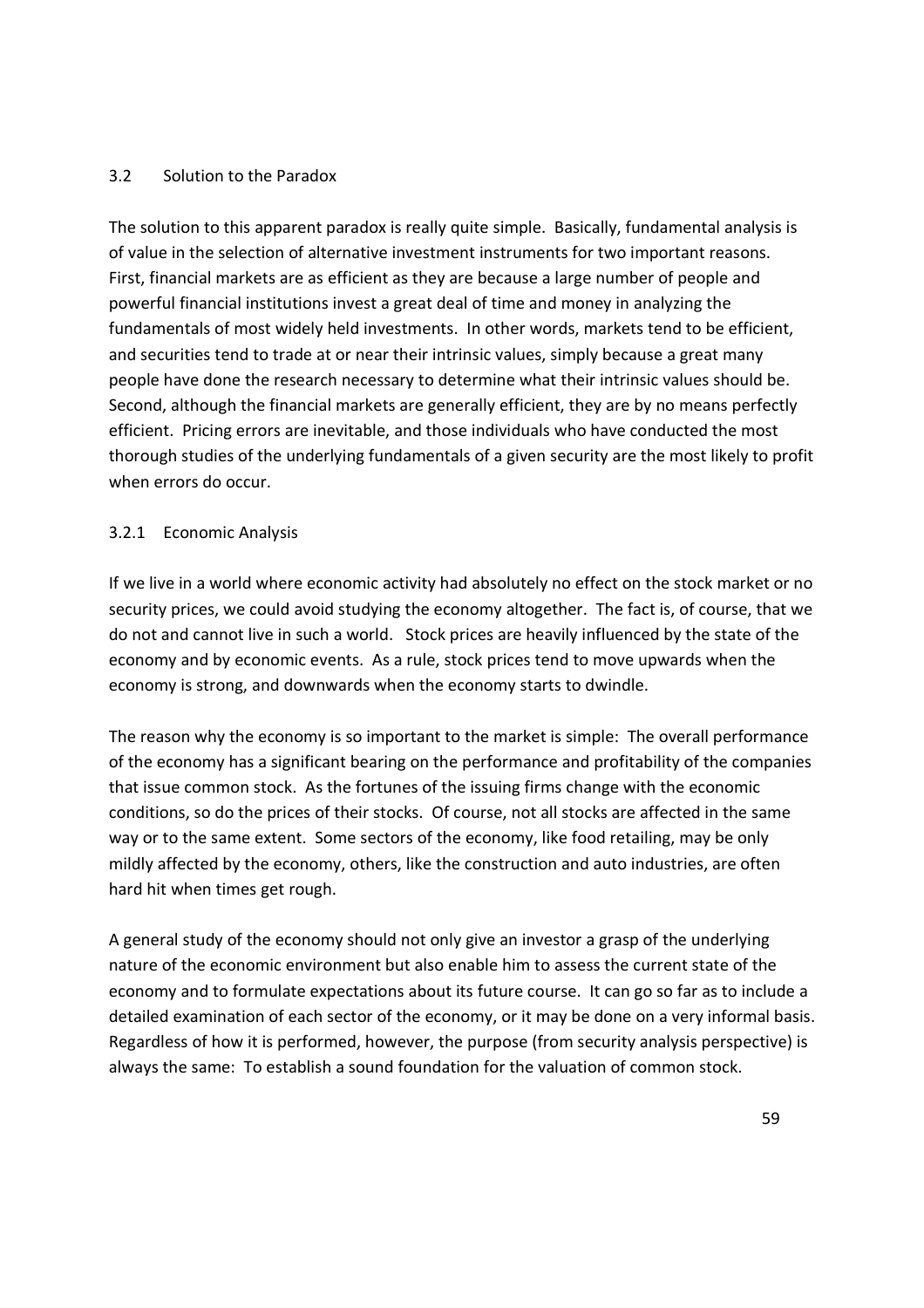## 3.2 Solution to the Paradox

The solution to this apparent paradox is really quite simple. Basically, fundamental analysis is of value in the selection of alternative investment instruments for two important reasons. First, financial markets are as efficient as they are because a large number of people and powerful financial institutions invest a great deal of time and money in analyzing the fundamentals of most widely held investments. In other words, markets tend to be efficient, and securities tend to trade at or near their intrinsic values, simply because a great many people have done the research necessary to determine what their intrinsic values should be. Second, although the financial markets are generally efficient, they are by no means perfectly efficient. Pricing errors are inevitable, and those individuals who have conducted the most thorough studies of the underlying fundamentals of a given security are the most likely to profit when errors do occur.

# 3.2.1 Economic Analysis

If we live in a world where economic activity had absolutely no effect on the stock market or no security prices, we could avoid studying the economy altogether. The fact is, of course, that we do not and cannot live in such a world. Stock prices are heavily influenced by the state of the economy and by economic events. As a rule, stock prices tend to move upwards when the economy is strong, and downwards when the economy starts to dwindle.

The reason why the economy is so important to the market is simple: The overall performance of the economy has a significant bearing on the performance and profitability of the companies that issue common stock. As the fortunes of the issuing firms change with the economic conditions, so do the prices of their stocks. Of course, not all stocks are affected in the same way or to the same extent. Some sectors of the economy, like food retailing, may be only mildly affected by the economy, others, like the construction and auto industries, are often hard hit when times get rough.

A general study of the economy should not only give an investor a grasp of the underlying nature of the economic environment but also enable him to assess the current state of the economy and to formulate expectations about its future course. It can go so far as to include a detailed examination of each sector of the economy, or it may be done on a very informal basis. Regardless of how it is performed, however, the purpose (from security analysis perspective) is always the same: To establish a sound foundation for the valuation of common stock.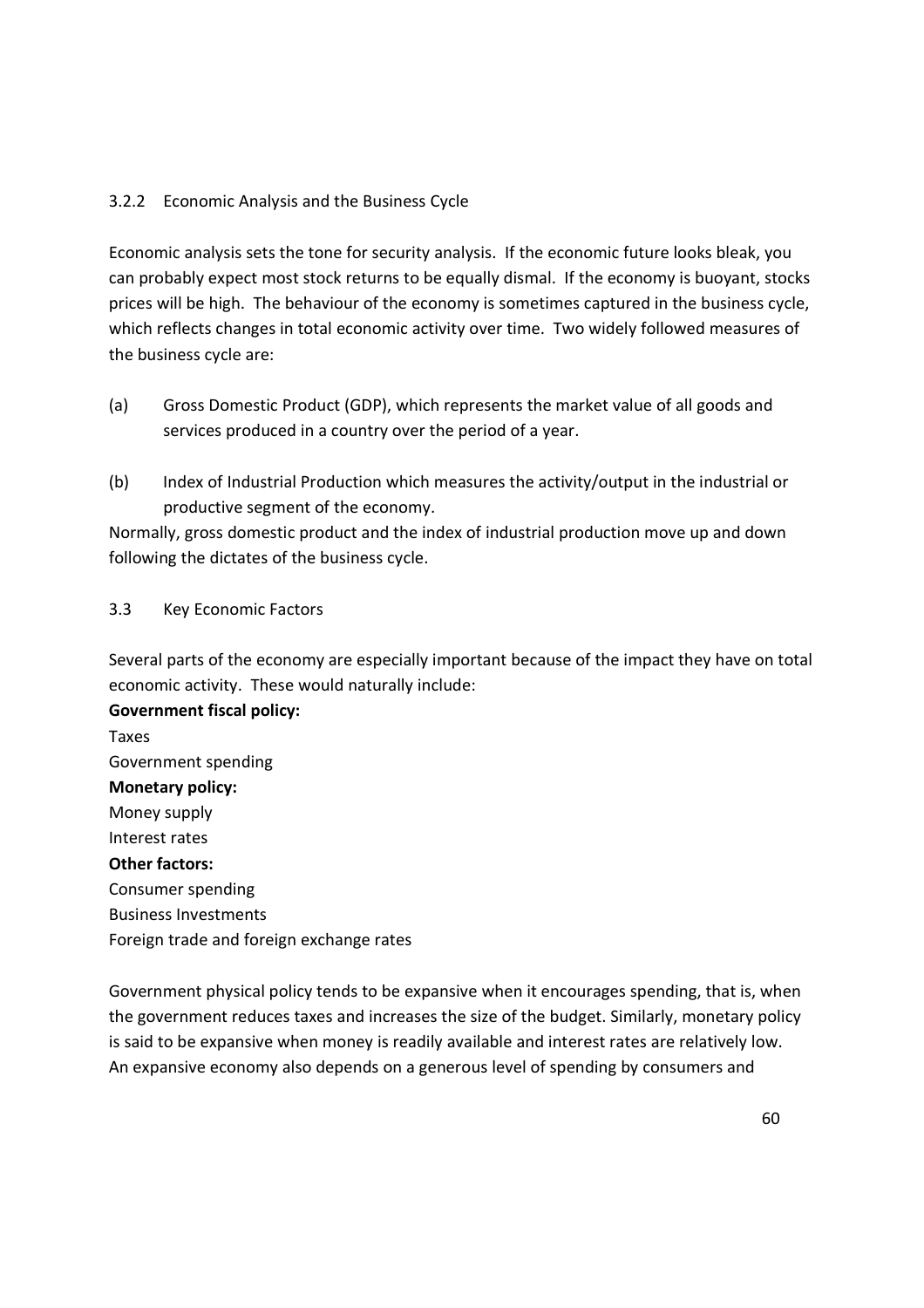# 3.2.2 Economic Analysis and the Business Cycle

Economic analysis sets the tone for security analysis. If the economic future looks bleak, you can probably expect most stock returns to be equally dismal. If the economy is buoyant, stocks prices will be high. The behaviour of the economy is sometimes captured in the business cycle, which reflects changes in total economic activity over time. Two widely followed measures of the business cycle are:

- (a) Gross Domestic Product (GDP), which represents the market value of all goods and services produced in a country over the period of a year.
- (b) Index of Industrial Production which measures the activity/output in the industrial or productive segment of the economy.

Normally, gross domestic product and the index of industrial production move up and down following the dictates of the business cycle.

## 3.3 Key Economic Factors

Several parts of the economy are especially important because of the impact they have on total economic activity. These would naturally include:

**Government fiscal policy:**  Taxes Government spending **Monetary policy:**  Money supply Interest rates **Other factors:**  Consumer spending Business Investments Foreign trade and foreign exchange rates

Government physical policy tends to be expansive when it encourages spending, that is, when the government reduces taxes and increases the size of the budget. Similarly, monetary policy is said to be expansive when money is readily available and interest rates are relatively low. An expansive economy also depends on a generous level of spending by consumers and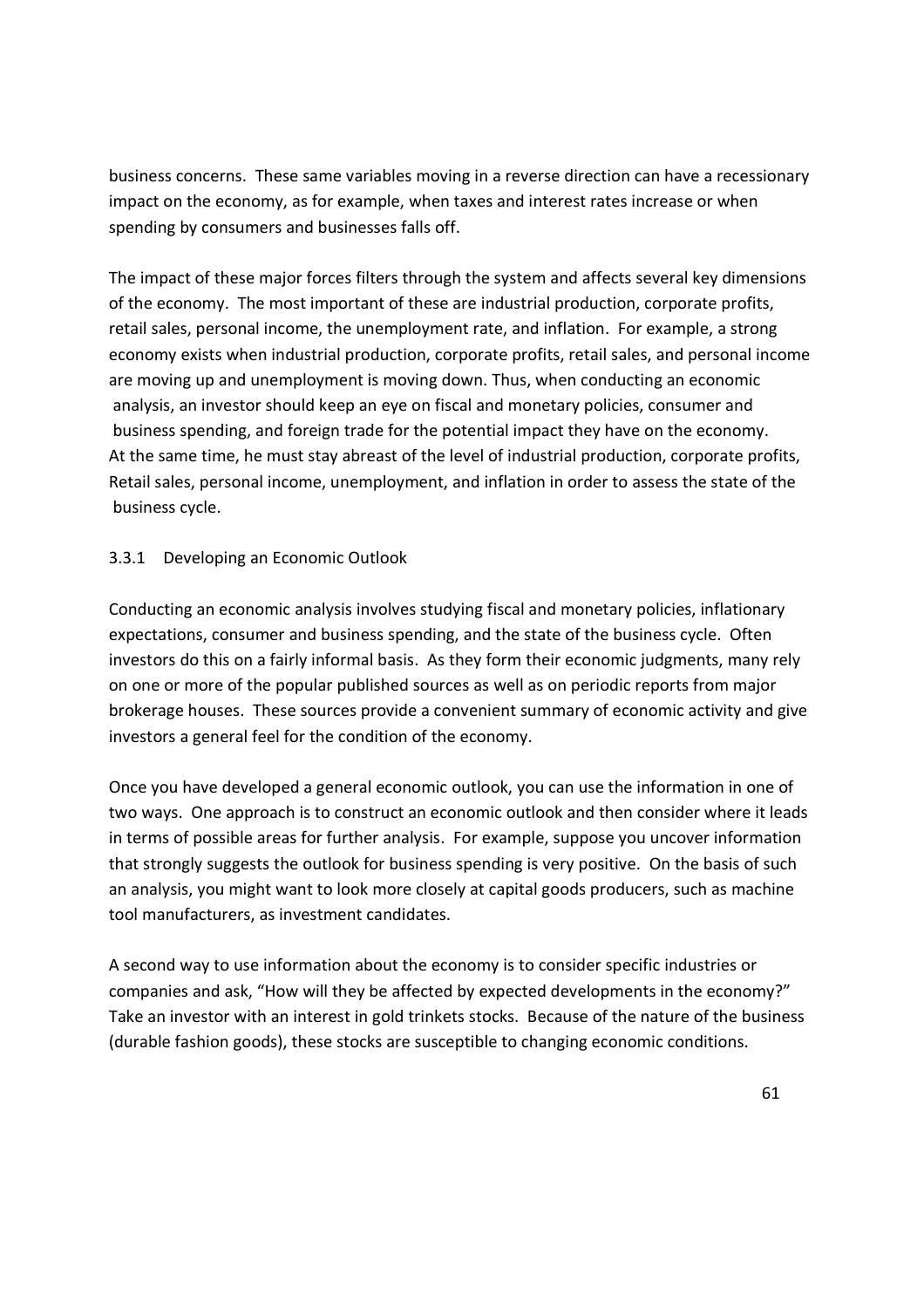business concerns. These same variables moving in a reverse direction can have a recessionary impact on the economy, as for example, when taxes and interest rates increase or when spending by consumers and businesses falls off.

The impact of these major forces filters through the system and affects several key dimensions of the economy. The most important of these are industrial production, corporate profits, retail sales, personal income, the unemployment rate, and inflation. For example, a strong economy exists when industrial production, corporate profits, retail sales, and personal income are moving up and unemployment is moving down. Thus, when conducting an economic analysis, an investor should keep an eye on fiscal and monetary policies, consumer and business spending, and foreign trade for the potential impact they have on the economy. At the same time, he must stay abreast of the level of industrial production, corporate profits, Retail sales, personal income, unemployment, and inflation in order to assess the state of the business cycle.

# 3.3.1 Developing an Economic Outlook

Conducting an economic analysis involves studying fiscal and monetary policies, inflationary expectations, consumer and business spending, and the state of the business cycle. Often investors do this on a fairly informal basis. As they form their economic judgments, many rely on one or more of the popular published sources as well as on periodic reports from major brokerage houses. These sources provide a convenient summary of economic activity and give investors a general feel for the condition of the economy.

Once you have developed a general economic outlook, you can use the information in one of two ways. One approach is to construct an economic outlook and then consider where it leads in terms of possible areas for further analysis. For example, suppose you uncover information that strongly suggests the outlook for business spending is very positive. On the basis of such an analysis, you might want to look more closely at capital goods producers, such as machine tool manufacturers, as investment candidates.

A second way to use information about the economy is to consider specific industries or companies and ask, "How will they be affected by expected developments in the economy?" Take an investor with an interest in gold trinkets stocks. Because of the nature of the business (durable fashion goods), these stocks are susceptible to changing economic conditions.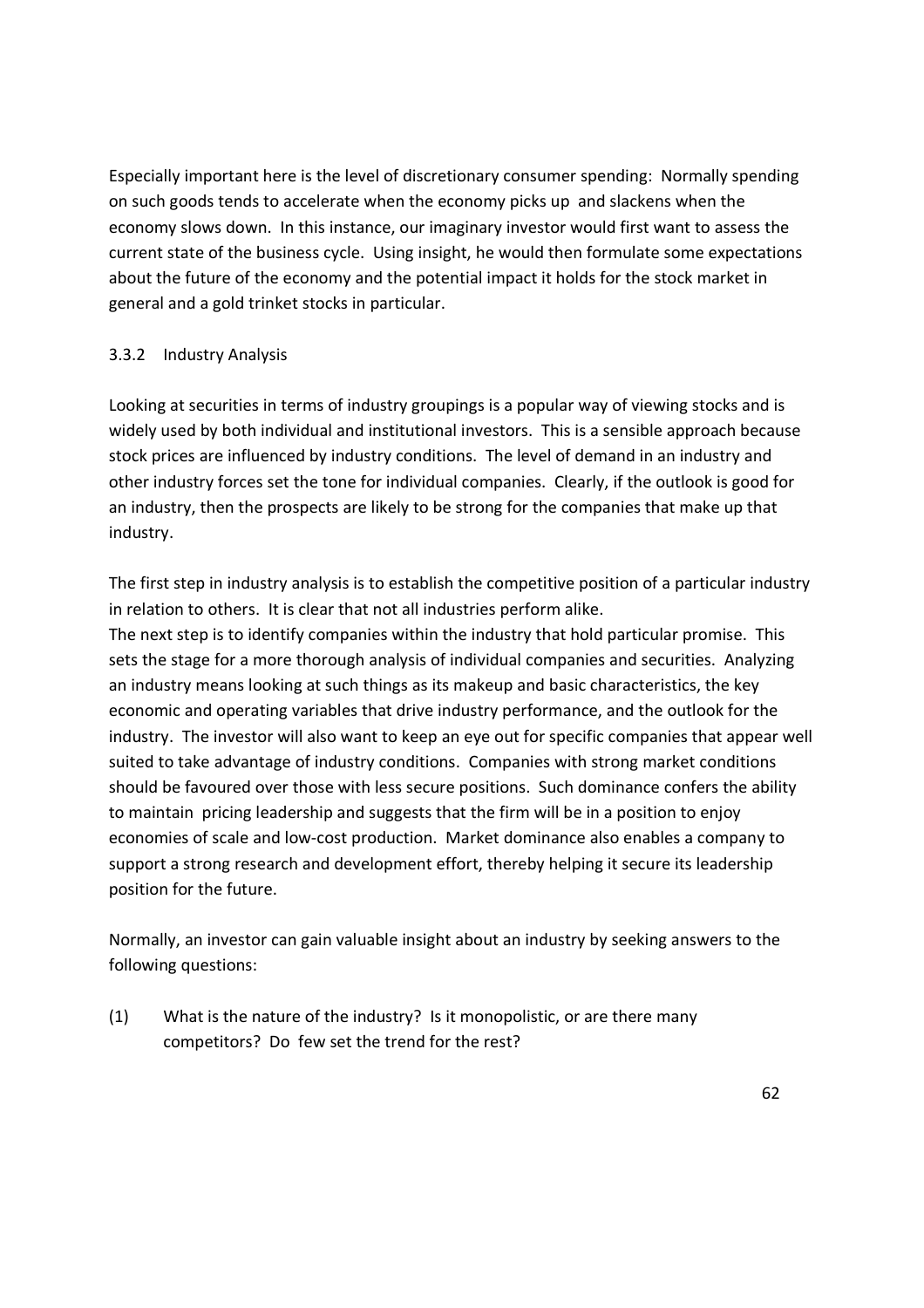Especially important here is the level of discretionary consumer spending: Normally spending on such goods tends to accelerate when the economy picks up and slackens when the economy slows down. In this instance, our imaginary investor would first want to assess the current state of the business cycle. Using insight, he would then formulate some expectations about the future of the economy and the potential impact it holds for the stock market in general and a gold trinket stocks in particular.

# 3.3.2 Industry Analysis

Looking at securities in terms of industry groupings is a popular way of viewing stocks and is widely used by both individual and institutional investors. This is a sensible approach because stock prices are influenced by industry conditions. The level of demand in an industry and other industry forces set the tone for individual companies. Clearly, if the outlook is good for an industry, then the prospects are likely to be strong for the companies that make up that industry.

The first step in industry analysis is to establish the competitive position of a particular industry in relation to others. It is clear that not all industries perform alike.

The next step is to identify companies within the industry that hold particular promise. This sets the stage for a more thorough analysis of individual companies and securities. Analyzing an industry means looking at such things as its makeup and basic characteristics, the key economic and operating variables that drive industry performance, and the outlook for the industry. The investor will also want to keep an eye out for specific companies that appear well suited to take advantage of industry conditions. Companies with strong market conditions should be favoured over those with less secure positions. Such dominance confers the ability to maintain pricing leadership and suggests that the firm will be in a position to enjoy economies of scale and low-cost production. Market dominance also enables a company to support a strong research and development effort, thereby helping it secure its leadership position for the future.

Normally, an investor can gain valuable insight about an industry by seeking answers to the following questions:

(1) What is the nature of the industry? Is it monopolistic, or are there many competitors? Do few set the trend for the rest?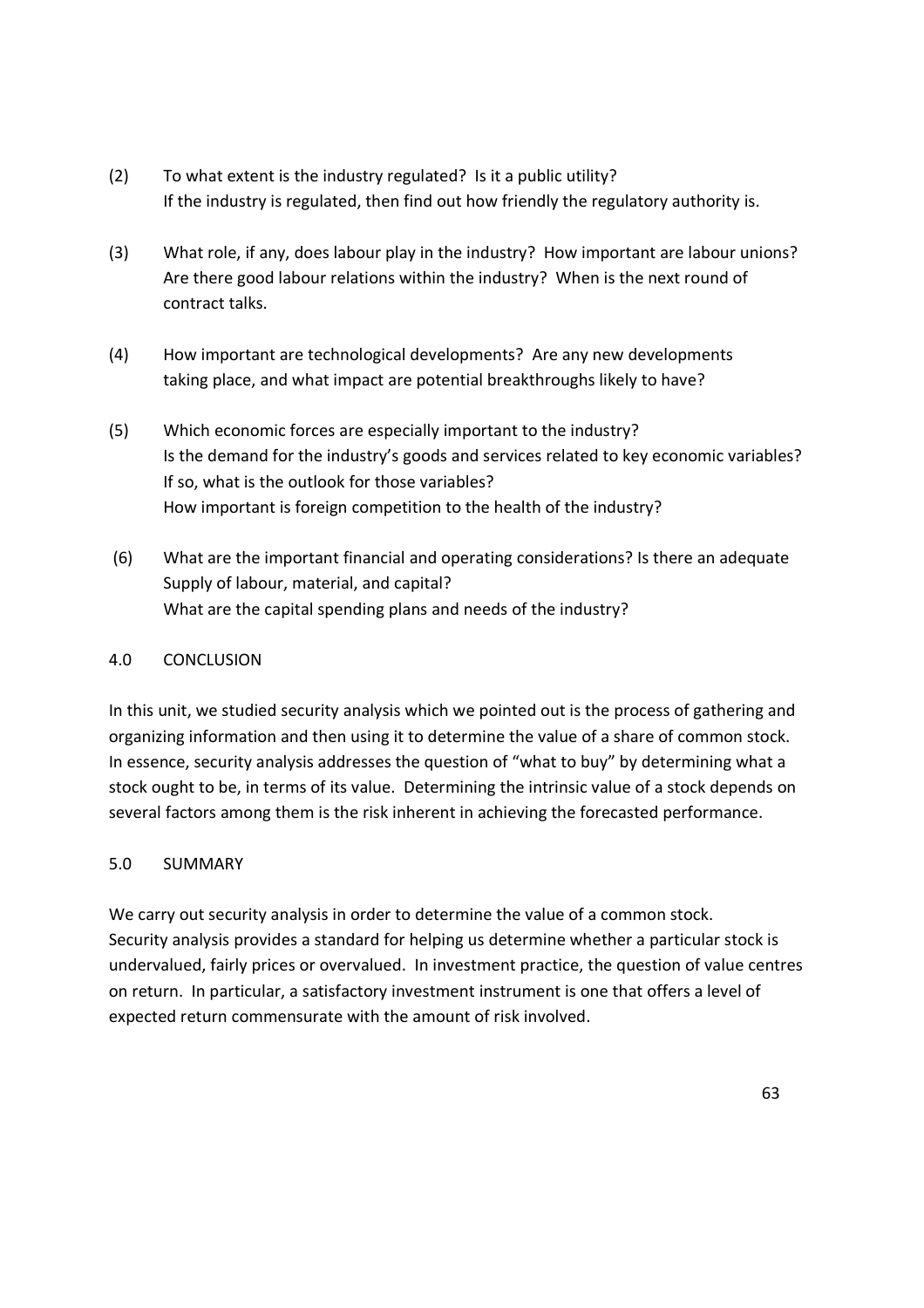- (2) To what extent is the industry regulated? Is it a public utility? If the industry is regulated, then find out how friendly the regulatory authority is.
- (3) What role, if any, does labour play in the industry? How important are labour unions? Are there good labour relations within the industry? When is the next round of contract talks.
- (4) How important are technological developments? Are any new developments taking place, and what impact are potential breakthroughs likely to have?
- (5) Which economic forces are especially important to the industry? Is the demand for the industry's goods and services related to key economic variables? If so, what is the outlook for those variables? How important is foreign competition to the health of the industry?
- (6) What are the important financial and operating considerations? Is there an adequate Supply of labour, material, and capital? What are the capital spending plans and needs of the industry?

## 4.0 CONCLUSION

In this unit, we studied security analysis which we pointed out is the process of gathering and organizing information and then using it to determine the value of a share of common stock. In essence, security analysis addresses the question of "what to buy" by determining what a stock ought to be, in terms of its value. Determining the intrinsic value of a stock depends on several factors among them is the risk inherent in achieving the forecasted performance.

# 5.0 SUMMARY

We carry out security analysis in order to determine the value of a common stock. Security analysis provides a standard for helping us determine whether a particular stock is undervalued, fairly prices or overvalued. In investment practice, the question of value centres on return. In particular, a satisfactory investment instrument is one that offers a level of expected return commensurate with the amount of risk involved.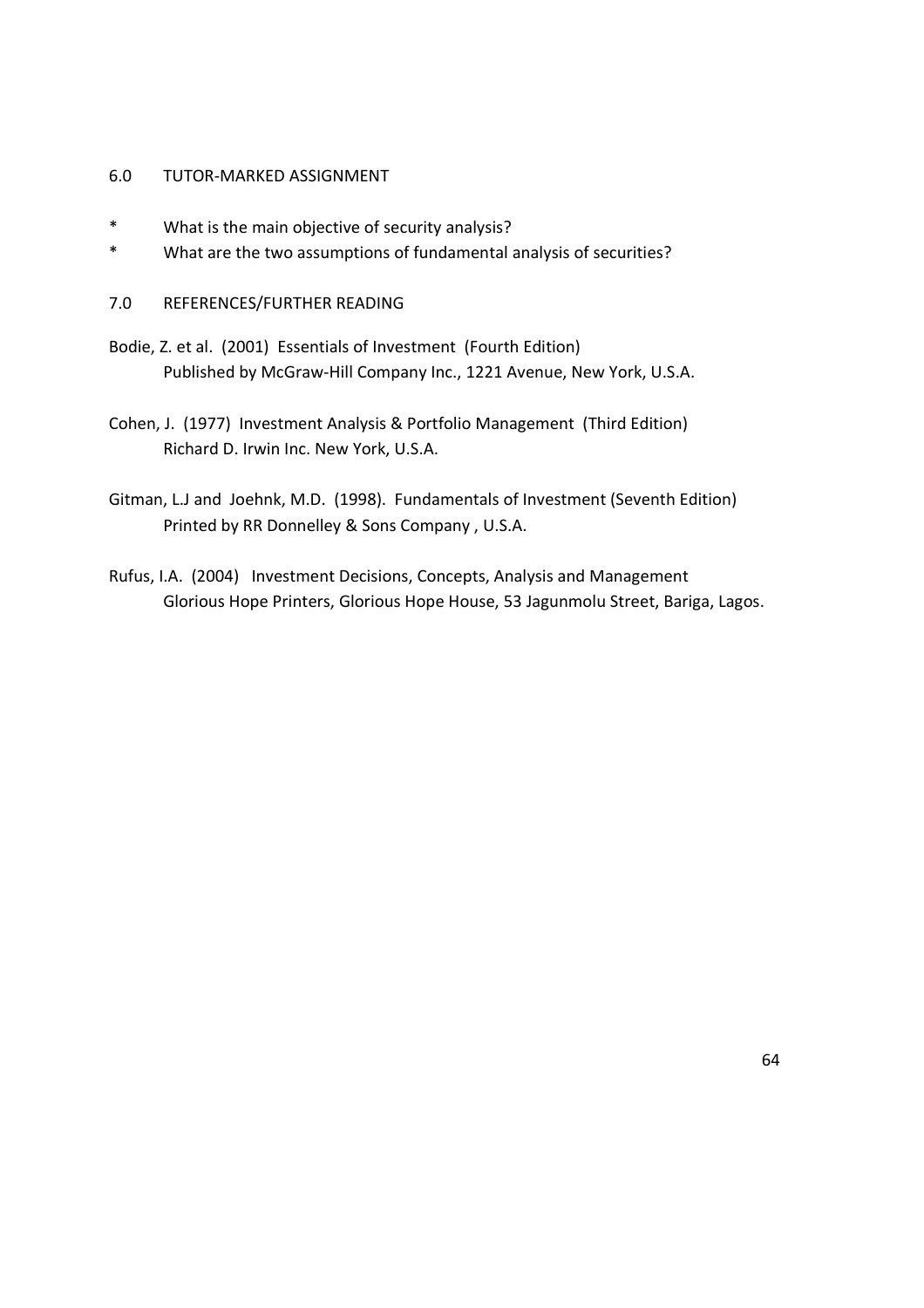#### 6.0 TUTOR-MARKED ASSIGNMENT

- \* What is the main objective of security analysis?
- \* What are the two assumptions of fundamental analysis of securities?

#### 7.0 REFERENCES/FURTHER READING

- Bodie, Z. et al. (2001) Essentials of Investment (Fourth Edition) Published by McGraw-Hill Company Inc., 1221 Avenue, New York, U.S.A.
- Cohen, J. (1977) Investment Analysis & Portfolio Management (Third Edition) Richard D. Irwin Inc. New York, U.S.A.
- Gitman, L.J and Joehnk, M.D. (1998). Fundamentals of Investment (Seventh Edition) Printed by RR Donnelley & Sons Company , U.S.A.
- Rufus, I.A. (2004) Investment Decisions, Concepts, Analysis and Management Glorious Hope Printers, Glorious Hope House, 53 Jagunmolu Street, Bariga, Lagos.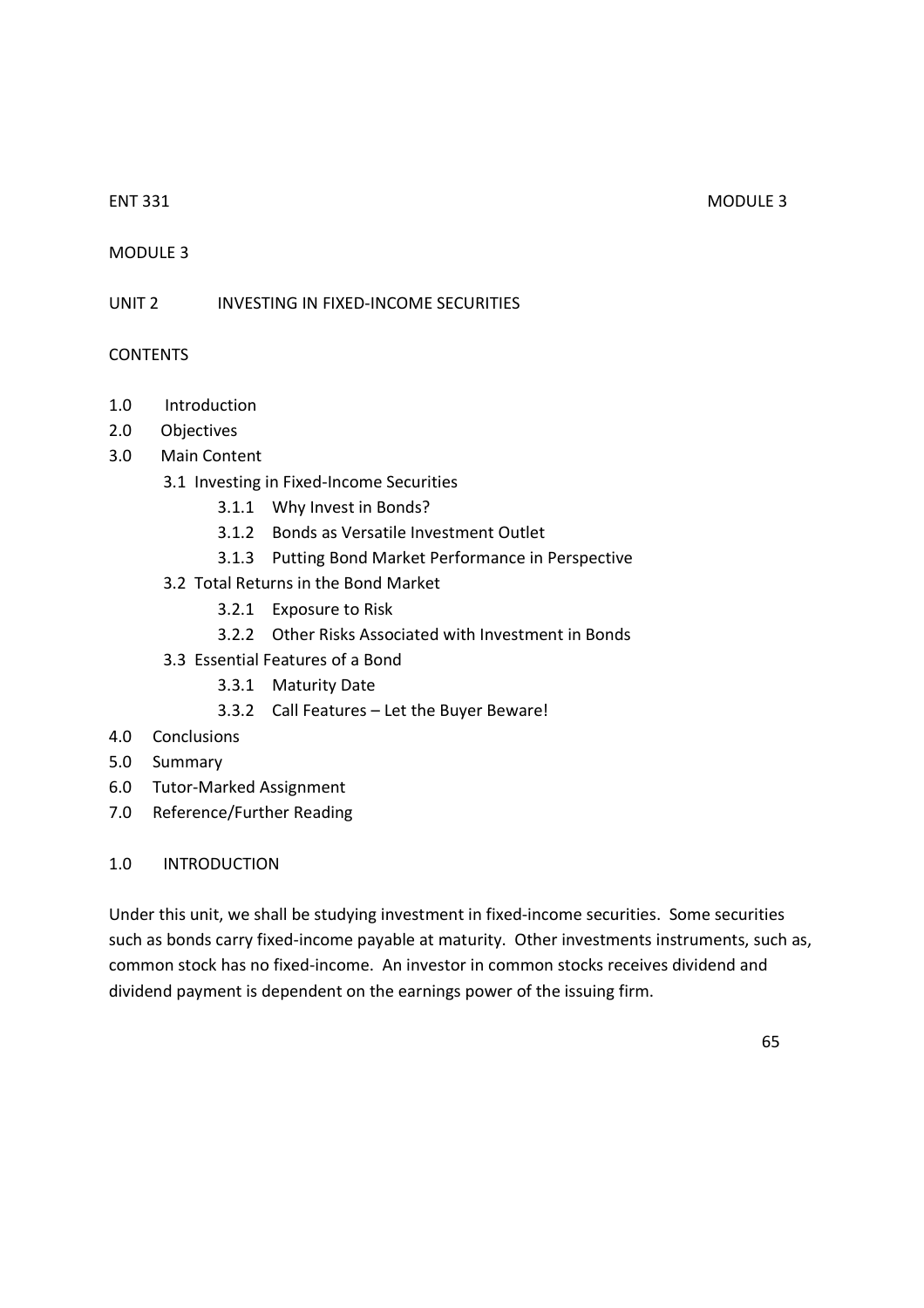#### ENT 331 MODULE 3

## MODULE 3

UNIT 2 INVESTING IN FIXED-INCOME SECURITIES

# CONTENTS

- 1.0 Introduction
- 2.0 Objectives
- 3.0 Main Content
	- 3.1 Investing in Fixed-Income Securities
		- 3.1.1 Why Invest in Bonds?
		- 3.1.2 Bonds as Versatile Investment Outlet
		- 3.1.3 Putting Bond Market Performance in Perspective
	- 3.2 Total Returns in the Bond Market
		- 3.2.1 Exposure to Risk
		- 3.2.2 Other Risks Associated with Investment in Bonds
	- 3.3 Essential Features of a Bond
		- 3.3.1 Maturity Date
		- 3.3.2 Call Features Let the Buyer Beware!
- 4.0 Conclusions
- 5.0 Summary
- 6.0 Tutor-Marked Assignment
- 7.0 Reference/Further Reading

## 1.0 INTRODUCTION

Under this unit, we shall be studying investment in fixed-income securities. Some securities such as bonds carry fixed-income payable at maturity. Other investments instruments, such as, common stock has no fixed-income. An investor in common stocks receives dividend and dividend payment is dependent on the earnings power of the issuing firm.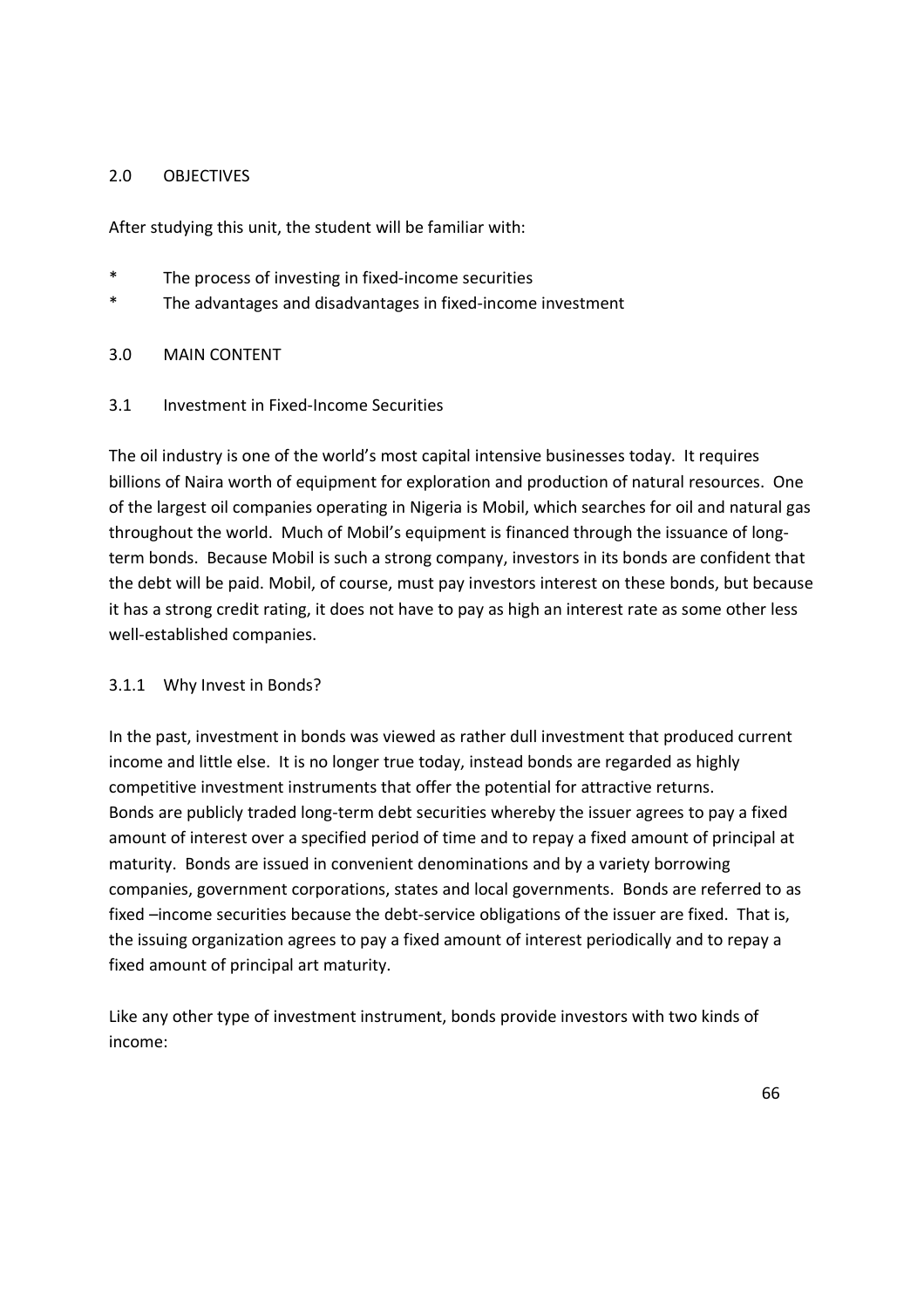## 2.0 OBJECTIVES

After studying this unit, the student will be familiar with:

- \* The process of investing in fixed-income securities
- \* The advantages and disadvantages in fixed-income investment

# 3.0 MAIN CONTENT

# 3.1 Investment in Fixed-Income Securities

The oil industry is one of the world's most capital intensive businesses today. It requires billions of Naira worth of equipment for exploration and production of natural resources. One of the largest oil companies operating in Nigeria is Mobil, which searches for oil and natural gas throughout the world. Much of Mobil's equipment is financed through the issuance of longterm bonds. Because Mobil is such a strong company, investors in its bonds are confident that the debt will be paid. Mobil, of course, must pay investors interest on these bonds, but because it has a strong credit rating, it does not have to pay as high an interest rate as some other less well-established companies.

# 3.1.1 Why Invest in Bonds?

In the past, investment in bonds was viewed as rather dull investment that produced current income and little else. It is no longer true today, instead bonds are regarded as highly competitive investment instruments that offer the potential for attractive returns. Bonds are publicly traded long-term debt securities whereby the issuer agrees to pay a fixed amount of interest over a specified period of time and to repay a fixed amount of principal at maturity. Bonds are issued in convenient denominations and by a variety borrowing companies, government corporations, states and local governments. Bonds are referred to as fixed –income securities because the debt-service obligations of the issuer are fixed. That is, the issuing organization agrees to pay a fixed amount of interest periodically and to repay a fixed amount of principal art maturity.

Like any other type of investment instrument, bonds provide investors with two kinds of income: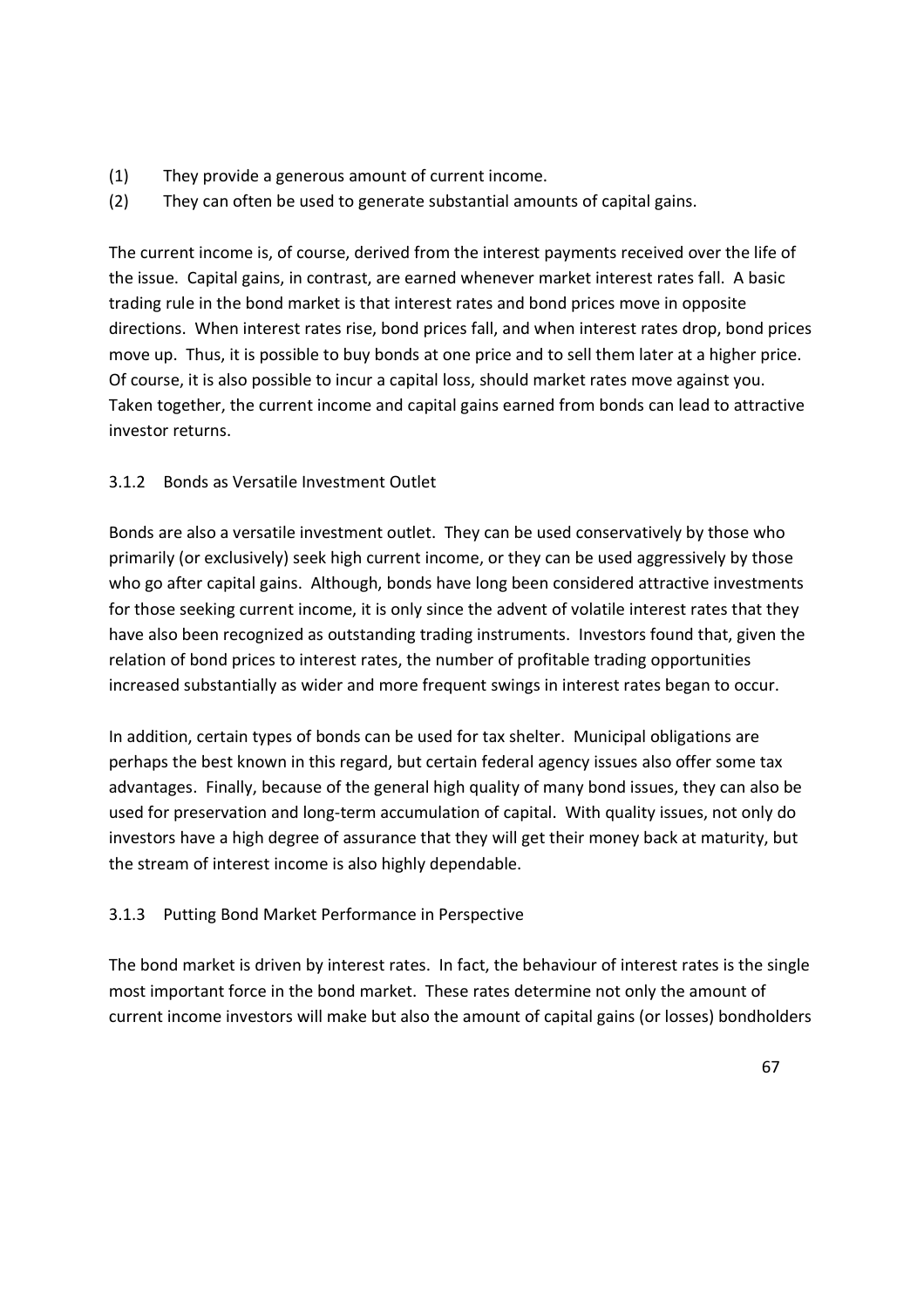- (1) They provide a generous amount of current income.
- (2) They can often be used to generate substantial amounts of capital gains.

The current income is, of course, derived from the interest payments received over the life of the issue. Capital gains, in contrast, are earned whenever market interest rates fall. A basic trading rule in the bond market is that interest rates and bond prices move in opposite directions. When interest rates rise, bond prices fall, and when interest rates drop, bond prices move up. Thus, it is possible to buy bonds at one price and to sell them later at a higher price. Of course, it is also possible to incur a capital loss, should market rates move against you. Taken together, the current income and capital gains earned from bonds can lead to attractive investor returns.

# 3.1.2 Bonds as Versatile Investment Outlet

Bonds are also a versatile investment outlet. They can be used conservatively by those who primarily (or exclusively) seek high current income, or they can be used aggressively by those who go after capital gains. Although, bonds have long been considered attractive investments for those seeking current income, it is only since the advent of volatile interest rates that they have also been recognized as outstanding trading instruments. Investors found that, given the relation of bond prices to interest rates, the number of profitable trading opportunities increased substantially as wider and more frequent swings in interest rates began to occur.

In addition, certain types of bonds can be used for tax shelter. Municipal obligations are perhaps the best known in this regard, but certain federal agency issues also offer some tax advantages. Finally, because of the general high quality of many bond issues, they can also be used for preservation and long-term accumulation of capital. With quality issues, not only do investors have a high degree of assurance that they will get their money back at maturity, but the stream of interest income is also highly dependable.

# 3.1.3 Putting Bond Market Performance in Perspective

The bond market is driven by interest rates. In fact, the behaviour of interest rates is the single most important force in the bond market. These rates determine not only the amount of current income investors will make but also the amount of capital gains (or losses) bondholders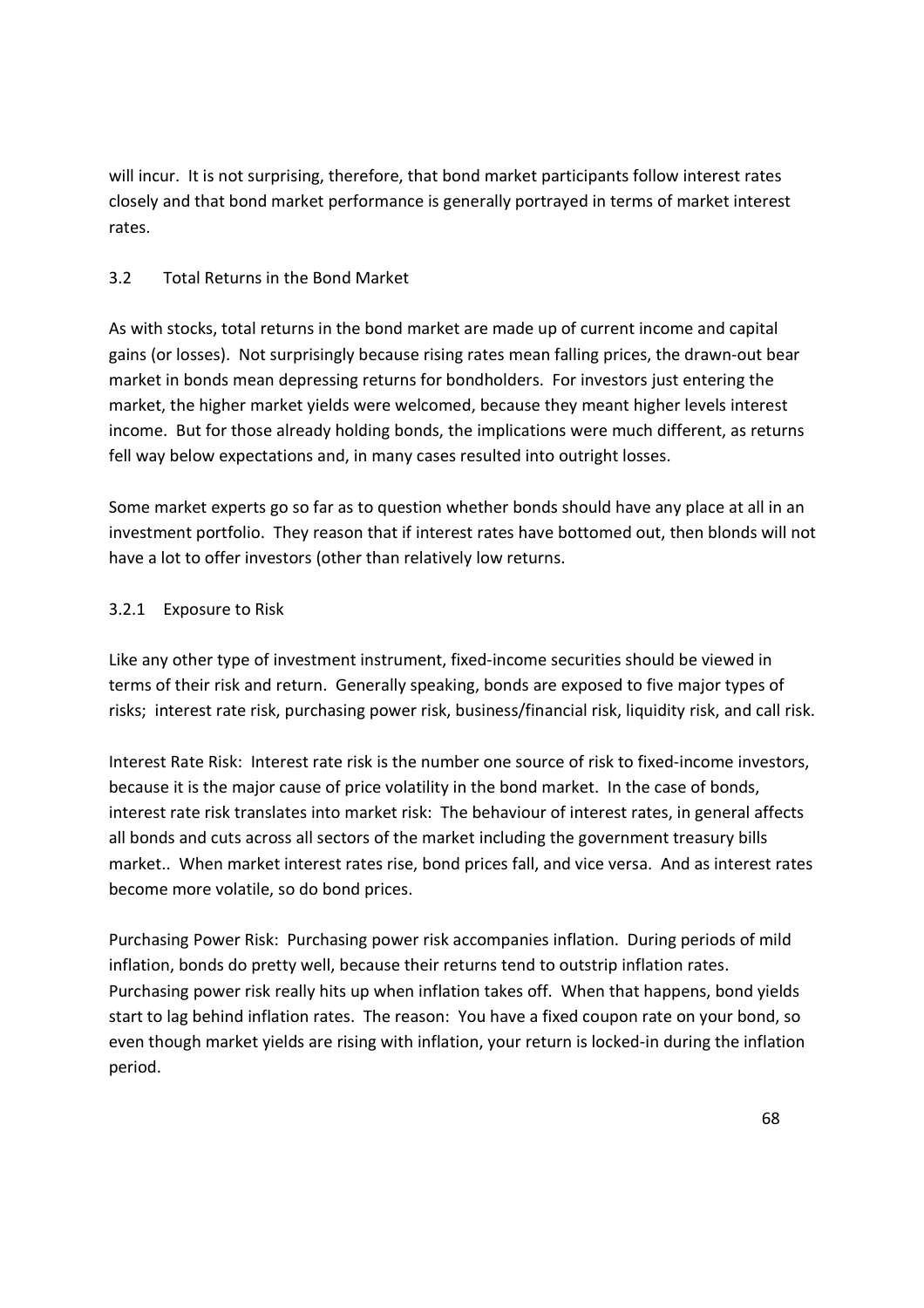will incur. It is not surprising, therefore, that bond market participants follow interest rates closely and that bond market performance is generally portrayed in terms of market interest rates.

## 3.2 Total Returns in the Bond Market

As with stocks, total returns in the bond market are made up of current income and capital gains (or losses). Not surprisingly because rising rates mean falling prices, the drawn-out bear market in bonds mean depressing returns for bondholders. For investors just entering the market, the higher market yields were welcomed, because they meant higher levels interest income. But for those already holding bonds, the implications were much different, as returns fell way below expectations and, in many cases resulted into outright losses.

Some market experts go so far as to question whether bonds should have any place at all in an investment portfolio. They reason that if interest rates have bottomed out, then blonds will not have a lot to offer investors (other than relatively low returns.

## 3.2.1 Exposure to Risk

Like any other type of investment instrument, fixed-income securities should be viewed in terms of their risk and return. Generally speaking, bonds are exposed to five major types of risks; interest rate risk, purchasing power risk, business/financial risk, liquidity risk, and call risk.

Interest Rate Risk: Interest rate risk is the number one source of risk to fixed-income investors, because it is the major cause of price volatility in the bond market. In the case of bonds, interest rate risk translates into market risk: The behaviour of interest rates, in general affects all bonds and cuts across all sectors of the market including the government treasury bills market.. When market interest rates rise, bond prices fall, and vice versa. And as interest rates become more volatile, so do bond prices.

Purchasing Power Risk: Purchasing power risk accompanies inflation. During periods of mild inflation, bonds do pretty well, because their returns tend to outstrip inflation rates. Purchasing power risk really hits up when inflation takes off. When that happens, bond yields start to lag behind inflation rates. The reason: You have a fixed coupon rate on your bond, so even though market yields are rising with inflation, your return is locked-in during the inflation period.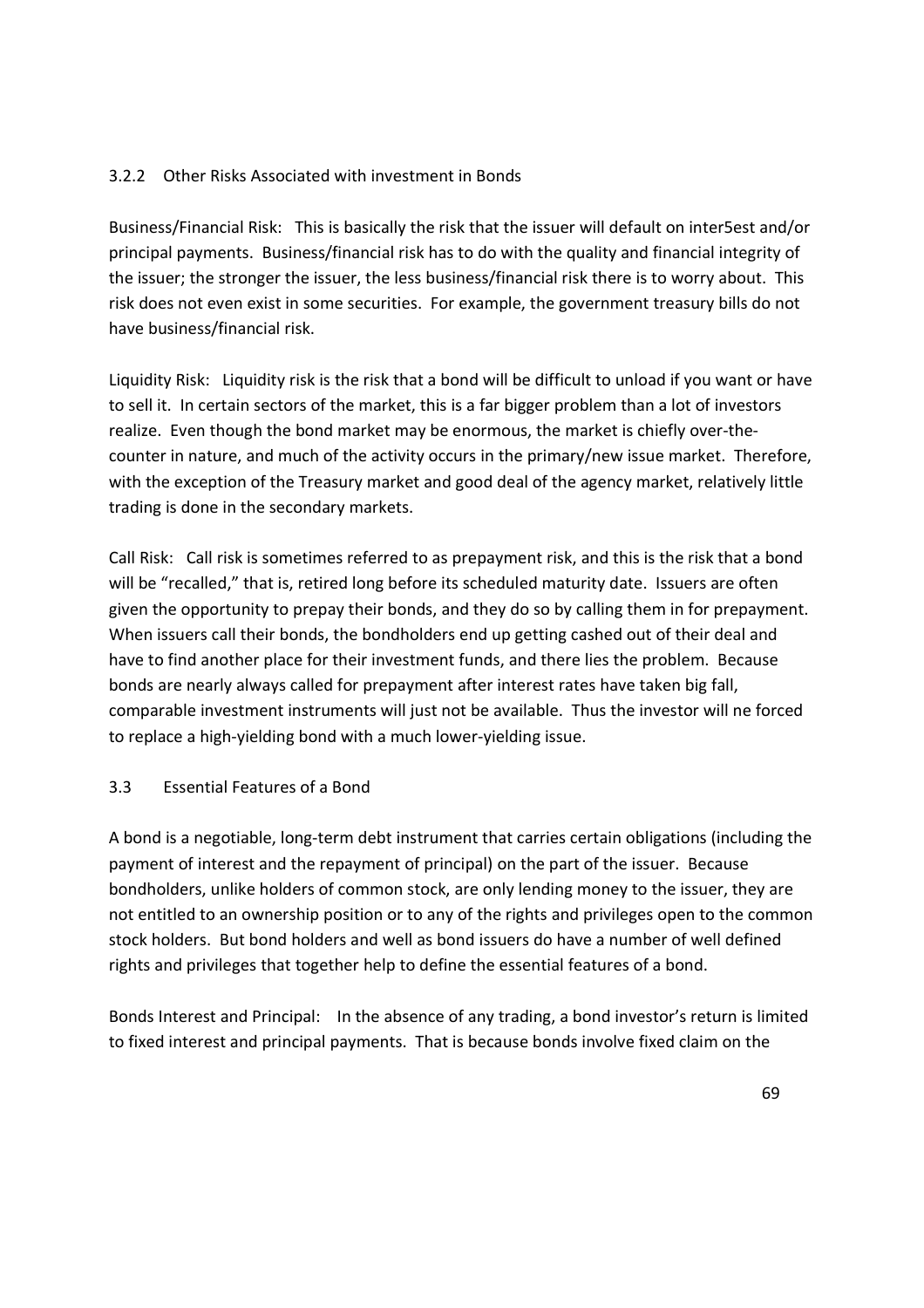# 3.2.2 Other Risks Associated with investment in Bonds

Business/Financial Risk: This is basically the risk that the issuer will default on inter5est and/or principal payments. Business/financial risk has to do with the quality and financial integrity of the issuer; the stronger the issuer, the less business/financial risk there is to worry about. This risk does not even exist in some securities. For example, the government treasury bills do not have business/financial risk.

Liquidity Risk: Liquidity risk is the risk that a bond will be difficult to unload if you want or have to sell it. In certain sectors of the market, this is a far bigger problem than a lot of investors realize. Even though the bond market may be enormous, the market is chiefly over-thecounter in nature, and much of the activity occurs in the primary/new issue market. Therefore, with the exception of the Treasury market and good deal of the agency market, relatively little trading is done in the secondary markets.

Call Risk: Call risk is sometimes referred to as prepayment risk, and this is the risk that a bond will be "recalled," that is, retired long before its scheduled maturity date. Issuers are often given the opportunity to prepay their bonds, and they do so by calling them in for prepayment. When issuers call their bonds, the bondholders end up getting cashed out of their deal and have to find another place for their investment funds, and there lies the problem. Because bonds are nearly always called for prepayment after interest rates have taken big fall, comparable investment instruments will just not be available. Thus the investor will ne forced to replace a high-yielding bond with a much lower-yielding issue.

# 3.3 Essential Features of a Bond

A bond is a negotiable, long-term debt instrument that carries certain obligations (including the payment of interest and the repayment of principal) on the part of the issuer. Because bondholders, unlike holders of common stock, are only lending money to the issuer, they are not entitled to an ownership position or to any of the rights and privileges open to the common stock holders. But bond holders and well as bond issuers do have a number of well defined rights and privileges that together help to define the essential features of a bond.

Bonds Interest and Principal: In the absence of any trading, a bond investor's return is limited to fixed interest and principal payments. That is because bonds involve fixed claim on the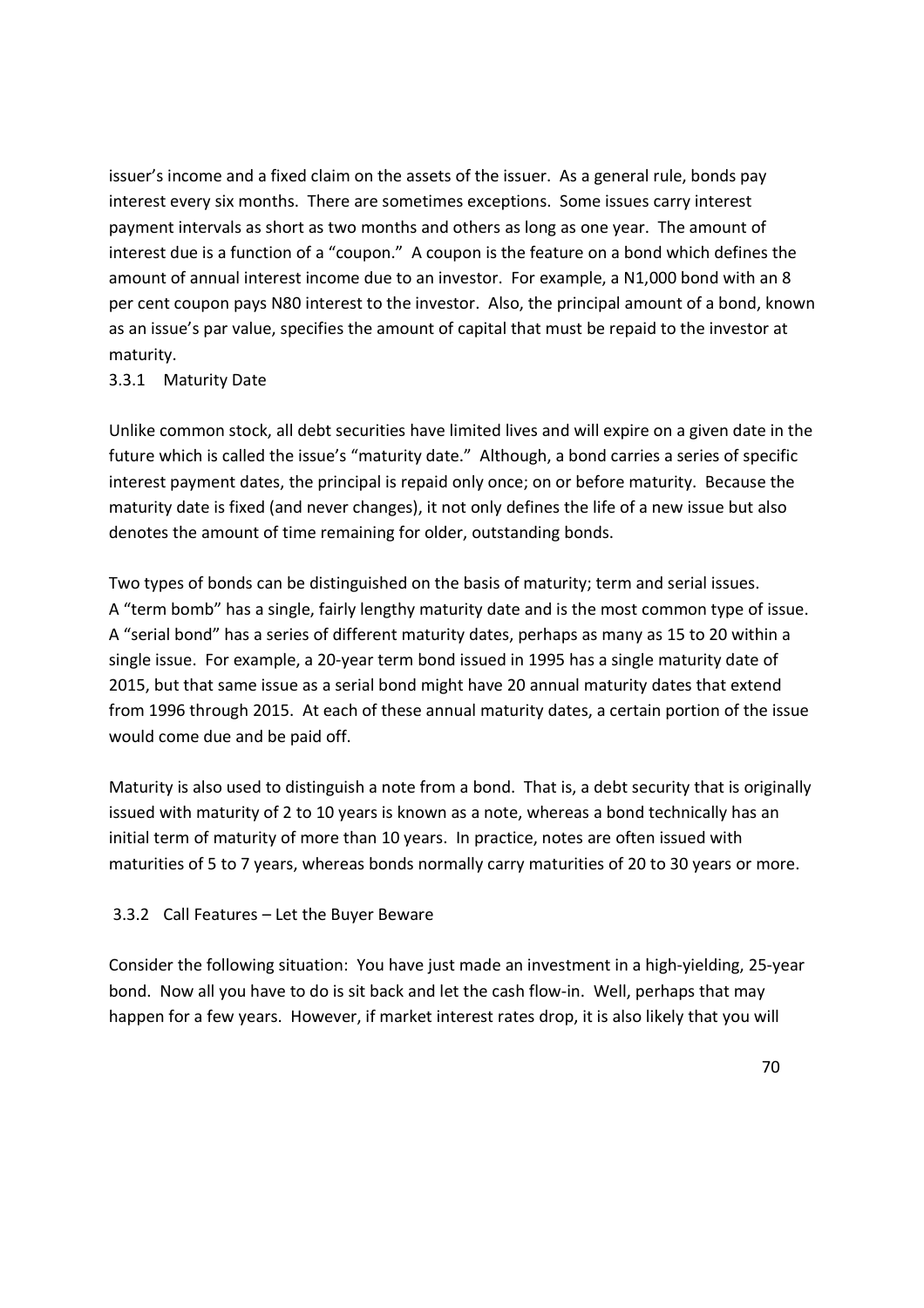issuer's income and a fixed claim on the assets of the issuer. As a general rule, bonds pay interest every six months. There are sometimes exceptions. Some issues carry interest payment intervals as short as two months and others as long as one year. The amount of interest due is a function of a "coupon." A coupon is the feature on a bond which defines the amount of annual interest income due to an investor. For example, a N1,000 bond with an 8 per cent coupon pays N80 interest to the investor. Also, the principal amount of a bond, known as an issue's par value, specifies the amount of capital that must be repaid to the investor at maturity.

## 3.3.1 Maturity Date

Unlike common stock, all debt securities have limited lives and will expire on a given date in the future which is called the issue's "maturity date." Although, a bond carries a series of specific interest payment dates, the principal is repaid only once; on or before maturity. Because the maturity date is fixed (and never changes), it not only defines the life of a new issue but also denotes the amount of time remaining for older, outstanding bonds.

Two types of bonds can be distinguished on the basis of maturity; term and serial issues. A "term bomb" has a single, fairly lengthy maturity date and is the most common type of issue. A "serial bond" has a series of different maturity dates, perhaps as many as 15 to 20 within a single issue. For example, a 20-year term bond issued in 1995 has a single maturity date of 2015, but that same issue as a serial bond might have 20 annual maturity dates that extend from 1996 through 2015. At each of these annual maturity dates, a certain portion of the issue would come due and be paid off.

Maturity is also used to distinguish a note from a bond. That is, a debt security that is originally issued with maturity of 2 to 10 years is known as a note, whereas a bond technically has an initial term of maturity of more than 10 years. In practice, notes are often issued with maturities of 5 to 7 years, whereas bonds normally carry maturities of 20 to 30 years or more.

## 3.3.2 Call Features – Let the Buyer Beware

Consider the following situation: You have just made an investment in a high-yielding, 25-year bond. Now all you have to do is sit back and let the cash flow-in. Well, perhaps that may happen for a few years. However, if market interest rates drop, it is also likely that you will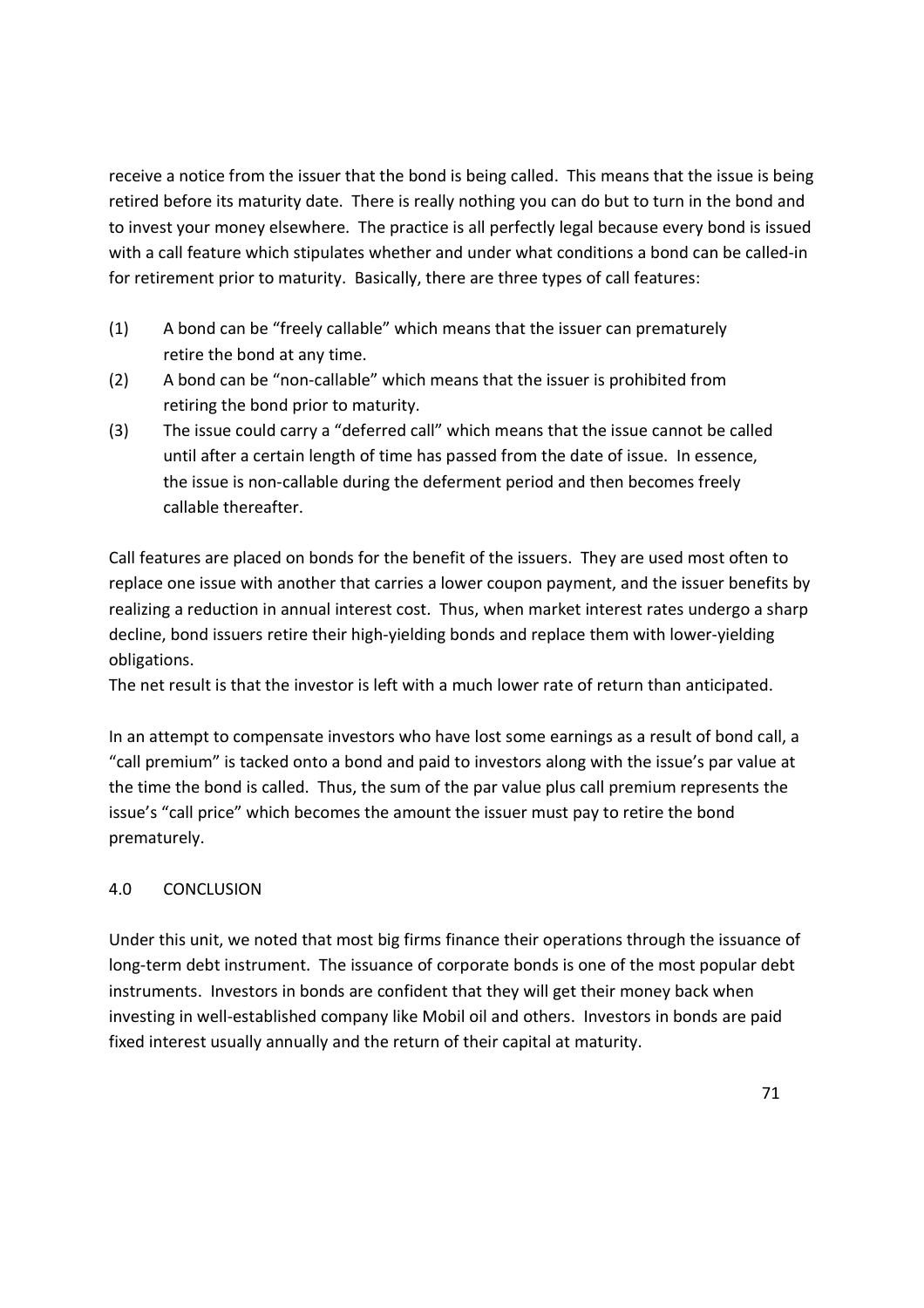receive a notice from the issuer that the bond is being called. This means that the issue is being retired before its maturity date. There is really nothing you can do but to turn in the bond and to invest your money elsewhere. The practice is all perfectly legal because every bond is issued with a call feature which stipulates whether and under what conditions a bond can be called-in for retirement prior to maturity. Basically, there are three types of call features:

- (1) A bond can be "freely callable" which means that the issuer can prematurely retire the bond at any time.
- (2) A bond can be "non-callable" which means that the issuer is prohibited from retiring the bond prior to maturity.
- (3) The issue could carry a "deferred call" which means that the issue cannot be called until after a certain length of time has passed from the date of issue. In essence, the issue is non-callable during the deferment period and then becomes freely callable thereafter.

Call features are placed on bonds for the benefit of the issuers. They are used most often to replace one issue with another that carries a lower coupon payment, and the issuer benefits by realizing a reduction in annual interest cost. Thus, when market interest rates undergo a sharp decline, bond issuers retire their high-yielding bonds and replace them with lower-yielding obligations.

The net result is that the investor is left with a much lower rate of return than anticipated.

In an attempt to compensate investors who have lost some earnings as a result of bond call, a "call premium" is tacked onto a bond and paid to investors along with the issue's par value at the time the bond is called. Thus, the sum of the par value plus call premium represents the issue's "call price" which becomes the amount the issuer must pay to retire the bond prematurely.

# 4.0 CONCLUSION

Under this unit, we noted that most big firms finance their operations through the issuance of long-term debt instrument. The issuance of corporate bonds is one of the most popular debt instruments. Investors in bonds are confident that they will get their money back when investing in well-established company like Mobil oil and others. Investors in bonds are paid fixed interest usually annually and the return of their capital at maturity.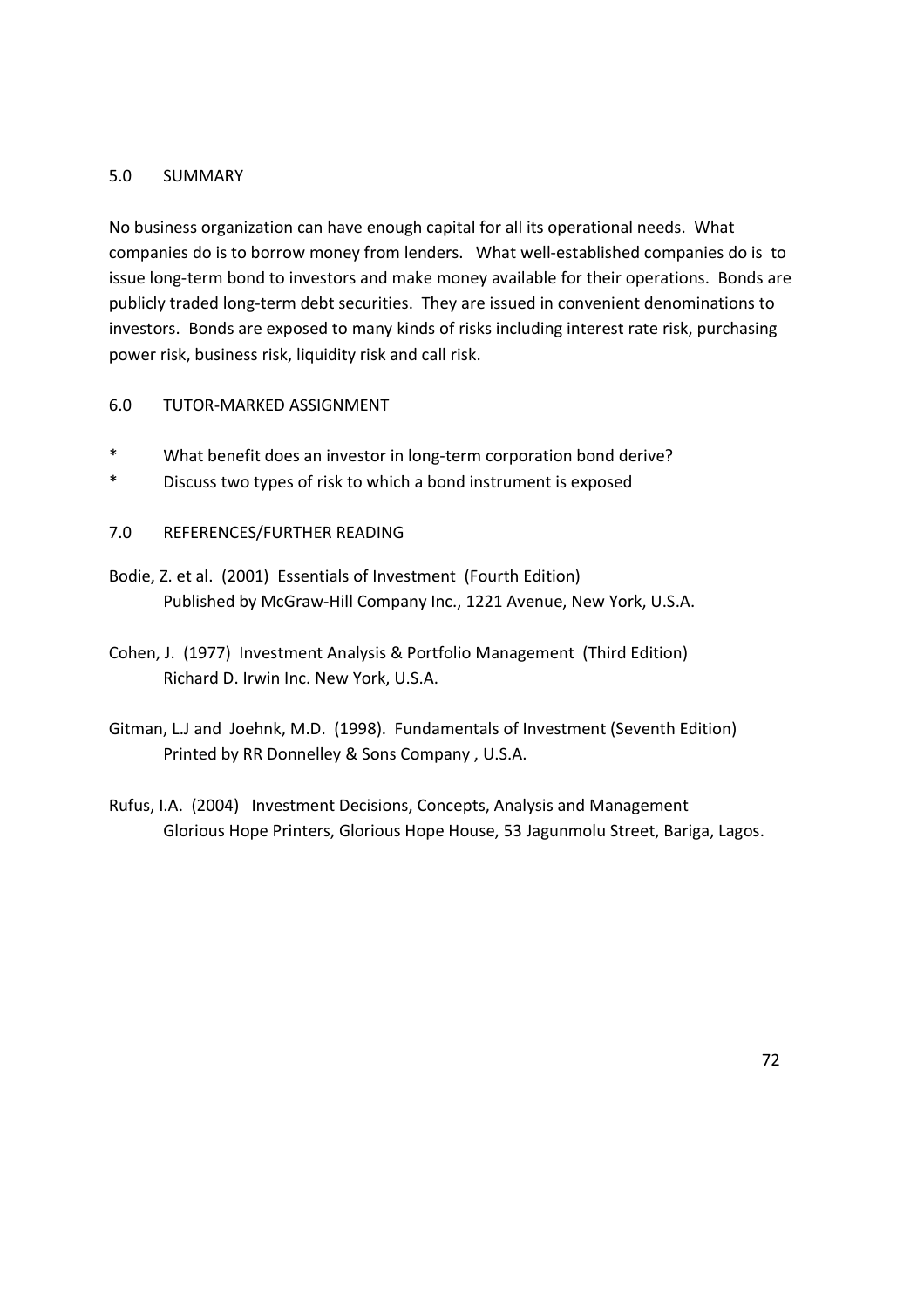## 5.0 SUMMARY

No business organization can have enough capital for all its operational needs. What companies do is to borrow money from lenders. What well-established companies do is to issue long-term bond to investors and make money available for their operations. Bonds are publicly traded long-term debt securities. They are issued in convenient denominations to investors. Bonds are exposed to many kinds of risks including interest rate risk, purchasing power risk, business risk, liquidity risk and call risk.

## 6.0 TUTOR-MARKED ASSIGNMENT

- What benefit does an investor in long-term corporation bond derive?
- \* Discuss two types of risk to which a bond instrument is exposed

### 7.0 REFERENCES/FURTHER READING

- Bodie, Z. et al. (2001) Essentials of Investment (Fourth Edition) Published by McGraw-Hill Company Inc., 1221 Avenue, New York, U.S.A.
- Cohen, J. (1977) Investment Analysis & Portfolio Management (Third Edition) Richard D. Irwin Inc. New York, U.S.A.
- Gitman, L.J and Joehnk, M.D. (1998). Fundamentals of Investment (Seventh Edition) Printed by RR Donnelley & Sons Company , U.S.A.
- Rufus, I.A. (2004) Investment Decisions, Concepts, Analysis and Management Glorious Hope Printers, Glorious Hope House, 53 Jagunmolu Street, Bariga, Lagos.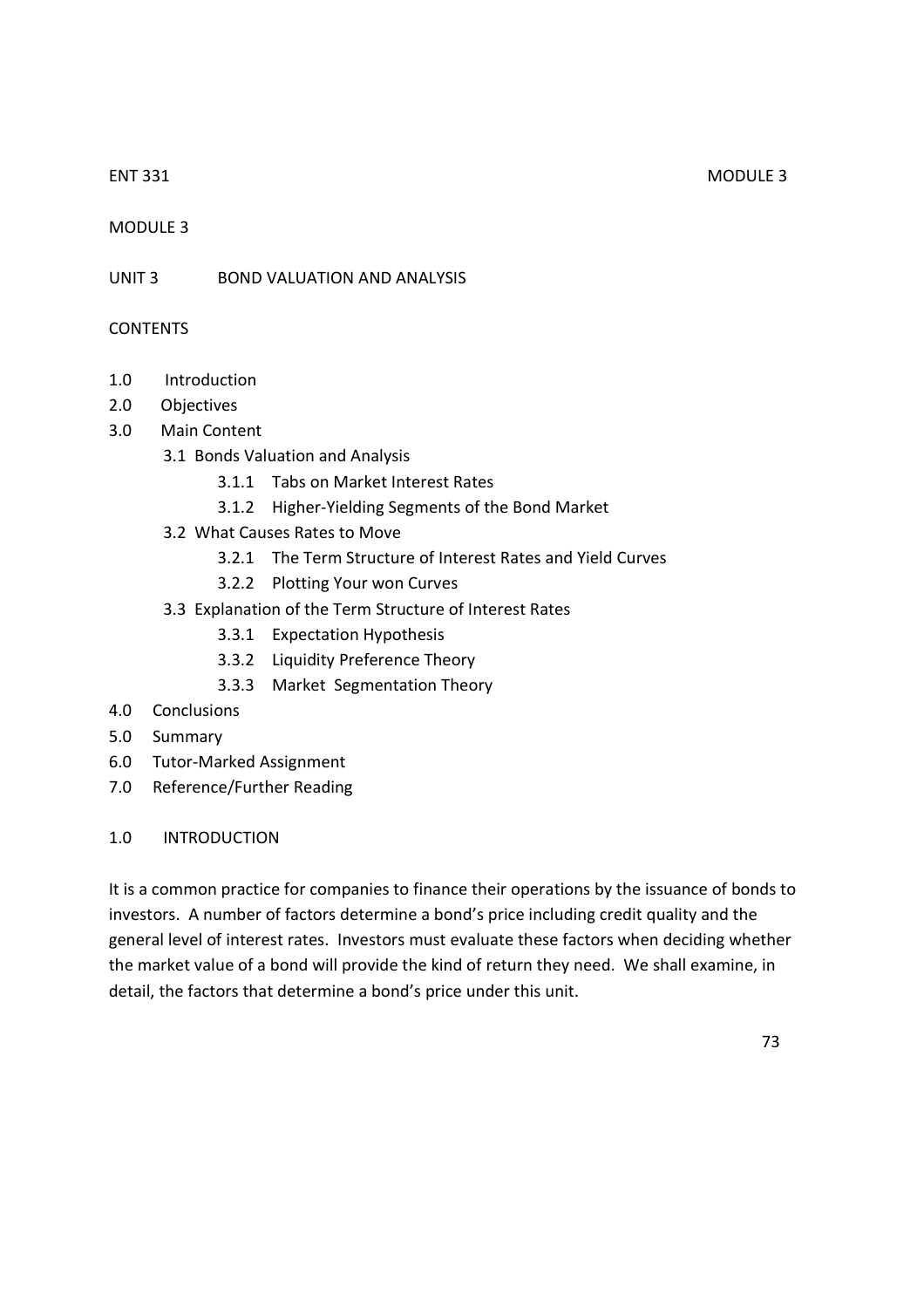### ENT 331 MODULE 3

## MODULE 3

UNIT 3 BOND VALUATION AND ANALYSIS

## CONTENTS

- 1.0 Introduction
- 2.0 Objectives
- 3.0 Main Content
	- 3.1 Bonds Valuation and Analysis
		- 3.1.1 Tabs on Market Interest Rates
		- 3.1.2 Higher-Yielding Segments of the Bond Market
	- 3.2 What Causes Rates to Move
		- 3.2.1 The Term Structure of Interest Rates and Yield Curves
		- 3.2.2 Plotting Your won Curves
	- 3.3 Explanation of the Term Structure of Interest Rates
		- 3.3.1 Expectation Hypothesis
		- 3.3.2 Liquidity Preference Theory
		- 3.3.3 Market Segmentation Theory
- 4.0 Conclusions
- 5.0 Summary
- 6.0 Tutor-Marked Assignment
- 7.0 Reference/Further Reading

## 1.0 INTRODUCTION

It is a common practice for companies to finance their operations by the issuance of bonds to investors. A number of factors determine a bond's price including credit quality and the general level of interest rates. Investors must evaluate these factors when deciding whether the market value of a bond will provide the kind of return they need. We shall examine, in detail, the factors that determine a bond's price under this unit.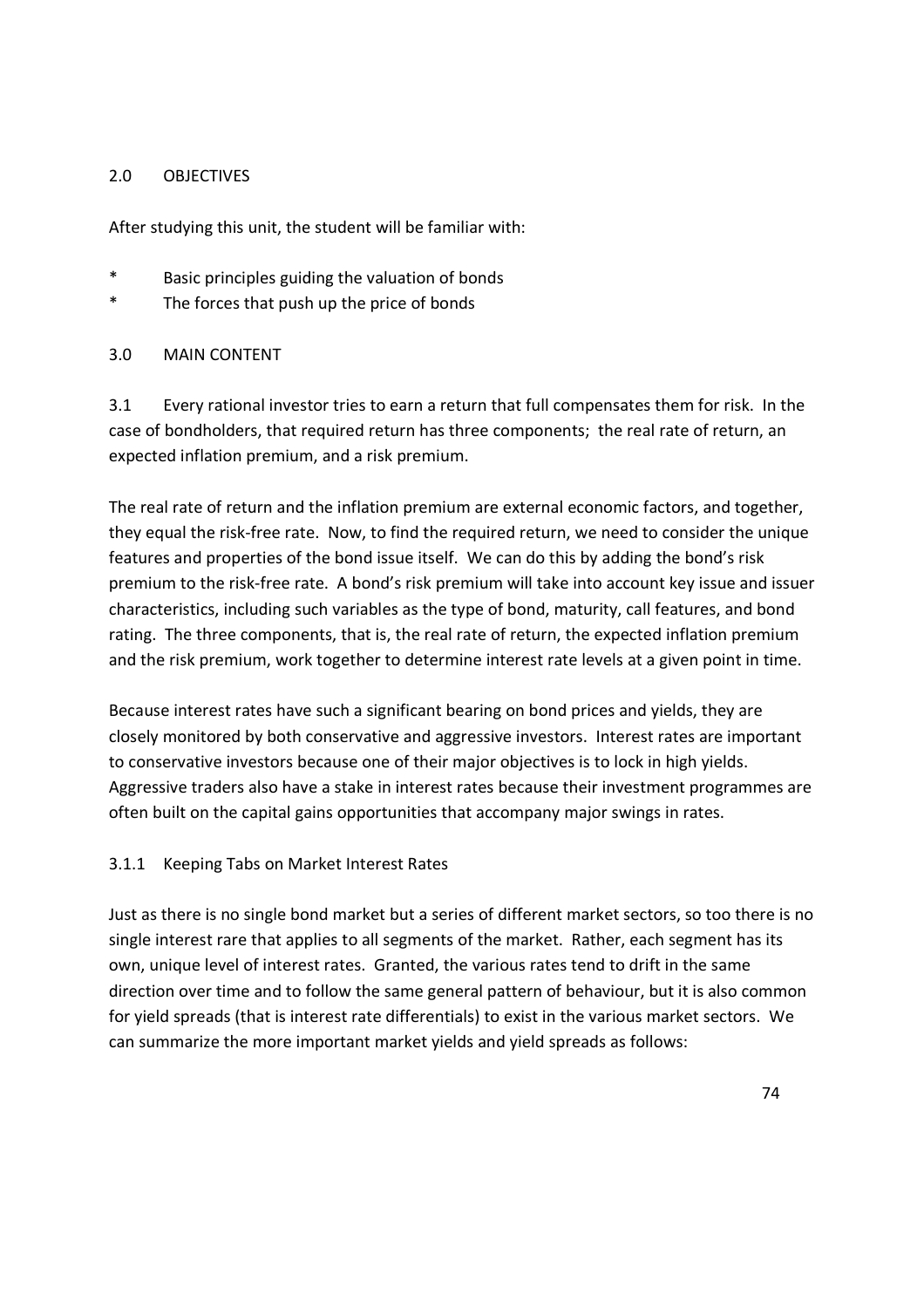## 2.0 OBJECTIVES

After studying this unit, the student will be familiar with:

- \* Basic principles guiding the valuation of bonds
- \* The forces that push up the price of bonds

# 3.0 MAIN CONTENT

3.1 Every rational investor tries to earn a return that full compensates them for risk. In the case of bondholders, that required return has three components; the real rate of return, an expected inflation premium, and a risk premium.

The real rate of return and the inflation premium are external economic factors, and together, they equal the risk-free rate. Now, to find the required return, we need to consider the unique features and properties of the bond issue itself. We can do this by adding the bond's risk premium to the risk-free rate. A bond's risk premium will take into account key issue and issuer characteristics, including such variables as the type of bond, maturity, call features, and bond rating. The three components, that is, the real rate of return, the expected inflation premium and the risk premium, work together to determine interest rate levels at a given point in time.

Because interest rates have such a significant bearing on bond prices and yields, they are closely monitored by both conservative and aggressive investors. Interest rates are important to conservative investors because one of their major objectives is to lock in high yields. Aggressive traders also have a stake in interest rates because their investment programmes are often built on the capital gains opportunities that accompany major swings in rates.

# 3.1.1 Keeping Tabs on Market Interest Rates

Just as there is no single bond market but a series of different market sectors, so too there is no single interest rare that applies to all segments of the market. Rather, each segment has its own, unique level of interest rates. Granted, the various rates tend to drift in the same direction over time and to follow the same general pattern of behaviour, but it is also common for yield spreads (that is interest rate differentials) to exist in the various market sectors. We can summarize the more important market yields and yield spreads as follows: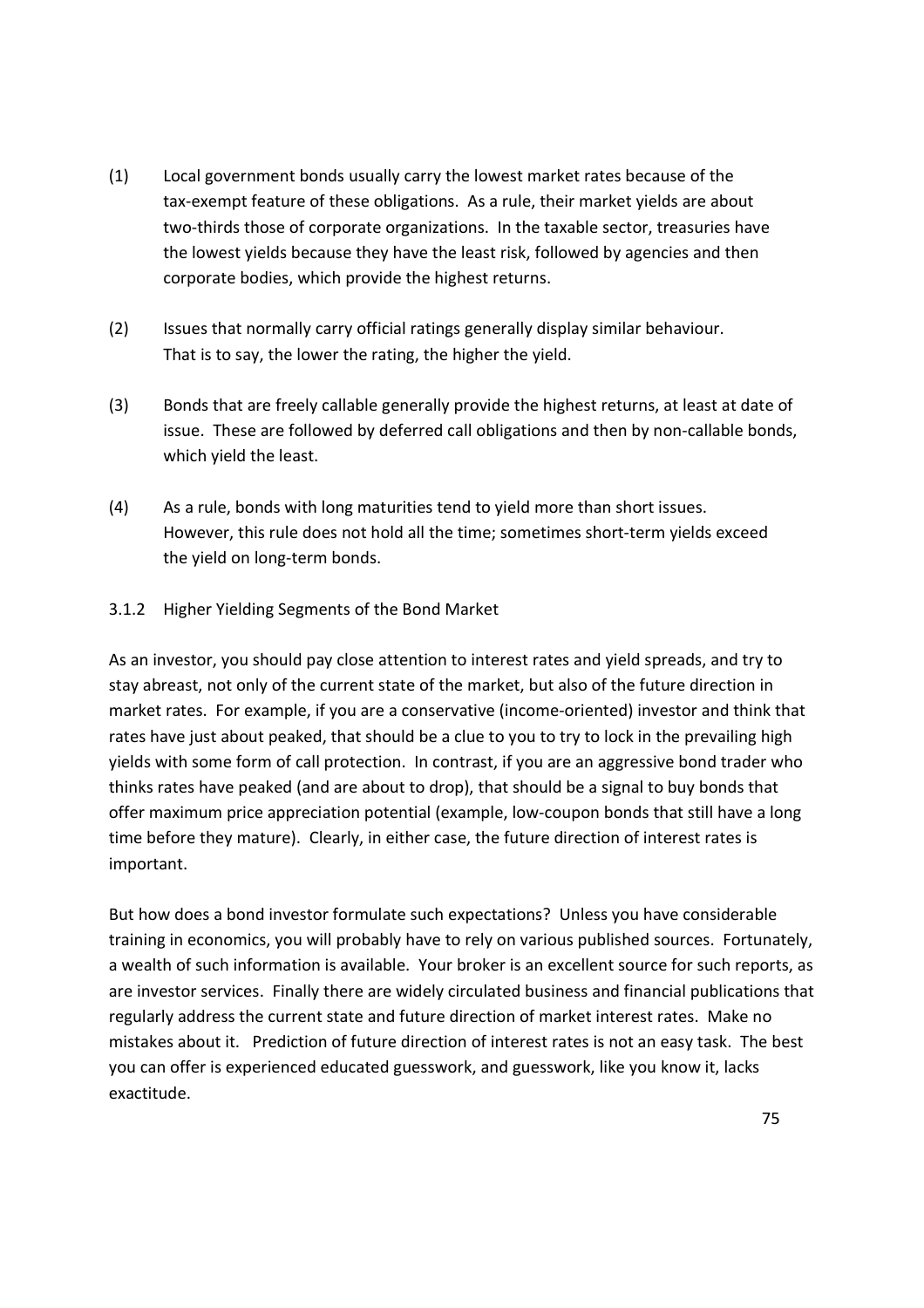- (1) Local government bonds usually carry the lowest market rates because of the tax-exempt feature of these obligations. As a rule, their market yields are about two-thirds those of corporate organizations. In the taxable sector, treasuries have the lowest yields because they have the least risk, followed by agencies and then corporate bodies, which provide the highest returns.
- (2) Issues that normally carry official ratings generally display similar behaviour. That is to say, the lower the rating, the higher the yield.
- (3) Bonds that are freely callable generally provide the highest returns, at least at date of issue. These are followed by deferred call obligations and then by non-callable bonds, which yield the least.
- (4) As a rule, bonds with long maturities tend to yield more than short issues. However, this rule does not hold all the time; sometimes short-term yields exceed the yield on long-term bonds.
- 3.1.2 Higher Yielding Segments of the Bond Market

As an investor, you should pay close attention to interest rates and yield spreads, and try to stay abreast, not only of the current state of the market, but also of the future direction in market rates. For example, if you are a conservative (income-oriented) investor and think that rates have just about peaked, that should be a clue to you to try to lock in the prevailing high yields with some form of call protection. In contrast, if you are an aggressive bond trader who thinks rates have peaked (and are about to drop), that should be a signal to buy bonds that offer maximum price appreciation potential (example, low-coupon bonds that still have a long time before they mature). Clearly, in either case, the future direction of interest rates is important.

But how does a bond investor formulate such expectations? Unless you have considerable training in economics, you will probably have to rely on various published sources. Fortunately, a wealth of such information is available. Your broker is an excellent source for such reports, as are investor services. Finally there are widely circulated business and financial publications that regularly address the current state and future direction of market interest rates. Make no mistakes about it. Prediction of future direction of interest rates is not an easy task. The best you can offer is experienced educated guesswork, and guesswork, like you know it, lacks exactitude.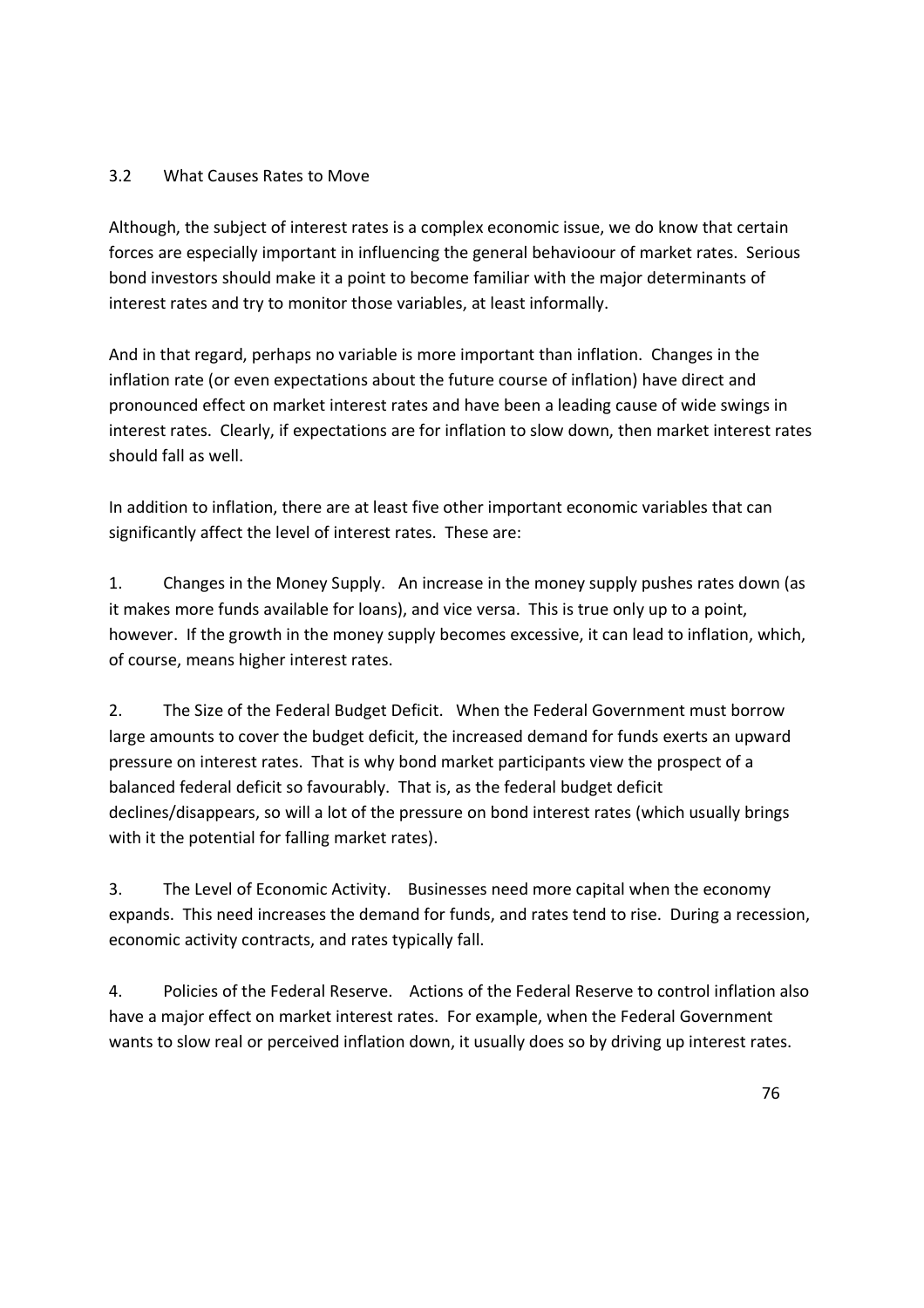# 3.2 What Causes Rates to Move

Although, the subject of interest rates is a complex economic issue, we do know that certain forces are especially important in influencing the general behavioour of market rates. Serious bond investors should make it a point to become familiar with the major determinants of interest rates and try to monitor those variables, at least informally.

And in that regard, perhaps no variable is more important than inflation. Changes in the inflation rate (or even expectations about the future course of inflation) have direct and pronounced effect on market interest rates and have been a leading cause of wide swings in interest rates. Clearly, if expectations are for inflation to slow down, then market interest rates should fall as well.

In addition to inflation, there are at least five other important economic variables that can significantly affect the level of interest rates. These are:

1. Changes in the Money Supply. An increase in the money supply pushes rates down (as it makes more funds available for loans), and vice versa. This is true only up to a point, however. If the growth in the money supply becomes excessive, it can lead to inflation, which, of course, means higher interest rates.

2. The Size of the Federal Budget Deficit. When the Federal Government must borrow large amounts to cover the budget deficit, the increased demand for funds exerts an upward pressure on interest rates. That is why bond market participants view the prospect of a balanced federal deficit so favourably. That is, as the federal budget deficit declines/disappears, so will a lot of the pressure on bond interest rates (which usually brings with it the potential for falling market rates).

3. The Level of Economic Activity. Businesses need more capital when the economy expands. This need increases the demand for funds, and rates tend to rise. During a recession, economic activity contracts, and rates typically fall.

4. Policies of the Federal Reserve. Actions of the Federal Reserve to control inflation also have a major effect on market interest rates. For example, when the Federal Government wants to slow real or perceived inflation down, it usually does so by driving up interest rates.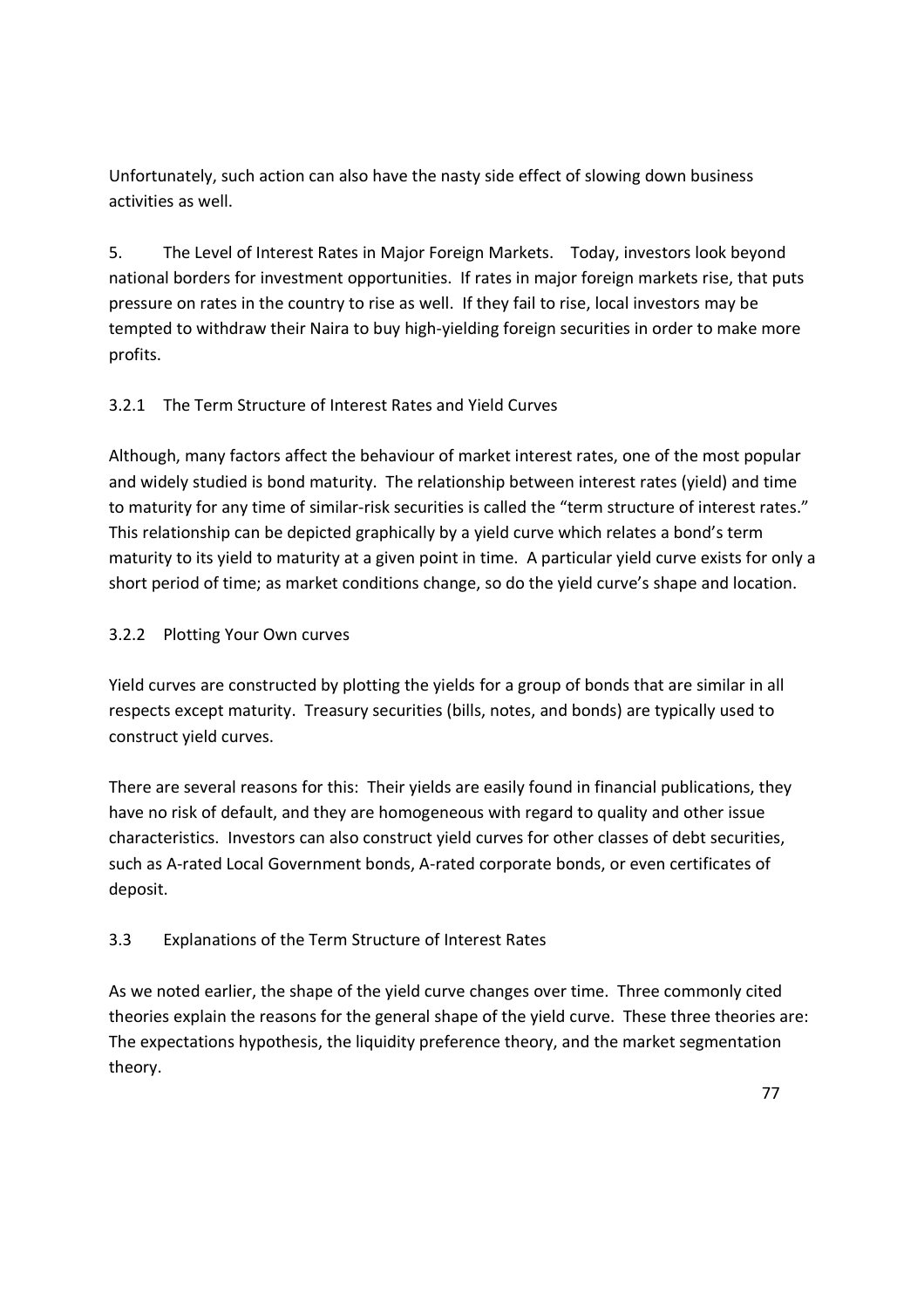Unfortunately, such action can also have the nasty side effect of slowing down business activities as well.

5. The Level of Interest Rates in Major Foreign Markets. Today, investors look beyond national borders for investment opportunities. If rates in major foreign markets rise, that puts pressure on rates in the country to rise as well. If they fail to rise, local investors may be tempted to withdraw their Naira to buy high-yielding foreign securities in order to make more profits.

# 3.2.1 The Term Structure of Interest Rates and Yield Curves

Although, many factors affect the behaviour of market interest rates, one of the most popular and widely studied is bond maturity. The relationship between interest rates (yield) and time to maturity for any time of similar-risk securities is called the "term structure of interest rates." This relationship can be depicted graphically by a yield curve which relates a bond's term maturity to its yield to maturity at a given point in time. A particular yield curve exists for only a short period of time; as market conditions change, so do the yield curve's shape and location.

# 3.2.2 Plotting Your Own curves

Yield curves are constructed by plotting the yields for a group of bonds that are similar in all respects except maturity. Treasury securities (bills, notes, and bonds) are typically used to construct yield curves.

There are several reasons for this: Their yields are easily found in financial publications, they have no risk of default, and they are homogeneous with regard to quality and other issue characteristics. Investors can also construct yield curves for other classes of debt securities, such as A-rated Local Government bonds, A-rated corporate bonds, or even certificates of deposit.

# 3.3 Explanations of the Term Structure of Interest Rates

As we noted earlier, the shape of the yield curve changes over time. Three commonly cited theories explain the reasons for the general shape of the yield curve. These three theories are: The expectations hypothesis, the liquidity preference theory, and the market segmentation theory.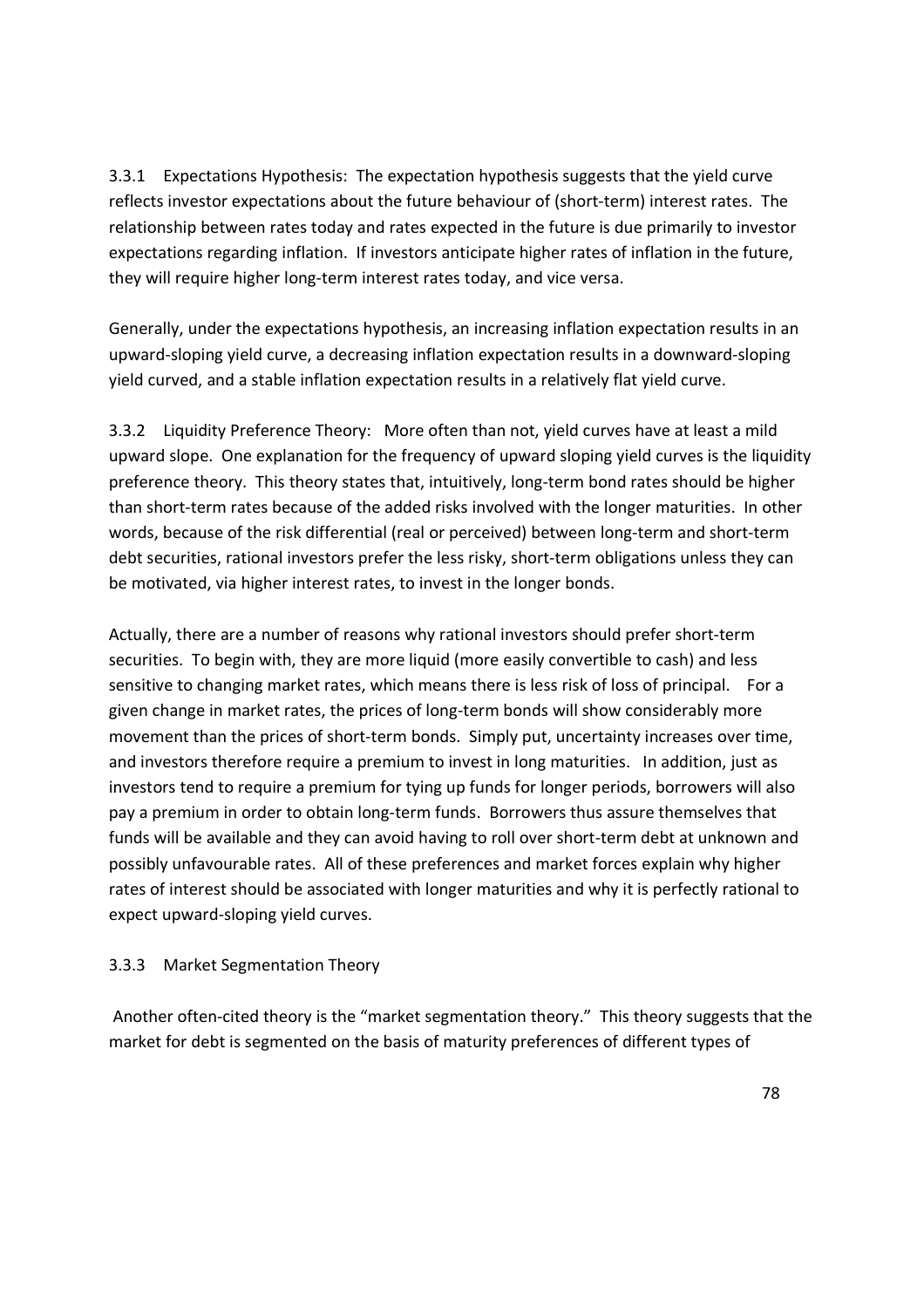3.3.1 Expectations Hypothesis: The expectation hypothesis suggests that the yield curve reflects investor expectations about the future behaviour of (short-term) interest rates. The relationship between rates today and rates expected in the future is due primarily to investor expectations regarding inflation. If investors anticipate higher rates of inflation in the future, they will require higher long-term interest rates today, and vice versa.

Generally, under the expectations hypothesis, an increasing inflation expectation results in an upward-sloping yield curve, a decreasing inflation expectation results in a downward-sloping yield curved, and a stable inflation expectation results in a relatively flat yield curve.

3.3.2 Liquidity Preference Theory: More often than not, yield curves have at least a mild upward slope. One explanation for the frequency of upward sloping yield curves is the liquidity preference theory. This theory states that, intuitively, long-term bond rates should be higher than short-term rates because of the added risks involved with the longer maturities. In other words, because of the risk differential (real or perceived) between long-term and short-term debt securities, rational investors prefer the less risky, short-term obligations unless they can be motivated, via higher interest rates, to invest in the longer bonds.

Actually, there are a number of reasons why rational investors should prefer short-term securities. To begin with, they are more liquid (more easily convertible to cash) and less sensitive to changing market rates, which means there is less risk of loss of principal. For a given change in market rates, the prices of long-term bonds will show considerably more movement than the prices of short-term bonds. Simply put, uncertainty increases over time, and investors therefore require a premium to invest in long maturities. In addition, just as investors tend to require a premium for tying up funds for longer periods, borrowers will also pay a premium in order to obtain long-term funds. Borrowers thus assure themselves that funds will be available and they can avoid having to roll over short-term debt at unknown and possibly unfavourable rates. All of these preferences and market forces explain why higher rates of interest should be associated with longer maturities and why it is perfectly rational to expect upward-sloping yield curves.

# 3.3.3 Market Segmentation Theory

 Another often-cited theory is the "market segmentation theory." This theory suggests that the market for debt is segmented on the basis of maturity preferences of different types of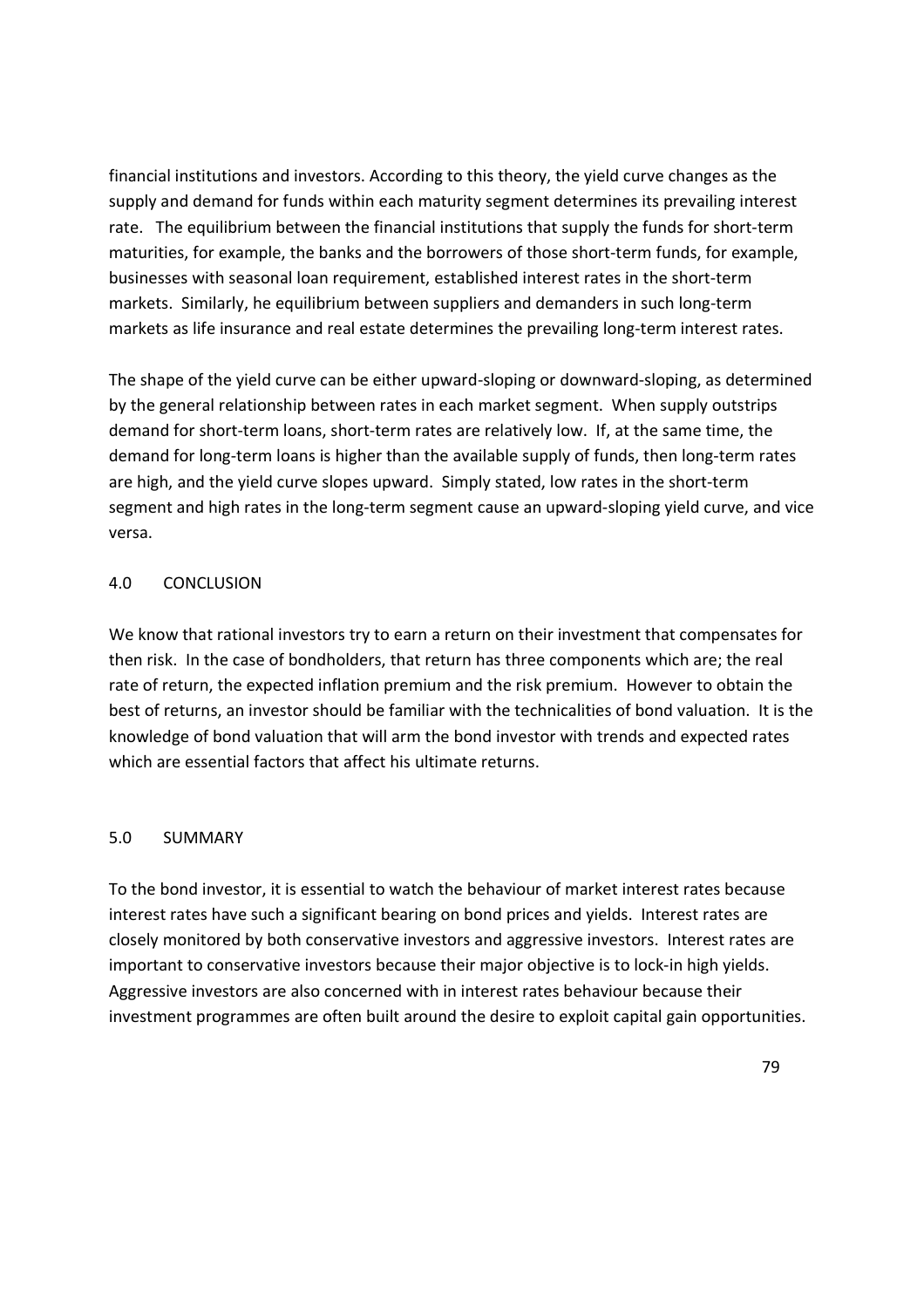financial institutions and investors. According to this theory, the yield curve changes as the supply and demand for funds within each maturity segment determines its prevailing interest rate. The equilibrium between the financial institutions that supply the funds for short-term maturities, for example, the banks and the borrowers of those short-term funds, for example, businesses with seasonal loan requirement, established interest rates in the short-term markets. Similarly, he equilibrium between suppliers and demanders in such long-term markets as life insurance and real estate determines the prevailing long-term interest rates.

The shape of the yield curve can be either upward-sloping or downward-sloping, as determined by the general relationship between rates in each market segment. When supply outstrips demand for short-term loans, short-term rates are relatively low. If, at the same time, the demand for long-term loans is higher than the available supply of funds, then long-term rates are high, and the yield curve slopes upward. Simply stated, low rates in the short-term segment and high rates in the long-term segment cause an upward-sloping yield curve, and vice versa.

## 4.0 CONCLUSION

We know that rational investors try to earn a return on their investment that compensates for then risk. In the case of bondholders, that return has three components which are; the real rate of return, the expected inflation premium and the risk premium. However to obtain the best of returns, an investor should be familiar with the technicalities of bond valuation. It is the knowledge of bond valuation that will arm the bond investor with trends and expected rates which are essential factors that affect his ultimate returns.

## 5.0 SUMMARY

To the bond investor, it is essential to watch the behaviour of market interest rates because interest rates have such a significant bearing on bond prices and yields. Interest rates are closely monitored by both conservative investors and aggressive investors. Interest rates are important to conservative investors because their major objective is to lock-in high yields. Aggressive investors are also concerned with in interest rates behaviour because their investment programmes are often built around the desire to exploit capital gain opportunities.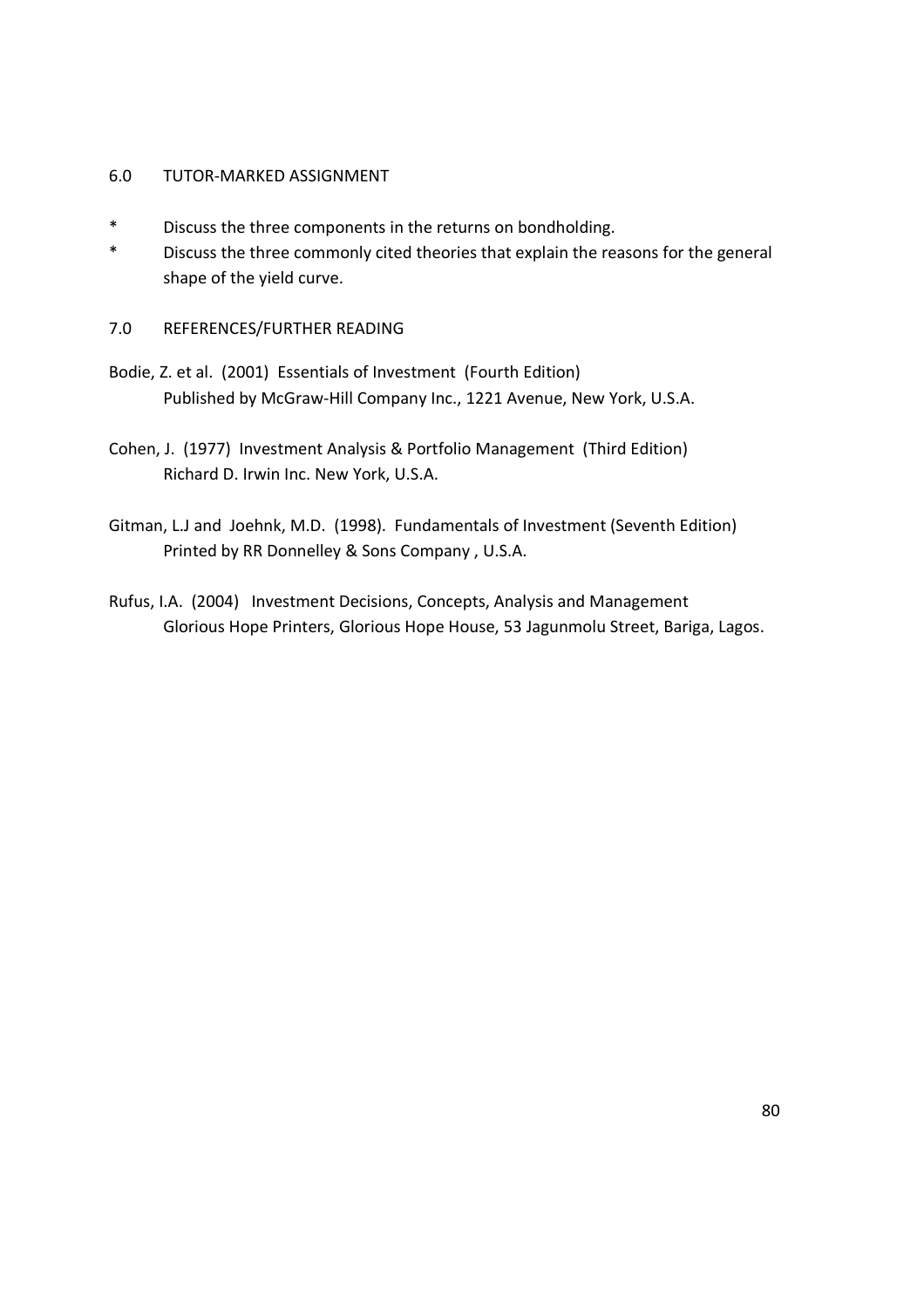### 6.0 TUTOR-MARKED ASSIGNMENT

- \* Discuss the three components in the returns on bondholding.
- \* Discuss the three commonly cited theories that explain the reasons for the general shape of the yield curve.
- 7.0 REFERENCES/FURTHER READING
- Bodie, Z. et al. (2001) Essentials of Investment (Fourth Edition) Published by McGraw-Hill Company Inc., 1221 Avenue, New York, U.S.A.
- Cohen, J. (1977) Investment Analysis & Portfolio Management (Third Edition) Richard D. Irwin Inc. New York, U.S.A.
- Gitman, L.J and Joehnk, M.D. (1998). Fundamentals of Investment (Seventh Edition) Printed by RR Donnelley & Sons Company , U.S.A.
- Rufus, I.A. (2004) Investment Decisions, Concepts, Analysis and Management Glorious Hope Printers, Glorious Hope House, 53 Jagunmolu Street, Bariga, Lagos.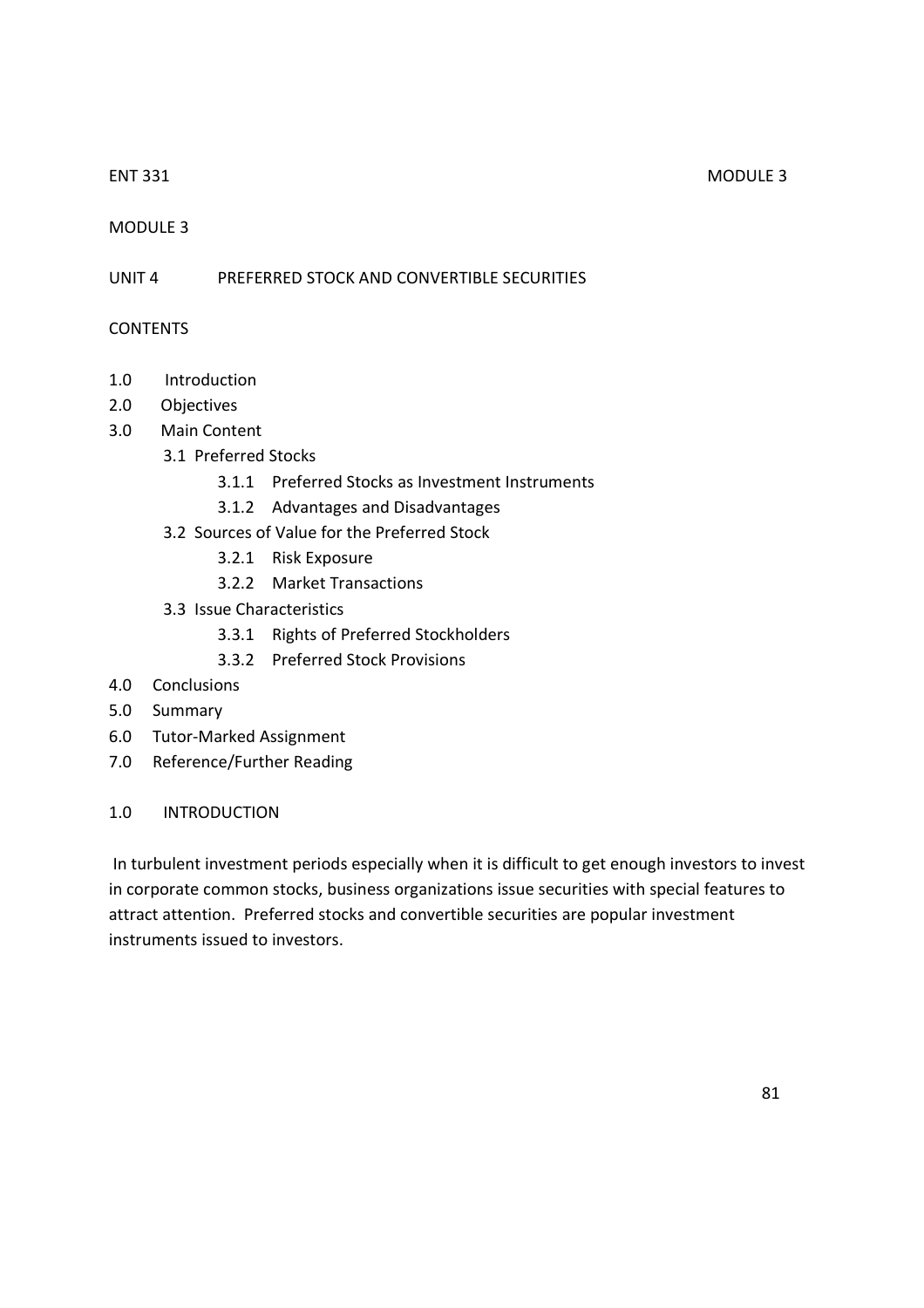### ENT 331 MODULE 3

## MODULE 3

UNIT 4 PREFERRED STOCK AND CONVERTIBLE SECURITIES

### **CONTENTS**

- 1.0 Introduction
- 2.0 Objectives
- 3.0 Main Content
	- 3.1 Preferred Stocks
		- 3.1.1 Preferred Stocks as Investment Instruments
		- 3.1.2 Advantages and Disadvantages
	- 3.2 Sources of Value for the Preferred Stock
		- 3.2.1 Risk Exposure
		- 3.2.2 Market Transactions
	- 3.3 Issue Characteristics
		- 3.3.1 Rights of Preferred Stockholders
		- 3.3.2 Preferred Stock Provisions
- 4.0 Conclusions
- 5.0 Summary
- 6.0 Tutor-Marked Assignment
- 7.0 Reference/Further Reading

## 1.0 INTRODUCTION

 In turbulent investment periods especially when it is difficult to get enough investors to invest in corporate common stocks, business organizations issue securities with special features to attract attention. Preferred stocks and convertible securities are popular investment instruments issued to investors.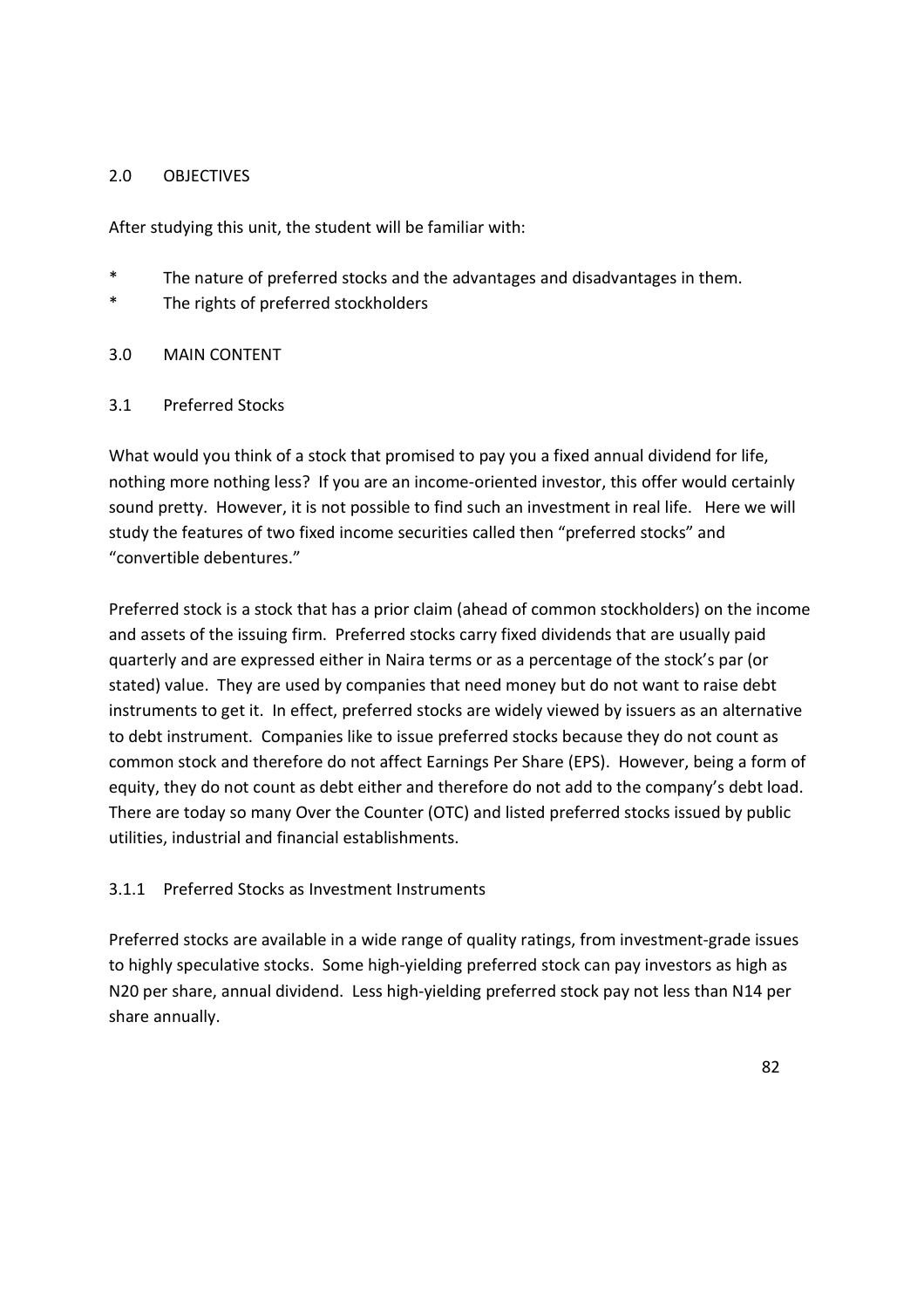## 2.0 OBJECTIVES

After studying this unit, the student will be familiar with:

- \* The nature of preferred stocks and the advantages and disadvantages in them.
- \* The rights of preferred stockholders
- 3.0 MAIN CONTENT
- 3.1 Preferred Stocks

What would you think of a stock that promised to pay you a fixed annual dividend for life, nothing more nothing less? If you are an income-oriented investor, this offer would certainly sound pretty. However, it is not possible to find such an investment in real life. Here we will study the features of two fixed income securities called then "preferred stocks" and "convertible debentures."

Preferred stock is a stock that has a prior claim (ahead of common stockholders) on the income and assets of the issuing firm. Preferred stocks carry fixed dividends that are usually paid quarterly and are expressed either in Naira terms or as a percentage of the stock's par (or stated) value. They are used by companies that need money but do not want to raise debt instruments to get it. In effect, preferred stocks are widely viewed by issuers as an alternative to debt instrument. Companies like to issue preferred stocks because they do not count as common stock and therefore do not affect Earnings Per Share (EPS). However, being a form of equity, they do not count as debt either and therefore do not add to the company's debt load. There are today so many Over the Counter (OTC) and listed preferred stocks issued by public utilities, industrial and financial establishments.

# 3.1.1 Preferred Stocks as Investment Instruments

Preferred stocks are available in a wide range of quality ratings, from investment-grade issues to highly speculative stocks. Some high-yielding preferred stock can pay investors as high as N20 per share, annual dividend. Less high-yielding preferred stock pay not less than N14 per share annually.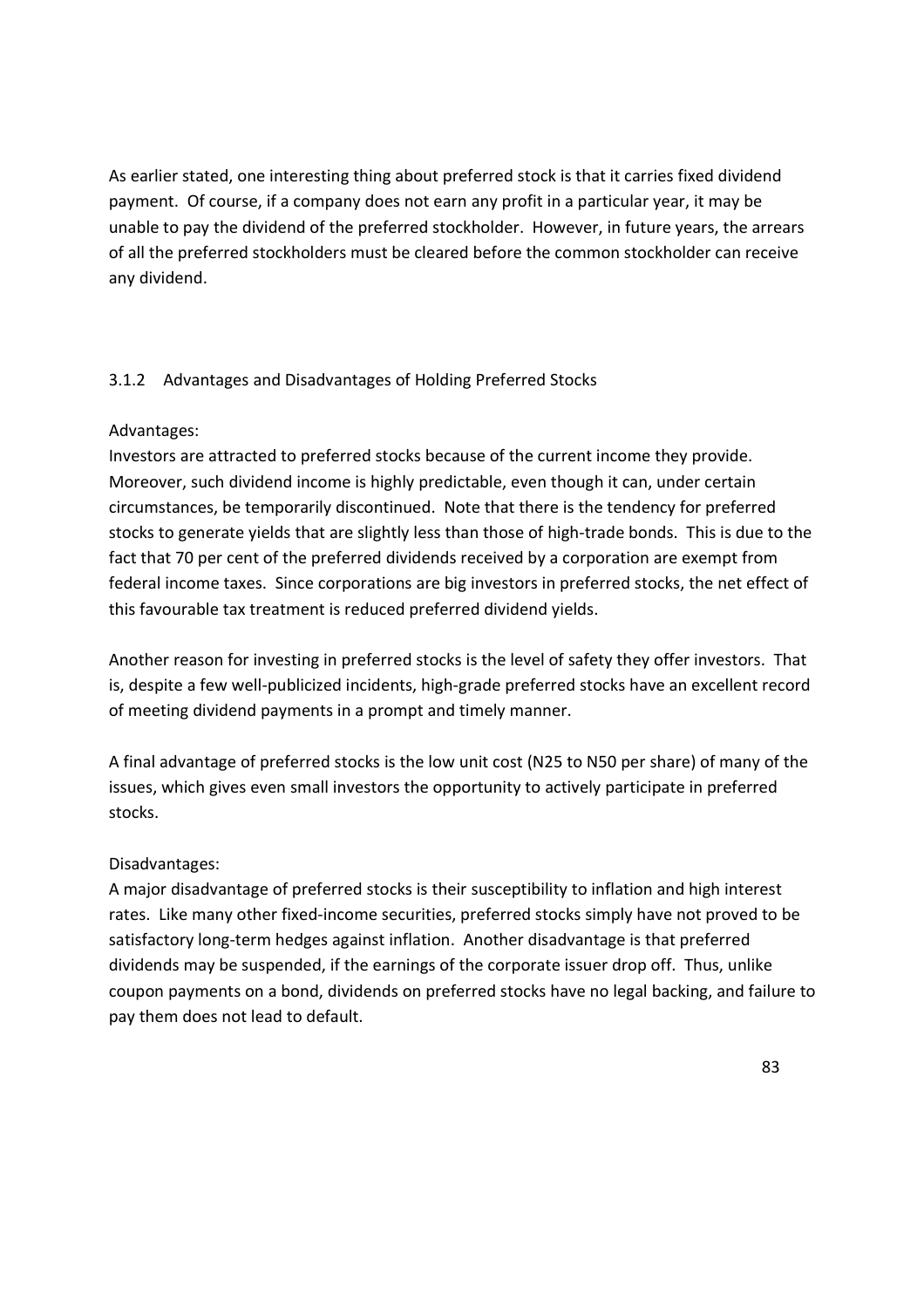As earlier stated, one interesting thing about preferred stock is that it carries fixed dividend payment. Of course, if a company does not earn any profit in a particular year, it may be unable to pay the dividend of the preferred stockholder. However, in future years, the arrears of all the preferred stockholders must be cleared before the common stockholder can receive any dividend.

## 3.1.2 Advantages and Disadvantages of Holding Preferred Stocks

## Advantages:

Investors are attracted to preferred stocks because of the current income they provide. Moreover, such dividend income is highly predictable, even though it can, under certain circumstances, be temporarily discontinued. Note that there is the tendency for preferred stocks to generate yields that are slightly less than those of high-trade bonds. This is due to the fact that 70 per cent of the preferred dividends received by a corporation are exempt from federal income taxes. Since corporations are big investors in preferred stocks, the net effect of this favourable tax treatment is reduced preferred dividend yields.

Another reason for investing in preferred stocks is the level of safety they offer investors. That is, despite a few well-publicized incidents, high-grade preferred stocks have an excellent record of meeting dividend payments in a prompt and timely manner.

A final advantage of preferred stocks is the low unit cost (N25 to N50 per share) of many of the issues, which gives even small investors the opportunity to actively participate in preferred stocks.

## Disadvantages:

A major disadvantage of preferred stocks is their susceptibility to inflation and high interest rates. Like many other fixed-income securities, preferred stocks simply have not proved to be satisfactory long-term hedges against inflation. Another disadvantage is that preferred dividends may be suspended, if the earnings of the corporate issuer drop off. Thus, unlike coupon payments on a bond, dividends on preferred stocks have no legal backing, and failure to pay them does not lead to default.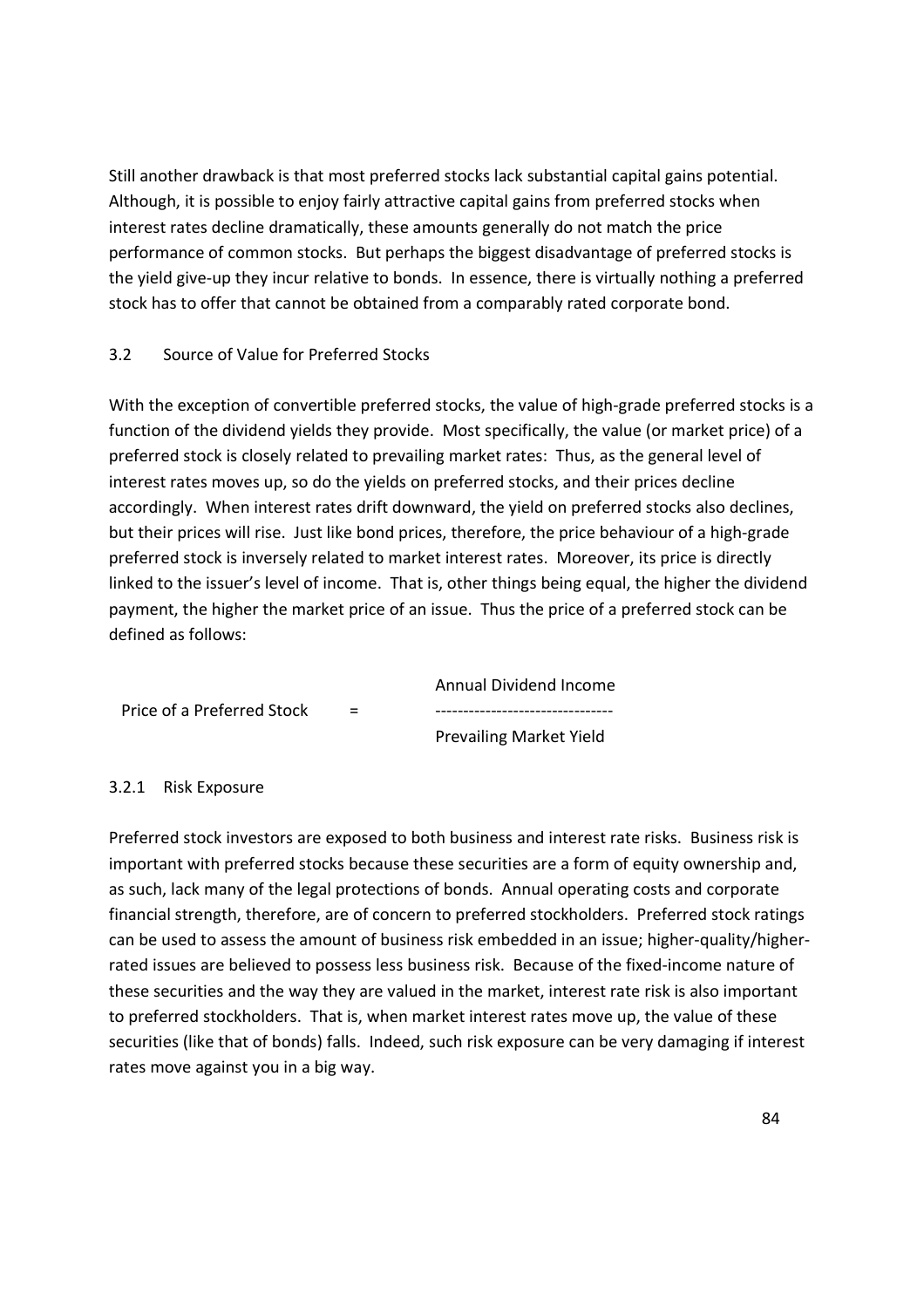Still another drawback is that most preferred stocks lack substantial capital gains potential. Although, it is possible to enjoy fairly attractive capital gains from preferred stocks when interest rates decline dramatically, these amounts generally do not match the price performance of common stocks. But perhaps the biggest disadvantage of preferred stocks is the yield give-up they incur relative to bonds. In essence, there is virtually nothing a preferred stock has to offer that cannot be obtained from a comparably rated corporate bond.

## 3.2 Source of Value for Preferred Stocks

With the exception of convertible preferred stocks, the value of high-grade preferred stocks is a function of the dividend yields they provide. Most specifically, the value (or market price) of a preferred stock is closely related to prevailing market rates: Thus, as the general level of interest rates moves up, so do the yields on preferred stocks, and their prices decline accordingly. When interest rates drift downward, the yield on preferred stocks also declines, but their prices will rise. Just like bond prices, therefore, the price behaviour of a high-grade preferred stock is inversely related to market interest rates. Moreover, its price is directly linked to the issuer's level of income. That is, other things being equal, the higher the dividend payment, the higher the market price of an issue. Thus the price of a preferred stock can be defined as follows:

|                            |     | Annual Dividend Income         |
|----------------------------|-----|--------------------------------|
| Price of a Preferred Stock | $=$ |                                |
|                            |     | <b>Prevailing Market Yield</b> |

## 3.2.1 Risk Exposure

Preferred stock investors are exposed to both business and interest rate risks. Business risk is important with preferred stocks because these securities are a form of equity ownership and, as such, lack many of the legal protections of bonds. Annual operating costs and corporate financial strength, therefore, are of concern to preferred stockholders. Preferred stock ratings can be used to assess the amount of business risk embedded in an issue; higher-quality/higherrated issues are believed to possess less business risk. Because of the fixed-income nature of these securities and the way they are valued in the market, interest rate risk is also important to preferred stockholders. That is, when market interest rates move up, the value of these securities (like that of bonds) falls. Indeed, such risk exposure can be very damaging if interest rates move against you in a big way.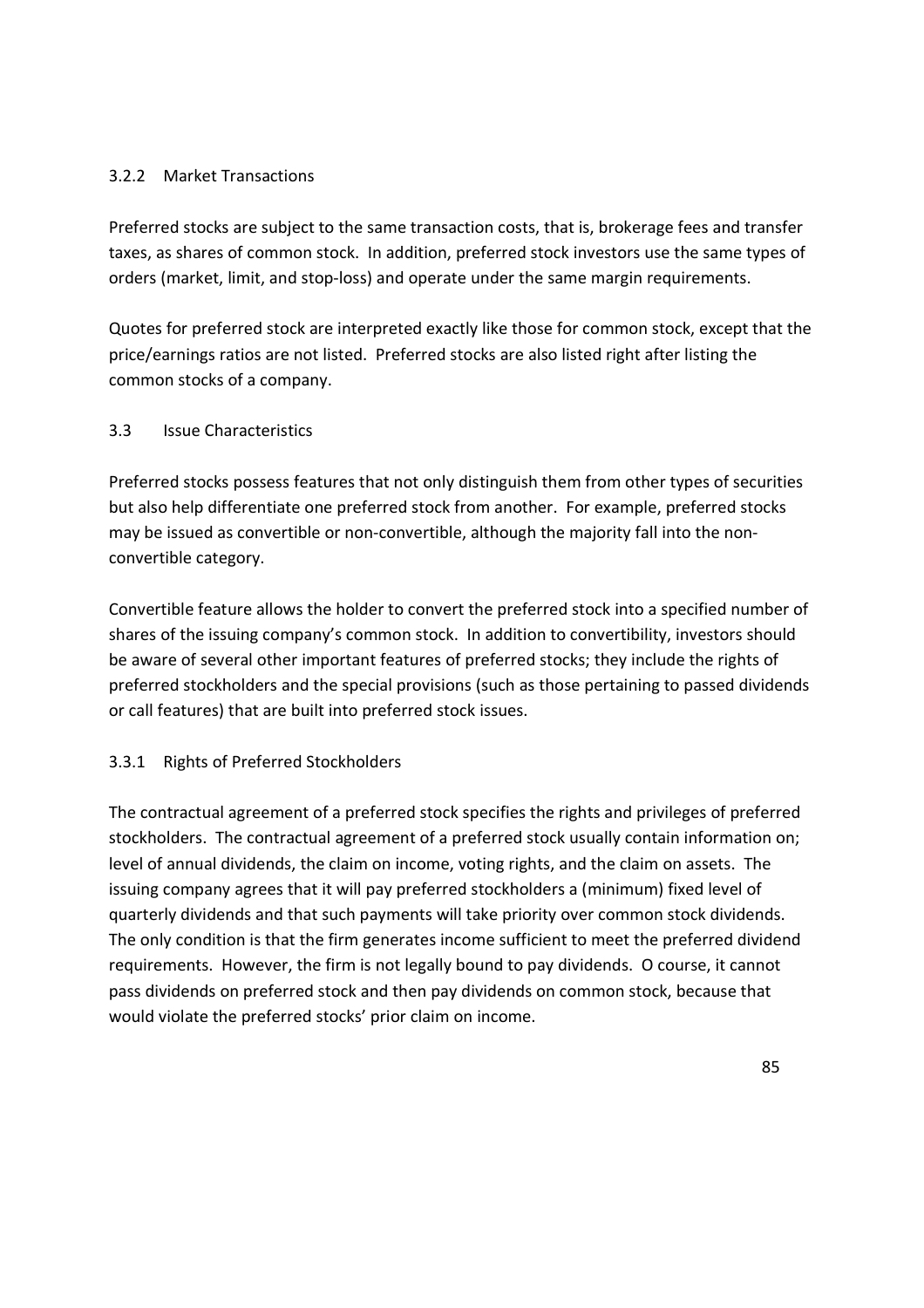## 3.2.2 Market Transactions

Preferred stocks are subject to the same transaction costs, that is, brokerage fees and transfer taxes, as shares of common stock. In addition, preferred stock investors use the same types of orders (market, limit, and stop-loss) and operate under the same margin requirements.

Quotes for preferred stock are interpreted exactly like those for common stock, except that the price/earnings ratios are not listed. Preferred stocks are also listed right after listing the common stocks of a company.

## 3.3 Issue Characteristics

Preferred stocks possess features that not only distinguish them from other types of securities but also help differentiate one preferred stock from another. For example, preferred stocks may be issued as convertible or non-convertible, although the majority fall into the nonconvertible category.

Convertible feature allows the holder to convert the preferred stock into a specified number of shares of the issuing company's common stock. In addition to convertibility, investors should be aware of several other important features of preferred stocks; they include the rights of preferred stockholders and the special provisions (such as those pertaining to passed dividends or call features) that are built into preferred stock issues.

# 3.3.1 Rights of Preferred Stockholders

The contractual agreement of a preferred stock specifies the rights and privileges of preferred stockholders. The contractual agreement of a preferred stock usually contain information on; level of annual dividends, the claim on income, voting rights, and the claim on assets. The issuing company agrees that it will pay preferred stockholders a (minimum) fixed level of quarterly dividends and that such payments will take priority over common stock dividends. The only condition is that the firm generates income sufficient to meet the preferred dividend requirements. However, the firm is not legally bound to pay dividends. O course, it cannot pass dividends on preferred stock and then pay dividends on common stock, because that would violate the preferred stocks' prior claim on income.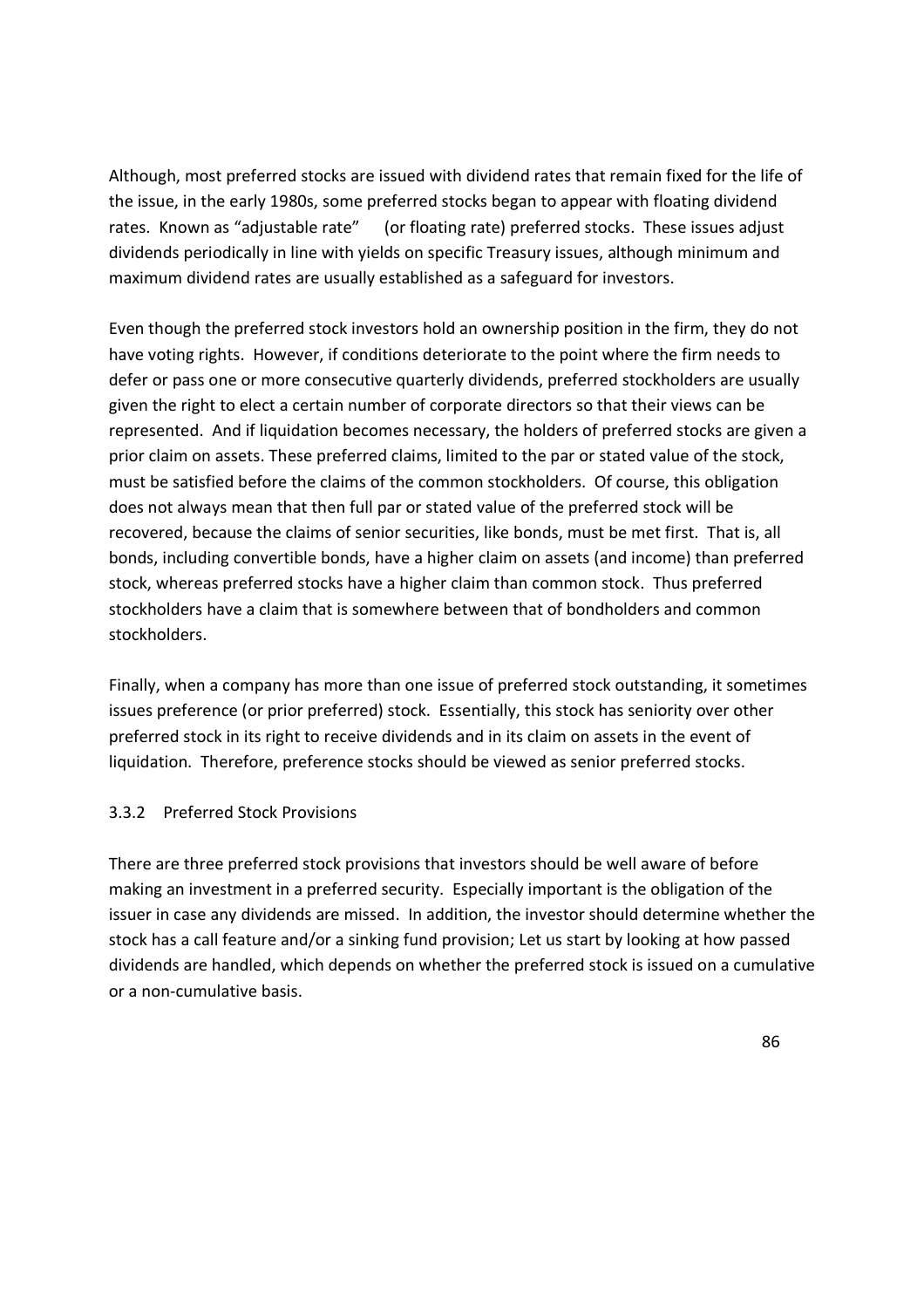Although, most preferred stocks are issued with dividend rates that remain fixed for the life of the issue, in the early 1980s, some preferred stocks began to appear with floating dividend rates. Known as "adjustable rate" (or floating rate) preferred stocks. These issues adjust dividends periodically in line with yields on specific Treasury issues, although minimum and maximum dividend rates are usually established as a safeguard for investors.

Even though the preferred stock investors hold an ownership position in the firm, they do not have voting rights. However, if conditions deteriorate to the point where the firm needs to defer or pass one or more consecutive quarterly dividends, preferred stockholders are usually given the right to elect a certain number of corporate directors so that their views can be represented. And if liquidation becomes necessary, the holders of preferred stocks are given a prior claim on assets. These preferred claims, limited to the par or stated value of the stock, must be satisfied before the claims of the common stockholders. Of course, this obligation does not always mean that then full par or stated value of the preferred stock will be recovered, because the claims of senior securities, like bonds, must be met first. That is, all bonds, including convertible bonds, have a higher claim on assets (and income) than preferred stock, whereas preferred stocks have a higher claim than common stock. Thus preferred stockholders have a claim that is somewhere between that of bondholders and common stockholders.

Finally, when a company has more than one issue of preferred stock outstanding, it sometimes issues preference (or prior preferred) stock. Essentially, this stock has seniority over other preferred stock in its right to receive dividends and in its claim on assets in the event of liquidation. Therefore, preference stocks should be viewed as senior preferred stocks.

# 3.3.2 Preferred Stock Provisions

There are three preferred stock provisions that investors should be well aware of before making an investment in a preferred security. Especially important is the obligation of the issuer in case any dividends are missed. In addition, the investor should determine whether the stock has a call feature and/or a sinking fund provision; Let us start by looking at how passed dividends are handled, which depends on whether the preferred stock is issued on a cumulative or a non-cumulative basis.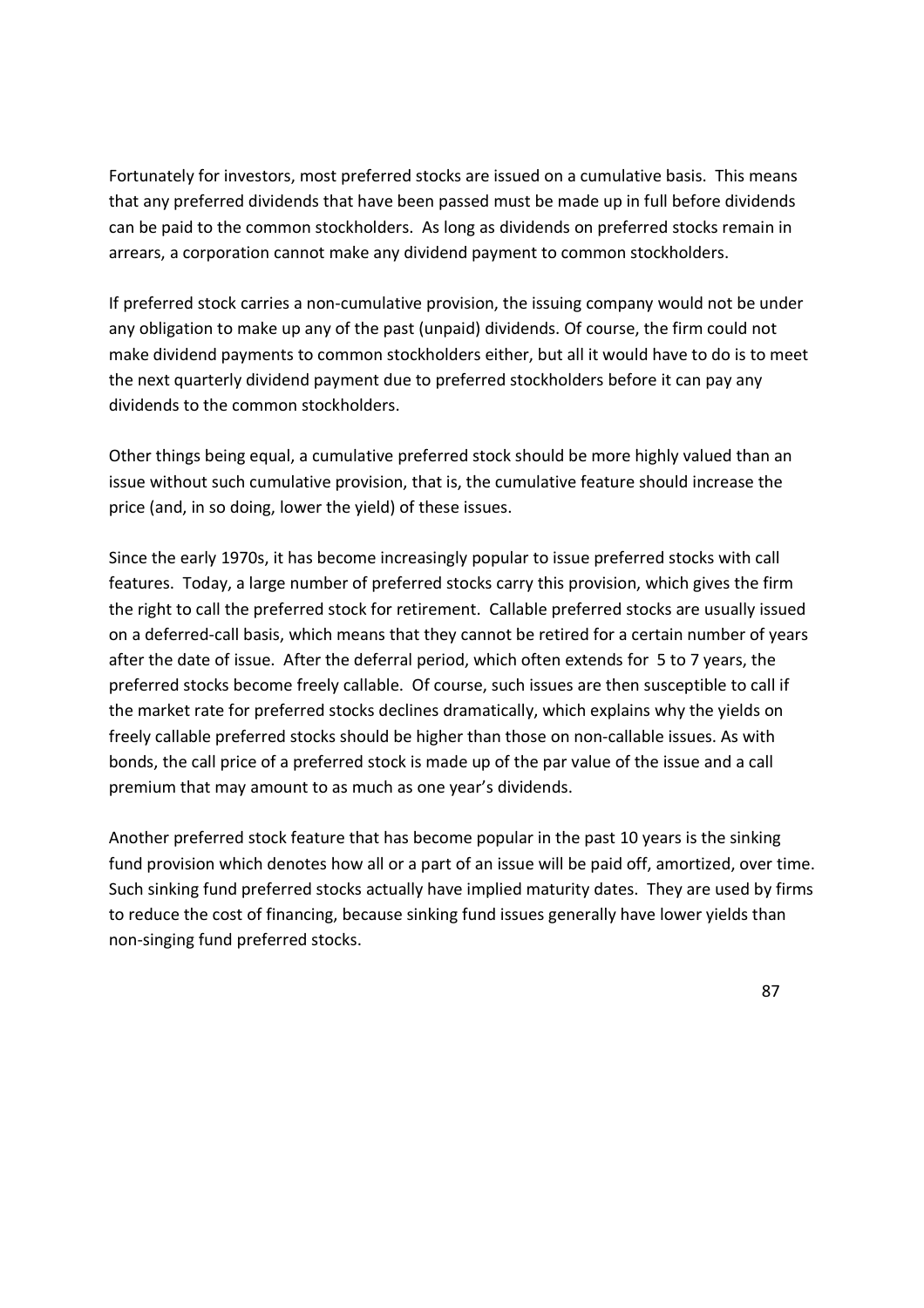Fortunately for investors, most preferred stocks are issued on a cumulative basis. This means that any preferred dividends that have been passed must be made up in full before dividends can be paid to the common stockholders. As long as dividends on preferred stocks remain in arrears, a corporation cannot make any dividend payment to common stockholders.

If preferred stock carries a non-cumulative provision, the issuing company would not be under any obligation to make up any of the past (unpaid) dividends. Of course, the firm could not make dividend payments to common stockholders either, but all it would have to do is to meet the next quarterly dividend payment due to preferred stockholders before it can pay any dividends to the common stockholders.

Other things being equal, a cumulative preferred stock should be more highly valued than an issue without such cumulative provision, that is, the cumulative feature should increase the price (and, in so doing, lower the yield) of these issues.

Since the early 1970s, it has become increasingly popular to issue preferred stocks with call features. Today, a large number of preferred stocks carry this provision, which gives the firm the right to call the preferred stock for retirement. Callable preferred stocks are usually issued on a deferred-call basis, which means that they cannot be retired for a certain number of years after the date of issue. After the deferral period, which often extends for 5 to 7 years, the preferred stocks become freely callable. Of course, such issues are then susceptible to call if the market rate for preferred stocks declines dramatically, which explains why the yields on freely callable preferred stocks should be higher than those on non-callable issues. As with bonds, the call price of a preferred stock is made up of the par value of the issue and a call premium that may amount to as much as one year's dividends.

Another preferred stock feature that has become popular in the past 10 years is the sinking fund provision which denotes how all or a part of an issue will be paid off, amortized, over time. Such sinking fund preferred stocks actually have implied maturity dates. They are used by firms to reduce the cost of financing, because sinking fund issues generally have lower yields than non-singing fund preferred stocks.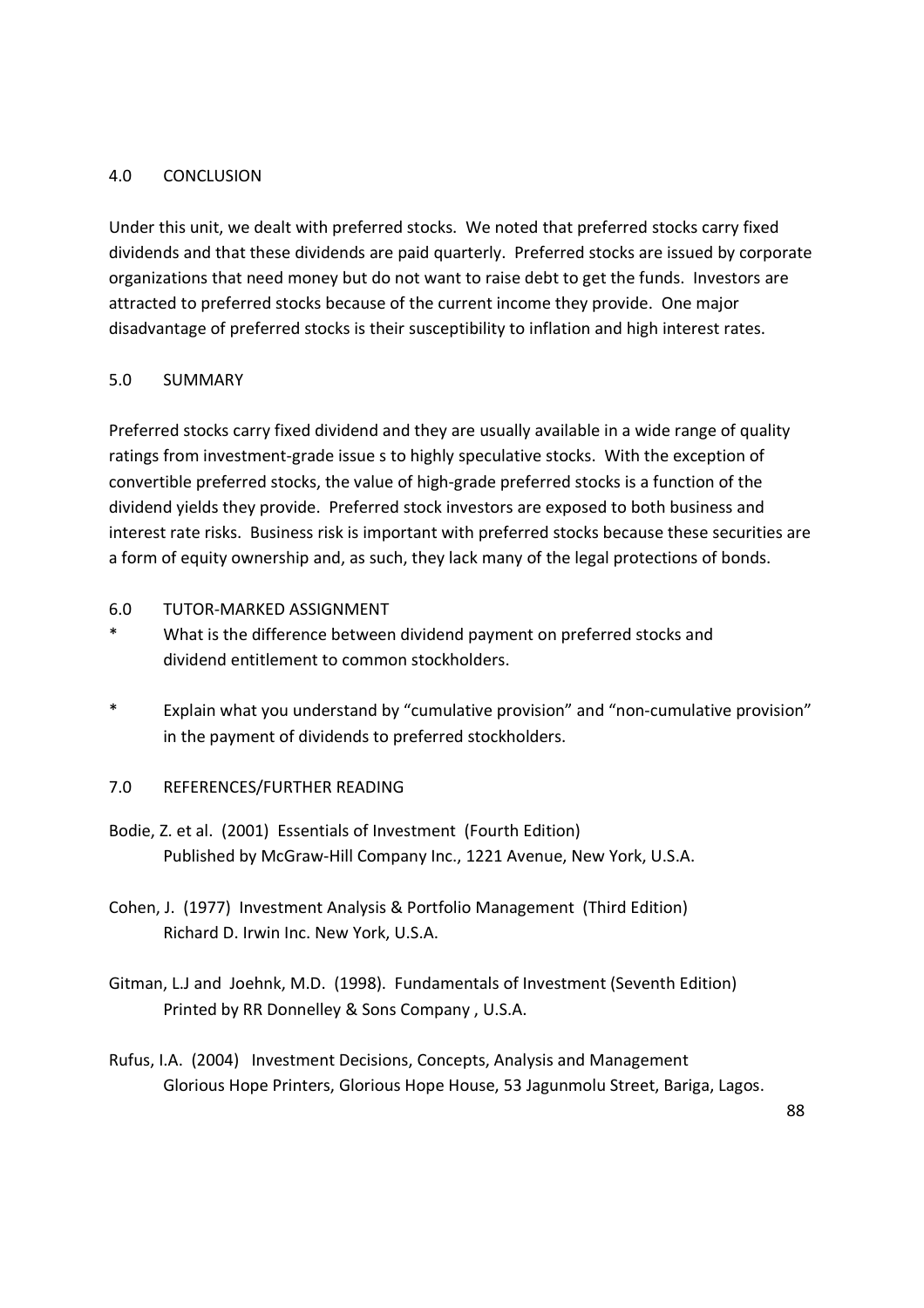## 4.0 CONCLUSION

Under this unit, we dealt with preferred stocks. We noted that preferred stocks carry fixed dividends and that these dividends are paid quarterly. Preferred stocks are issued by corporate organizations that need money but do not want to raise debt to get the funds. Investors are attracted to preferred stocks because of the current income they provide. One major disadvantage of preferred stocks is their susceptibility to inflation and high interest rates.

## 5.0 SUMMARY

Preferred stocks carry fixed dividend and they are usually available in a wide range of quality ratings from investment-grade issue s to highly speculative stocks. With the exception of convertible preferred stocks, the value of high-grade preferred stocks is a function of the dividend yields they provide. Preferred stock investors are exposed to both business and interest rate risks. Business risk is important with preferred stocks because these securities are a form of equity ownership and, as such, they lack many of the legal protections of bonds.

- 6.0 TUTOR-MARKED ASSIGNMENT
- \* What is the difference between dividend payment on preferred stocks and dividend entitlement to common stockholders.
- \* Explain what you understand by "cumulative provision" and "non-cumulative provision" in the payment of dividends to preferred stockholders.
- 7.0 REFERENCES/FURTHER READING
- Bodie, Z. et al. (2001) Essentials of Investment (Fourth Edition) Published by McGraw-Hill Company Inc., 1221 Avenue, New York, U.S.A.
- Cohen, J. (1977) Investment Analysis & Portfolio Management (Third Edition) Richard D. Irwin Inc. New York, U.S.A.
- Gitman, L.J and Joehnk, M.D. (1998). Fundamentals of Investment (Seventh Edition) Printed by RR Donnelley & Sons Company , U.S.A.
- Rufus, I.A. (2004) Investment Decisions, Concepts, Analysis and Management Glorious Hope Printers, Glorious Hope House, 53 Jagunmolu Street, Bariga, Lagos.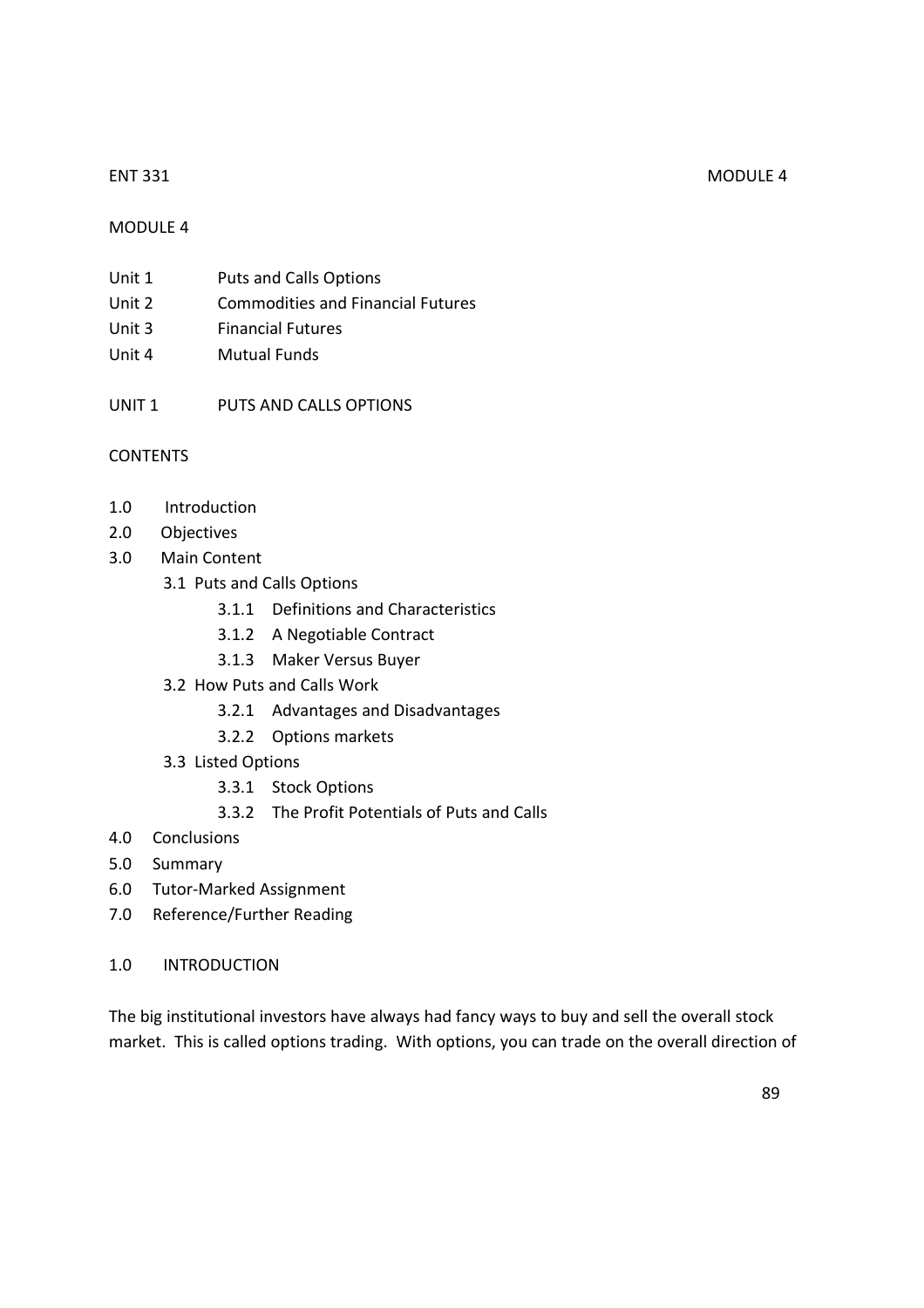### ENT 331 MODULE 4

## MODULE 4

| Unit 1 | <b>Puts and Calls Options</b>            |
|--------|------------------------------------------|
| Unit 2 | <b>Commodities and Financial Futures</b> |
| Unit 3 | <b>Financial Futures</b>                 |

- Unit 4 Mutual Funds
- 
- UNIT 1 PUTS AND CALLS OPTIONS

# **CONTENTS**

- 1.0 Introduction
- 2.0 Objectives
- 3.0 Main Content
	- 3.1 Puts and Calls Options
		- 3.1.1 Definitions and Characteristics
		- 3.1.2 A Negotiable Contract
		- 3.1.3 Maker Versus Buyer
	- 3.2 How Puts and Calls Work
		- 3.2.1 Advantages and Disadvantages
		- 3.2.2 Options markets
	- 3.3 Listed Options
		- 3.3.1 Stock Options
		- 3.3.2 The Profit Potentials of Puts and Calls
- 4.0 Conclusions
- 5.0 Summary
- 6.0 Tutor-Marked Assignment
- 7.0 Reference/Further Reading
- 1.0 INTRODUCTION

The big institutional investors have always had fancy ways to buy and sell the overall stock market. This is called options trading. With options, you can trade on the overall direction of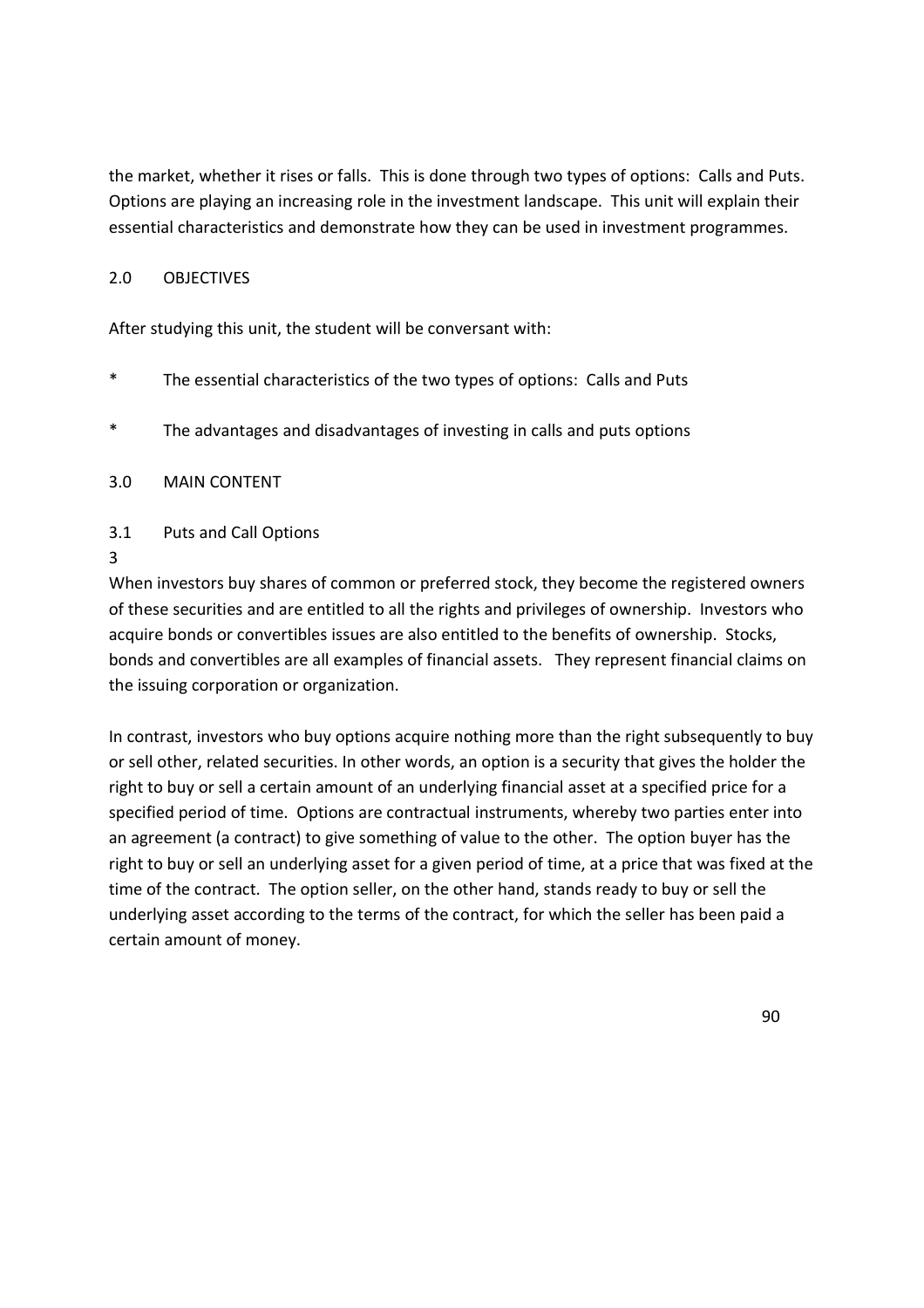the market, whether it rises or falls. This is done through two types of options: Calls and Puts. Options are playing an increasing role in the investment landscape. This unit will explain their essential characteristics and demonstrate how they can be used in investment programmes.

# 2.0 OBJECTIVES

After studying this unit, the student will be conversant with:

- \* The essential characteristics of the two types of options: Calls and Puts
- \* The advantages and disadvantages of investing in calls and puts options

## 3.0 MAIN CONTENT

## 3.1 Puts and Call Options

3

When investors buy shares of common or preferred stock, they become the registered owners of these securities and are entitled to all the rights and privileges of ownership. Investors who acquire bonds or convertibles issues are also entitled to the benefits of ownership. Stocks, bonds and convertibles are all examples of financial assets. They represent financial claims on the issuing corporation or organization.

In contrast, investors who buy options acquire nothing more than the right subsequently to buy or sell other, related securities. In other words, an option is a security that gives the holder the right to buy or sell a certain amount of an underlying financial asset at a specified price for a specified period of time. Options are contractual instruments, whereby two parties enter into an agreement (a contract) to give something of value to the other. The option buyer has the right to buy or sell an underlying asset for a given period of time, at a price that was fixed at the time of the contract. The option seller, on the other hand, stands ready to buy or sell the underlying asset according to the terms of the contract, for which the seller has been paid a certain amount of money.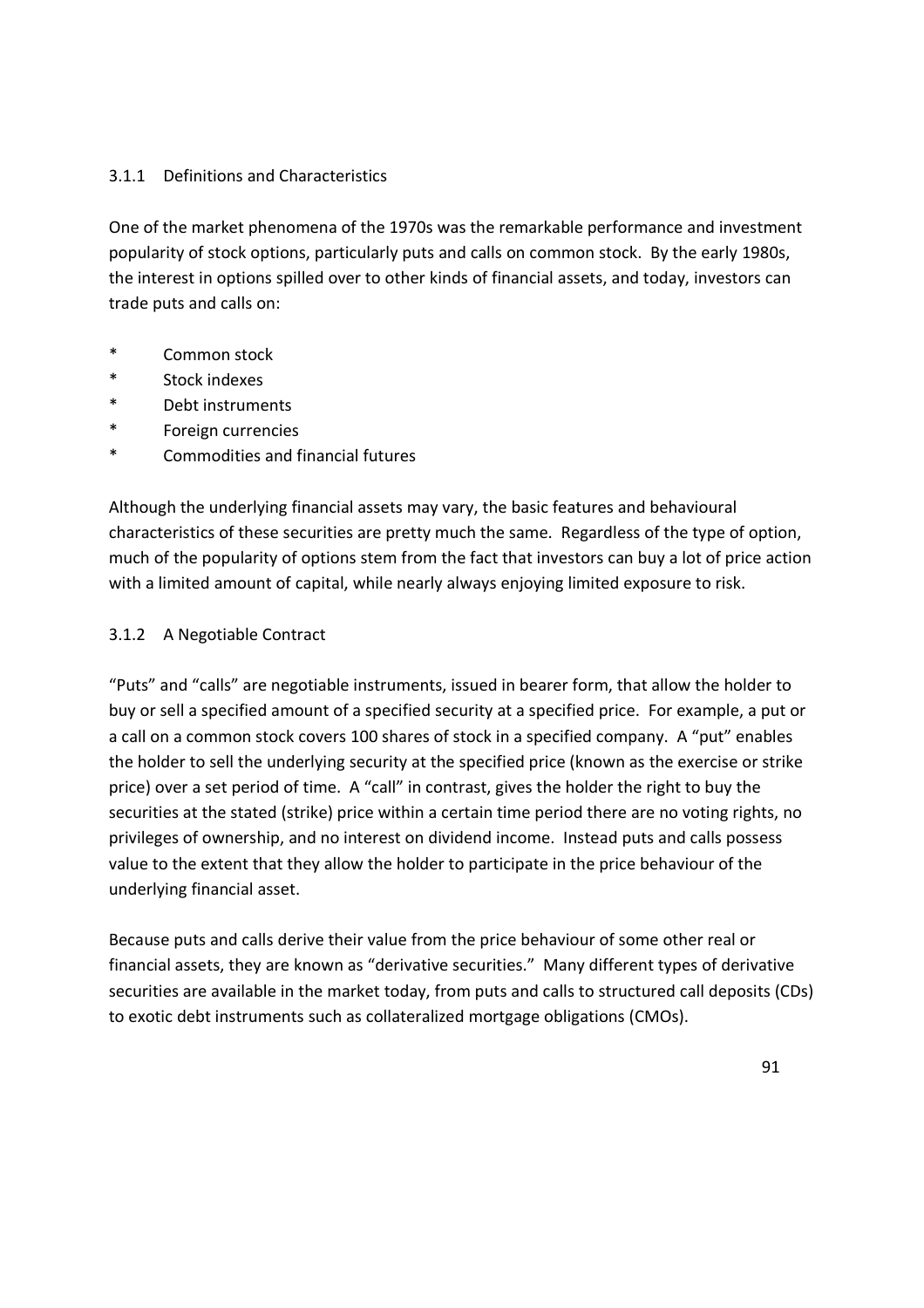# 3.1.1 Definitions and Characteristics

One of the market phenomena of the 1970s was the remarkable performance and investment popularity of stock options, particularly puts and calls on common stock. By the early 1980s, the interest in options spilled over to other kinds of financial assets, and today, investors can trade puts and calls on:

- \* Common stock
- \* Stock indexes
- \* Debt instruments
- \* Foreign currencies
- \* Commodities and financial futures

Although the underlying financial assets may vary, the basic features and behavioural characteristics of these securities are pretty much the same. Regardless of the type of option, much of the popularity of options stem from the fact that investors can buy a lot of price action with a limited amount of capital, while nearly always enjoying limited exposure to risk.

## 3.1.2 A Negotiable Contract

"Puts" and "calls" are negotiable instruments, issued in bearer form, that allow the holder to buy or sell a specified amount of a specified security at a specified price. For example, a put or a call on a common stock covers 100 shares of stock in a specified company. A "put" enables the holder to sell the underlying security at the specified price (known as the exercise or strike price) over a set period of time. A "call" in contrast, gives the holder the right to buy the securities at the stated (strike) price within a certain time period there are no voting rights, no privileges of ownership, and no interest on dividend income. Instead puts and calls possess value to the extent that they allow the holder to participate in the price behaviour of the underlying financial asset.

Because puts and calls derive their value from the price behaviour of some other real or financial assets, they are known as "derivative securities." Many different types of derivative securities are available in the market today, from puts and calls to structured call deposits (CDs) to exotic debt instruments such as collateralized mortgage obligations (CMOs).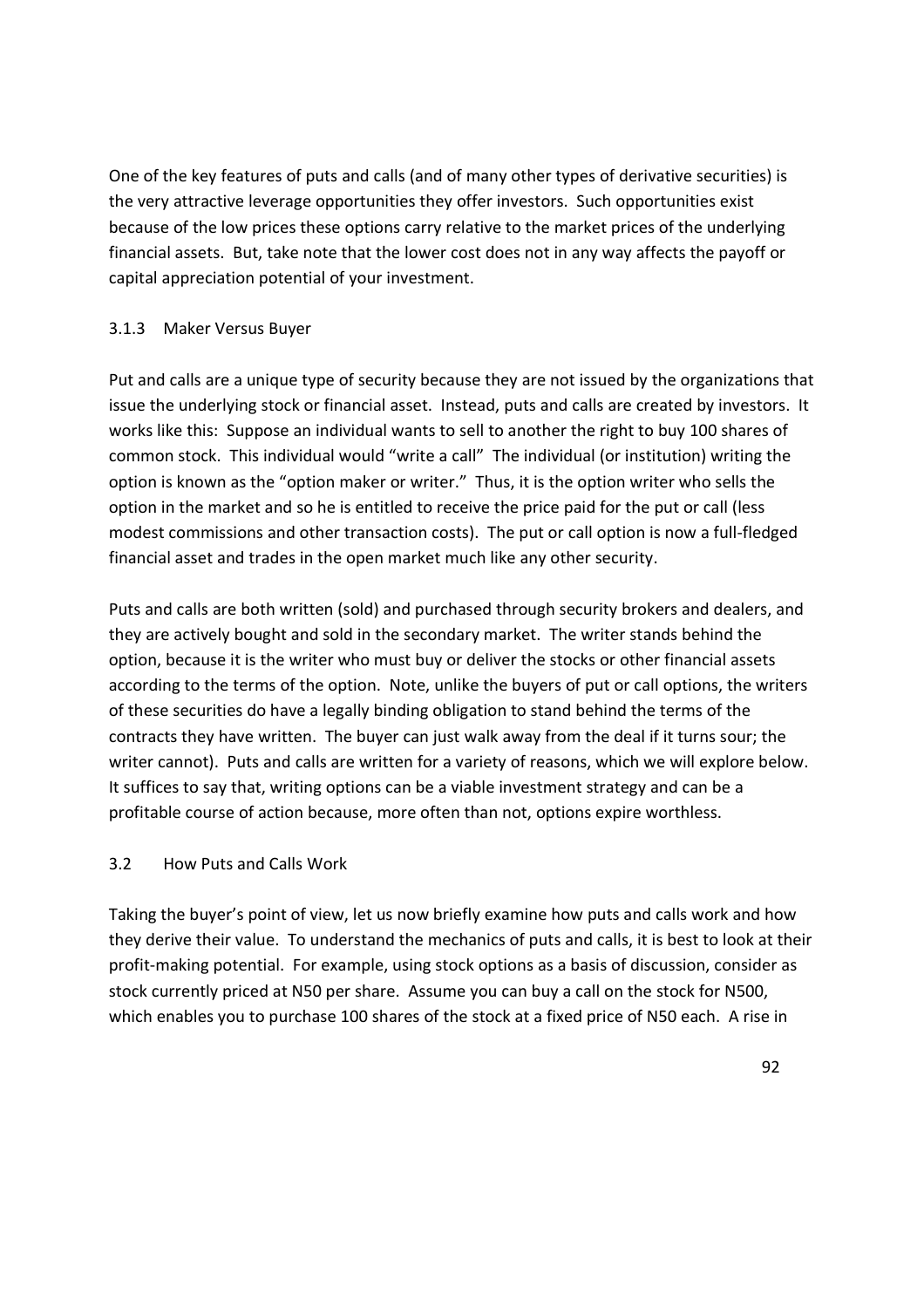One of the key features of puts and calls (and of many other types of derivative securities) is the very attractive leverage opportunities they offer investors. Such opportunities exist because of the low prices these options carry relative to the market prices of the underlying financial assets. But, take note that the lower cost does not in any way affects the payoff or capital appreciation potential of your investment.

## 3.1.3 Maker Versus Buyer

Put and calls are a unique type of security because they are not issued by the organizations that issue the underlying stock or financial asset. Instead, puts and calls are created by investors. It works like this: Suppose an individual wants to sell to another the right to buy 100 shares of common stock. This individual would "write a call" The individual (or institution) writing the option is known as the "option maker or writer." Thus, it is the option writer who sells the option in the market and so he is entitled to receive the price paid for the put or call (less modest commissions and other transaction costs). The put or call option is now a full-fledged financial asset and trades in the open market much like any other security.

Puts and calls are both written (sold) and purchased through security brokers and dealers, and they are actively bought and sold in the secondary market. The writer stands behind the option, because it is the writer who must buy or deliver the stocks or other financial assets according to the terms of the option. Note, unlike the buyers of put or call options, the writers of these securities do have a legally binding obligation to stand behind the terms of the contracts they have written. The buyer can just walk away from the deal if it turns sour; the writer cannot). Puts and calls are written for a variety of reasons, which we will explore below. It suffices to say that, writing options can be a viable investment strategy and can be a profitable course of action because, more often than not, options expire worthless.

## 3.2 How Puts and Calls Work

Taking the buyer's point of view, let us now briefly examine how puts and calls work and how they derive their value. To understand the mechanics of puts and calls, it is best to look at their profit-making potential. For example, using stock options as a basis of discussion, consider as stock currently priced at N50 per share. Assume you can buy a call on the stock for N500, which enables you to purchase 100 shares of the stock at a fixed price of N50 each. A rise in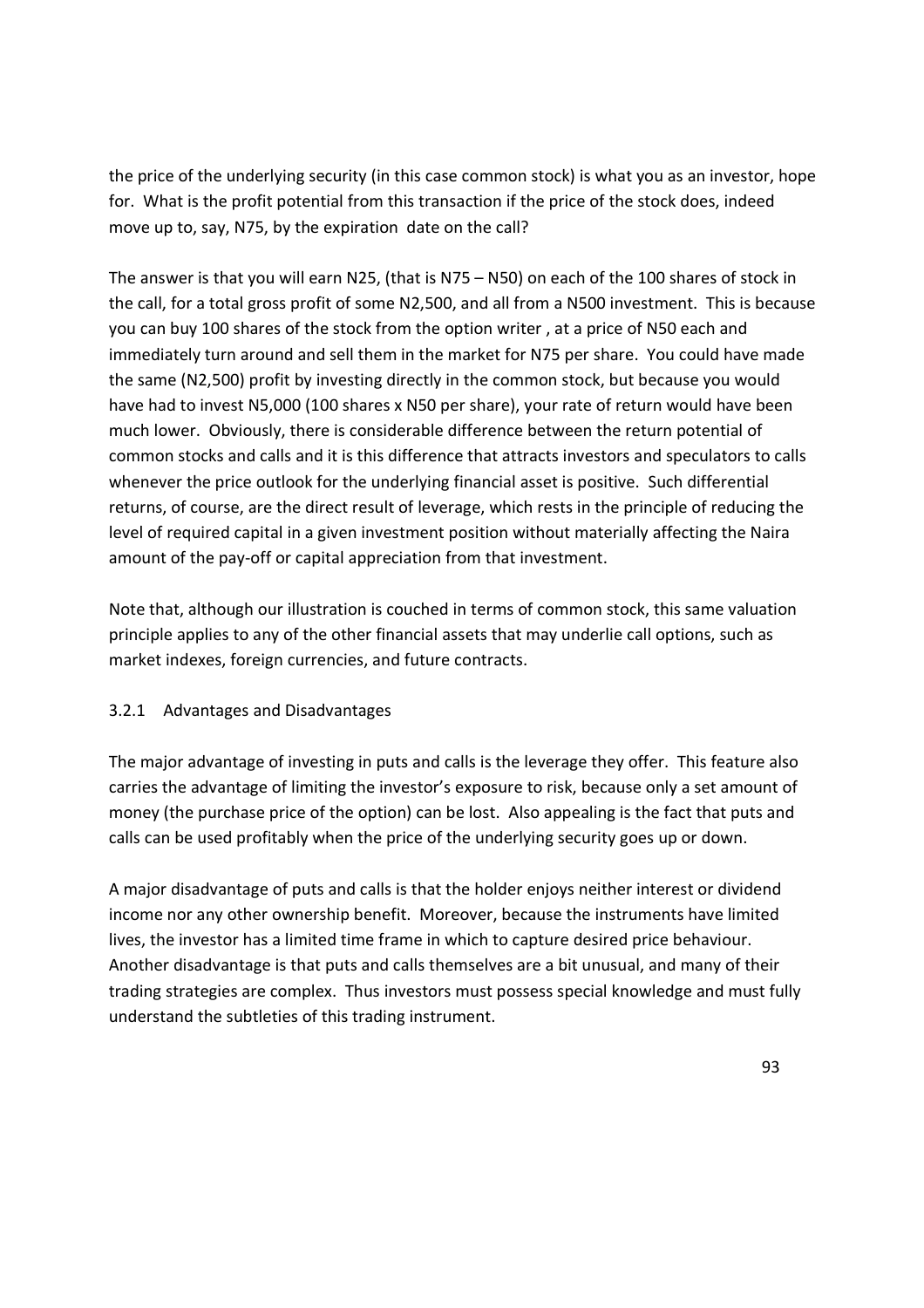the price of the underlying security (in this case common stock) is what you as an investor, hope for. What is the profit potential from this transaction if the price of the stock does, indeed move up to, say, N75, by the expiration date on the call?

The answer is that you will earn N25, (that is N75 – N50) on each of the 100 shares of stock in the call, for a total gross profit of some N2,500, and all from a N500 investment. This is because you can buy 100 shares of the stock from the option writer , at a price of N50 each and immediately turn around and sell them in the market for N75 per share. You could have made the same (N2,500) profit by investing directly in the common stock, but because you would have had to invest N5,000 (100 shares x N50 per share), your rate of return would have been much lower. Obviously, there is considerable difference between the return potential of common stocks and calls and it is this difference that attracts investors and speculators to calls whenever the price outlook for the underlying financial asset is positive. Such differential returns, of course, are the direct result of leverage, which rests in the principle of reducing the level of required capital in a given investment position without materially affecting the Naira amount of the pay-off or capital appreciation from that investment.

Note that, although our illustration is couched in terms of common stock, this same valuation principle applies to any of the other financial assets that may underlie call options, such as market indexes, foreign currencies, and future contracts.

# 3.2.1 Advantages and Disadvantages

The major advantage of investing in puts and calls is the leverage they offer. This feature also carries the advantage of limiting the investor's exposure to risk, because only a set amount of money (the purchase price of the option) can be lost. Also appealing is the fact that puts and calls can be used profitably when the price of the underlying security goes up or down.

A major disadvantage of puts and calls is that the holder enjoys neither interest or dividend income nor any other ownership benefit. Moreover, because the instruments have limited lives, the investor has a limited time frame in which to capture desired price behaviour. Another disadvantage is that puts and calls themselves are a bit unusual, and many of their trading strategies are complex. Thus investors must possess special knowledge and must fully understand the subtleties of this trading instrument.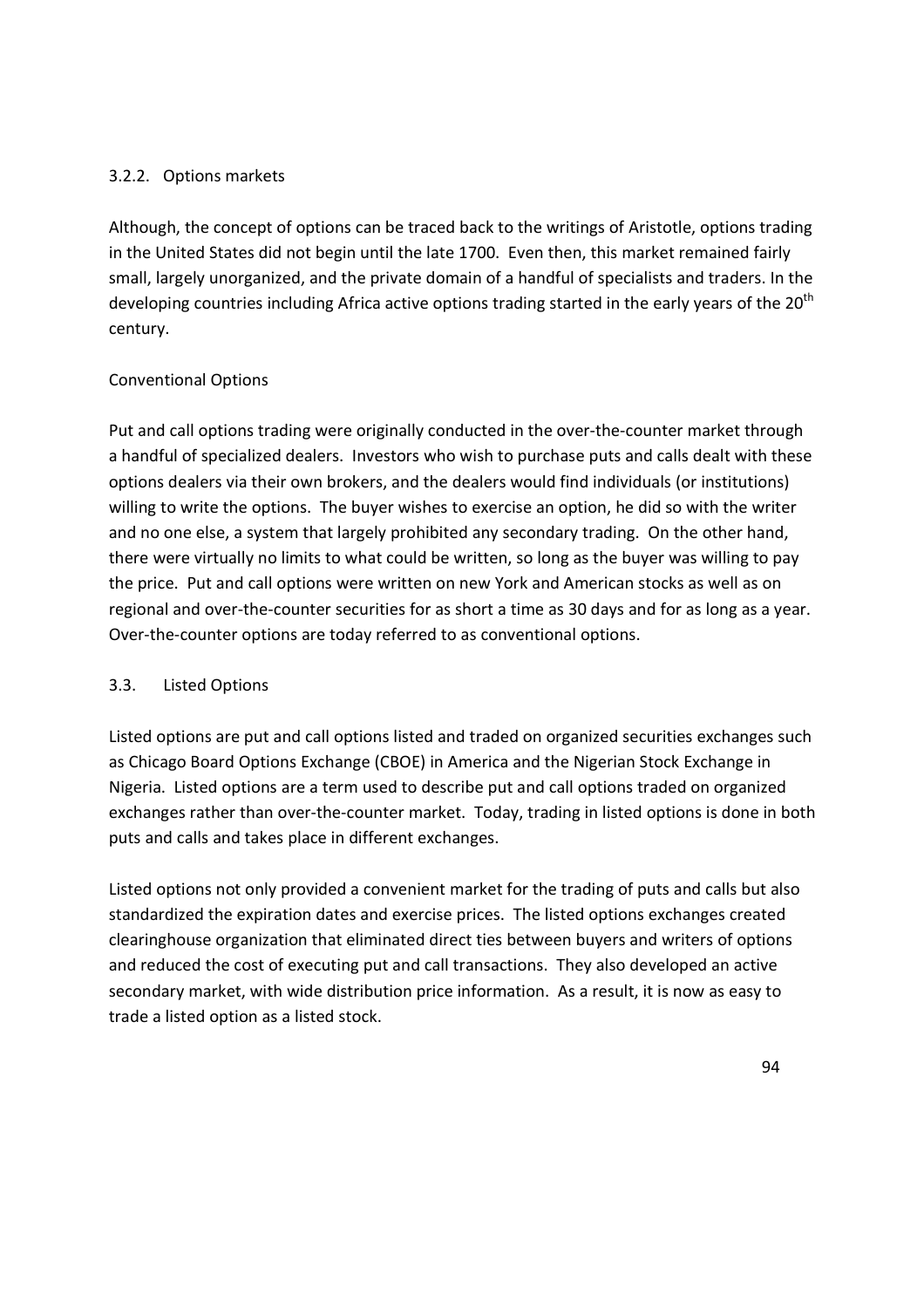## 3.2.2. Options markets

Although, the concept of options can be traced back to the writings of Aristotle, options trading in the United States did not begin until the late 1700. Even then, this market remained fairly small, largely unorganized, and the private domain of a handful of specialists and traders. In the developing countries including Africa active options trading started in the early years of the 20<sup>th</sup> century.

# Conventional Options

Put and call options trading were originally conducted in the over-the-counter market through a handful of specialized dealers. Investors who wish to purchase puts and calls dealt with these options dealers via their own brokers, and the dealers would find individuals (or institutions) willing to write the options. The buyer wishes to exercise an option, he did so with the writer and no one else, a system that largely prohibited any secondary trading. On the other hand, there were virtually no limits to what could be written, so long as the buyer was willing to pay the price. Put and call options were written on new York and American stocks as well as on regional and over-the-counter securities for as short a time as 30 days and for as long as a year. Over-the-counter options are today referred to as conventional options.

## 3.3. Listed Options

Listed options are put and call options listed and traded on organized securities exchanges such as Chicago Board Options Exchange (CBOE) in America and the Nigerian Stock Exchange in Nigeria. Listed options are a term used to describe put and call options traded on organized exchanges rather than over-the-counter market. Today, trading in listed options is done in both puts and calls and takes place in different exchanges.

Listed options not only provided a convenient market for the trading of puts and calls but also standardized the expiration dates and exercise prices. The listed options exchanges created clearinghouse organization that eliminated direct ties between buyers and writers of options and reduced the cost of executing put and call transactions. They also developed an active secondary market, with wide distribution price information. As a result, it is now as easy to trade a listed option as a listed stock.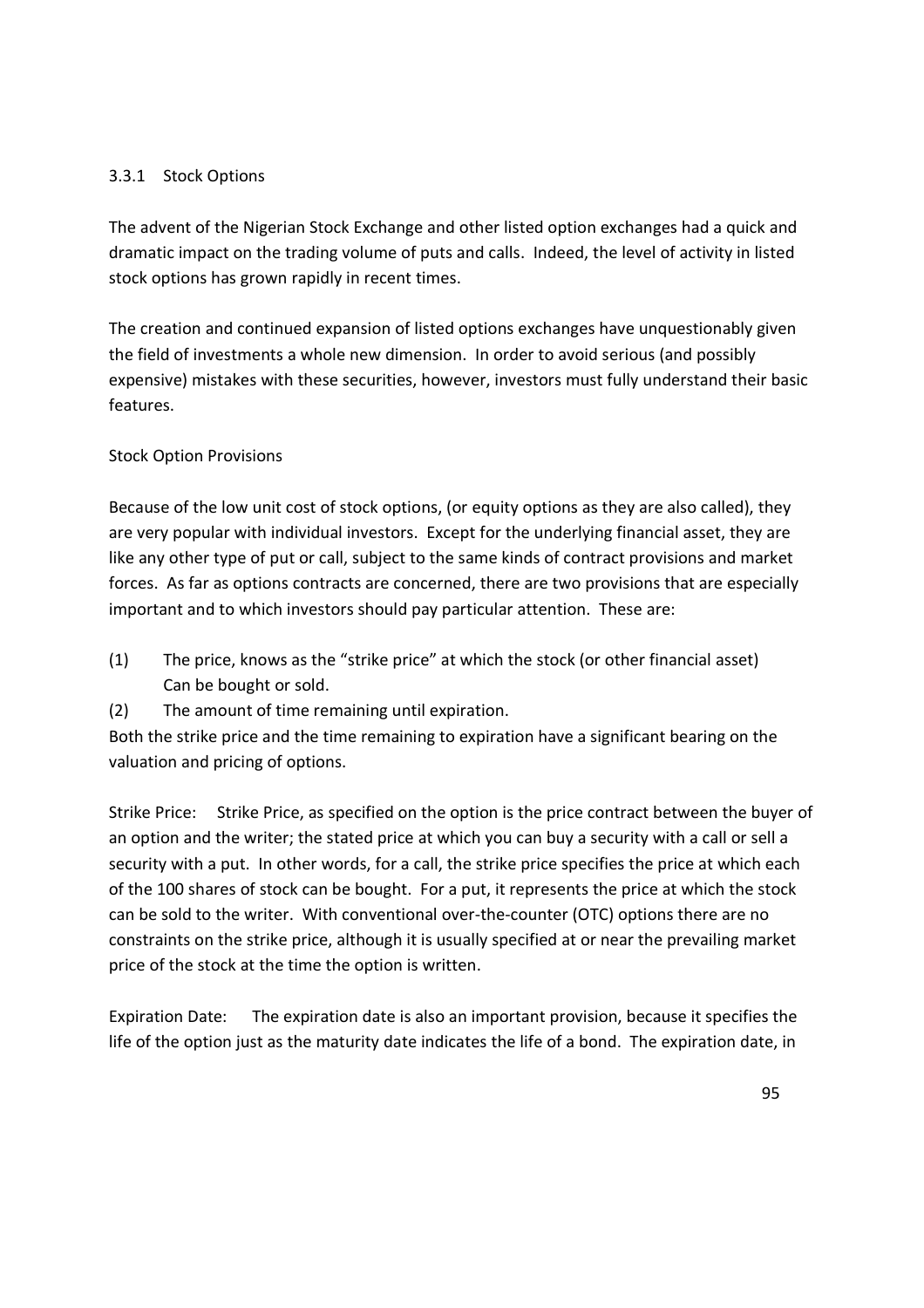# 3.3.1 Stock Options

The advent of the Nigerian Stock Exchange and other listed option exchanges had a quick and dramatic impact on the trading volume of puts and calls. Indeed, the level of activity in listed stock options has grown rapidly in recent times.

The creation and continued expansion of listed options exchanges have unquestionably given the field of investments a whole new dimension. In order to avoid serious (and possibly expensive) mistakes with these securities, however, investors must fully understand their basic features.

## Stock Option Provisions

Because of the low unit cost of stock options, (or equity options as they are also called), they are very popular with individual investors. Except for the underlying financial asset, they are like any other type of put or call, subject to the same kinds of contract provisions and market forces. As far as options contracts are concerned, there are two provisions that are especially important and to which investors should pay particular attention. These are:

- (1) The price, knows as the "strike price" at which the stock (or other financial asset) Can be bought or sold.
- (2) The amount of time remaining until expiration.

Both the strike price and the time remaining to expiration have a significant bearing on the valuation and pricing of options.

Strike Price: Strike Price, as specified on the option is the price contract between the buyer of an option and the writer; the stated price at which you can buy a security with a call or sell a security with a put. In other words, for a call, the strike price specifies the price at which each of the 100 shares of stock can be bought. For a put, it represents the price at which the stock can be sold to the writer. With conventional over-the-counter (OTC) options there are no constraints on the strike price, although it is usually specified at or near the prevailing market price of the stock at the time the option is written.

Expiration Date: The expiration date is also an important provision, because it specifies the life of the option just as the maturity date indicates the life of a bond. The expiration date, in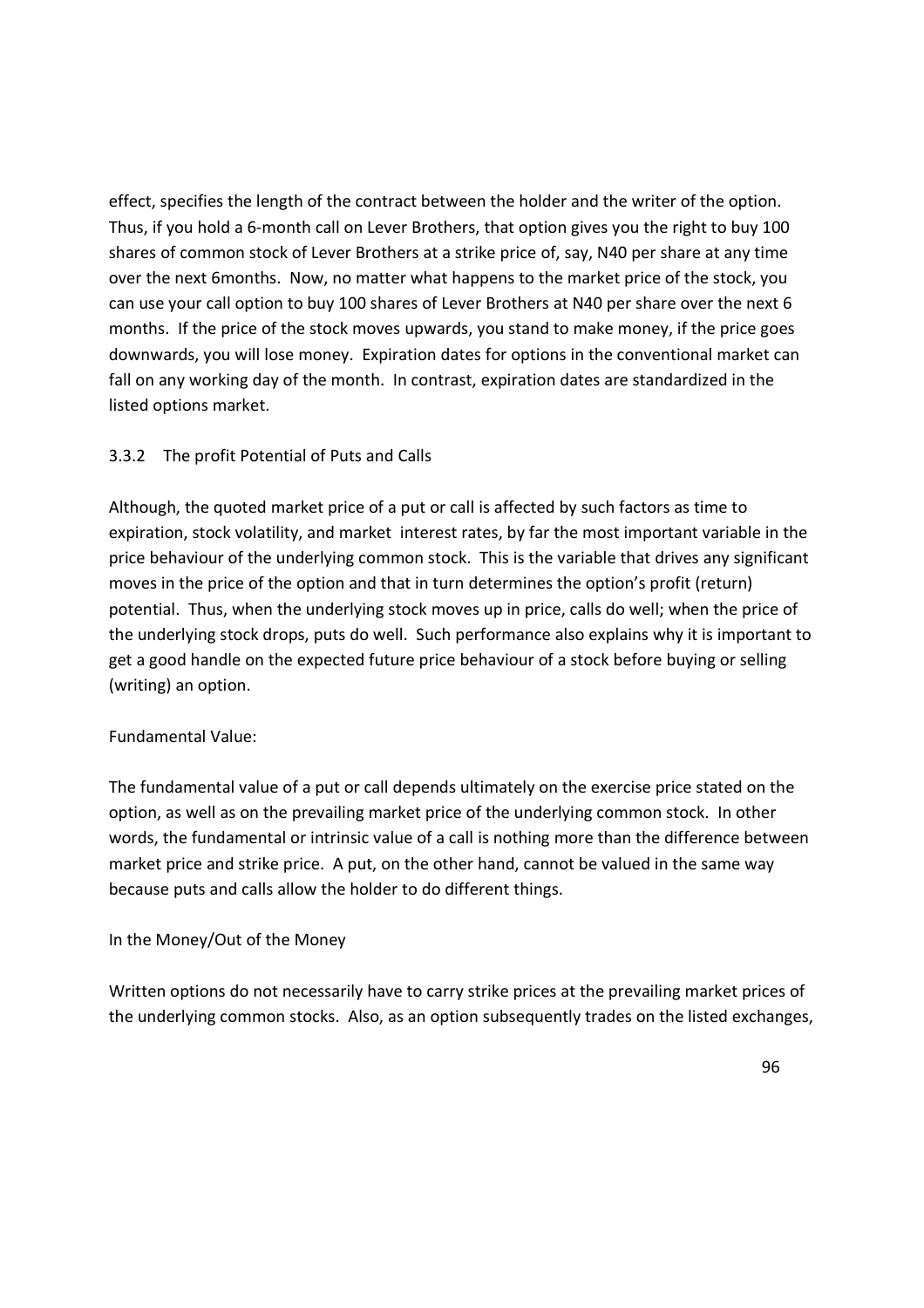effect, specifies the length of the contract between the holder and the writer of the option. Thus, if you hold a 6-month call on Lever Brothers, that option gives you the right to buy 100 shares of common stock of Lever Brothers at a strike price of, say, N40 per share at any time over the next 6months. Now, no matter what happens to the market price of the stock, you can use your call option to buy 100 shares of Lever Brothers at N40 per share over the next 6 months. If the price of the stock moves upwards, you stand to make money, if the price goes downwards, you will lose money. Expiration dates for options in the conventional market can fall on any working day of the month. In contrast, expiration dates are standardized in the listed options market.

## 3.3.2 The profit Potential of Puts and Calls

Although, the quoted market price of a put or call is affected by such factors as time to expiration, stock volatility, and market interest rates, by far the most important variable in the price behaviour of the underlying common stock. This is the variable that drives any significant moves in the price of the option and that in turn determines the option's profit (return) potential. Thus, when the underlying stock moves up in price, calls do well; when the price of the underlying stock drops, puts do well. Such performance also explains why it is important to get a good handle on the expected future price behaviour of a stock before buying or selling (writing) an option.

## Fundamental Value:

The fundamental value of a put or call depends ultimately on the exercise price stated on the option, as well as on the prevailing market price of the underlying common stock. In other words, the fundamental or intrinsic value of a call is nothing more than the difference between market price and strike price. A put, on the other hand, cannot be valued in the same way because puts and calls allow the holder to do different things.

### In the Money/Out of the Money

Written options do not necessarily have to carry strike prices at the prevailing market prices of the underlying common stocks. Also, as an option subsequently trades on the listed exchanges,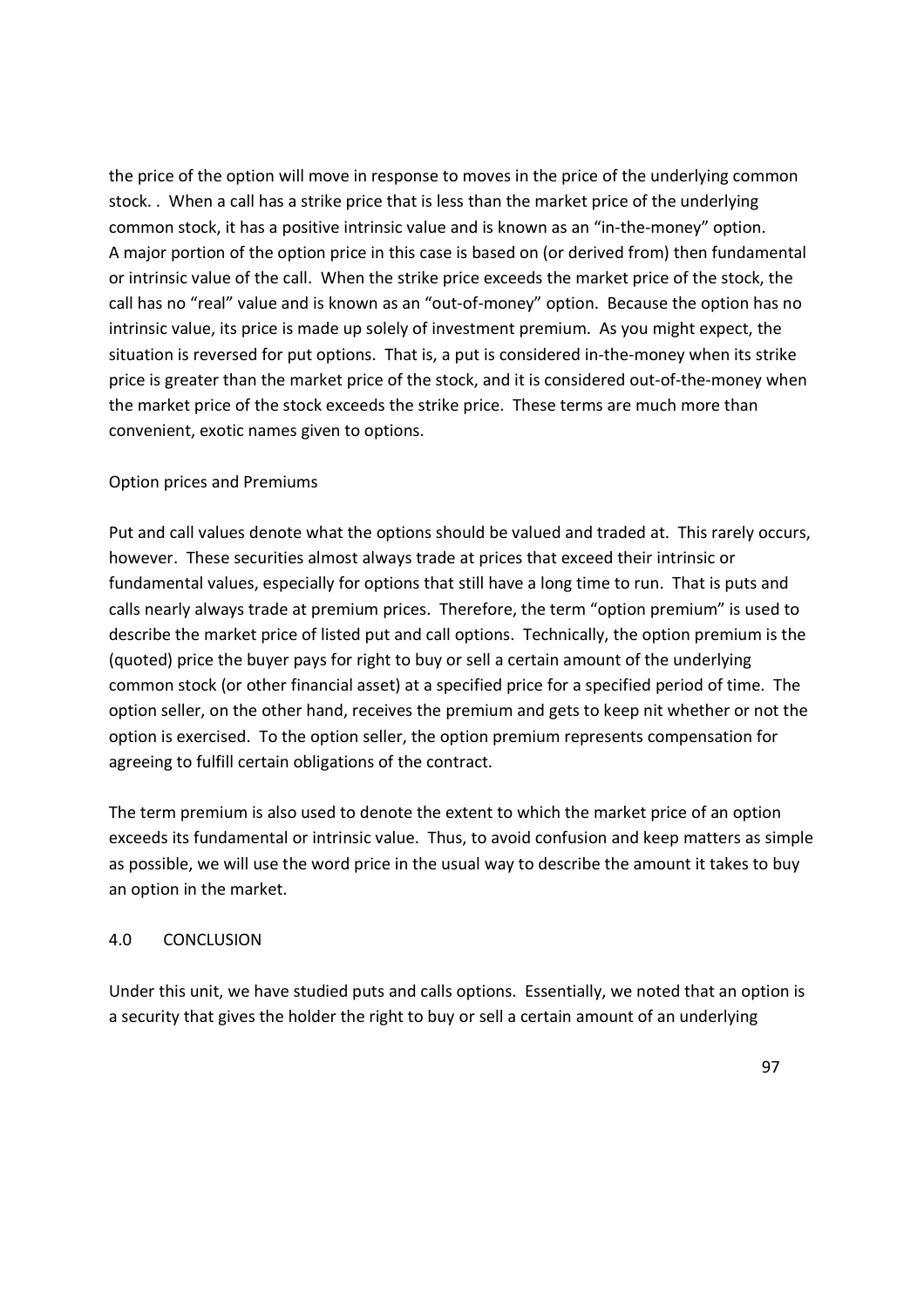the price of the option will move in response to moves in the price of the underlying common stock. . When a call has a strike price that is less than the market price of the underlying common stock, it has a positive intrinsic value and is known as an "in-the-money" option. A major portion of the option price in this case is based on (or derived from) then fundamental or intrinsic value of the call. When the strike price exceeds the market price of the stock, the call has no "real" value and is known as an "out-of-money" option. Because the option has no intrinsic value, its price is made up solely of investment premium. As you might expect, the situation is reversed for put options. That is, a put is considered in-the-money when its strike price is greater than the market price of the stock, and it is considered out-of-the-money when the market price of the stock exceeds the strike price. These terms are much more than convenient, exotic names given to options.

## Option prices and Premiums

Put and call values denote what the options should be valued and traded at. This rarely occurs, however. These securities almost always trade at prices that exceed their intrinsic or fundamental values, especially for options that still have a long time to run. That is puts and calls nearly always trade at premium prices. Therefore, the term "option premium" is used to describe the market price of listed put and call options. Technically, the option premium is the (quoted) price the buyer pays for right to buy or sell a certain amount of the underlying common stock (or other financial asset) at a specified price for a specified period of time. The option seller, on the other hand, receives the premium and gets to keep nit whether or not the option is exercised. To the option seller, the option premium represents compensation for agreeing to fulfill certain obligations of the contract.

The term premium is also used to denote the extent to which the market price of an option exceeds its fundamental or intrinsic value. Thus, to avoid confusion and keep matters as simple as possible, we will use the word price in the usual way to describe the amount it takes to buy an option in the market.

## 4.0 CONCLUSION

Under this unit, we have studied puts and calls options. Essentially, we noted that an option is a security that gives the holder the right to buy or sell a certain amount of an underlying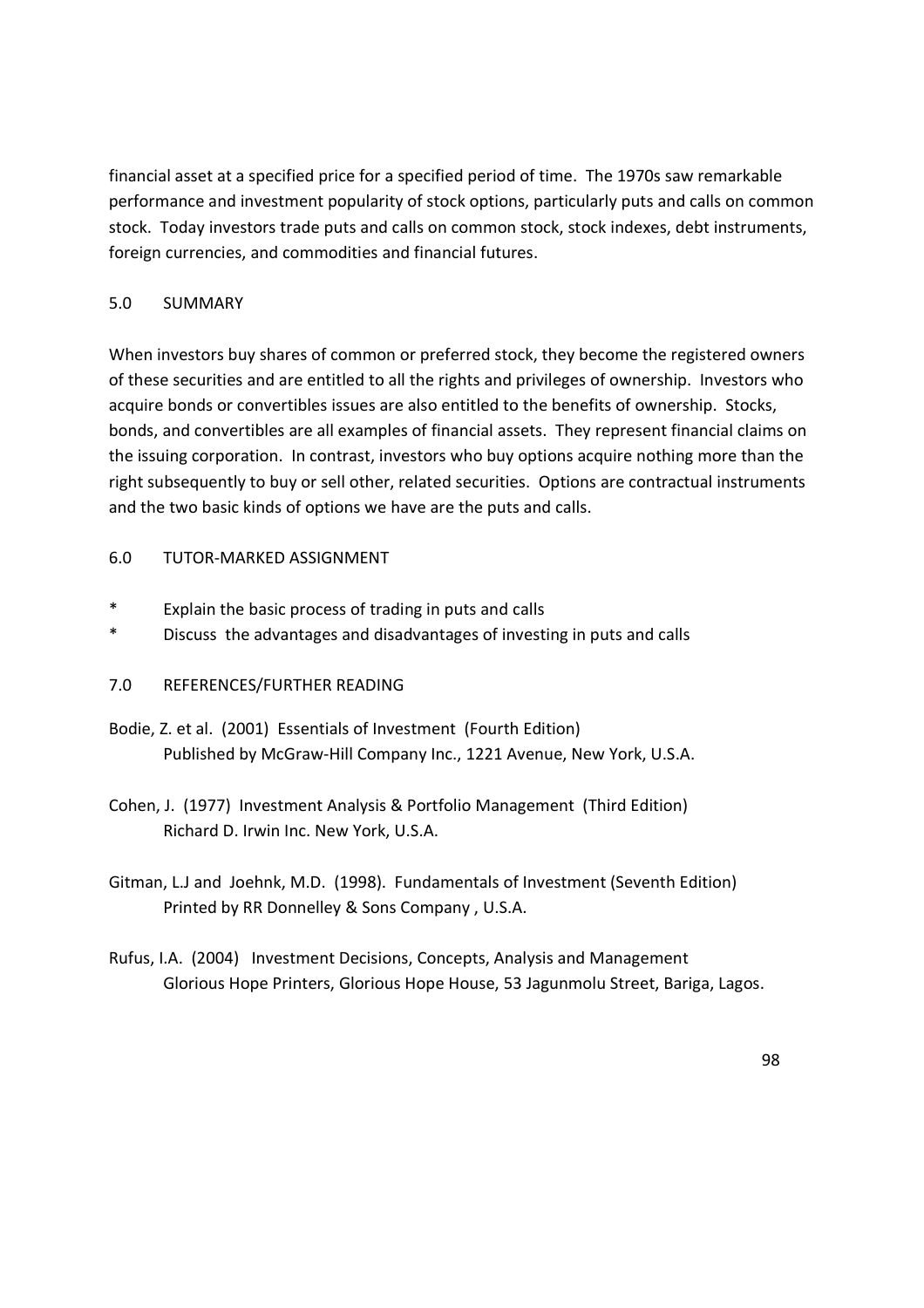financial asset at a specified price for a specified period of time. The 1970s saw remarkable performance and investment popularity of stock options, particularly puts and calls on common stock. Today investors trade puts and calls on common stock, stock indexes, debt instruments, foreign currencies, and commodities and financial futures.

## 5.0 SUMMARY

When investors buy shares of common or preferred stock, they become the registered owners of these securities and are entitled to all the rights and privileges of ownership. Investors who acquire bonds or convertibles issues are also entitled to the benefits of ownership. Stocks, bonds, and convertibles are all examples of financial assets. They represent financial claims on the issuing corporation. In contrast, investors who buy options acquire nothing more than the right subsequently to buy or sell other, related securities. Options are contractual instruments and the two basic kinds of options we have are the puts and calls.

# 6.0 TUTOR-MARKED ASSIGNMENT

- \* Explain the basic process of trading in puts and calls
- \* Discuss the advantages and disadvantages of investing in puts and calls

# 7.0 REFERENCES/FURTHER READING

- Bodie, Z. et al. (2001) Essentials of Investment (Fourth Edition) Published by McGraw-Hill Company Inc., 1221 Avenue, New York, U.S.A.
- Cohen, J. (1977) Investment Analysis & Portfolio Management (Third Edition) Richard D. Irwin Inc. New York, U.S.A.
- Gitman, L.J and Joehnk, M.D. (1998). Fundamentals of Investment (Seventh Edition) Printed by RR Donnelley & Sons Company , U.S.A.
- Rufus, I.A. (2004) Investment Decisions, Concepts, Analysis and Management Glorious Hope Printers, Glorious Hope House, 53 Jagunmolu Street, Bariga, Lagos.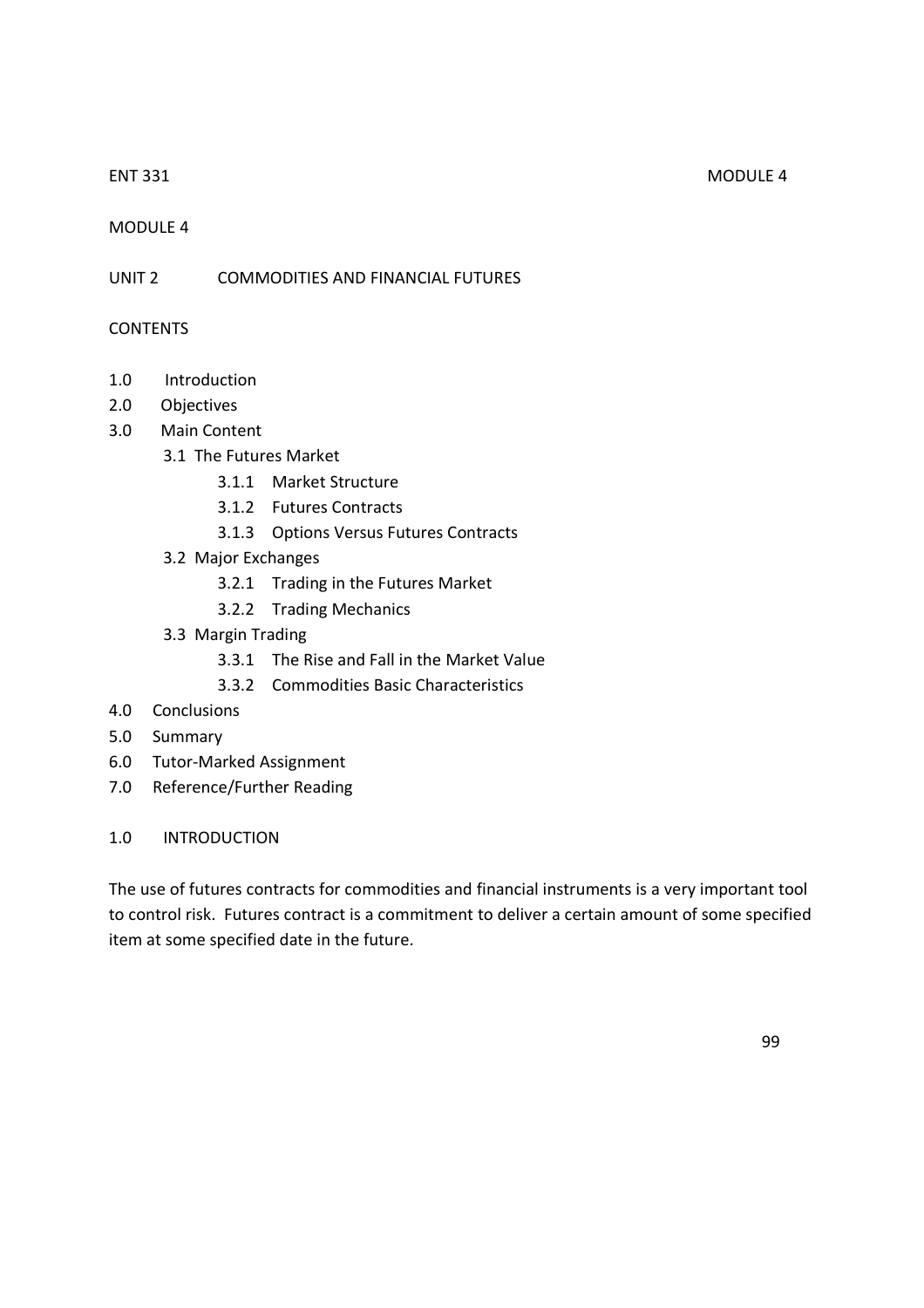### MODULE 4

UNIT 2 COMMODITIES AND FINANCIAL FUTURES

### **CONTENTS**

- 1.0 Introduction
- 2.0 Objectives
- 3.0 Main Content
	- 3.1 The Futures Market
		- 3.1.1 Market Structure
		- 3.1.2 Futures Contracts
		- 3.1.3 Options Versus Futures Contracts
	- 3.2 Major Exchanges
		- 3.2.1 Trading in the Futures Market
		- 3.2.2 Trading Mechanics
	- 3.3 Margin Trading
		- 3.3.1 The Rise and Fall in the Market Value
		- 3.3.2 Commodities Basic Characteristics
- 4.0 Conclusions
- 5.0 Summary
- 6.0 Tutor-Marked Assignment
- 7.0 Reference/Further Reading

### 1.0 INTRODUCTION

The use of futures contracts for commodities and financial instruments is a very important tool to control risk. Futures contract is a commitment to deliver a certain amount of some specified item at some specified date in the future.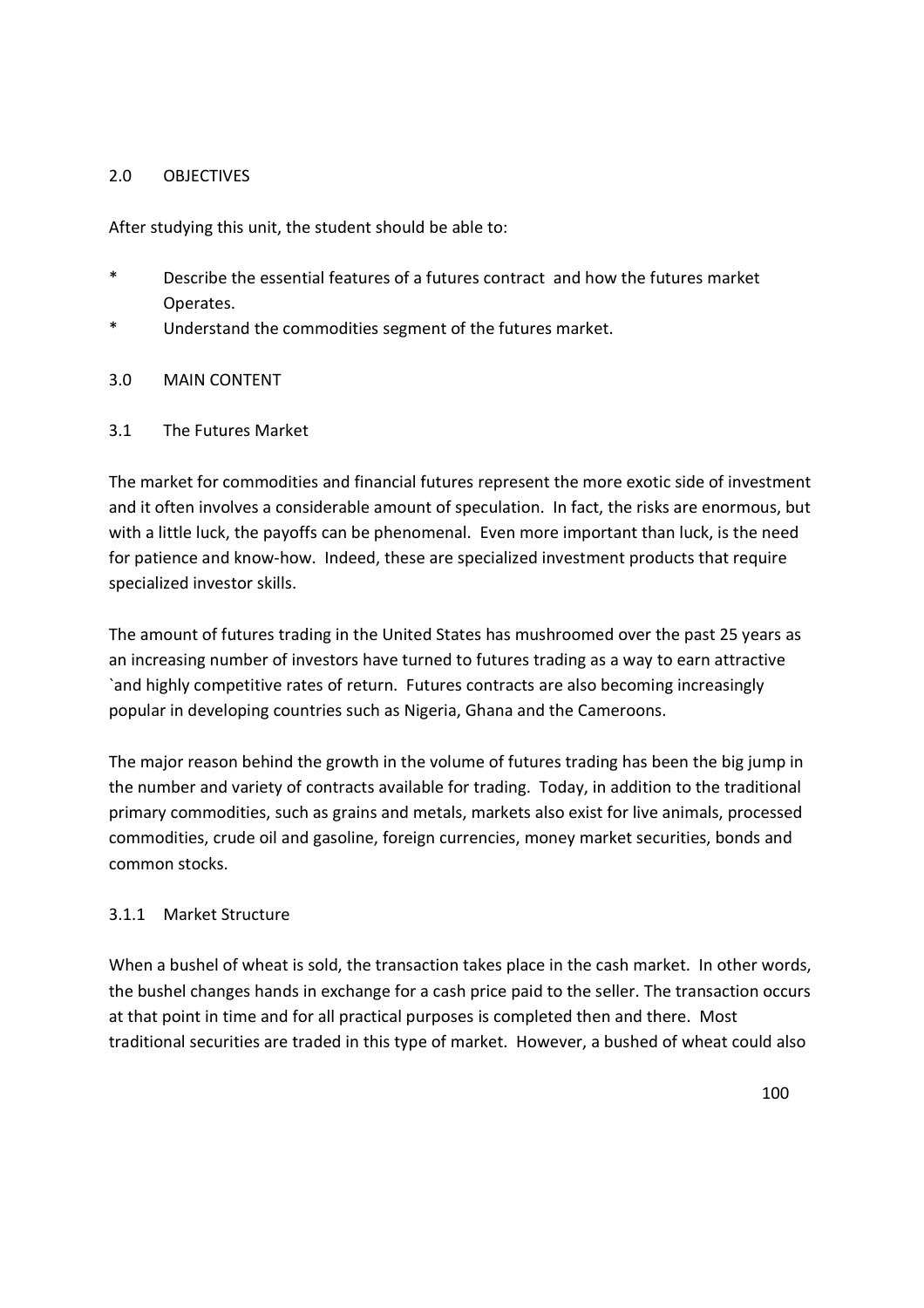## 2.0 OBJECTIVES

After studying this unit, the student should be able to:

- Describe the essential features of a futures contract and how the futures market Operates.
- \* Understand the commodities segment of the futures market.

## 3.0 MAIN CONTENT

## 3.1 The Futures Market

The market for commodities and financial futures represent the more exotic side of investment and it often involves a considerable amount of speculation. In fact, the risks are enormous, but with a little luck, the payoffs can be phenomenal. Even more important than luck, is the need for patience and know-how. Indeed, these are specialized investment products that require specialized investor skills.

The amount of futures trading in the United States has mushroomed over the past 25 years as an increasing number of investors have turned to futures trading as a way to earn attractive `and highly competitive rates of return. Futures contracts are also becoming increasingly popular in developing countries such as Nigeria, Ghana and the Cameroons.

The major reason behind the growth in the volume of futures trading has been the big jump in the number and variety of contracts available for trading. Today, in addition to the traditional primary commodities, such as grains and metals, markets also exist for live animals, processed commodities, crude oil and gasoline, foreign currencies, money market securities, bonds and common stocks.

## 3.1.1 Market Structure

When a bushel of wheat is sold, the transaction takes place in the cash market. In other words, the bushel changes hands in exchange for a cash price paid to the seller. The transaction occurs at that point in time and for all practical purposes is completed then and there. Most traditional securities are traded in this type of market. However, a bushed of wheat could also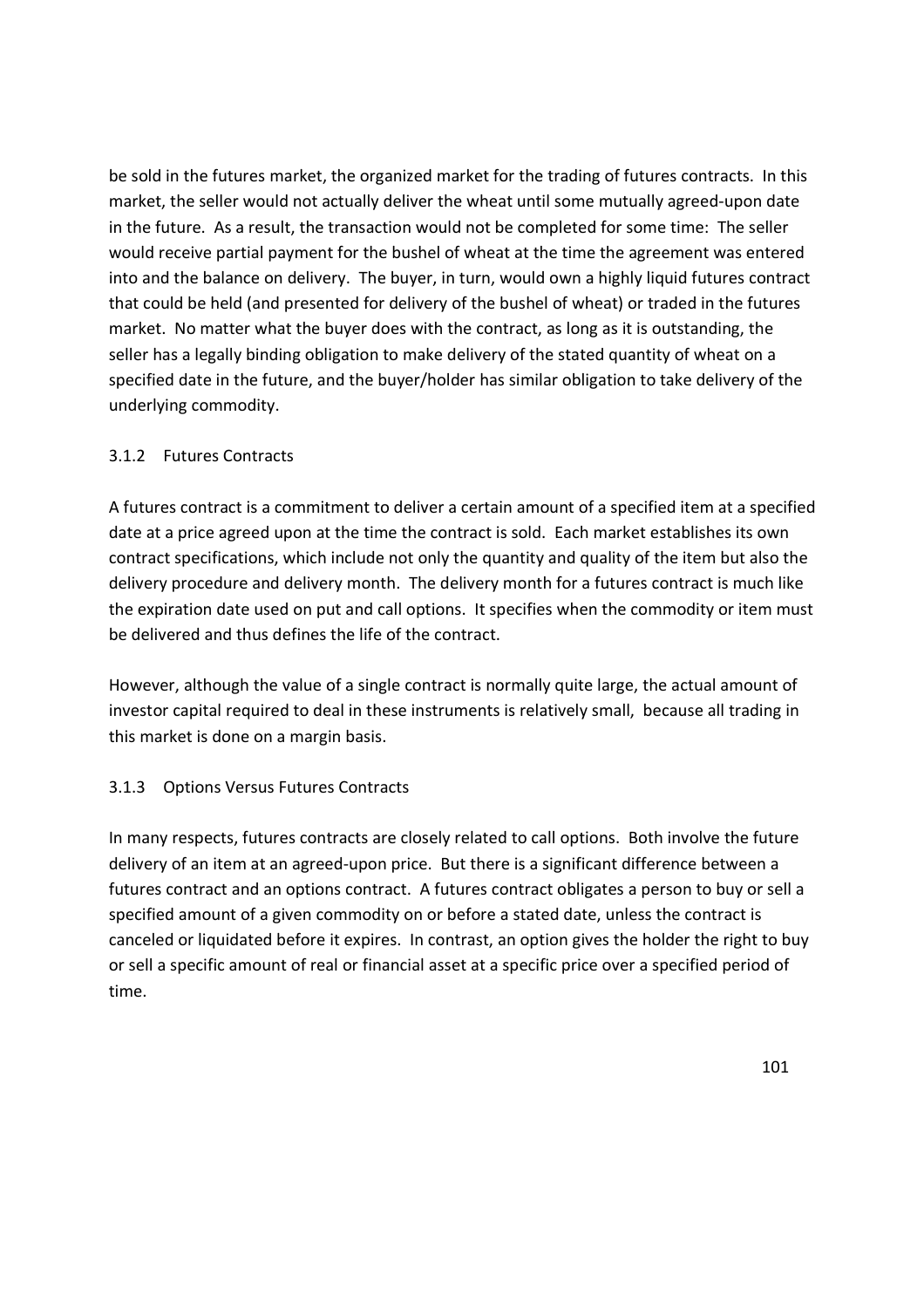be sold in the futures market, the organized market for the trading of futures contracts. In this market, the seller would not actually deliver the wheat until some mutually agreed-upon date in the future. As a result, the transaction would not be completed for some time: The seller would receive partial payment for the bushel of wheat at the time the agreement was entered into and the balance on delivery. The buyer, in turn, would own a highly liquid futures contract that could be held (and presented for delivery of the bushel of wheat) or traded in the futures market. No matter what the buyer does with the contract, as long as it is outstanding, the seller has a legally binding obligation to make delivery of the stated quantity of wheat on a specified date in the future, and the buyer/holder has similar obligation to take delivery of the underlying commodity.

## 3.1.2 Futures Contracts

A futures contract is a commitment to deliver a certain amount of a specified item at a specified date at a price agreed upon at the time the contract is sold. Each market establishes its own contract specifications, which include not only the quantity and quality of the item but also the delivery procedure and delivery month. The delivery month for a futures contract is much like the expiration date used on put and call options. It specifies when the commodity or item must be delivered and thus defines the life of the contract.

However, although the value of a single contract is normally quite large, the actual amount of investor capital required to deal in these instruments is relatively small, because all trading in this market is done on a margin basis.

# 3.1.3 Options Versus Futures Contracts

In many respects, futures contracts are closely related to call options. Both involve the future delivery of an item at an agreed-upon price. But there is a significant difference between a futures contract and an options contract. A futures contract obligates a person to buy or sell a specified amount of a given commodity on or before a stated date, unless the contract is canceled or liquidated before it expires. In contrast, an option gives the holder the right to buy or sell a specific amount of real or financial asset at a specific price over a specified period of time.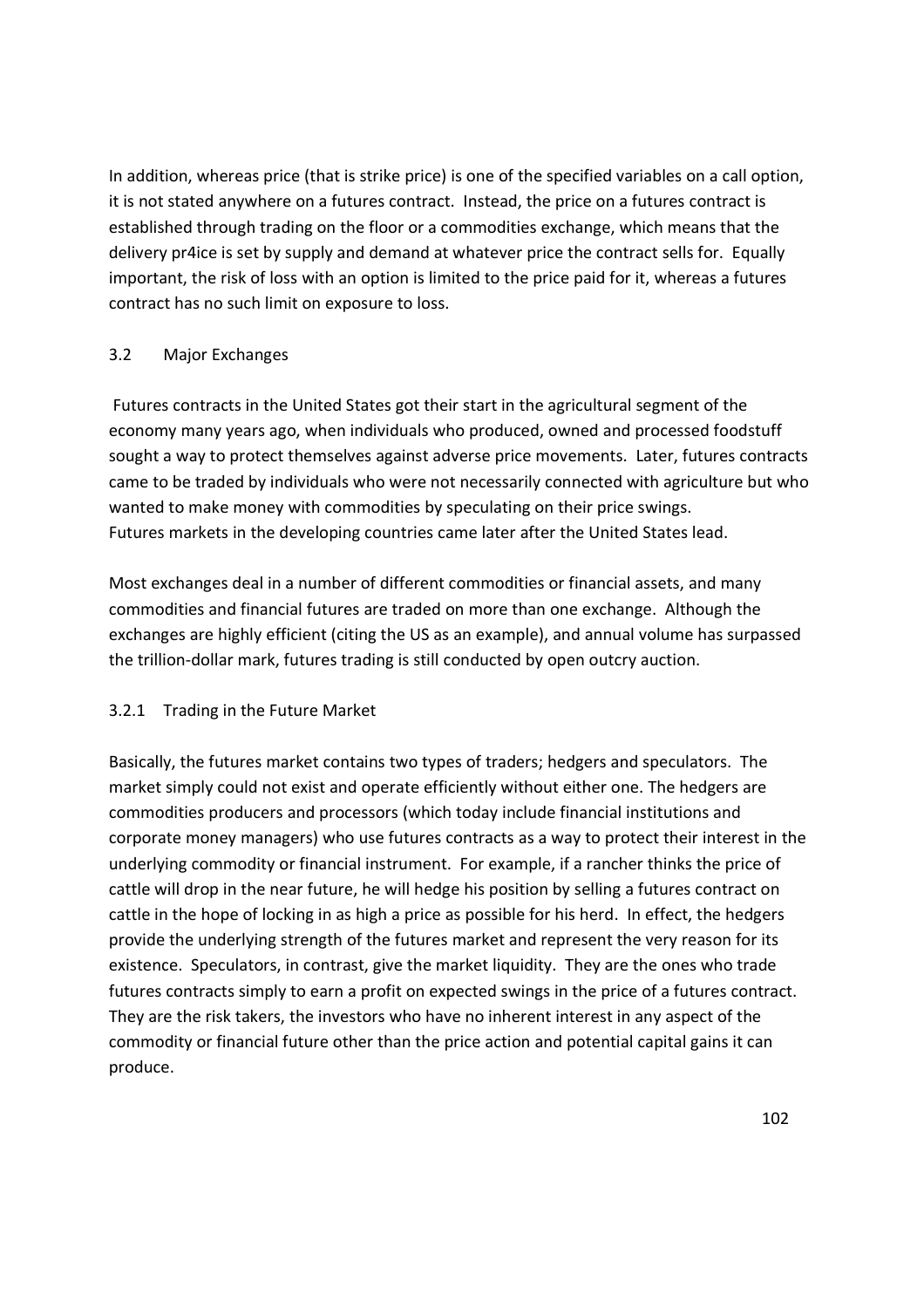In addition, whereas price (that is strike price) is one of the specified variables on a call option, it is not stated anywhere on a futures contract. Instead, the price on a futures contract is established through trading on the floor or a commodities exchange, which means that the delivery pr4ice is set by supply and demand at whatever price the contract sells for. Equally important, the risk of loss with an option is limited to the price paid for it, whereas a futures contract has no such limit on exposure to loss.

## 3.2 Major Exchanges

 Futures contracts in the United States got their start in the agricultural segment of the economy many years ago, when individuals who produced, owned and processed foodstuff sought a way to protect themselves against adverse price movements. Later, futures contracts came to be traded by individuals who were not necessarily connected with agriculture but who wanted to make money with commodities by speculating on their price swings. Futures markets in the developing countries came later after the United States lead.

Most exchanges deal in a number of different commodities or financial assets, and many commodities and financial futures are traded on more than one exchange. Although the exchanges are highly efficient (citing the US as an example), and annual volume has surpassed the trillion-dollar mark, futures trading is still conducted by open outcry auction.

# 3.2.1 Trading in the Future Market

Basically, the futures market contains two types of traders; hedgers and speculators. The market simply could not exist and operate efficiently without either one. The hedgers are commodities producers and processors (which today include financial institutions and corporate money managers) who use futures contracts as a way to protect their interest in the underlying commodity or financial instrument. For example, if a rancher thinks the price of cattle will drop in the near future, he will hedge his position by selling a futures contract on cattle in the hope of locking in as high a price as possible for his herd. In effect, the hedgers provide the underlying strength of the futures market and represent the very reason for its existence. Speculators, in contrast, give the market liquidity. They are the ones who trade futures contracts simply to earn a profit on expected swings in the price of a futures contract. They are the risk takers, the investors who have no inherent interest in any aspect of the commodity or financial future other than the price action and potential capital gains it can produce.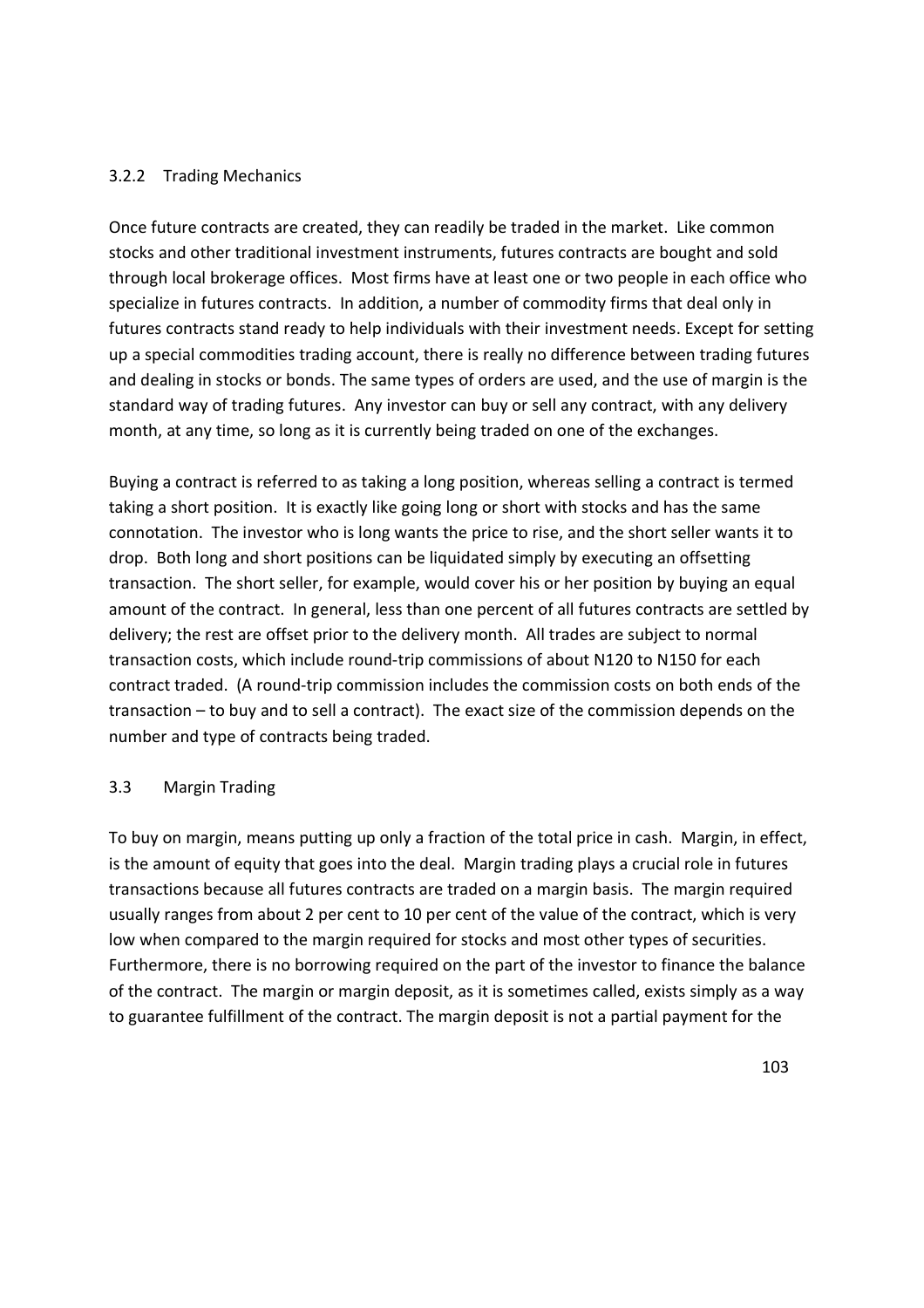## 3.2.2 Trading Mechanics

Once future contracts are created, they can readily be traded in the market. Like common stocks and other traditional investment instruments, futures contracts are bought and sold through local brokerage offices. Most firms have at least one or two people in each office who specialize in futures contracts. In addition, a number of commodity firms that deal only in futures contracts stand ready to help individuals with their investment needs. Except for setting up a special commodities trading account, there is really no difference between trading futures and dealing in stocks or bonds. The same types of orders are used, and the use of margin is the standard way of trading futures. Any investor can buy or sell any contract, with any delivery month, at any time, so long as it is currently being traded on one of the exchanges.

Buying a contract is referred to as taking a long position, whereas selling a contract is termed taking a short position. It is exactly like going long or short with stocks and has the same connotation. The investor who is long wants the price to rise, and the short seller wants it to drop. Both long and short positions can be liquidated simply by executing an offsetting transaction. The short seller, for example, would cover his or her position by buying an equal amount of the contract. In general, less than one percent of all futures contracts are settled by delivery; the rest are offset prior to the delivery month. All trades are subject to normal transaction costs, which include round-trip commissions of about N120 to N150 for each contract traded. (A round-trip commission includes the commission costs on both ends of the transaction – to buy and to sell a contract). The exact size of the commission depends on the number and type of contracts being traded.

## 3.3 Margin Trading

To buy on margin, means putting up only a fraction of the total price in cash. Margin, in effect, is the amount of equity that goes into the deal. Margin trading plays a crucial role in futures transactions because all futures contracts are traded on a margin basis. The margin required usually ranges from about 2 per cent to 10 per cent of the value of the contract, which is very low when compared to the margin required for stocks and most other types of securities. Furthermore, there is no borrowing required on the part of the investor to finance the balance of the contract. The margin or margin deposit, as it is sometimes called, exists simply as a way to guarantee fulfillment of the contract. The margin deposit is not a partial payment for the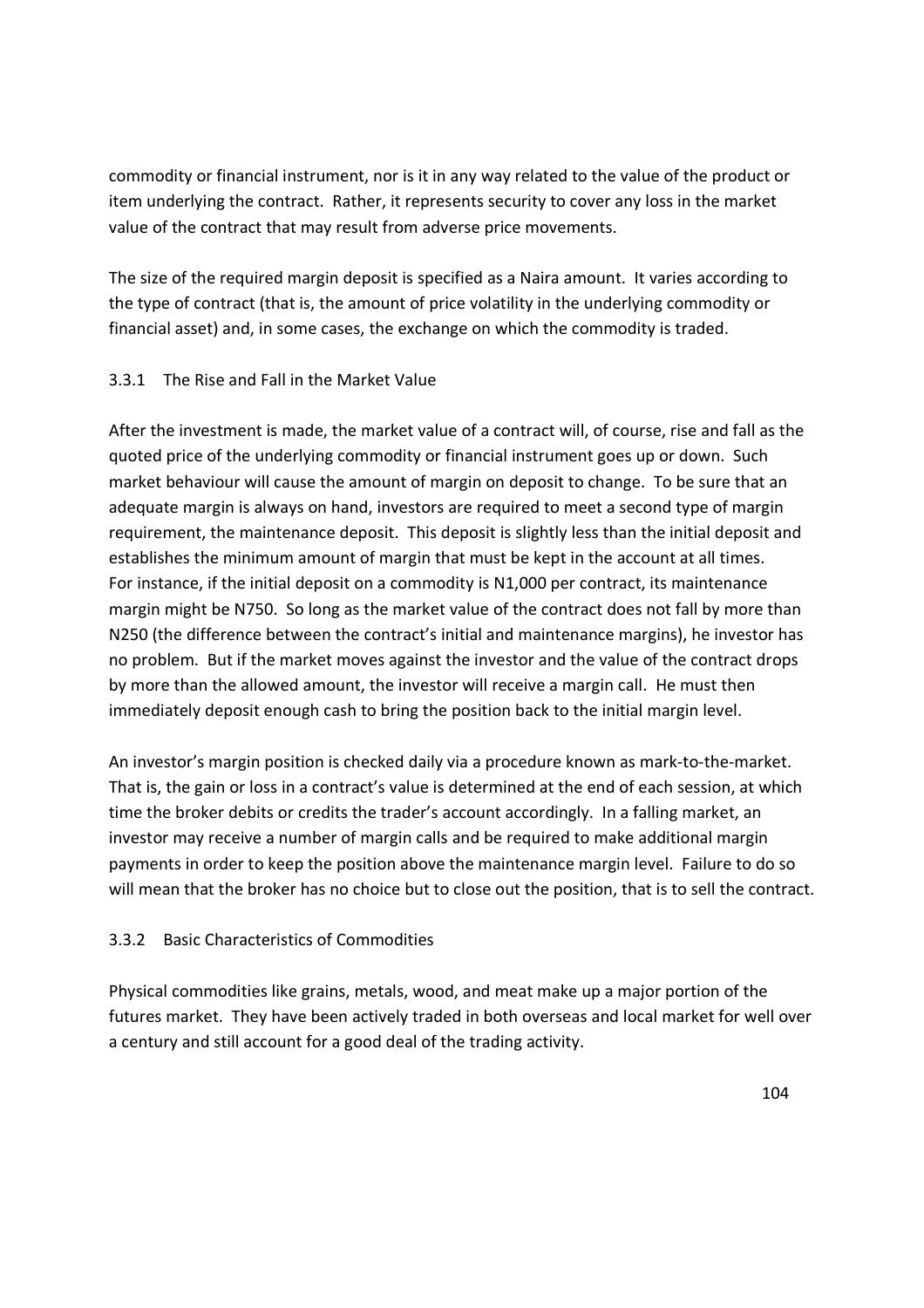commodity or financial instrument, nor is it in any way related to the value of the product or item underlying the contract. Rather, it represents security to cover any loss in the market value of the contract that may result from adverse price movements.

The size of the required margin deposit is specified as a Naira amount. It varies according to the type of contract (that is, the amount of price volatility in the underlying commodity or financial asset) and, in some cases, the exchange on which the commodity is traded.

#### 3.3.1 The Rise and Fall in the Market Value

After the investment is made, the market value of a contract will, of course, rise and fall as the quoted price of the underlying commodity or financial instrument goes up or down. Such market behaviour will cause the amount of margin on deposit to change. To be sure that an adequate margin is always on hand, investors are required to meet a second type of margin requirement, the maintenance deposit. This deposit is slightly less than the initial deposit and establishes the minimum amount of margin that must be kept in the account at all times. For instance, if the initial deposit on a commodity is N1,000 per contract, its maintenance margin might be N750. So long as the market value of the contract does not fall by more than N250 (the difference between the contract's initial and maintenance margins), he investor has no problem. But if the market moves against the investor and the value of the contract drops by more than the allowed amount, the investor will receive a margin call. He must then immediately deposit enough cash to bring the position back to the initial margin level.

An investor's margin position is checked daily via a procedure known as mark-to-the-market. That is, the gain or loss in a contract's value is determined at the end of each session, at which time the broker debits or credits the trader's account accordingly. In a falling market, an investor may receive a number of margin calls and be required to make additional margin payments in order to keep the position above the maintenance margin level. Failure to do so will mean that the broker has no choice but to close out the position, that is to sell the contract.

## 3.3.2 Basic Characteristics of Commodities

Physical commodities like grains, metals, wood, and meat make up a major portion of the futures market. They have been actively traded in both overseas and local market for well over a century and still account for a good deal of the trading activity.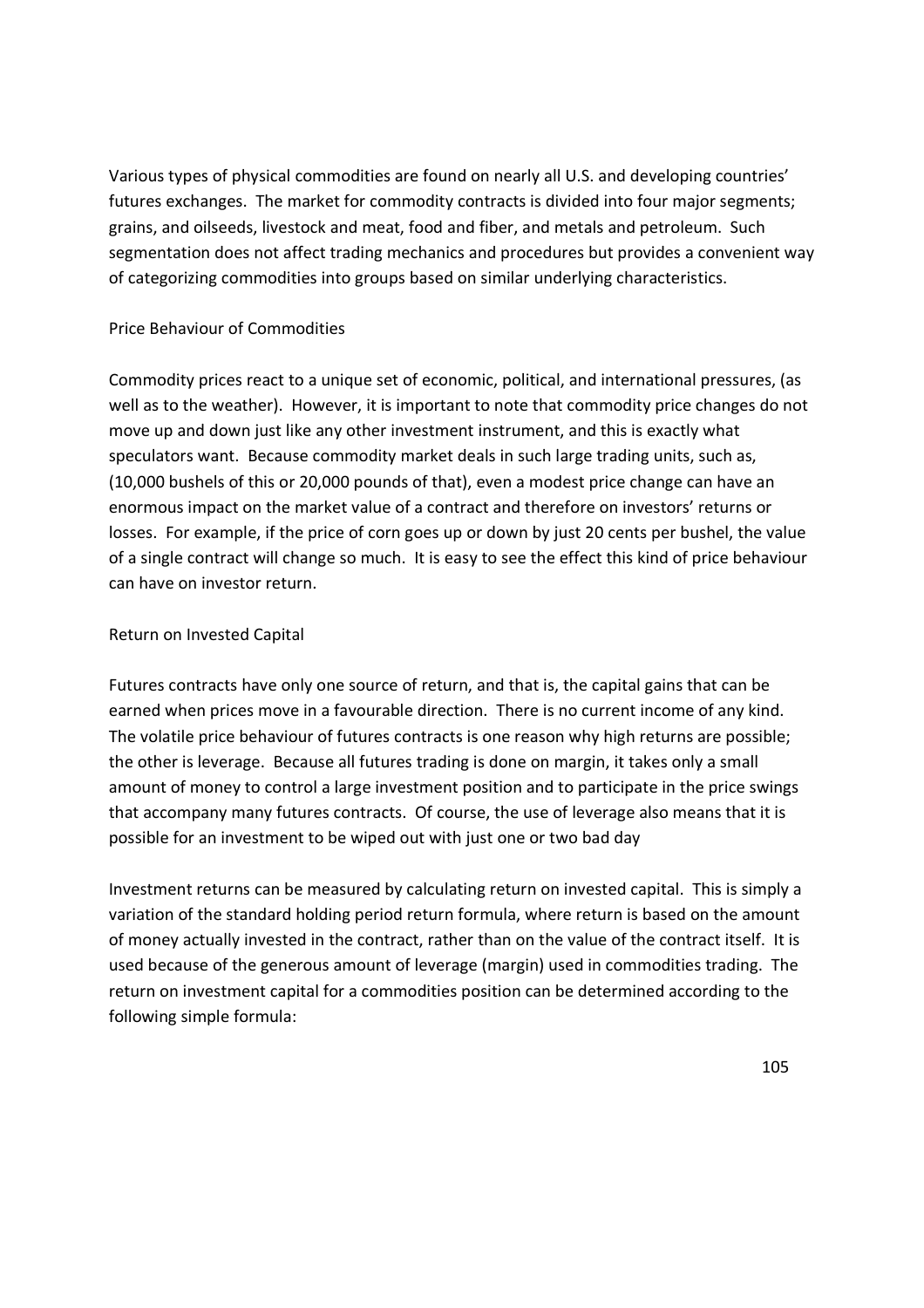Various types of physical commodities are found on nearly all U.S. and developing countries' futures exchanges. The market for commodity contracts is divided into four major segments; grains, and oilseeds, livestock and meat, food and fiber, and metals and petroleum. Such segmentation does not affect trading mechanics and procedures but provides a convenient way of categorizing commodities into groups based on similar underlying characteristics.

#### Price Behaviour of Commodities

Commodity prices react to a unique set of economic, political, and international pressures, (as well as to the weather). However, it is important to note that commodity price changes do not move up and down just like any other investment instrument, and this is exactly what speculators want. Because commodity market deals in such large trading units, such as, (10,000 bushels of this or 20,000 pounds of that), even a modest price change can have an enormous impact on the market value of a contract and therefore on investors' returns or losses. For example, if the price of corn goes up or down by just 20 cents per bushel, the value of a single contract will change so much. It is easy to see the effect this kind of price behaviour can have on investor return.

#### Return on Invested Capital

Futures contracts have only one source of return, and that is, the capital gains that can be earned when prices move in a favourable direction. There is no current income of any kind. The volatile price behaviour of futures contracts is one reason why high returns are possible; the other is leverage. Because all futures trading is done on margin, it takes only a small amount of money to control a large investment position and to participate in the price swings that accompany many futures contracts. Of course, the use of leverage also means that it is possible for an investment to be wiped out with just one or two bad day

Investment returns can be measured by calculating return on invested capital. This is simply a variation of the standard holding period return formula, where return is based on the amount of money actually invested in the contract, rather than on the value of the contract itself. It is used because of the generous amount of leverage (margin) used in commodities trading. The return on investment capital for a commodities position can be determined according to the following simple formula: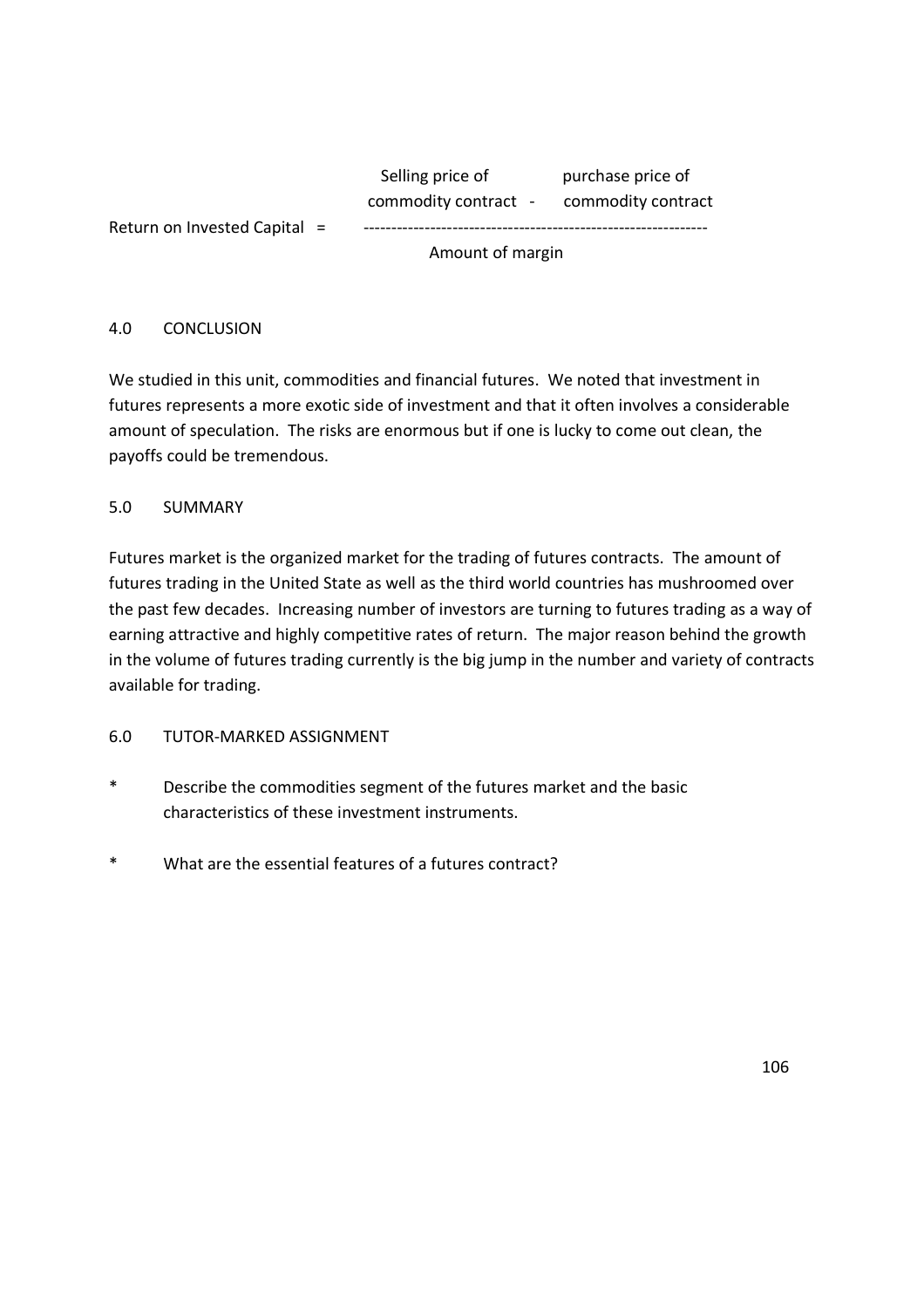Selling price of purchase price of commodity contract - commodity contract Return on Invested Capital = --------------------------------------------------------------

Amount of margin

## 4.0 CONCLUSION

We studied in this unit, commodities and financial futures. We noted that investment in futures represents a more exotic side of investment and that it often involves a considerable amount of speculation. The risks are enormous but if one is lucky to come out clean, the payoffs could be tremendous.

#### 5.0 SUMMARY

Futures market is the organized market for the trading of futures contracts. The amount of futures trading in the United State as well as the third world countries has mushroomed over the past few decades. Increasing number of investors are turning to futures trading as a way of earning attractive and highly competitive rates of return. The major reason behind the growth in the volume of futures trading currently is the big jump in the number and variety of contracts available for trading.

## 6.0 TUTOR-MARKED ASSIGNMENT

- \* Describe the commodities segment of the futures market and the basic characteristics of these investment instruments.
- What are the essential features of a futures contract?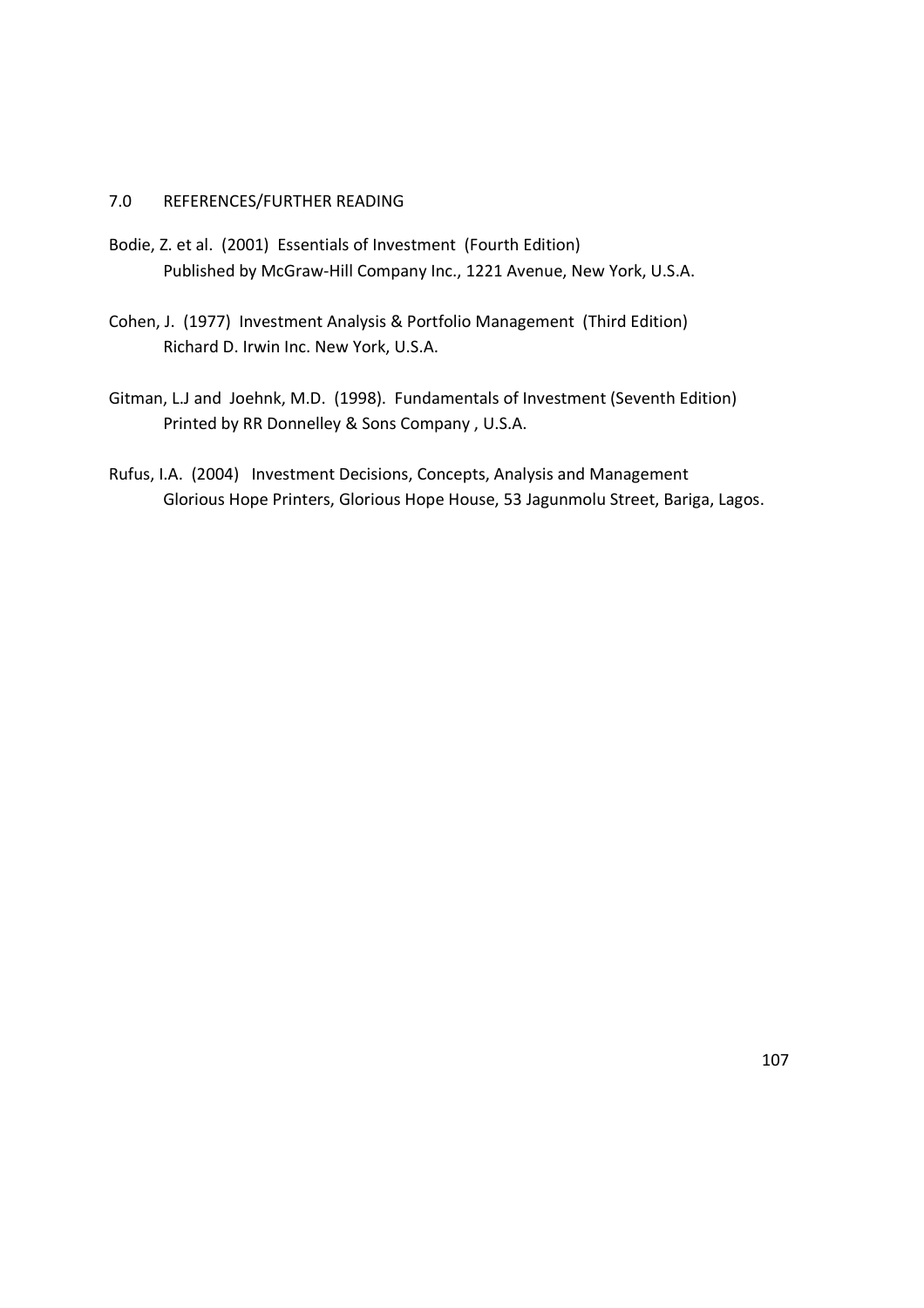#### 7.0 REFERENCES/FURTHER READING

- Bodie, Z. et al. (2001) Essentials of Investment (Fourth Edition) Published by McGraw-Hill Company Inc., 1221 Avenue, New York, U.S.A.
- Cohen, J. (1977) Investment Analysis & Portfolio Management (Third Edition) Richard D. Irwin Inc. New York, U.S.A.
- Gitman, L.J and Joehnk, M.D. (1998). Fundamentals of Investment (Seventh Edition) Printed by RR Donnelley & Sons Company , U.S.A.
- Rufus, I.A. (2004) Investment Decisions, Concepts, Analysis and Management Glorious Hope Printers, Glorious Hope House, 53 Jagunmolu Street, Bariga, Lagos.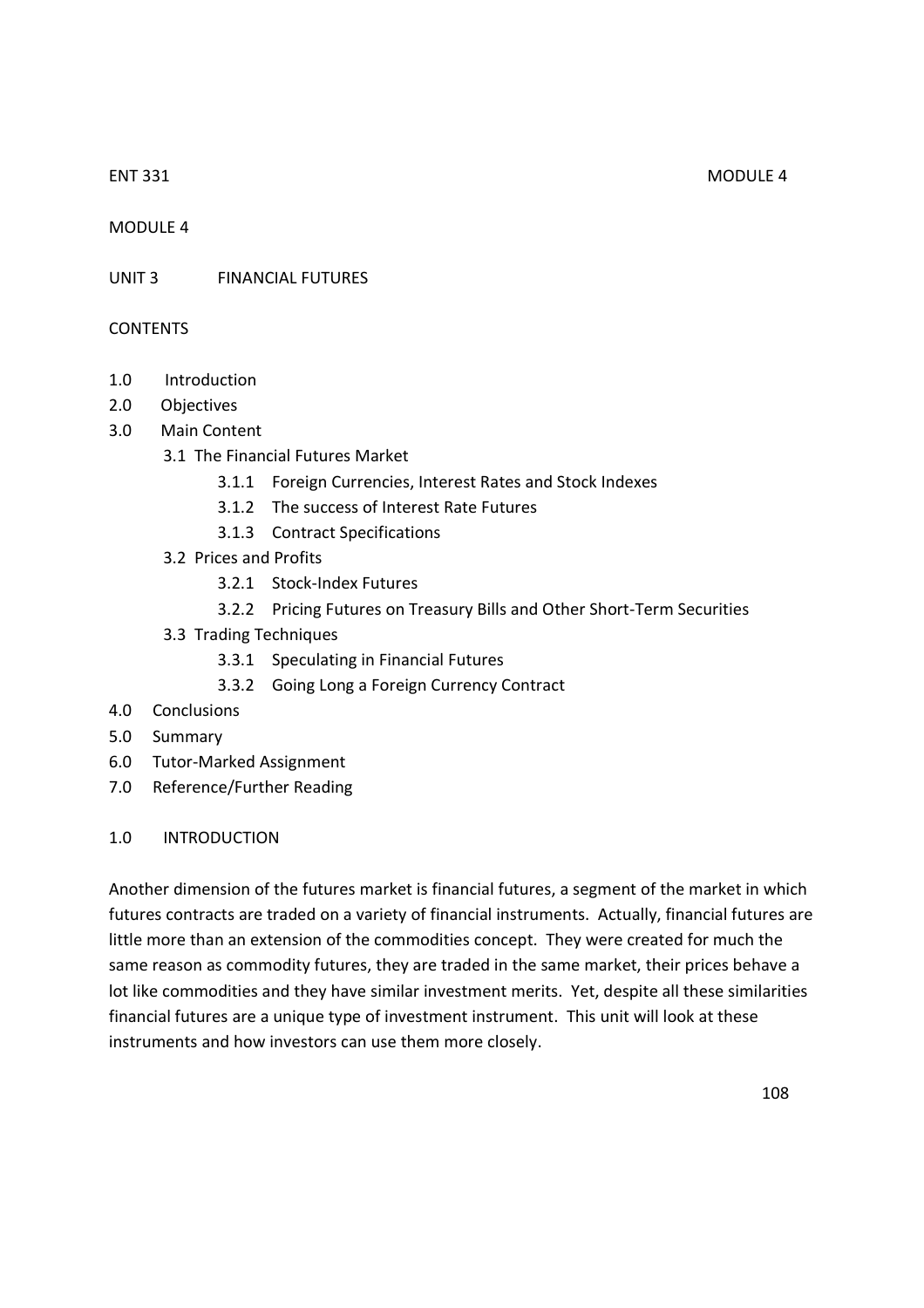ENT 331 MODULE 4

MODULE 4

UNIT 3 FINANCIAL FUTURES

#### CONTENTS

- 1.0 Introduction
- 2.0 Objectives
- 3.0 Main Content
	- 3.1 The Financial Futures Market
		- 3.1.1 Foreign Currencies, Interest Rates and Stock Indexes
		- 3.1.2 The success of Interest Rate Futures
		- 3.1.3 Contract Specifications
	- 3.2 Prices and Profits
		- 3.2.1 Stock-Index Futures
		- 3.2.2 Pricing Futures on Treasury Bills and Other Short-Term Securities
	- 3.3 Trading Techniques
		- 3.3.1 Speculating in Financial Futures
		- 3.3.2 Going Long a Foreign Currency Contract
- 4.0 Conclusions
- 5.0 Summary
- 6.0 Tutor-Marked Assignment
- 7.0 Reference/Further Reading

#### 1.0 INTRODUCTION

Another dimension of the futures market is financial futures, a segment of the market in which futures contracts are traded on a variety of financial instruments. Actually, financial futures are little more than an extension of the commodities concept. They were created for much the same reason as commodity futures, they are traded in the same market, their prices behave a lot like commodities and they have similar investment merits. Yet, despite all these similarities financial futures are a unique type of investment instrument. This unit will look at these instruments and how investors can use them more closely.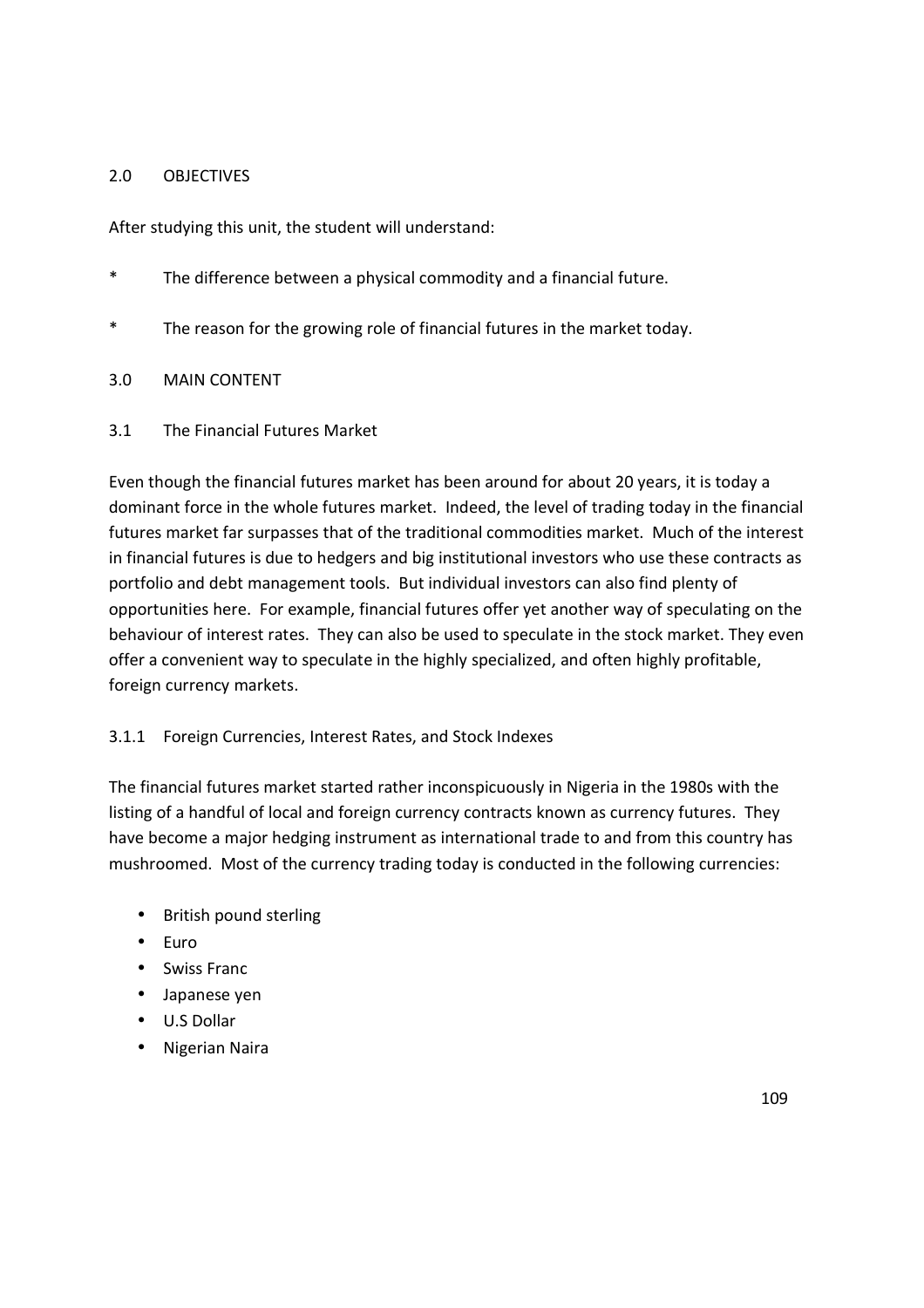#### 2.0 OBJECTIVES

After studying this unit, the student will understand:

- \* The difference between a physical commodity and a financial future.
- \* The reason for the growing role of financial futures in the market today.

## 3.0 MAIN CONTENT

3.1 The Financial Futures Market

Even though the financial futures market has been around for about 20 years, it is today a dominant force in the whole futures market. Indeed, the level of trading today in the financial futures market far surpasses that of the traditional commodities market. Much of the interest in financial futures is due to hedgers and big institutional investors who use these contracts as portfolio and debt management tools. But individual investors can also find plenty of opportunities here. For example, financial futures offer yet another way of speculating on the behaviour of interest rates. They can also be used to speculate in the stock market. They even offer a convenient way to speculate in the highly specialized, and often highly profitable, foreign currency markets.

## 3.1.1 Foreign Currencies, Interest Rates, and Stock Indexes

The financial futures market started rather inconspicuously in Nigeria in the 1980s with the listing of a handful of local and foreign currency contracts known as currency futures. They have become a major hedging instrument as international trade to and from this country has mushroomed. Most of the currency trading today is conducted in the following currencies:

- British pound sterling
- Euro
- Swiss Franc
- Japanese yen
- U.S Dollar
- Nigerian Naira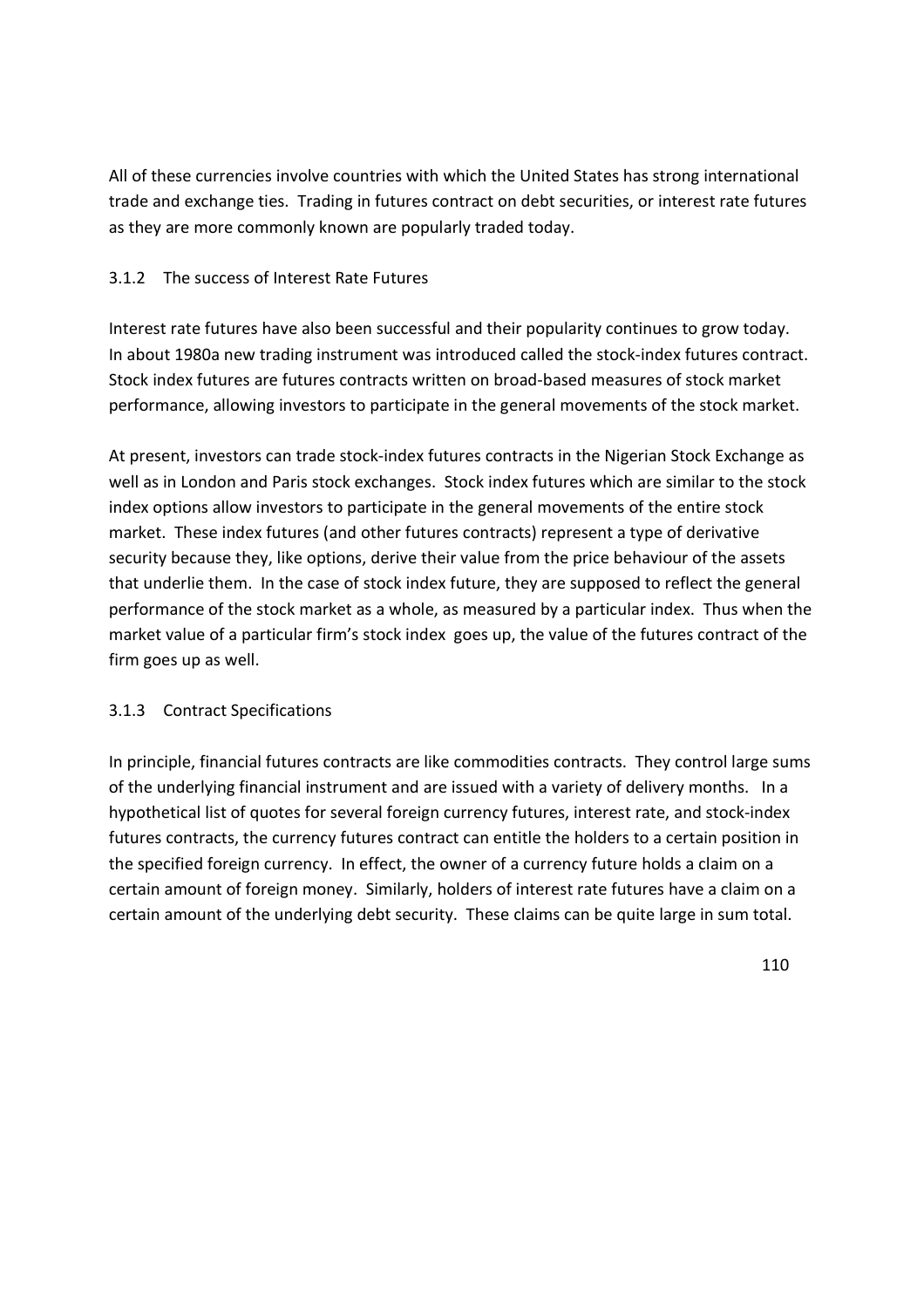All of these currencies involve countries with which the United States has strong international trade and exchange ties. Trading in futures contract on debt securities, or interest rate futures as they are more commonly known are popularly traded today.

## 3.1.2 The success of Interest Rate Futures

Interest rate futures have also been successful and their popularity continues to grow today. In about 1980a new trading instrument was introduced called the stock-index futures contract. Stock index futures are futures contracts written on broad-based measures of stock market performance, allowing investors to participate in the general movements of the stock market.

At present, investors can trade stock-index futures contracts in the Nigerian Stock Exchange as well as in London and Paris stock exchanges. Stock index futures which are similar to the stock index options allow investors to participate in the general movements of the entire stock market. These index futures (and other futures contracts) represent a type of derivative security because they, like options, derive their value from the price behaviour of the assets that underlie them. In the case of stock index future, they are supposed to reflect the general performance of the stock market as a whole, as measured by a particular index. Thus when the market value of a particular firm's stock index goes up, the value of the futures contract of the firm goes up as well.

## 3.1.3 Contract Specifications

In principle, financial futures contracts are like commodities contracts. They control large sums of the underlying financial instrument and are issued with a variety of delivery months. In a hypothetical list of quotes for several foreign currency futures, interest rate, and stock-index futures contracts, the currency futures contract can entitle the holders to a certain position in the specified foreign currency. In effect, the owner of a currency future holds a claim on a certain amount of foreign money. Similarly, holders of interest rate futures have a claim on a certain amount of the underlying debt security. These claims can be quite large in sum total.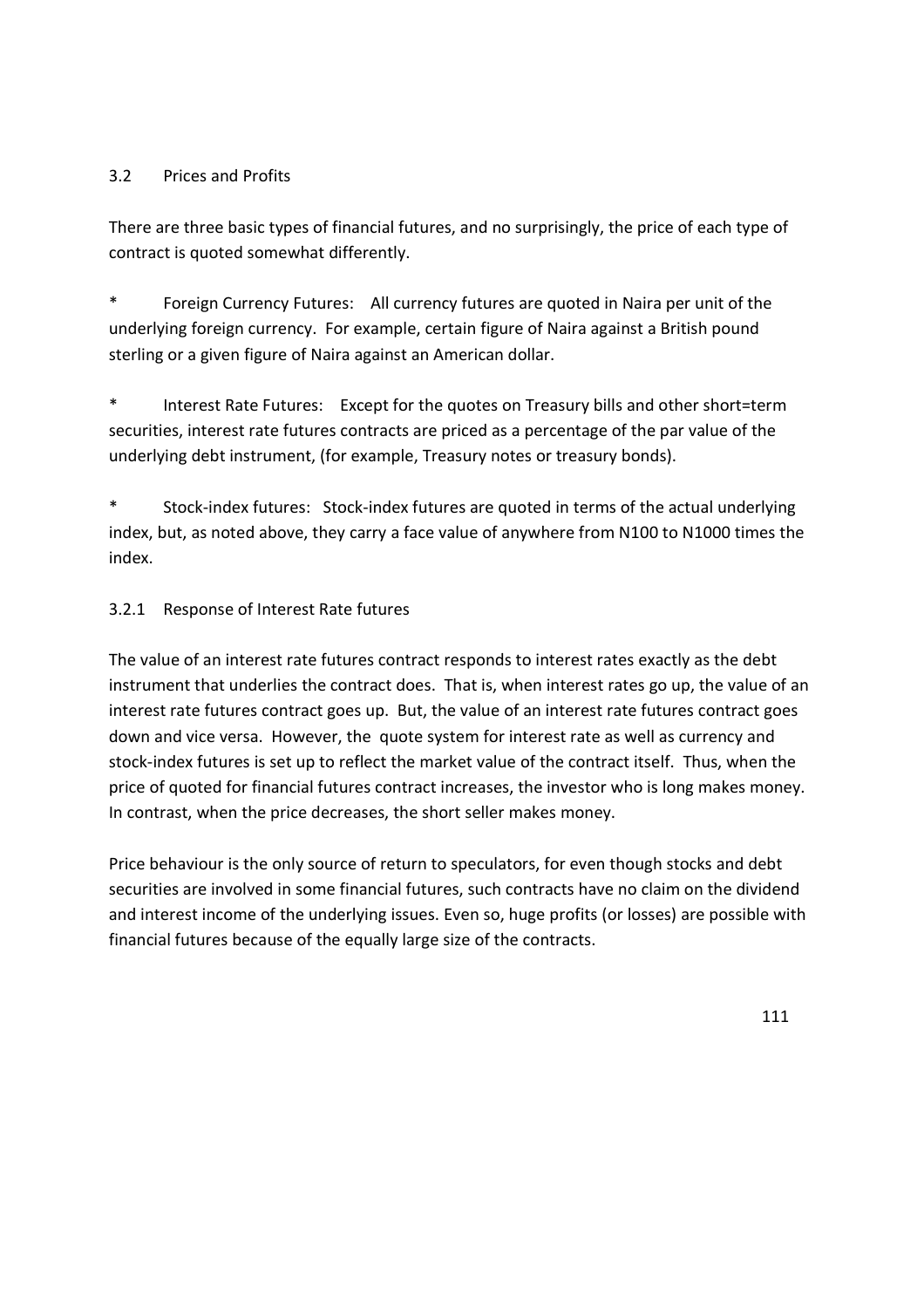#### 3.2 Prices and Profits

There are three basic types of financial futures, and no surprisingly, the price of each type of contract is quoted somewhat differently.

Foreign Currency Futures: All currency futures are quoted in Naira per unit of the underlying foreign currency. For example, certain figure of Naira against a British pound sterling or a given figure of Naira against an American dollar.

\* Interest Rate Futures: Except for the quotes on Treasury bills and other short=term securities, interest rate futures contracts are priced as a percentage of the par value of the underlying debt instrument, (for example, Treasury notes or treasury bonds).

\* Stock-index futures: Stock-index futures are quoted in terms of the actual underlying index, but, as noted above, they carry a face value of anywhere from N100 to N1000 times the index.

## 3.2.1 Response of Interest Rate futures

The value of an interest rate futures contract responds to interest rates exactly as the debt instrument that underlies the contract does. That is, when interest rates go up, the value of an interest rate futures contract goes up. But, the value of an interest rate futures contract goes down and vice versa. However, the quote system for interest rate as well as currency and stock-index futures is set up to reflect the market value of the contract itself. Thus, when the price of quoted for financial futures contract increases, the investor who is long makes money. In contrast, when the price decreases, the short seller makes money.

Price behaviour is the only source of return to speculators, for even though stocks and debt securities are involved in some financial futures, such contracts have no claim on the dividend and interest income of the underlying issues. Even so, huge profits (or losses) are possible with financial futures because of the equally large size of the contracts.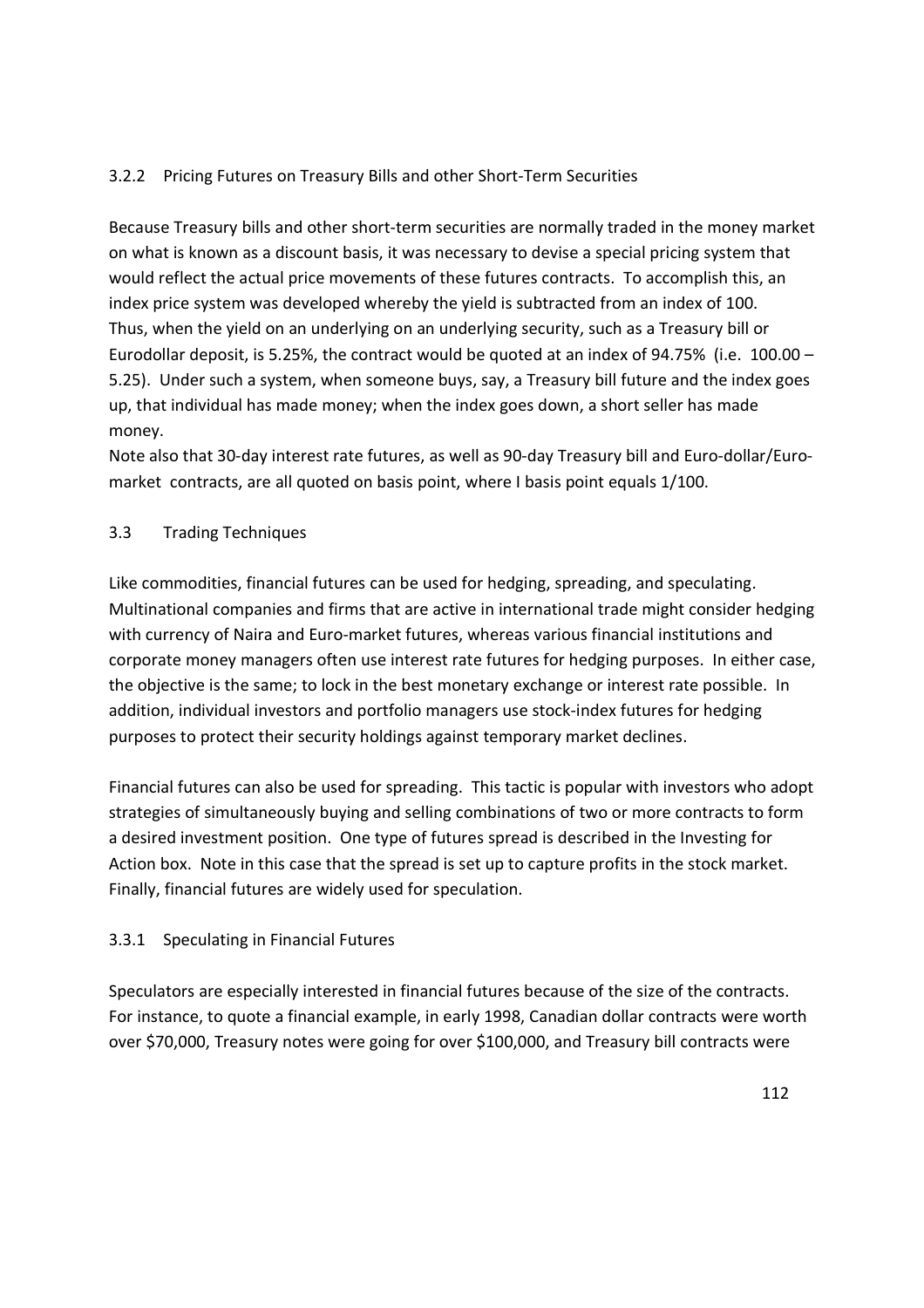## 3.2.2 Pricing Futures on Treasury Bills and other Short-Term Securities

Because Treasury bills and other short-term securities are normally traded in the money market on what is known as a discount basis, it was necessary to devise a special pricing system that would reflect the actual price movements of these futures contracts. To accomplish this, an index price system was developed whereby the yield is subtracted from an index of 100. Thus, when the yield on an underlying on an underlying security, such as a Treasury bill or Eurodollar deposit, is 5.25%, the contract would be quoted at an index of 94.75% (i.e. 100.00 – 5.25). Under such a system, when someone buys, say, a Treasury bill future and the index goes up, that individual has made money; when the index goes down, a short seller has made money.

Note also that 30-day interest rate futures, as well as 90-day Treasury bill and Euro-dollar/Euromarket contracts, are all quoted on basis point, where I basis point equals 1/100.

## 3.3 Trading Techniques

Like commodities, financial futures can be used for hedging, spreading, and speculating. Multinational companies and firms that are active in international trade might consider hedging with currency of Naira and Euro-market futures, whereas various financial institutions and corporate money managers often use interest rate futures for hedging purposes. In either case, the objective is the same; to lock in the best monetary exchange or interest rate possible. In addition, individual investors and portfolio managers use stock-index futures for hedging purposes to protect their security holdings against temporary market declines.

Financial futures can also be used for spreading. This tactic is popular with investors who adopt strategies of simultaneously buying and selling combinations of two or more contracts to form a desired investment position. One type of futures spread is described in the Investing for Action box. Note in this case that the spread is set up to capture profits in the stock market. Finally, financial futures are widely used for speculation.

## 3.3.1 Speculating in Financial Futures

Speculators are especially interested in financial futures because of the size of the contracts. For instance, to quote a financial example, in early 1998, Canadian dollar contracts were worth over \$70,000, Treasury notes were going for over \$100,000, and Treasury bill contracts were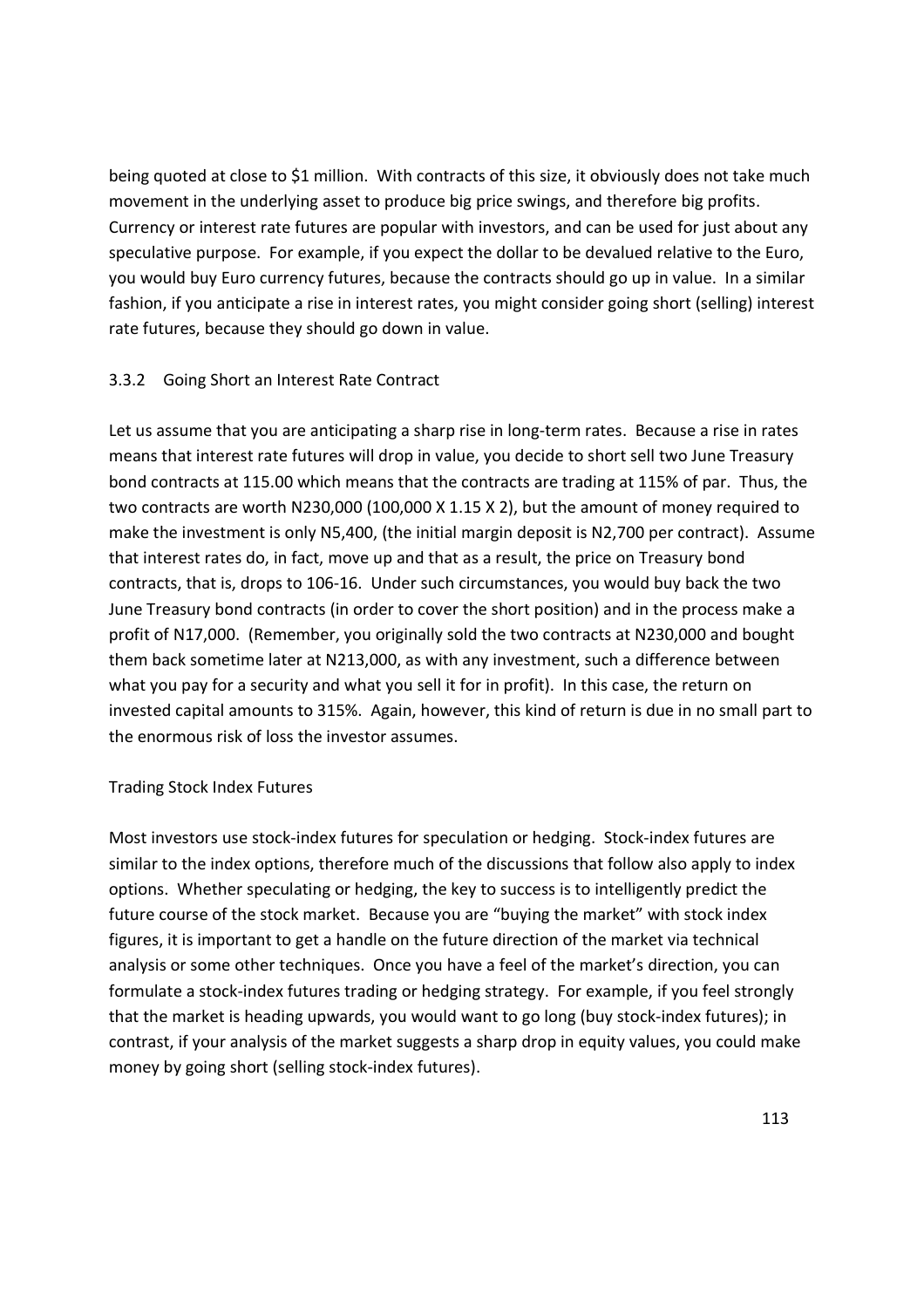being quoted at close to \$1 million. With contracts of this size, it obviously does not take much movement in the underlying asset to produce big price swings, and therefore big profits. Currency or interest rate futures are popular with investors, and can be used for just about any speculative purpose. For example, if you expect the dollar to be devalued relative to the Euro, you would buy Euro currency futures, because the contracts should go up in value. In a similar fashion, if you anticipate a rise in interest rates, you might consider going short (selling) interest rate futures, because they should go down in value.

#### 3.3.2 Going Short an Interest Rate Contract

Let us assume that you are anticipating a sharp rise in long-term rates. Because a rise in rates means that interest rate futures will drop in value, you decide to short sell two June Treasury bond contracts at 115.00 which means that the contracts are trading at 115% of par. Thus, the two contracts are worth N230,000 (100,000 X 1.15 X 2), but the amount of money required to make the investment is only N5,400, (the initial margin deposit is N2,700 per contract). Assume that interest rates do, in fact, move up and that as a result, the price on Treasury bond contracts, that is, drops to 106-16. Under such circumstances, you would buy back the two June Treasury bond contracts (in order to cover the short position) and in the process make a profit of N17,000. (Remember, you originally sold the two contracts at N230,000 and bought them back sometime later at N213,000, as with any investment, such a difference between what you pay for a security and what you sell it for in profit). In this case, the return on invested capital amounts to 315%. Again, however, this kind of return is due in no small part to the enormous risk of loss the investor assumes.

#### Trading Stock Index Futures

Most investors use stock-index futures for speculation or hedging. Stock-index futures are similar to the index options, therefore much of the discussions that follow also apply to index options. Whether speculating or hedging, the key to success is to intelligently predict the future course of the stock market. Because you are "buying the market" with stock index figures, it is important to get a handle on the future direction of the market via technical analysis or some other techniques. Once you have a feel of the market's direction, you can formulate a stock-index futures trading or hedging strategy. For example, if you feel strongly that the market is heading upwards, you would want to go long (buy stock-index futures); in contrast, if your analysis of the market suggests a sharp drop in equity values, you could make money by going short (selling stock-index futures).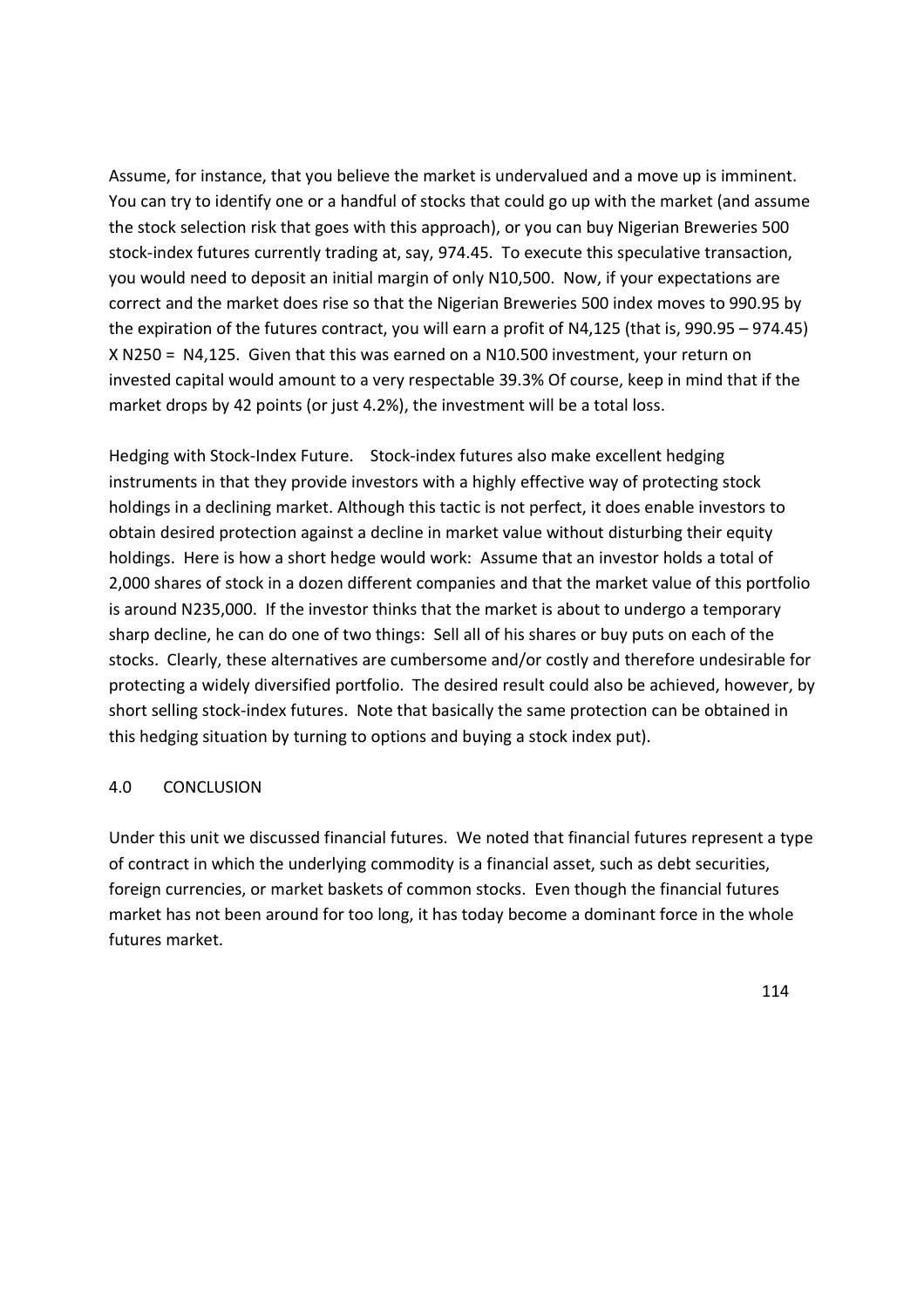Assume, for instance, that you believe the market is undervalued and a move up is imminent. You can try to identify one or a handful of stocks that could go up with the market (and assume the stock selection risk that goes with this approach), or you can buy Nigerian Breweries 500 stock-index futures currently trading at, say, 974.45. To execute this speculative transaction, you would need to deposit an initial margin of only N10,500. Now, if your expectations are correct and the market does rise so that the Nigerian Breweries 500 index moves to 990.95 by the expiration of the futures contract, you will earn a profit of N4,125 (that is, 990.95 – 974.45) X N250 = N4,125. Given that this was earned on a N10.500 investment, your return on invested capital would amount to a very respectable 39.3% Of course, keep in mind that if the market drops by 42 points (or just 4.2%), the investment will be a total loss.

Hedging with Stock-Index Future. Stock-index futures also make excellent hedging instruments in that they provide investors with a highly effective way of protecting stock holdings in a declining market. Although this tactic is not perfect, it does enable investors to obtain desired protection against a decline in market value without disturbing their equity holdings. Here is how a short hedge would work: Assume that an investor holds a total of 2,000 shares of stock in a dozen different companies and that the market value of this portfolio is around N235,000. If the investor thinks that the market is about to undergo a temporary sharp decline, he can do one of two things: Sell all of his shares or buy puts on each of the stocks. Clearly, these alternatives are cumbersome and/or costly and therefore undesirable for protecting a widely diversified portfolio. The desired result could also be achieved, however, by short selling stock-index futures. Note that basically the same protection can be obtained in this hedging situation by turning to options and buying a stock index put).

## 4.0 CONCLUSION

Under this unit we discussed financial futures. We noted that financial futures represent a type of contract in which the underlying commodity is a financial asset, such as debt securities, foreign currencies, or market baskets of common stocks. Even though the financial futures market has not been around for too long, it has today become a dominant force in the whole futures market.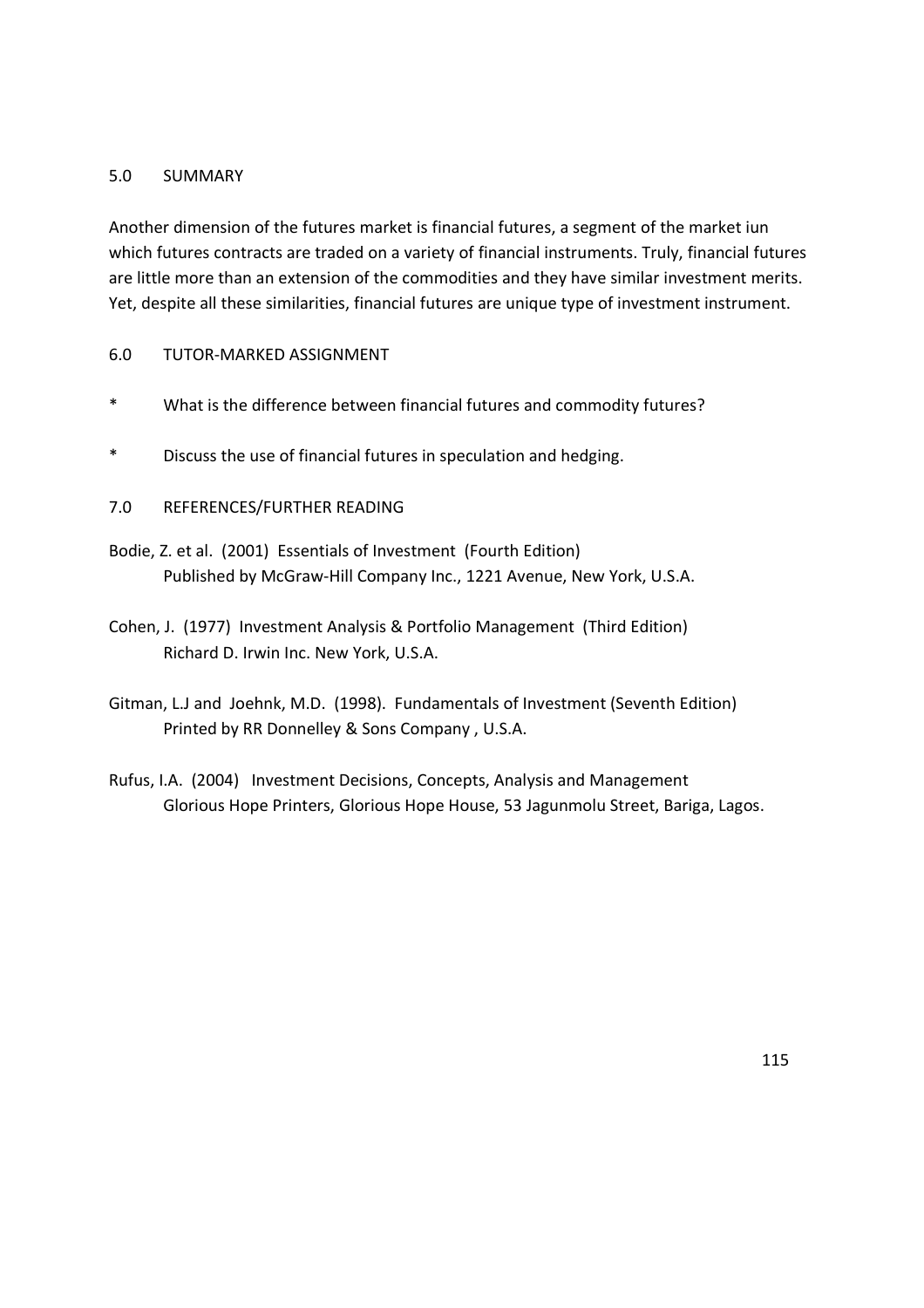#### 5.0 SUMMARY

Another dimension of the futures market is financial futures, a segment of the market iun which futures contracts are traded on a variety of financial instruments. Truly, financial futures are little more than an extension of the commodities and they have similar investment merits. Yet, despite all these similarities, financial futures are unique type of investment instrument.

#### 6.0 TUTOR-MARKED ASSIGNMENT

- \* What is the difference between financial futures and commodity futures?
- \* Discuss the use of financial futures in speculation and hedging.

#### 7.0 REFERENCES/FURTHER READING

- Bodie, Z. et al. (2001) Essentials of Investment (Fourth Edition) Published by McGraw-Hill Company Inc., 1221 Avenue, New York, U.S.A.
- Cohen, J. (1977) Investment Analysis & Portfolio Management (Third Edition) Richard D. Irwin Inc. New York, U.S.A.
- Gitman, L.J and Joehnk, M.D. (1998). Fundamentals of Investment (Seventh Edition) Printed by RR Donnelley & Sons Company , U.S.A.
- Rufus, I.A. (2004) Investment Decisions, Concepts, Analysis and Management Glorious Hope Printers, Glorious Hope House, 53 Jagunmolu Street, Bariga, Lagos.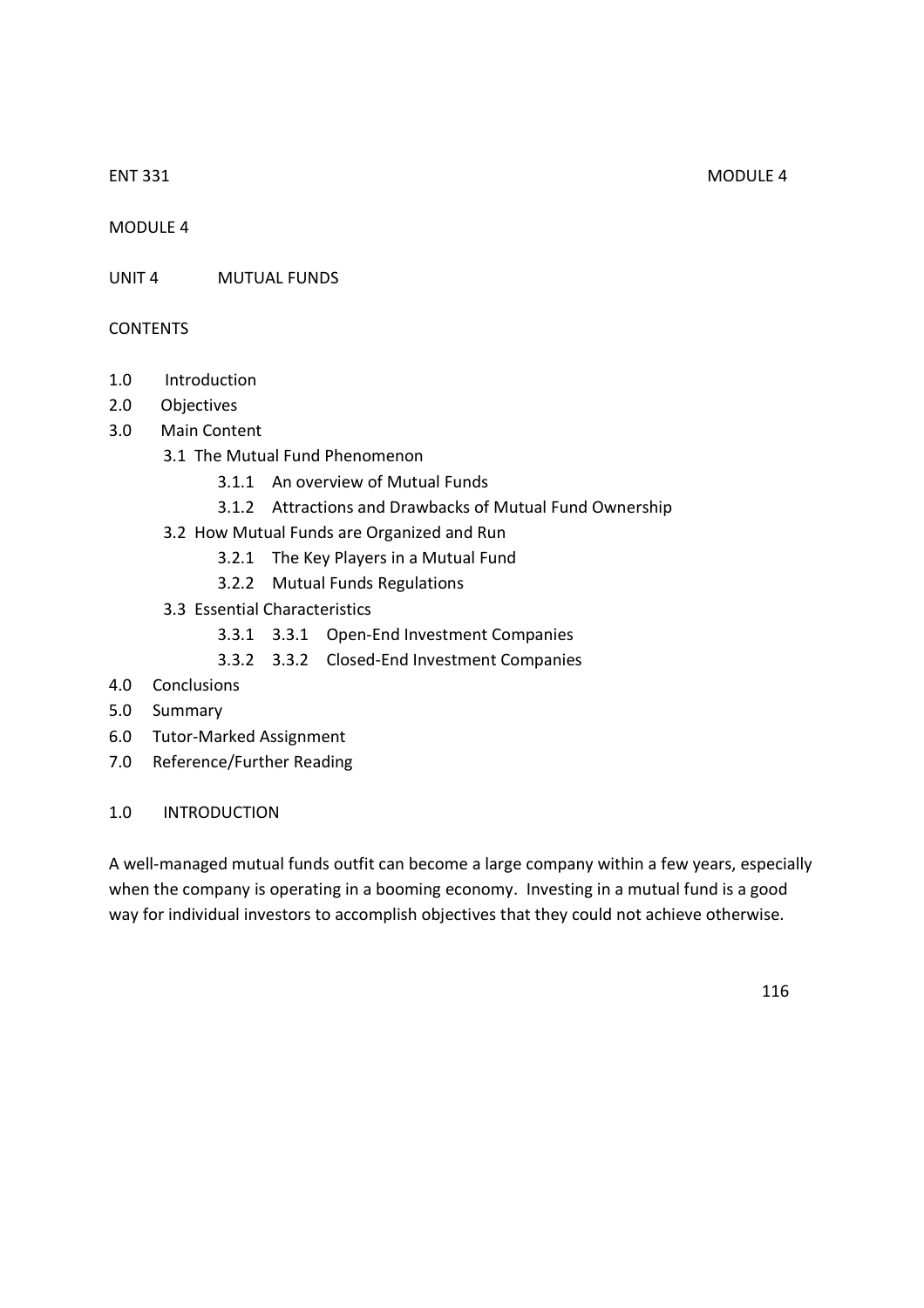#### MODULE 4

UNIT 4 MUTUAL FUNDS

#### CONTENTS

- 1.0 Introduction
- 2.0 Objectives
- 3.0 Main Content
	- 3.1 The Mutual Fund Phenomenon
		- 3.1.1 An overview of Mutual Funds
		- 3.1.2 Attractions and Drawbacks of Mutual Fund Ownership
	- 3.2 How Mutual Funds are Organized and Run
		- 3.2.1 The Key Players in a Mutual Fund
		- 3.2.2 Mutual Funds Regulations
	- 3.3 Essential Characteristics
		- 3.3.1 3.3.1 Open-End Investment Companies
		- 3.3.2 3.3.2 Closed-End Investment Companies
- 4.0 Conclusions
- 5.0 Summary
- 6.0 Tutor-Marked Assignment
- 7.0 Reference/Further Reading

#### 1.0 INTRODUCTION

A well-managed mutual funds outfit can become a large company within a few years, especially when the company is operating in a booming economy. Investing in a mutual fund is a good way for individual investors to accomplish objectives that they could not achieve otherwise.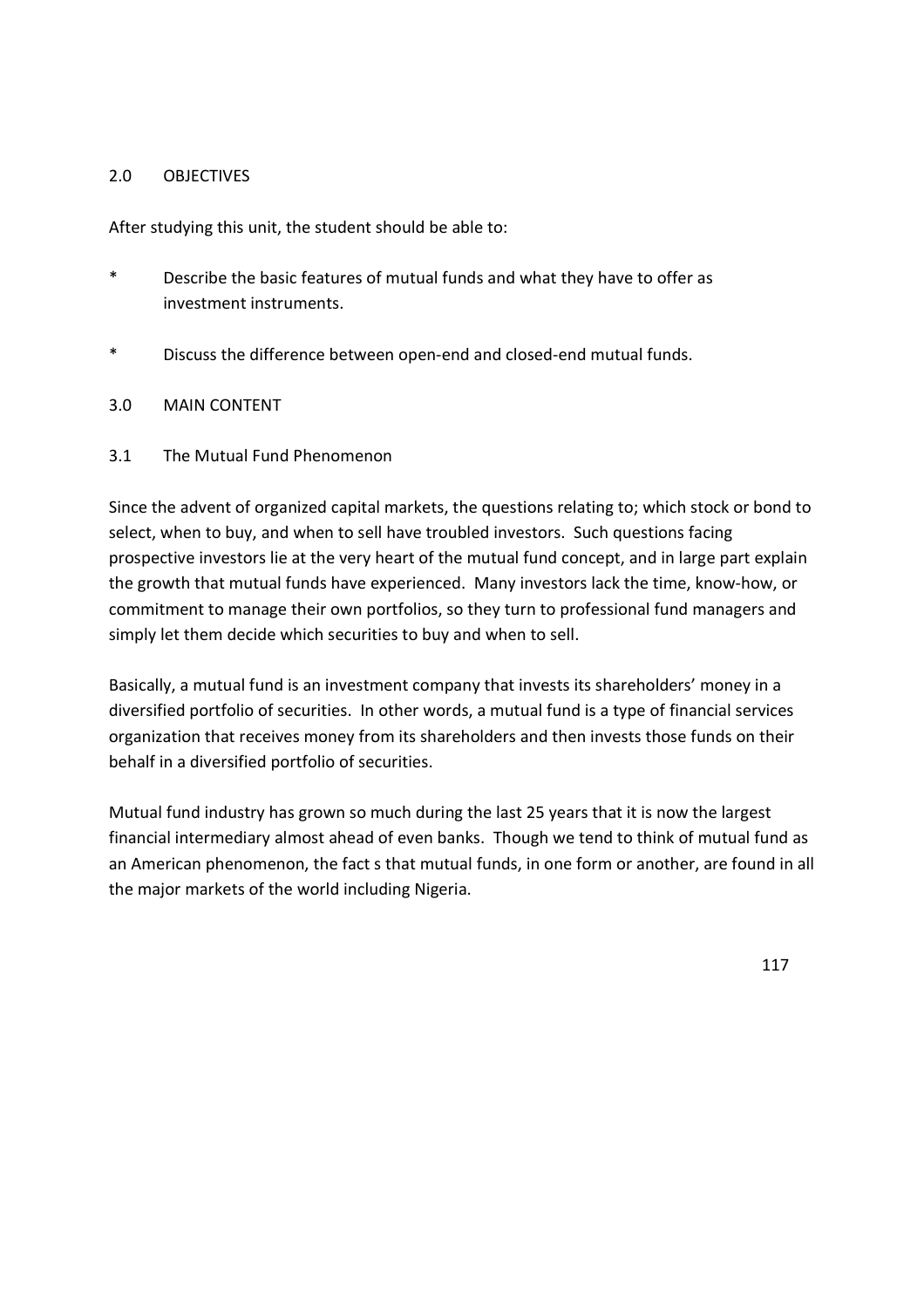#### 2.0 OBJECTIVES

After studying this unit, the student should be able to:

- Describe the basic features of mutual funds and what they have to offer as investment instruments.
- \* Discuss the difference between open-end and closed-end mutual funds.

#### 3.0 MAIN CONTENT

#### 3.1 The Mutual Fund Phenomenon

Since the advent of organized capital markets, the questions relating to; which stock or bond to select, when to buy, and when to sell have troubled investors. Such questions facing prospective investors lie at the very heart of the mutual fund concept, and in large part explain the growth that mutual funds have experienced. Many investors lack the time, know-how, or commitment to manage their own portfolios, so they turn to professional fund managers and simply let them decide which securities to buy and when to sell.

Basically, a mutual fund is an investment company that invests its shareholders' money in a diversified portfolio of securities. In other words, a mutual fund is a type of financial services organization that receives money from its shareholders and then invests those funds on their behalf in a diversified portfolio of securities.

Mutual fund industry has grown so much during the last 25 years that it is now the largest financial intermediary almost ahead of even banks. Though we tend to think of mutual fund as an American phenomenon, the fact s that mutual funds, in one form or another, are found in all the major markets of the world including Nigeria.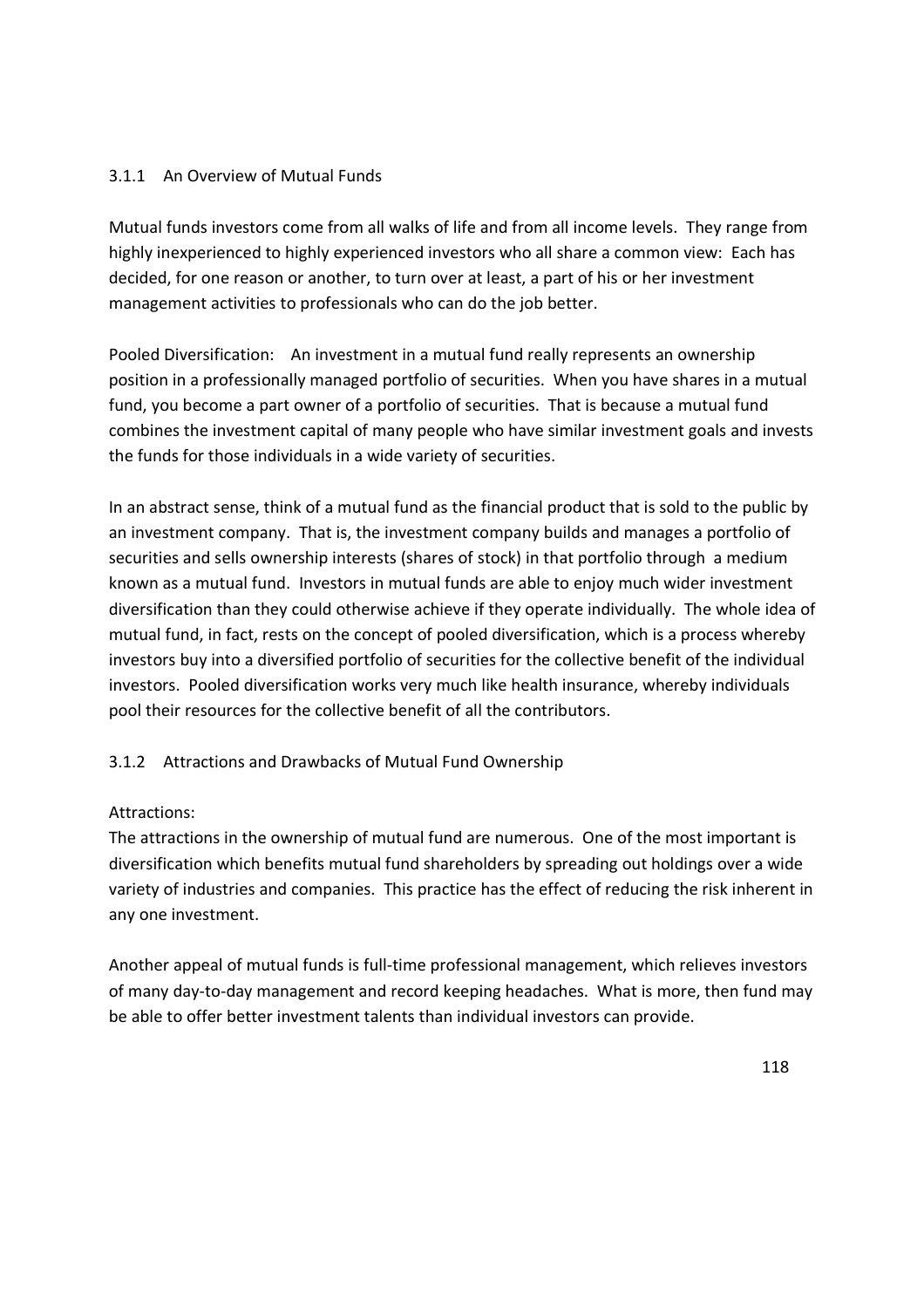## 3.1.1 An Overview of Mutual Funds

Mutual funds investors come from all walks of life and from all income levels. They range from highly inexperienced to highly experienced investors who all share a common view: Each has decided, for one reason or another, to turn over at least, a part of his or her investment management activities to professionals who can do the job better.

Pooled Diversification: An investment in a mutual fund really represents an ownership position in a professionally managed portfolio of securities. When you have shares in a mutual fund, you become a part owner of a portfolio of securities. That is because a mutual fund combines the investment capital of many people who have similar investment goals and invests the funds for those individuals in a wide variety of securities.

In an abstract sense, think of a mutual fund as the financial product that is sold to the public by an investment company. That is, the investment company builds and manages a portfolio of securities and sells ownership interests (shares of stock) in that portfolio through a medium known as a mutual fund. Investors in mutual funds are able to enjoy much wider investment diversification than they could otherwise achieve if they operate individually. The whole idea of mutual fund, in fact, rests on the concept of pooled diversification, which is a process whereby investors buy into a diversified portfolio of securities for the collective benefit of the individual investors. Pooled diversification works very much like health insurance, whereby individuals pool their resources for the collective benefit of all the contributors.

## 3.1.2 Attractions and Drawbacks of Mutual Fund Ownership

## Attractions:

The attractions in the ownership of mutual fund are numerous. One of the most important is diversification which benefits mutual fund shareholders by spreading out holdings over a wide variety of industries and companies. This practice has the effect of reducing the risk inherent in any one investment.

Another appeal of mutual funds is full-time professional management, which relieves investors of many day-to-day management and record keeping headaches. What is more, then fund may be able to offer better investment talents than individual investors can provide.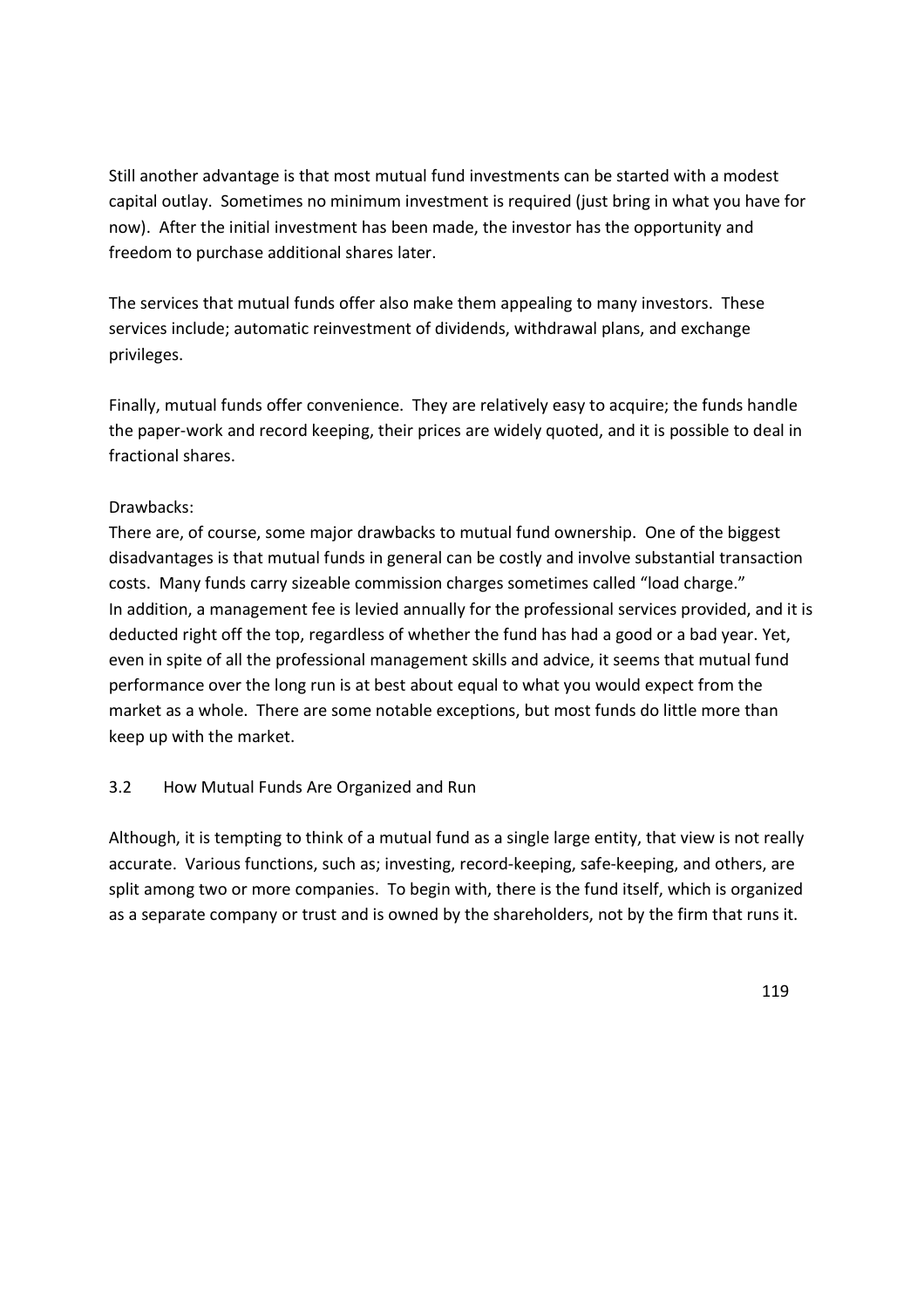Still another advantage is that most mutual fund investments can be started with a modest capital outlay. Sometimes no minimum investment is required (just bring in what you have for now). After the initial investment has been made, the investor has the opportunity and freedom to purchase additional shares later.

The services that mutual funds offer also make them appealing to many investors. These services include; automatic reinvestment of dividends, withdrawal plans, and exchange privileges.

Finally, mutual funds offer convenience. They are relatively easy to acquire; the funds handle the paper-work and record keeping, their prices are widely quoted, and it is possible to deal in fractional shares.

#### Drawbacks:

There are, of course, some major drawbacks to mutual fund ownership. One of the biggest disadvantages is that mutual funds in general can be costly and involve substantial transaction costs. Many funds carry sizeable commission charges sometimes called "load charge." In addition, a management fee is levied annually for the professional services provided, and it is deducted right off the top, regardless of whether the fund has had a good or a bad year. Yet, even in spite of all the professional management skills and advice, it seems that mutual fund performance over the long run is at best about equal to what you would expect from the market as a whole. There are some notable exceptions, but most funds do little more than keep up with the market.

## 3.2 How Mutual Funds Are Organized and Run

Although, it is tempting to think of a mutual fund as a single large entity, that view is not really accurate. Various functions, such as; investing, record-keeping, safe-keeping, and others, are split among two or more companies. To begin with, there is the fund itself, which is organized as a separate company or trust and is owned by the shareholders, not by the firm that runs it.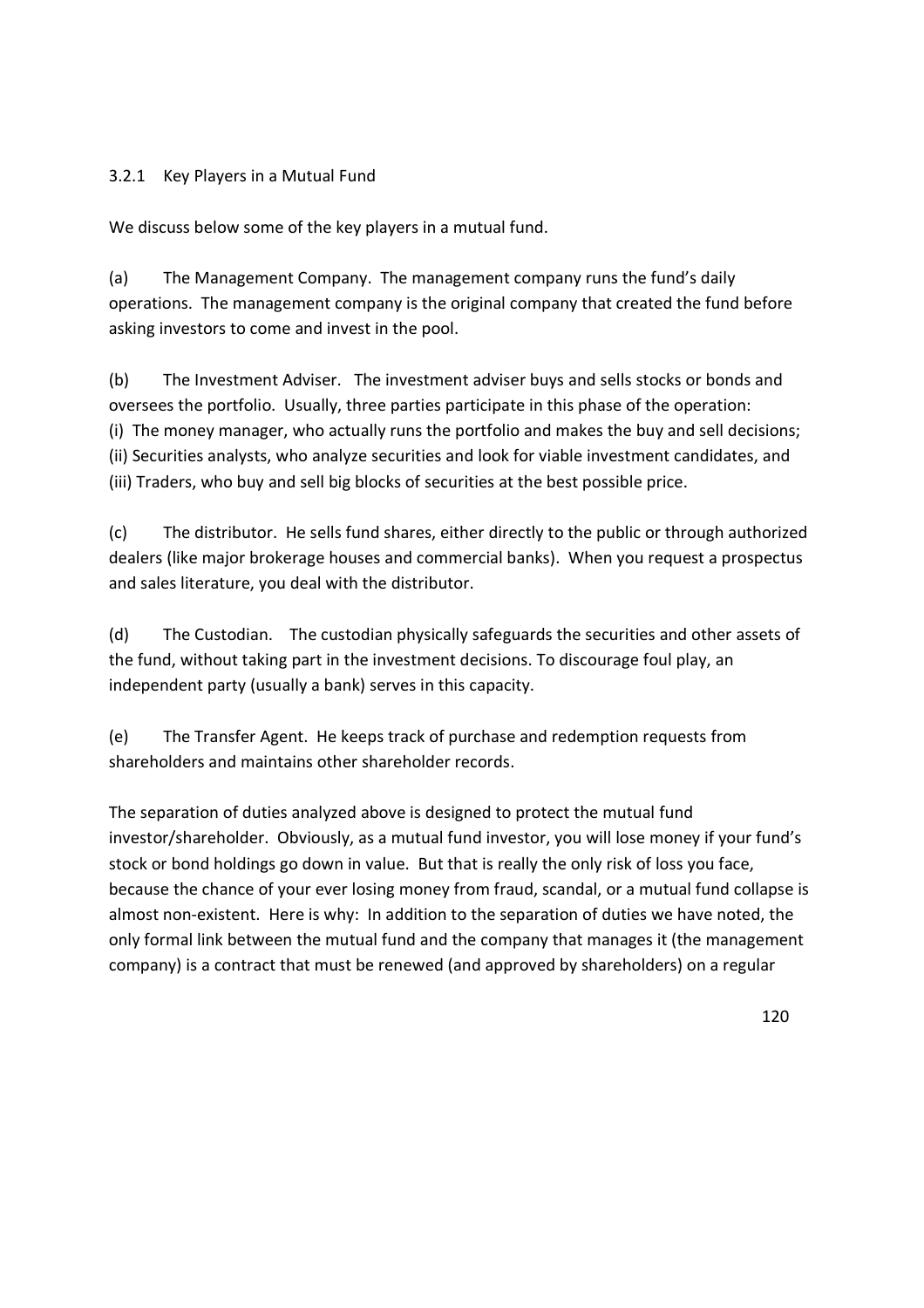## 3.2.1 Key Players in a Mutual Fund

We discuss below some of the key players in a mutual fund.

(a) The Management Company. The management company runs the fund's daily operations. The management company is the original company that created the fund before asking investors to come and invest in the pool.

(b) The Investment Adviser. The investment adviser buys and sells stocks or bonds and oversees the portfolio. Usually, three parties participate in this phase of the operation: (i) The money manager, who actually runs the portfolio and makes the buy and sell decisions; (ii) Securities analysts, who analyze securities and look for viable investment candidates, and (iii) Traders, who buy and sell big blocks of securities at the best possible price.

(c) The distributor. He sells fund shares, either directly to the public or through authorized dealers (like major brokerage houses and commercial banks). When you request a prospectus and sales literature, you deal with the distributor.

(d) The Custodian. The custodian physically safeguards the securities and other assets of the fund, without taking part in the investment decisions. To discourage foul play, an independent party (usually a bank) serves in this capacity.

(e) The Transfer Agent. He keeps track of purchase and redemption requests from shareholders and maintains other shareholder records.

The separation of duties analyzed above is designed to protect the mutual fund investor/shareholder. Obviously, as a mutual fund investor, you will lose money if your fund's stock or bond holdings go down in value. But that is really the only risk of loss you face, because the chance of your ever losing money from fraud, scandal, or a mutual fund collapse is almost non-existent. Here is why: In addition to the separation of duties we have noted, the only formal link between the mutual fund and the company that manages it (the management company) is a contract that must be renewed (and approved by shareholders) on a regular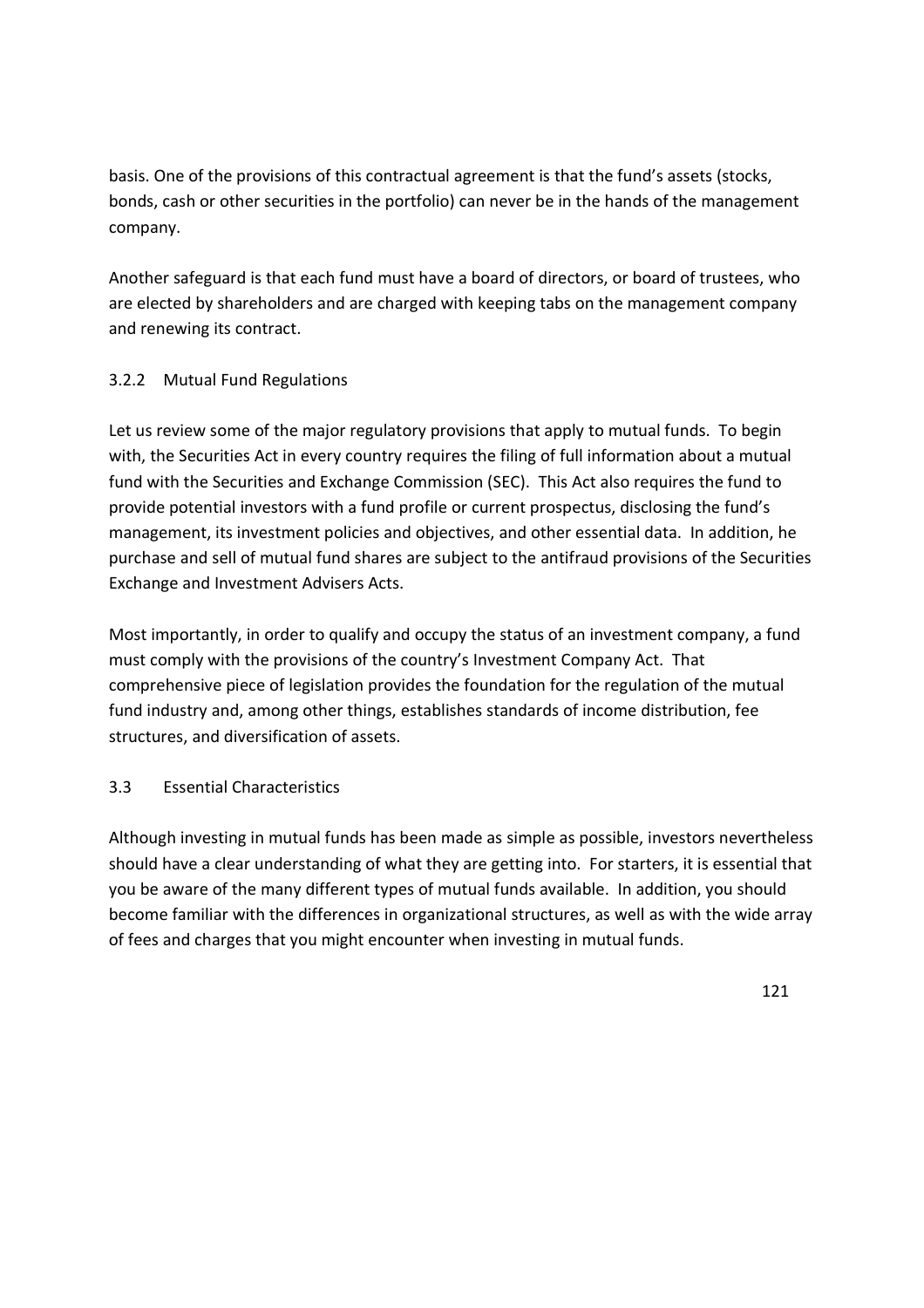basis. One of the provisions of this contractual agreement is that the fund's assets (stocks, bonds, cash or other securities in the portfolio) can never be in the hands of the management company.

Another safeguard is that each fund must have a board of directors, or board of trustees, who are elected by shareholders and are charged with keeping tabs on the management company and renewing its contract.

## 3.2.2 Mutual Fund Regulations

Let us review some of the major regulatory provisions that apply to mutual funds. To begin with, the Securities Act in every country requires the filing of full information about a mutual fund with the Securities and Exchange Commission (SEC). This Act also requires the fund to provide potential investors with a fund profile or current prospectus, disclosing the fund's management, its investment policies and objectives, and other essential data. In addition, he purchase and sell of mutual fund shares are subject to the antifraud provisions of the Securities Exchange and Investment Advisers Acts.

Most importantly, in order to qualify and occupy the status of an investment company, a fund must comply with the provisions of the country's Investment Company Act. That comprehensive piece of legislation provides the foundation for the regulation of the mutual fund industry and, among other things, establishes standards of income distribution, fee structures, and diversification of assets.

## 3.3 Essential Characteristics

Although investing in mutual funds has been made as simple as possible, investors nevertheless should have a clear understanding of what they are getting into. For starters, it is essential that you be aware of the many different types of mutual funds available. In addition, you should become familiar with the differences in organizational structures, as well as with the wide array of fees and charges that you might encounter when investing in mutual funds.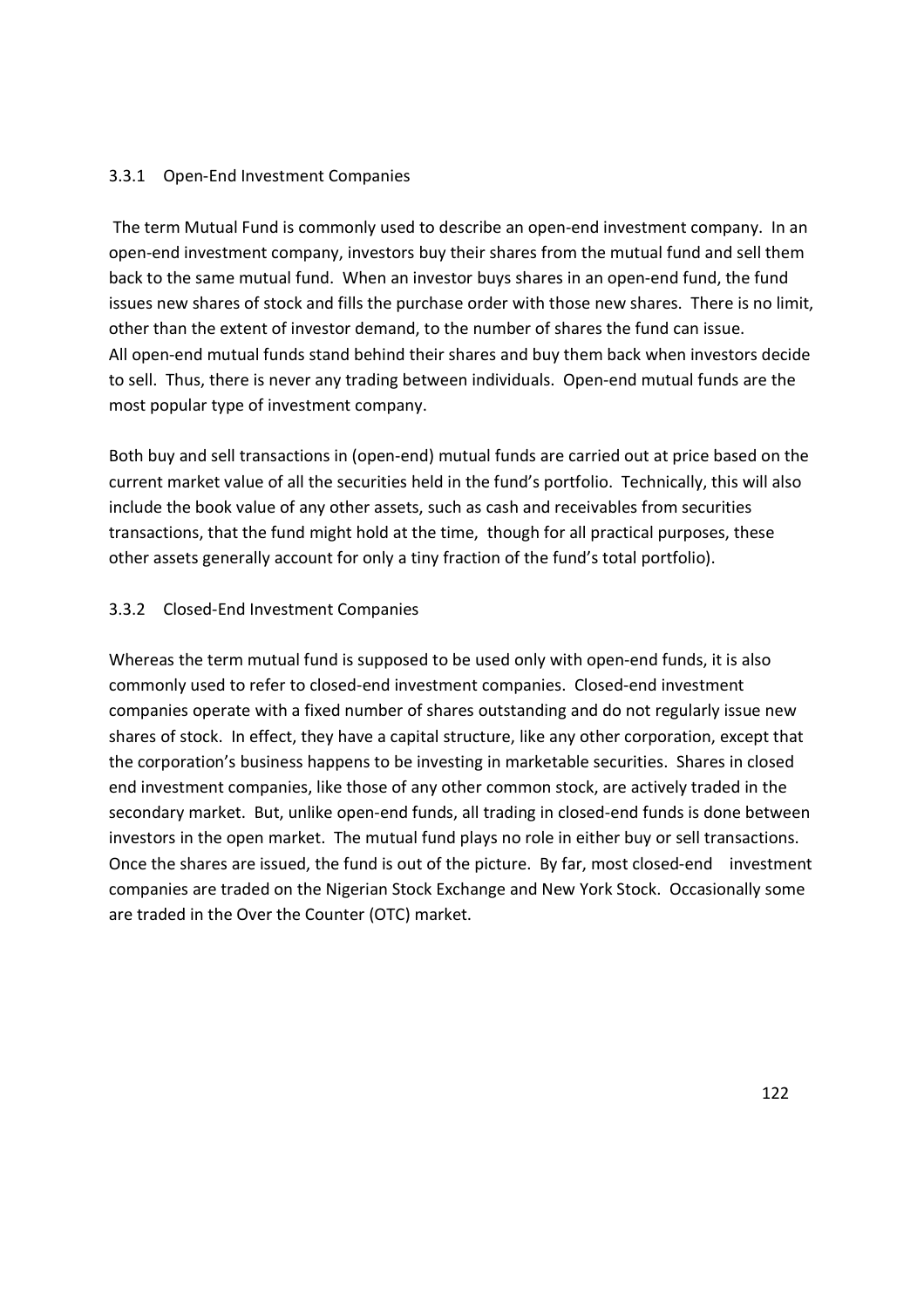#### 3.3.1 Open-End Investment Companies

 The term Mutual Fund is commonly used to describe an open-end investment company. In an open-end investment company, investors buy their shares from the mutual fund and sell them back to the same mutual fund. When an investor buys shares in an open-end fund, the fund issues new shares of stock and fills the purchase order with those new shares. There is no limit, other than the extent of investor demand, to the number of shares the fund can issue. All open-end mutual funds stand behind their shares and buy them back when investors decide to sell. Thus, there is never any trading between individuals. Open-end mutual funds are the most popular type of investment company.

Both buy and sell transactions in (open-end) mutual funds are carried out at price based on the current market value of all the securities held in the fund's portfolio. Technically, this will also include the book value of any other assets, such as cash and receivables from securities transactions, that the fund might hold at the time, though for all practical purposes, these other assets generally account for only a tiny fraction of the fund's total portfolio).

#### 3.3.2 Closed-End Investment Companies

Whereas the term mutual fund is supposed to be used only with open-end funds, it is also commonly used to refer to closed-end investment companies. Closed-end investment companies operate with a fixed number of shares outstanding and do not regularly issue new shares of stock. In effect, they have a capital structure, like any other corporation, except that the corporation's business happens to be investing in marketable securities. Shares in closed end investment companies, like those of any other common stock, are actively traded in the secondary market. But, unlike open-end funds, all trading in closed-end funds is done between investors in the open market. The mutual fund plays no role in either buy or sell transactions. Once the shares are issued, the fund is out of the picture. By far, most closed-end investment companies are traded on the Nigerian Stock Exchange and New York Stock. Occasionally some are traded in the Over the Counter (OTC) market.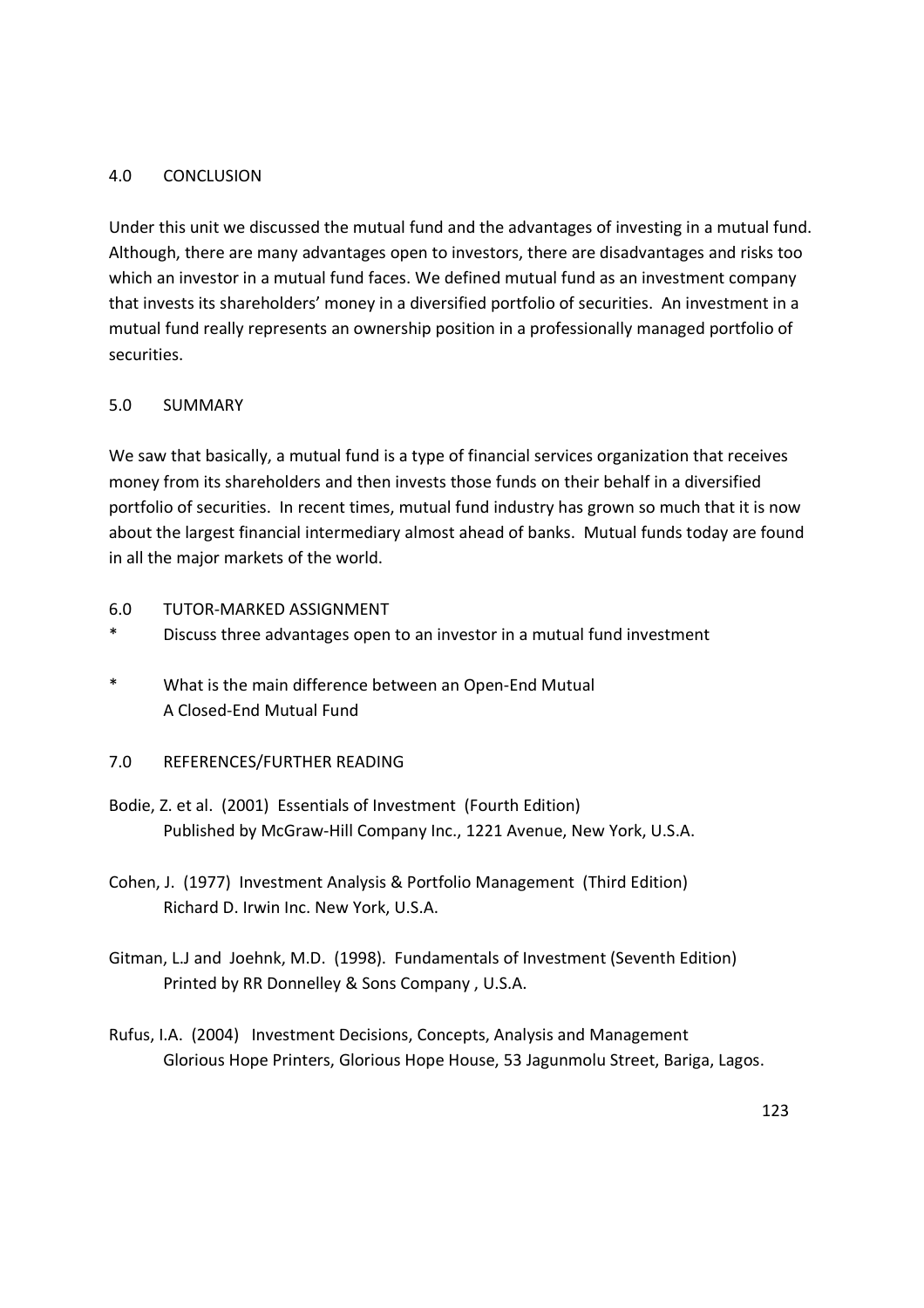#### 4.0 CONCLUSION

Under this unit we discussed the mutual fund and the advantages of investing in a mutual fund. Although, there are many advantages open to investors, there are disadvantages and risks too which an investor in a mutual fund faces. We defined mutual fund as an investment company that invests its shareholders' money in a diversified portfolio of securities. An investment in a mutual fund really represents an ownership position in a professionally managed portfolio of securities.

#### 5.0 SUMMARY

We saw that basically, a mutual fund is a type of financial services organization that receives money from its shareholders and then invests those funds on their behalf in a diversified portfolio of securities. In recent times, mutual fund industry has grown so much that it is now about the largest financial intermediary almost ahead of banks. Mutual funds today are found in all the major markets of the world.

- 6.0 TUTOR-MARKED ASSIGNMENT
- \* Discuss three advantages open to an investor in a mutual fund investment
- \* What is the main difference between an Open-End Mutual A Closed-End Mutual Fund
- 7.0 REFERENCES/FURTHER READING
- Bodie, Z. et al. (2001) Essentials of Investment (Fourth Edition) Published by McGraw-Hill Company Inc., 1221 Avenue, New York, U.S.A.
- Cohen, J. (1977) Investment Analysis & Portfolio Management (Third Edition) Richard D. Irwin Inc. New York, U.S.A.
- Gitman, L.J and Joehnk, M.D. (1998). Fundamentals of Investment (Seventh Edition) Printed by RR Donnelley & Sons Company , U.S.A.
- Rufus, I.A. (2004) Investment Decisions, Concepts, Analysis and Management Glorious Hope Printers, Glorious Hope House, 53 Jagunmolu Street, Bariga, Lagos.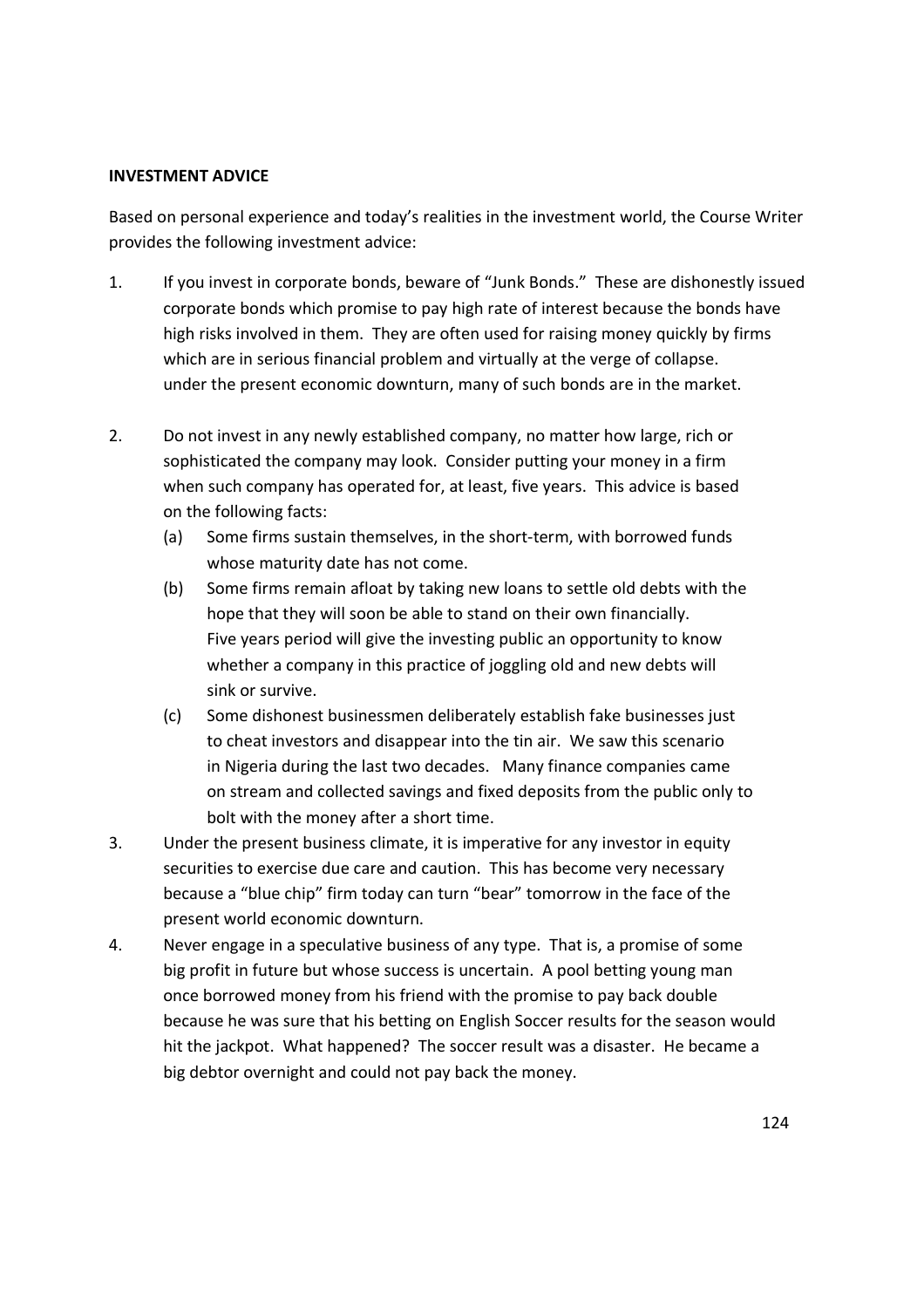#### **INVESTMENT ADVICE**

Based on personal experience and today's realities in the investment world, the Course Writer provides the following investment advice:

- 1. If you invest in corporate bonds, beware of "Junk Bonds." These are dishonestly issued corporate bonds which promise to pay high rate of interest because the bonds have high risks involved in them. They are often used for raising money quickly by firms which are in serious financial problem and virtually at the verge of collapse. under the present economic downturn, many of such bonds are in the market.
- 2. Do not invest in any newly established company, no matter how large, rich or sophisticated the company may look. Consider putting your money in a firm when such company has operated for, at least, five years. This advice is based on the following facts:
	- (a) Some firms sustain themselves, in the short-term, with borrowed funds whose maturity date has not come.
	- (b) Some firms remain afloat by taking new loans to settle old debts with the hope that they will soon be able to stand on their own financially. Five years period will give the investing public an opportunity to know whether a company in this practice of joggling old and new debts will sink or survive.
	- (c) Some dishonest businessmen deliberately establish fake businesses just to cheat investors and disappear into the tin air. We saw this scenario in Nigeria during the last two decades. Many finance companies came on stream and collected savings and fixed deposits from the public only to bolt with the money after a short time.
- 3. Under the present business climate, it is imperative for any investor in equity securities to exercise due care and caution. This has become very necessary because a "blue chip" firm today can turn "bear" tomorrow in the face of the present world economic downturn.
- 4. Never engage in a speculative business of any type. That is, a promise of some big profit in future but whose success is uncertain. A pool betting young man once borrowed money from his friend with the promise to pay back double because he was sure that his betting on English Soccer results for the season would hit the jackpot. What happened? The soccer result was a disaster. He became a big debtor overnight and could not pay back the money.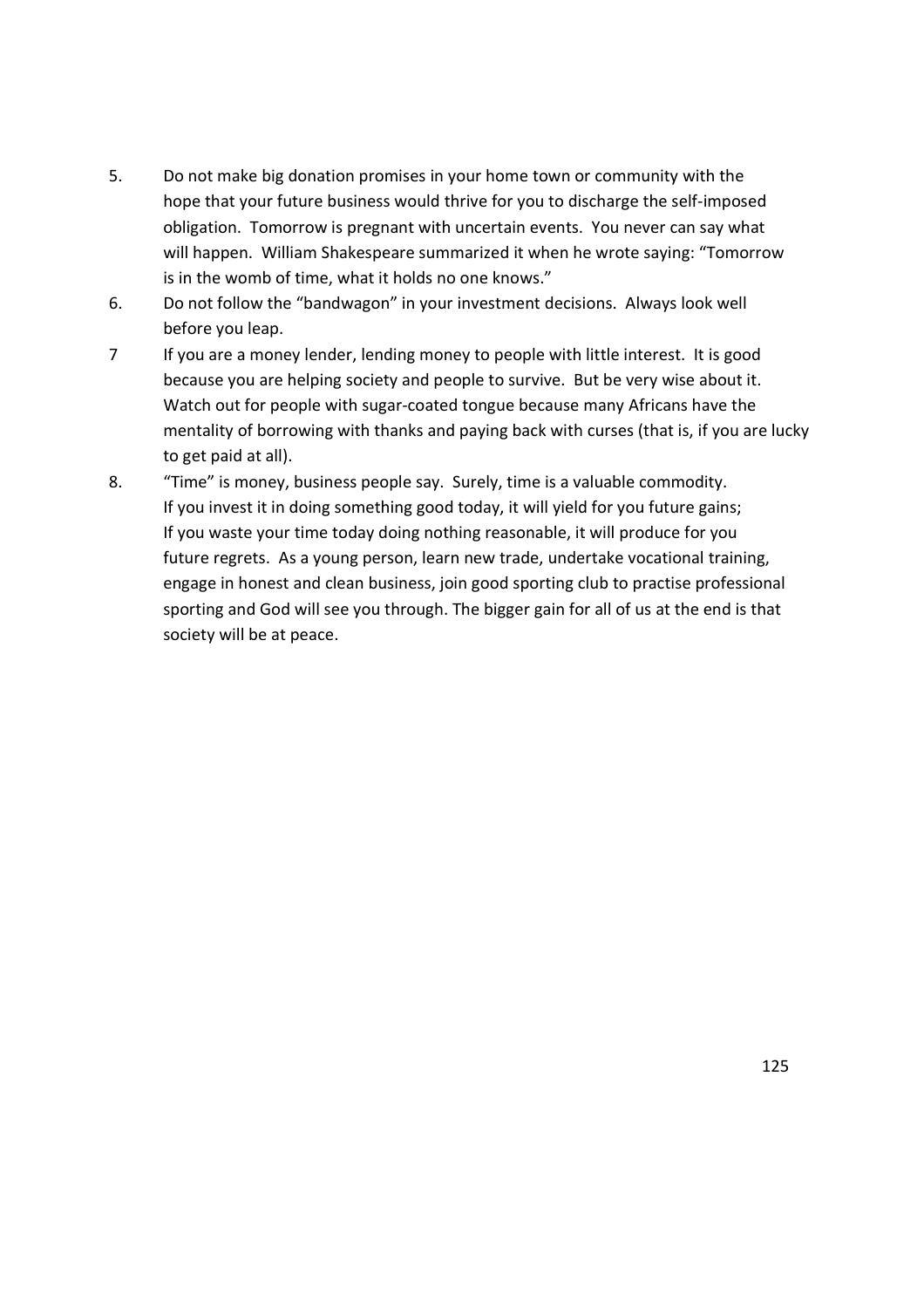- 5. Do not make big donation promises in your home town or community with the hope that your future business would thrive for you to discharge the self-imposed obligation. Tomorrow is pregnant with uncertain events. You never can say what will happen. William Shakespeare summarized it when he wrote saying: "Tomorrow is in the womb of time, what it holds no one knows."
- 6. Do not follow the "bandwagon" in your investment decisions. Always look well before you leap.
- 7 If you are a money lender, lending money to people with little interest. It is good because you are helping society and people to survive. But be very wise about it. Watch out for people with sugar-coated tongue because many Africans have the mentality of borrowing with thanks and paying back with curses (that is, if you are lucky to get paid at all).
- 8. "Time" is money, business people say. Surely, time is a valuable commodity. If you invest it in doing something good today, it will yield for you future gains; If you waste your time today doing nothing reasonable, it will produce for you future regrets. As a young person, learn new trade, undertake vocational training, engage in honest and clean business, join good sporting club to practise professional sporting and God will see you through. The bigger gain for all of us at the end is that society will be at peace.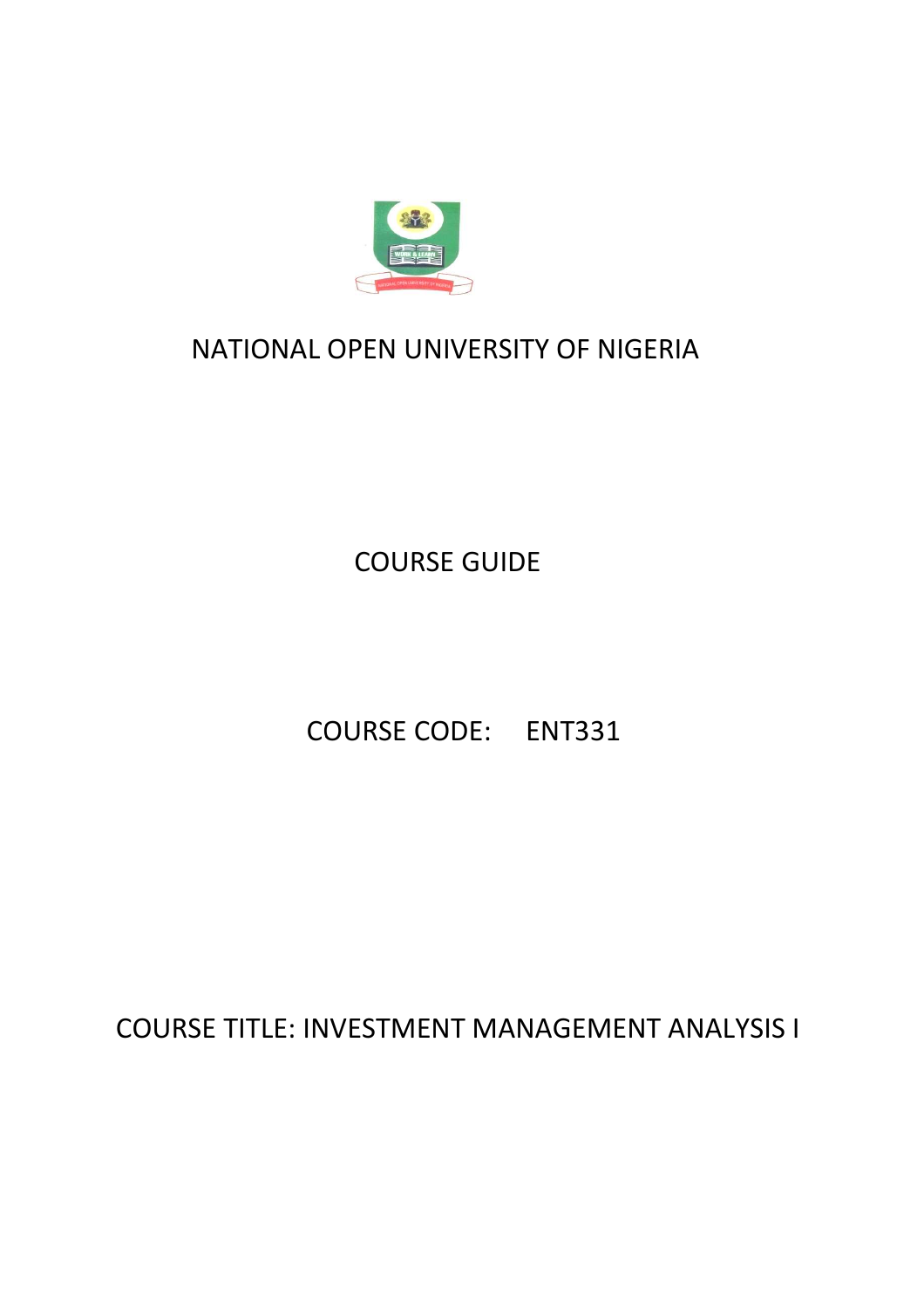

# NATIONAL OPEN UNIVERSITY OF NIGERIA NIGERIA

COURSE GUIDE

**COURSE CODE: ENT331** 

COURSE TITLE: INVESTMENT MANAGEMENT ANALYSIS I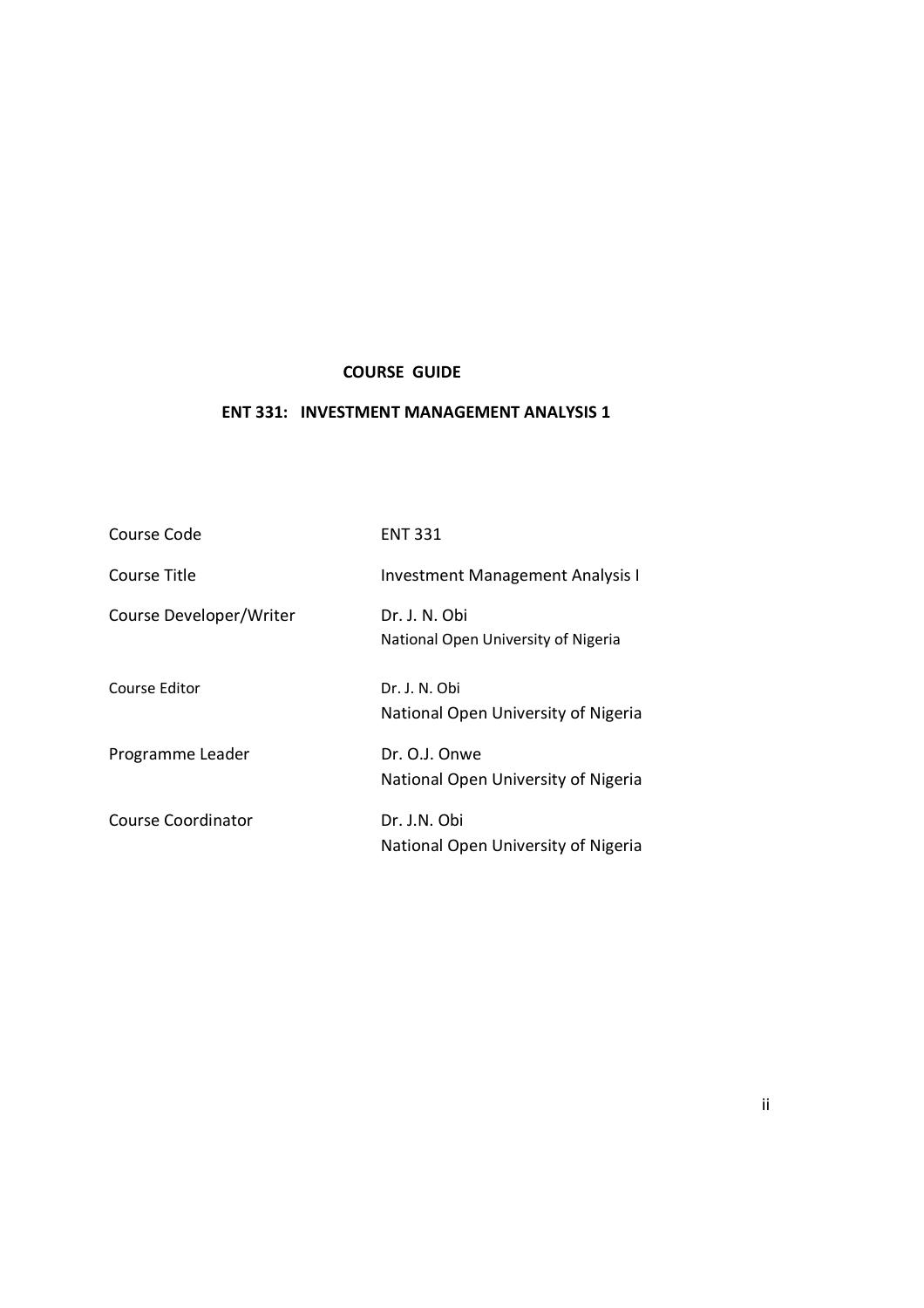#### **COURSE GUIDE**

#### **ENT 331: INVESTMENT MANAGEMENT ANALYSIS 1**

| Course Code             | <b>ENT 331</b>                                       |
|-------------------------|------------------------------------------------------|
| Course Title            | <b>Investment Management Analysis I</b>              |
| Course Developer/Writer | Dr. J. N. Obi<br>National Open University of Nigeria |
| Course Editor           | Dr. J. N. Obi<br>National Open University of Nigeria |
| Programme Leader        | Dr. O.J. Onwe<br>National Open University of Nigeria |
| Course Coordinator      | Dr. J.N. Obi<br>National Open University of Nigeria  |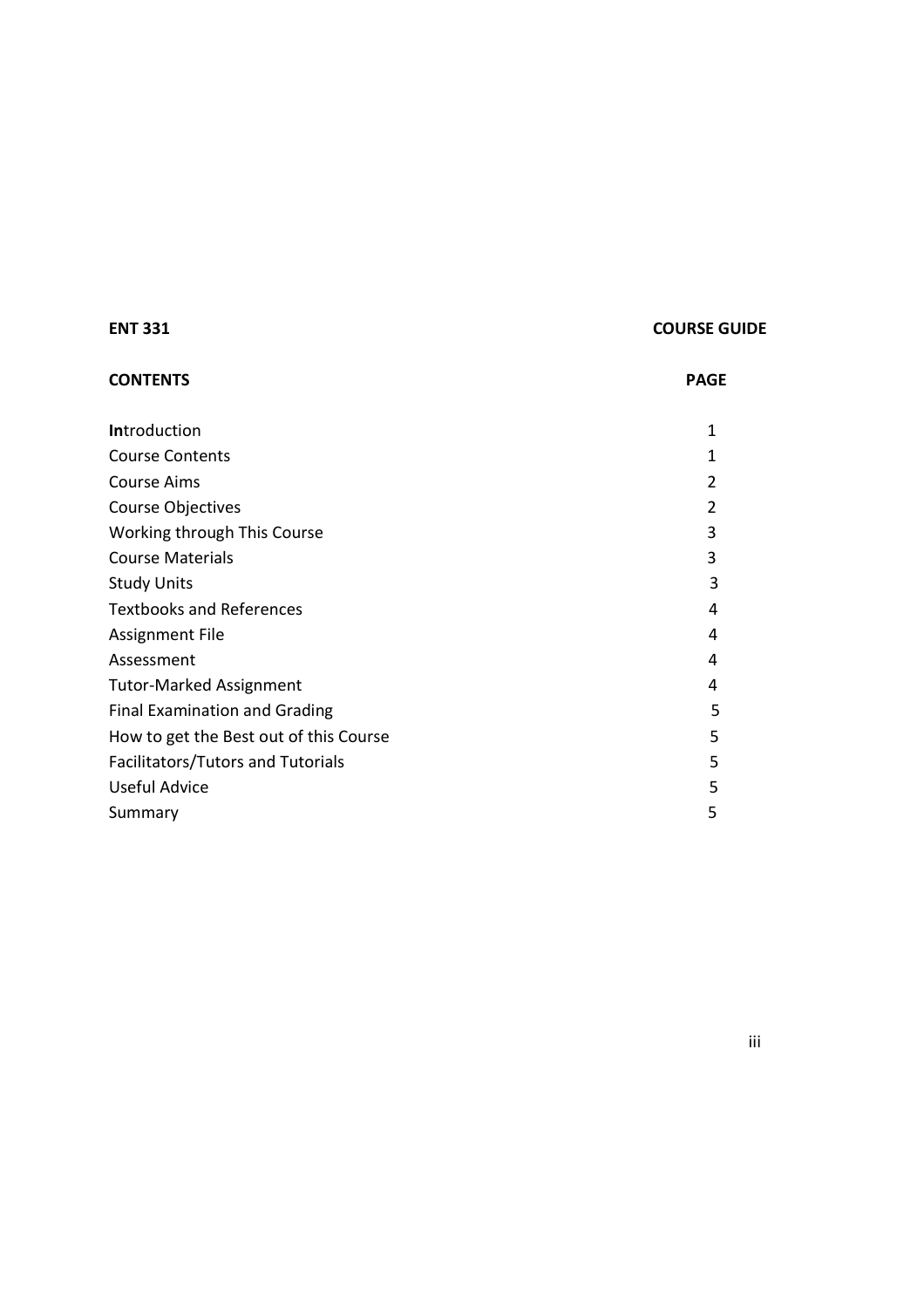#### **ENT 331** COURSE GUIDE

| <b>CONTENTS</b>                          | <b>PAGE</b> |
|------------------------------------------|-------------|
| <b>Introduction</b>                      | 1           |
| <b>Course Contents</b>                   | 1           |
| <b>Course Aims</b>                       | 2           |
| <b>Course Objectives</b>                 | 2           |
| Working through This Course              | 3           |
| <b>Course Materials</b>                  | 3           |
| <b>Study Units</b>                       | 3           |
| <b>Textbooks and References</b>          | 4           |
| <b>Assignment File</b>                   | 4           |
| Assessment                               | 4           |
| <b>Tutor-Marked Assignment</b>           | 4           |
| <b>Final Examination and Grading</b>     | 5           |
| How to get the Best out of this Course   | 5           |
| <b>Facilitators/Tutors and Tutorials</b> | 5           |
| <b>Useful Advice</b>                     | 5           |
| Summary                                  | 5           |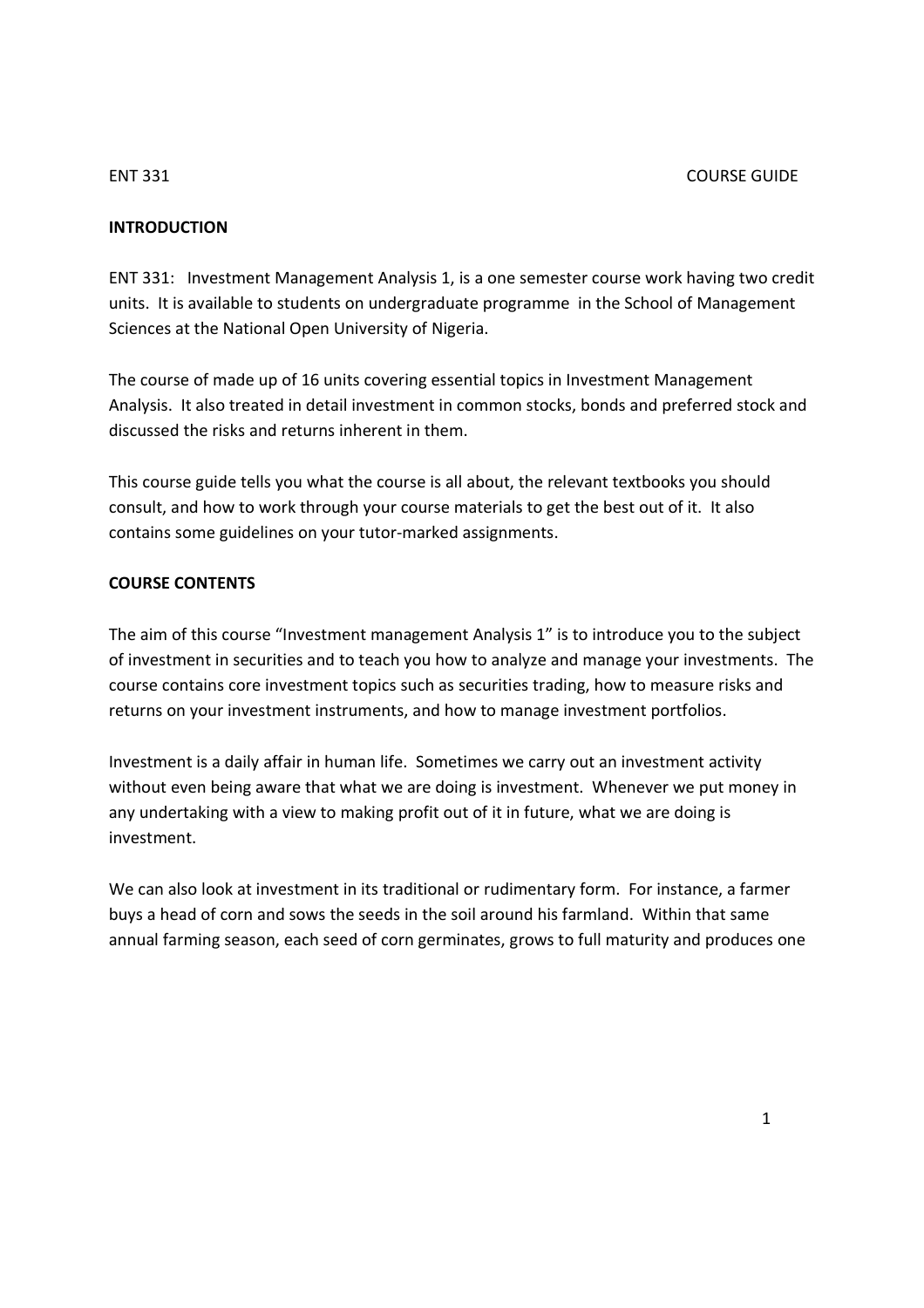#### **INTRODUCTION**

ENT 331: Investment Management Analysis 1, is a one semester course work having two credit units. It is available to students on undergraduate programme in the School of Management Sciences at the National Open University of Nigeria.

The course of made up of 16 units covering essential topics in Investment Management Analysis. It also treated in detail investment in common stocks, bonds and preferred stock and discussed the risks and returns inherent in them.

This course guide tells you what the course is all about, the relevant textbooks you should consult, and how to work through your course materials to get the best out of it. It also contains some guidelines on your tutor-marked assignments.

#### **COURSE CONTENTS**

The aim of this course "Investment management Analysis 1" is to introduce you to the subject of investment in securities and to teach you how to analyze and manage your investments. The course contains core investment topics such as securities trading, how to measure risks and returns on your investment instruments, and how to manage investment portfolios.

Investment is a daily affair in human life. Sometimes we carry out an investment activity without even being aware that what we are doing is investment. Whenever we put money in any undertaking with a view to making profit out of it in future, what we are doing is investment.

We can also look at investment in its traditional or rudimentary form. For instance, a farmer buys a head of corn and sows the seeds in the soil around his farmland. Within that same annual farming season, each seed of corn germinates, grows to full maturity and produces one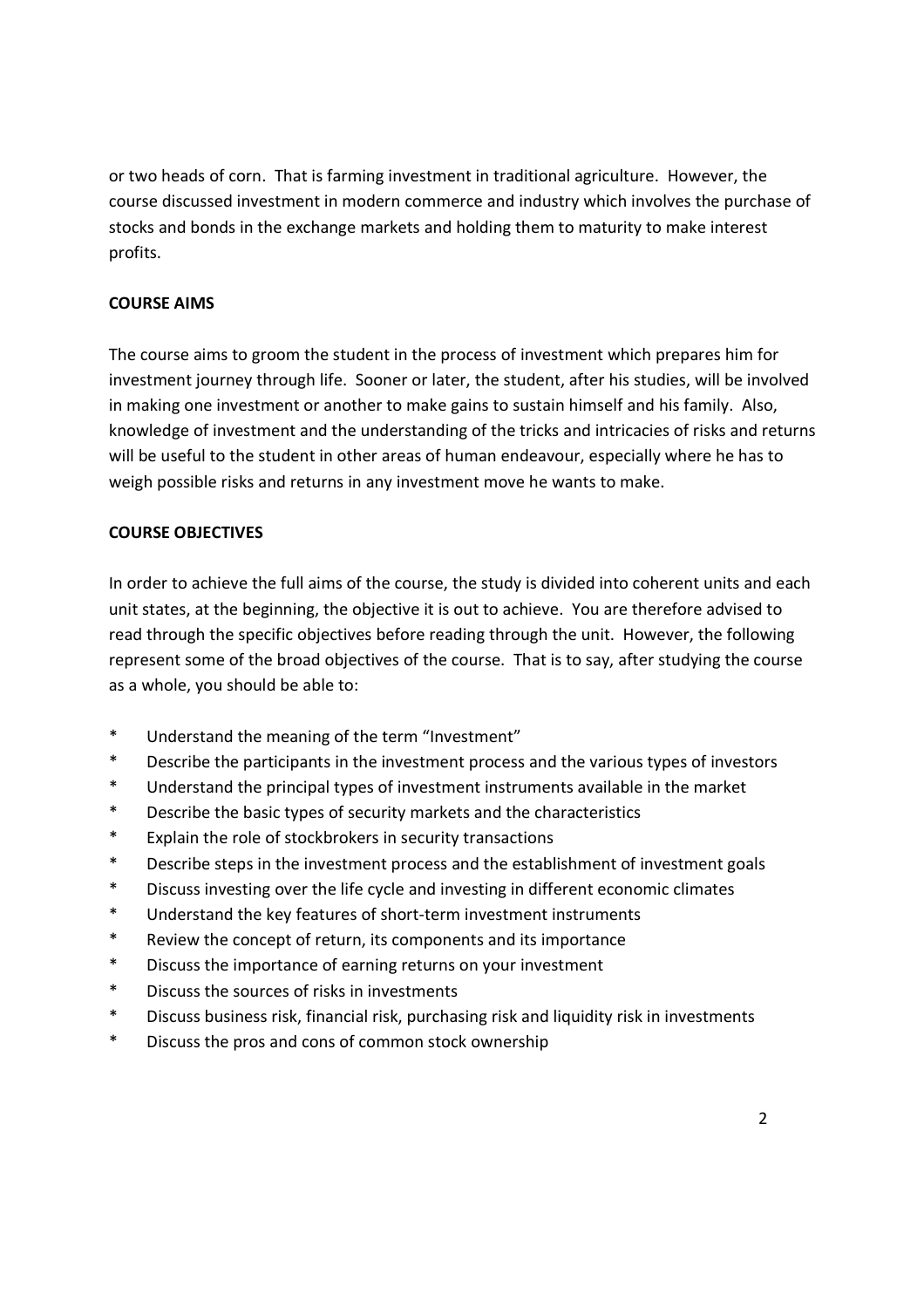or two heads of corn. That is farming investment in traditional agriculture. However, the course discussed investment in modern commerce and industry which involves the purchase of stocks and bonds in the exchange markets and holding them to maturity to make interest profits.

#### **COURSE AIMS**

The course aims to groom the student in the process of investment which prepares him for investment journey through life. Sooner or later, the student, after his studies, will be involved in making one investment or another to make gains to sustain himself and his family. Also, knowledge of investment and the understanding of the tricks and intricacies of risks and returns will be useful to the student in other areas of human endeavour, especially where he has to weigh possible risks and returns in any investment move he wants to make.

#### **COURSE OBJECTIVES**

In order to achieve the full aims of the course, the study is divided into coherent units and each unit states, at the beginning, the objective it is out to achieve. You are therefore advised to read through the specific objectives before reading through the unit. However, the following represent some of the broad objectives of the course. That is to say, after studying the course as a whole, you should be able to:

- \* Understand the meaning of the term "Investment"
- \* Describe the participants in the investment process and the various types of investors
- \* Understand the principal types of investment instruments available in the market
- \* Describe the basic types of security markets and the characteristics
- \* Explain the role of stockbrokers in security transactions
- \* Describe steps in the investment process and the establishment of investment goals
- \* Discuss investing over the life cycle and investing in different economic climates
- \* Understand the key features of short-term investment instruments
- \* Review the concept of return, its components and its importance
- \* Discuss the importance of earning returns on your investment
- \* Discuss the sources of risks in investments
- \* Discuss business risk, financial risk, purchasing risk and liquidity risk in investments
- \* Discuss the pros and cons of common stock ownership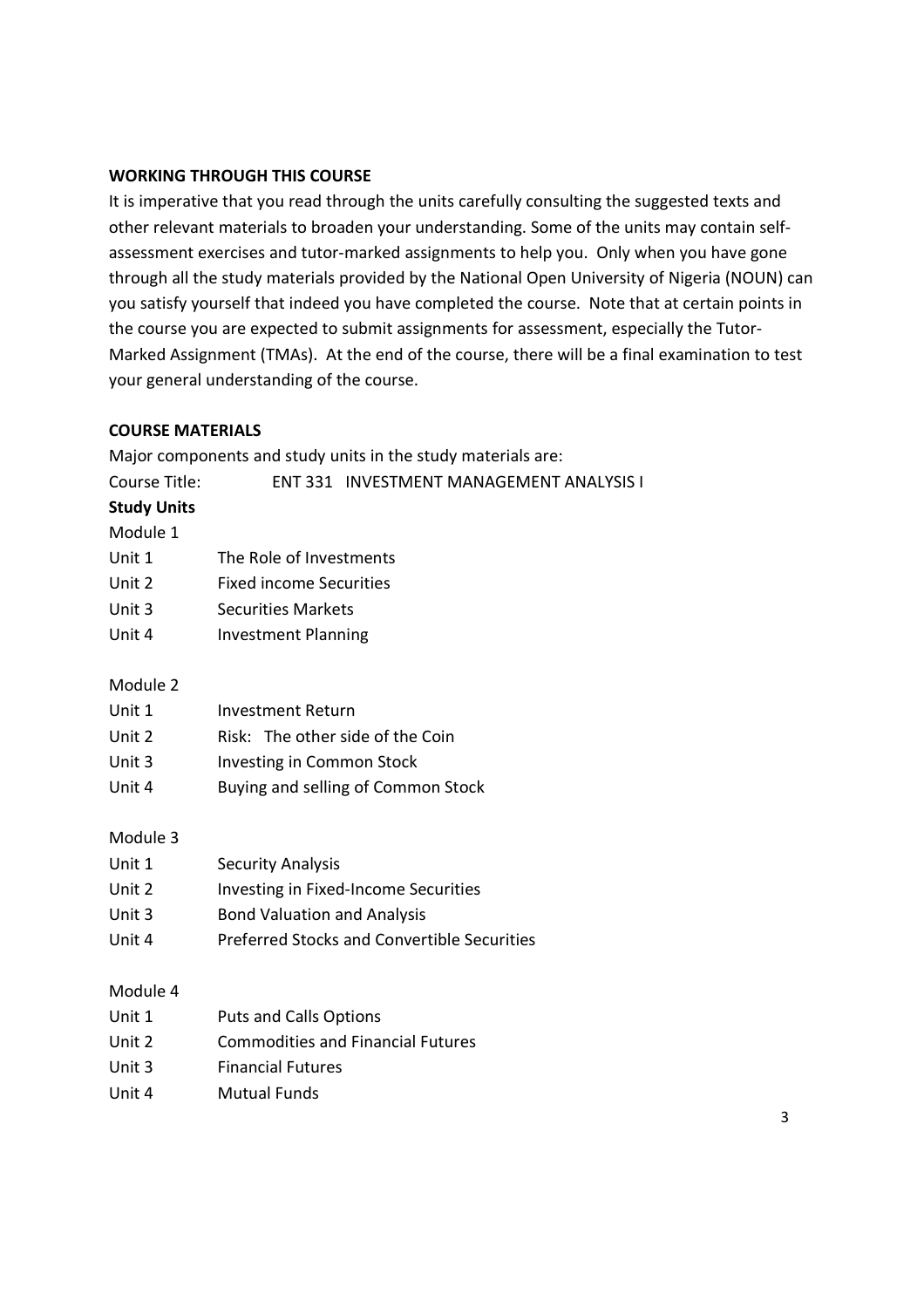#### **WORKING THROUGH THIS COURSE**

It is imperative that you read through the units carefully consulting the suggested texts and other relevant materials to broaden your understanding. Some of the units may contain selfassessment exercises and tutor-marked assignments to help you. Only when you have gone through all the study materials provided by the National Open University of Nigeria (NOUN) can you satisfy yourself that indeed you have completed the course. Note that at certain points in the course you are expected to submit assignments for assessment, especially the Tutor-Marked Assignment (TMAs). At the end of the course, there will be a final examination to test your general understanding of the course.

#### **COURSE MATERIALS**

Major components and study units in the study materials are: Course Title: ENT 331 INVESTMENT MANAGEMENT ANALYSIS I

#### **Study Units**

| Module 1 |                                |
|----------|--------------------------------|
| Unit 1   | The Role of Investments        |
| Unit 2   | <b>Fixed income Securities</b> |

- Unit 3 Securities Markets
- Unit 4 Investment Planning

#### Module 2

| Unit 1 | Investment Return                  |
|--------|------------------------------------|
| Unit 2 | Risk: The other side of the Coin   |
| Unit 3 | Investing in Common Stock          |
| Unit 4 | Buying and selling of Common Stock |

#### Module 3

| Unit 1 | <b>Security Analysis</b>                           |
|--------|----------------------------------------------------|
| Unit 2 | Investing in Fixed-Income Securities               |
| Unit 3 | <b>Bond Valuation and Analysis</b>                 |
| Unit 4 | <b>Preferred Stocks and Convertible Securities</b> |

#### Module 4

| Unit 1 | <b>Puts and Calls Options</b>            |
|--------|------------------------------------------|
| Unit 2 | <b>Commodities and Financial Futures</b> |
| Unit 3 | <b>Financial Futures</b>                 |
| Unit 4 | <b>Mutual Funds</b>                      |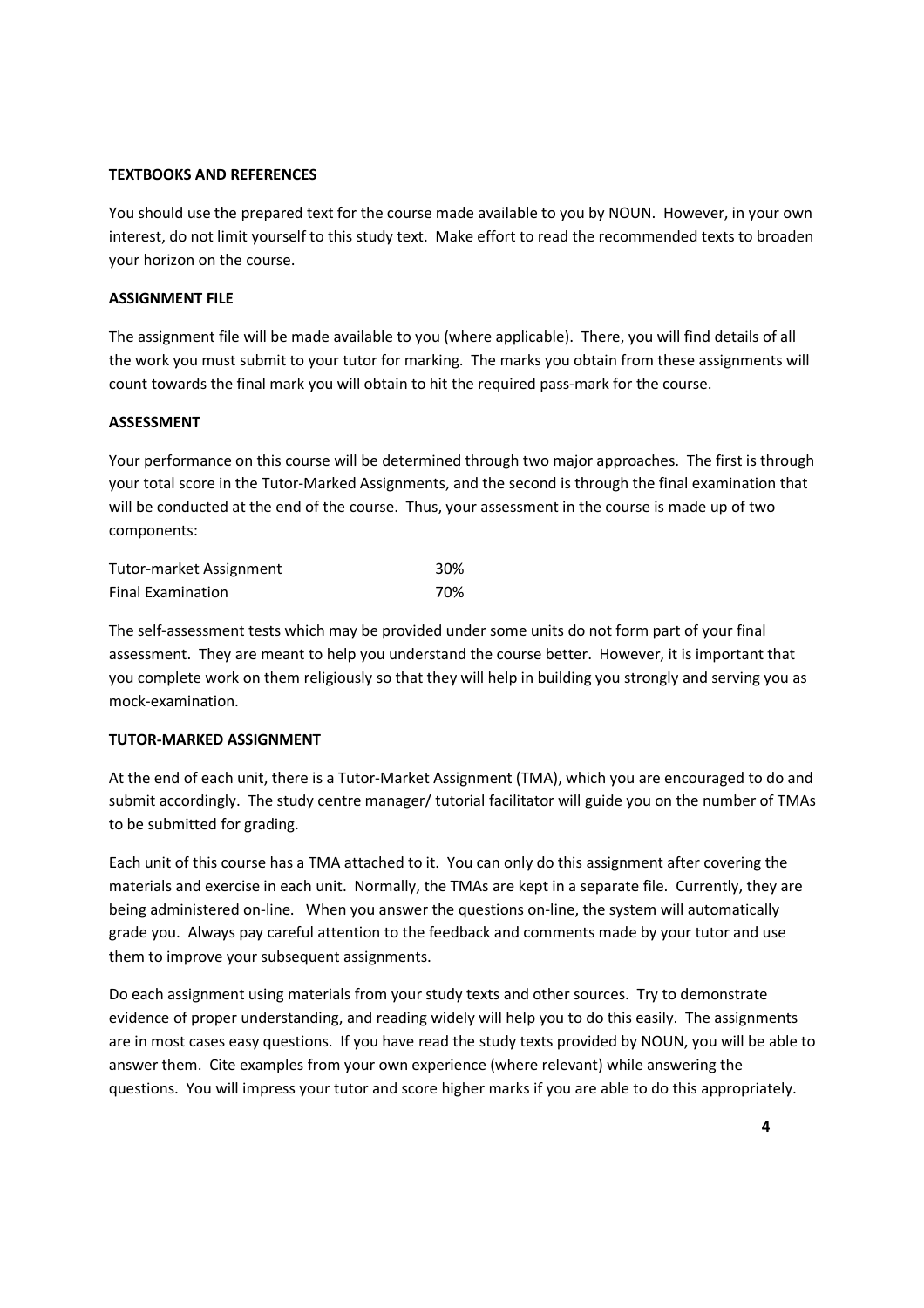#### **TEXTBOOKS AND REFERENCES**

You should use the prepared text for the course made available to you by NOUN. However, in your own interest, do not limit yourself to this study text. Make effort to read the recommended texts to broaden your horizon on the course.

#### **ASSIGNMENT FILE**

The assignment file will be made available to you (where applicable). There, you will find details of all the work you must submit to your tutor for marking. The marks you obtain from these assignments will count towards the final mark you will obtain to hit the required pass-mark for the course.

#### **ASSESSMENT**

Your performance on this course will be determined through two major approaches. The first is through your total score in the Tutor-Marked Assignments, and the second is through the final examination that will be conducted at the end of the course. Thus, your assessment in the course is made up of two components:

| <b>Tutor-market Assignment</b> | 30% |
|--------------------------------|-----|
| <b>Final Examination</b>       | 70% |

The self-assessment tests which may be provided under some units do not form part of your final assessment. They are meant to help you understand the course better. However, it is important that you complete work on them religiously so that they will help in building you strongly and serving you as mock-examination.

#### **TUTOR-MARKED ASSIGNMENT**

At the end of each unit, there is a Tutor-Market Assignment (TMA), which you are encouraged to do and submit accordingly. The study centre manager/ tutorial facilitator will guide you on the number of TMAs to be submitted for grading.

Each unit of this course has a TMA attached to it. You can only do this assignment after covering the materials and exercise in each unit. Normally, the TMAs are kept in a separate file. Currently, they are being administered on-line. When you answer the questions on-line, the system will automatically grade you. Always pay careful attention to the feedback and comments made by your tutor and use them to improve your subsequent assignments.

Do each assignment using materials from your study texts and other sources. Try to demonstrate evidence of proper understanding, and reading widely will help you to do this easily. The assignments are in most cases easy questions. If you have read the study texts provided by NOUN, you will be able to answer them. Cite examples from your own experience (where relevant) while answering the questions. You will impress your tutor and score higher marks if you are able to do this appropriately.